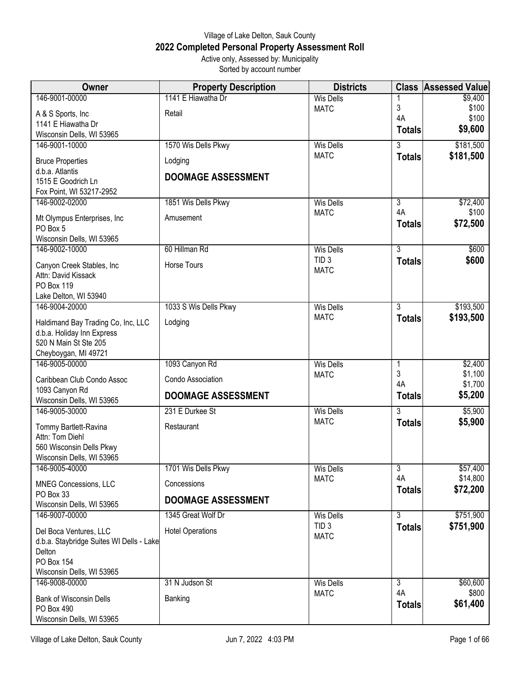## Village of Lake Delton, Sauk County **2022 Completed Personal Property Assessment Roll** Active only, Assessed by: Municipality

Sorted by account number

| Owner                                          | <b>Property Description</b> | <b>Districts</b> |                      | <b>Class Assessed Value</b> |
|------------------------------------------------|-----------------------------|------------------|----------------------|-----------------------------|
| 146-9001-00000                                 | 1141 E Hiawatha Dr          | <b>Wis Dells</b> |                      | \$9,400                     |
| A & S Sports, Inc.                             | Retail                      | <b>MATC</b>      | $\mathfrak{Z}$<br>4A | \$100<br>\$100              |
| 1141 E Hiawatha Dr                             |                             |                  | <b>Totals</b>        | \$9,600                     |
| Wisconsin Dells, WI 53965                      |                             |                  |                      |                             |
| 146-9001-10000                                 | 1570 Wis Dells Pkwy         | <b>Wis Dells</b> | 3                    | \$181,500                   |
| <b>Bruce Properties</b>                        | Lodging                     | <b>MATC</b>      | <b>Totals</b>        | \$181,500                   |
| d.b.a. Atlantis                                | <b>DOOMAGE ASSESSMENT</b>   |                  |                      |                             |
| 1515 E Goodrich Ln<br>Fox Point, WI 53217-2952 |                             |                  |                      |                             |
| 146-9002-02000                                 | 1851 Wis Dells Pkwy         | <b>Wis Dells</b> | 3                    | \$72,400                    |
| Mt Olympus Enterprises, Inc.                   | Amusement                   | <b>MATC</b>      | 4A<br><b>Totals</b>  | \$100<br>\$72,500           |
| PO Box 5<br>Wisconsin Dells, WI 53965          |                             |                  |                      |                             |
| 146-9002-10000                                 | 60 Hillman Rd               | <b>Wis Dells</b> | $\overline{3}$       | \$600                       |
| Canyon Creek Stables, Inc                      | Horse Tours                 | TID <sub>3</sub> | <b>Totals</b>        | \$600                       |
| Attn: David Kissack                            |                             | <b>MATC</b>      |                      |                             |
| PO Box 119                                     |                             |                  |                      |                             |
| Lake Delton, WI 53940                          |                             |                  |                      |                             |
| 146-9004-20000                                 | 1033 S Wis Dells Pkwy       | <b>Wis Dells</b> | 3                    | \$193,500                   |
| Haldimand Bay Trading Co, Inc, LLC             | Lodging                     | <b>MATC</b>      | <b>Totals</b>        | \$193,500                   |
| d.b.a. Holiday Inn Express                     |                             |                  |                      |                             |
| 520 N Main St Ste 205                          |                             |                  |                      |                             |
| Cheyboygan, MI 49721<br>146-9005-00000         | 1093 Canyon Rd              | <b>Wis Dells</b> |                      | \$2,400                     |
|                                                |                             | <b>MATC</b>      | 1<br>3               | \$1,100                     |
| Caribbean Club Condo Assoc                     | Condo Association           |                  | 4A                   | \$1,700                     |
| 1093 Canyon Rd<br>Wisconsin Dells, WI 53965    | <b>DOOMAGE ASSESSMENT</b>   |                  | <b>Totals</b>        | \$5,200                     |
| 146-9005-30000                                 | 231 E Durkee St             | <b>Wis Dells</b> | $\overline{3}$       | \$5,900                     |
|                                                |                             | <b>MATC</b>      | <b>Totals</b>        | \$5,900                     |
| Tommy Bartlett-Ravina<br>Attn: Tom Diehl       | Restaurant                  |                  |                      |                             |
| 560 Wisconsin Dells Pkwy                       |                             |                  |                      |                             |
| Wisconsin Dells, WI 53965                      |                             |                  |                      |                             |
| 146-9005-40000                                 | 1701 Wis Dells Pkwy         | <b>Wis Dells</b> | 3                    | \$57,400                    |
| <b>MNEG Concessions, LLC</b>                   | Concessions                 | <b>MATC</b>      | 4A                   | \$14,800                    |
| PO Box 33<br>Wisconsin Dells, WI 53965         | <b>DOOMAGE ASSESSMENT</b>   |                  | <b>Totals</b>        | \$72,200                    |
| 146-9007-00000                                 | 1345 Great Wolf Dr          | <b>Wis Dells</b> | 3                    | \$751,900                   |
| Del Boca Ventures, LLC                         | <b>Hotel Operations</b>     | TID <sub>3</sub> | <b>Totals</b>        | \$751,900                   |
| d.b.a. Staybridge Suites WI Dells - Lake       |                             | <b>MATC</b>      |                      |                             |
| Delton                                         |                             |                  |                      |                             |
| PO Box 154<br>Wisconsin Dells, WI 53965        |                             |                  |                      |                             |
| 146-9008-00000                                 | 31 N Judson St              | <b>Wis Dells</b> | 3                    | \$60,600                    |
|                                                |                             | <b>MATC</b>      | 4A                   | \$800                       |
| <b>Bank of Wisconsin Dells</b><br>PO Box 490   | Banking                     |                  | <b>Totals</b>        | \$61,400                    |
| Wisconsin Dells, WI 53965                      |                             |                  |                      |                             |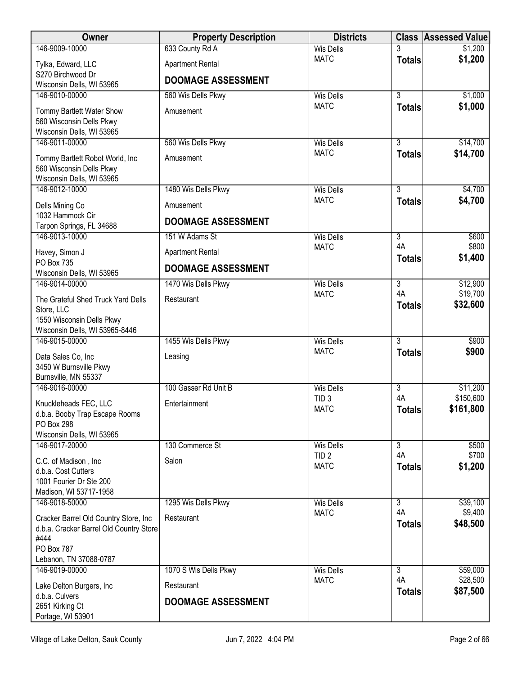| Owner                                                                                    | <b>Property Description</b> | <b>Districts</b>                |                     | <b>Class Assessed Value</b> |
|------------------------------------------------------------------------------------------|-----------------------------|---------------------------------|---------------------|-----------------------------|
| 146-9009-10000                                                                           | 633 County Rd A             | <b>Wis Dells</b>                |                     | \$1,200                     |
| Tylka, Edward, LLC                                                                       | <b>Apartment Rental</b>     | <b>MATC</b>                     | <b>Totals</b>       | \$1,200                     |
| S270 Birchwood Dr<br>Wisconsin Dells, WI 53965                                           | <b>DOOMAGE ASSESSMENT</b>   |                                 |                     |                             |
| 146-9010-00000                                                                           | 560 Wis Dells Pkwy          | <b>Wis Dells</b>                | $\overline{3}$      | \$1,000                     |
| Tommy Bartlett Water Show<br>560 Wisconsin Dells Pkwy<br>Wisconsin Dells, WI 53965       | Amusement                   | <b>MATC</b>                     | <b>Totals</b>       | \$1,000                     |
| 146-9011-00000                                                                           | 560 Wis Dells Pkwy          | <b>Wis Dells</b>                | $\overline{3}$      | \$14,700                    |
| Tommy Bartlett Robot World, Inc<br>560 Wisconsin Dells Pkwy<br>Wisconsin Dells, WI 53965 | Amusement                   | <b>MATC</b>                     | <b>Totals</b>       | \$14,700                    |
| 146-9012-10000                                                                           | 1480 Wis Dells Pkwy         | <b>Wis Dells</b>                | $\overline{3}$      | \$4,700                     |
| Dells Mining Co                                                                          | Amusement                   | <b>MATC</b>                     | <b>Totals</b>       | \$4,700                     |
| 1032 Hammock Cir<br>Tarpon Springs, FL 34688                                             | <b>DOOMAGE ASSESSMENT</b>   |                                 |                     |                             |
| 146-9013-10000                                                                           | 151 W Adams St              | <b>Wis Dells</b>                | 3                   | \$600                       |
| Havey, Simon J                                                                           | <b>Apartment Rental</b>     | <b>MATC</b>                     | 4A<br><b>Totals</b> | \$800<br>\$1,400            |
| PO Box 735<br>Wisconsin Dells, WI 53965                                                  | <b>DOOMAGE ASSESSMENT</b>   |                                 |                     |                             |
| 146-9014-00000                                                                           | 1470 Wis Dells Pkwy         | <b>Wis Dells</b>                | $\overline{3}$      | \$12,900                    |
| The Grateful Shed Truck Yard Dells                                                       | Restaurant                  | <b>MATC</b>                     | 4A<br><b>Totals</b> | \$19,700<br>\$32,600        |
| Store, LLC<br>1550 Wisconsin Dells Pkwy<br>Wisconsin Dells, WI 53965-8446                |                             |                                 |                     |                             |
| 146-9015-00000                                                                           | 1455 Wis Dells Pkwy         | <b>Wis Dells</b>                | $\overline{3}$      | \$900                       |
| Data Sales Co, Inc<br>3450 W Burnsville Pkwy<br>Burnsville, MN 55337                     | Leasing                     | <b>MATC</b>                     | <b>Totals</b>       | \$900                       |
| 146-9016-00000                                                                           | 100 Gasser Rd Unit B        | <b>Wis Dells</b>                | 3                   | \$11,200                    |
| Knuckleheads FEC, LLC<br>d.b.a. Booby Trap Escape Rooms<br>PO Box 298                    | Entertainment               | TID <sub>3</sub><br><b>MATC</b> | 4A<br><b>Totals</b> | \$150,600<br>\$161,800      |
| Wisconsin Dells, WI 53965                                                                |                             |                                 |                     |                             |
| 146-9017-20000                                                                           | 130 Commerce St             | <b>Wis Dells</b>                | 3                   | \$500                       |
| C.C. of Madison, Inc.                                                                    | Salon                       | TID <sub>2</sub><br><b>MATC</b> | 4A                  | \$700                       |
| d.b.a. Cost Cutters                                                                      |                             |                                 | <b>Totals</b>       | \$1,200                     |
| 1001 Fourier Dr Ste 200<br>Madison, WI 53717-1958                                        |                             |                                 |                     |                             |
| 146-9018-50000                                                                           | 1295 Wis Dells Pkwy         | <b>Wis Dells</b>                | $\overline{3}$      | \$39,100                    |
| Cracker Barrel Old Country Store, Inc                                                    | Restaurant                  | <b>MATC</b>                     | 4A                  | \$9,400                     |
| d.b.a. Cracker Barrel Old Country Store                                                  |                             |                                 | <b>Totals</b>       | \$48,500                    |
| #444                                                                                     |                             |                                 |                     |                             |
| PO Box 787<br>Lebanon, TN 37088-0787                                                     |                             |                                 |                     |                             |
| 146-9019-00000                                                                           | 1070 S Wis Dells Pkwy       | <b>Wis Dells</b>                | $\overline{3}$      | \$59,000                    |
| Lake Delton Burgers, Inc                                                                 | Restaurant                  | <b>MATC</b>                     | 4A                  | \$28,500                    |
| d.b.a. Culvers                                                                           | <b>DOOMAGE ASSESSMENT</b>   |                                 | <b>Totals</b>       | \$87,500                    |
| 2651 Kirking Ct<br>Portage, WI 53901                                                     |                             |                                 |                     |                             |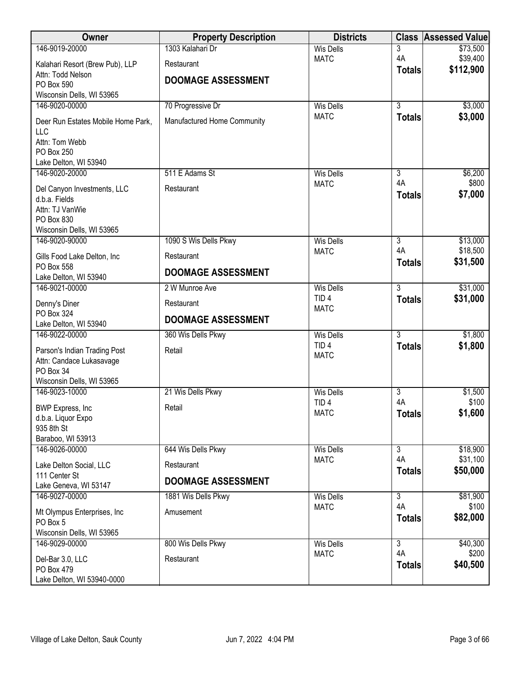| Owner                                          | <b>Property Description</b> | <b>Districts</b>                     | <b>Class</b>         | <b>Assessed Value</b> |
|------------------------------------------------|-----------------------------|--------------------------------------|----------------------|-----------------------|
| 146-9019-20000                                 | 1303 Kalahari Dr            | <b>Wis Dells</b>                     | 3                    | \$73,500              |
| Kalahari Resort (Brew Pub), LLP                | Restaurant                  | <b>MATC</b>                          | 4A                   | \$39,400<br>\$112,900 |
| Attn: Todd Nelson                              | <b>DOOMAGE ASSESSMENT</b>   |                                      | <b>Totals</b>        |                       |
| <b>PO Box 590</b><br>Wisconsin Dells, WI 53965 |                             |                                      |                      |                       |
| 146-9020-00000                                 | 70 Progressive Dr           | <b>Wis Dells</b>                     | $\overline{3}$       | \$3,000               |
| Deer Run Estates Mobile Home Park,             | Manufactured Home Community | <b>MATC</b>                          | <b>Totals</b>        | \$3,000               |
| LLC                                            |                             |                                      |                      |                       |
| Attn: Tom Webb                                 |                             |                                      |                      |                       |
| PO Box 250<br>Lake Delton, WI 53940            |                             |                                      |                      |                       |
| 146-9020-20000                                 | 511 E Adams St              | <b>Wis Dells</b>                     | $\overline{3}$       | \$6,200               |
|                                                |                             | <b>MATC</b>                          | 4A                   | \$800                 |
| Del Canyon Investments, LLC<br>d.b.a. Fields   | Restaurant                  |                                      | <b>Totals</b>        | \$7,000               |
| Attn: TJ VanWie                                |                             |                                      |                      |                       |
| PO Box 830                                     |                             |                                      |                      |                       |
| Wisconsin Dells, WI 53965                      |                             |                                      |                      |                       |
| 146-9020-90000                                 | 1090 S Wis Dells Pkwy       | <b>Wis Dells</b><br><b>MATC</b>      | $\overline{3}$<br>4A | \$13,000<br>\$18,500  |
| Gills Food Lake Delton, Inc                    | Restaurant                  |                                      | <b>Totals</b>        | \$31,500              |
| PO Box 558<br>Lake Delton, WI 53940            | <b>DOOMAGE ASSESSMENT</b>   |                                      |                      |                       |
| 146-9021-00000                                 | 2 W Munroe Ave              | <b>Wis Dells</b>                     | $\overline{3}$       | \$31,000              |
| Denny's Diner                                  | Restaurant                  | TID <sub>4</sub>                     | <b>Totals</b>        | \$31,000              |
| PO Box 324                                     | <b>DOOMAGE ASSESSMENT</b>   | <b>MATC</b>                          |                      |                       |
| Lake Delton, WI 53940                          |                             |                                      |                      |                       |
| 146-9022-00000                                 | 360 Wis Dells Pkwy          | <b>Wis Dells</b><br>TID <sub>4</sub> | $\overline{3}$       | \$1,800               |
| Parson's Indian Trading Post                   | Retail                      | <b>MATC</b>                          | <b>Totals</b>        | \$1,800               |
| Attn: Candace Lukasavage<br>PO Box 34          |                             |                                      |                      |                       |
| Wisconsin Dells, WI 53965                      |                             |                                      |                      |                       |
| 146-9023-10000                                 | 21 Wis Dells Pkwy           | <b>Wis Dells</b>                     | 3                    | \$1,500               |
|                                                | Retail                      | TID <sub>4</sub>                     | 4A                   | \$100                 |
| <b>BWP Express, Inc</b><br>d.b.a. Liquor Expo  |                             | <b>MATC</b>                          | <b>Totals</b>        | \$1,600               |
| 935 8th St                                     |                             |                                      |                      |                       |
| Baraboo, WI 53913                              |                             |                                      |                      |                       |
| 146-9026-00000                                 | 644 Wis Dells Pkwy          | <b>Wis Dells</b><br><b>MATC</b>      | $\overline{3}$<br>4A | \$18,900<br>\$31,100  |
| Lake Delton Social, LLC                        | Restaurant                  |                                      | <b>Totals</b>        | \$50,000              |
| 111 Center St<br>Lake Geneva, WI 53147         | <b>DOOMAGE ASSESSMENT</b>   |                                      |                      |                       |
| 146-9027-00000                                 | 1881 Wis Dells Pkwy         | <b>Wis Dells</b>                     | $\overline{3}$       | \$81,900              |
| Mt Olympus Enterprises, Inc                    | Amusement                   | <b>MATC</b>                          | 4A                   | \$100                 |
| PO Box 5                                       |                             |                                      | <b>Totals</b>        | \$82,000              |
| Wisconsin Dells, WI 53965                      |                             |                                      |                      |                       |
| 146-9029-00000                                 | 800 Wis Dells Pkwy          | <b>Wis Dells</b>                     | $\overline{3}$<br>4A | \$40,300              |
| Del-Bar 3.0, LLC                               | Restaurant                  | <b>MATC</b>                          | <b>Totals</b>        | \$200<br>\$40,500     |
| PO Box 479                                     |                             |                                      |                      |                       |
| Lake Delton, WI 53940-0000                     |                             |                                      |                      |                       |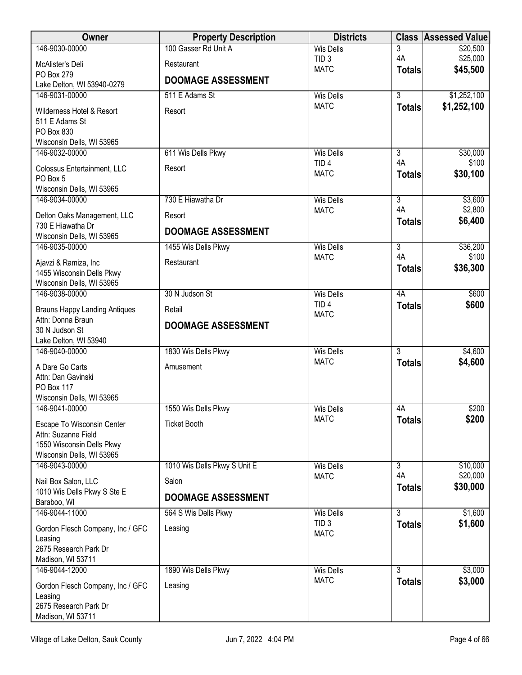| Owner                                                                                                       | <b>Property Description</b>         | <b>Districts</b>                |                     | <b>Class Assessed Value</b> |
|-------------------------------------------------------------------------------------------------------------|-------------------------------------|---------------------------------|---------------------|-----------------------------|
| 146-9030-00000                                                                                              | 100 Gasser Rd Unit A                | <b>Wis Dells</b>                | 3                   | \$20,500                    |
| McAlister's Deli                                                                                            | Restaurant                          | TID <sub>3</sub><br><b>MATC</b> | 4A                  | \$25,000<br>\$45,500        |
| PO Box 279<br>Lake Delton, WI 53940-0279                                                                    | <b>DOOMAGE ASSESSMENT</b>           |                                 | <b>Totals</b>       |                             |
| 146-9031-00000                                                                                              | 511 E Adams St                      | <b>Wis Dells</b>                | $\overline{3}$      | \$1,252,100                 |
| Wilderness Hotel & Resort<br>511 E Adams St<br>PO Box 830<br>Wisconsin Dells, WI 53965                      | Resort                              | <b>MATC</b>                     | <b>Totals</b>       | \$1,252,100                 |
| 146-9032-00000                                                                                              | 611 Wis Dells Pkwy                  | <b>Wis Dells</b>                | 3                   | \$30,000                    |
| Colossus Entertainment, LLC<br>PO Box 5<br>Wisconsin Dells, WI 53965                                        | Resort                              | TID <sub>4</sub><br><b>MATC</b> | 4A<br><b>Totals</b> | \$100<br>\$30,100           |
| 146-9034-00000                                                                                              | 730 E Hiawatha Dr                   | <b>Wis Dells</b>                | $\overline{3}$      | \$3,600                     |
| Delton Oaks Management, LLC                                                                                 | Resort                              | <b>MATC</b>                     | 4A<br><b>Totals</b> | \$2,800<br>\$6,400          |
| 730 E Hiawatha Dr<br>Wisconsin Dells, WI 53965                                                              | <b>DOOMAGE ASSESSMENT</b>           |                                 |                     |                             |
| 146-9035-00000                                                                                              | 1455 Wis Dells Pkwy                 | <b>Wis Dells</b>                | $\overline{3}$      | \$36,200                    |
| Ajavzi & Ramiza, Inc<br>1455 Wisconsin Dells Pkwy                                                           | Restaurant                          | <b>MATC</b>                     | 4A<br><b>Totals</b> | \$100<br>\$36,300           |
| Wisconsin Dells, WI 53965<br>146-9038-00000                                                                 | 30 N Judson St                      | <b>Wis Dells</b>                | 4A                  | \$600                       |
|                                                                                                             |                                     | TID <sub>4</sub>                | <b>Totals</b>       | \$600                       |
| <b>Brauns Happy Landing Antiques</b><br>Attn: Donna Braun<br>30 N Judson St<br>Lake Delton, WI 53940        | Retail<br><b>DOOMAGE ASSESSMENT</b> | <b>MATC</b>                     |                     |                             |
| 146-9040-00000                                                                                              | 1830 Wis Dells Pkwy                 | <b>Wis Dells</b>                | $\overline{3}$      | \$4,600                     |
| A Dare Go Carts<br>Attn: Dan Gavinski<br>PO Box 117<br>Wisconsin Dells, WI 53965                            | Amusement                           | <b>MATC</b>                     | <b>Totals</b>       | \$4,600                     |
| 146-9041-00000                                                                                              | 1550 Wis Dells Pkwy                 | <b>Wis Dells</b>                | 4A                  | \$200                       |
| Escape To Wisconsin Center<br>Attn: Suzanne Field<br>1550 Wisconsin Dells Pkwy<br>Wisconsin Dells, WI 53965 | <b>Ticket Booth</b>                 | <b>MATC</b>                     | <b>Totals</b>       | \$200                       |
| 146-9043-00000                                                                                              | 1010 Wis Dells Pkwy S Unit E        | <b>Wis Dells</b>                | $\overline{3}$      | \$10,000                    |
| Nail Box Salon, LLC                                                                                         | Salon                               | <b>MATC</b>                     | 4A<br><b>Totals</b> | \$20,000<br>\$30,000        |
| 1010 Wis Dells Pkwy S Ste E<br>Baraboo, WI                                                                  | <b>DOOMAGE ASSESSMENT</b>           |                                 |                     |                             |
| 146-9044-11000                                                                                              | 564 S Wis Dells Pkwy                | <b>Wis Dells</b>                | $\overline{3}$      | \$1,600                     |
| Gordon Flesch Company, Inc / GFC<br>Leasing<br>2675 Research Park Dr                                        | Leasing                             | TID <sub>3</sub><br><b>MATC</b> | <b>Totals</b>       | \$1,600                     |
| Madison, WI 53711<br>146-9044-12000                                                                         | 1890 Wis Dells Pkwy                 | <b>Wis Dells</b>                | 3                   | \$3,000                     |
| Gordon Flesch Company, Inc / GFC<br>Leasing<br>2675 Research Park Dr<br>Madison, WI 53711                   | Leasing                             | <b>MATC</b>                     | <b>Totals</b>       | \$3,000                     |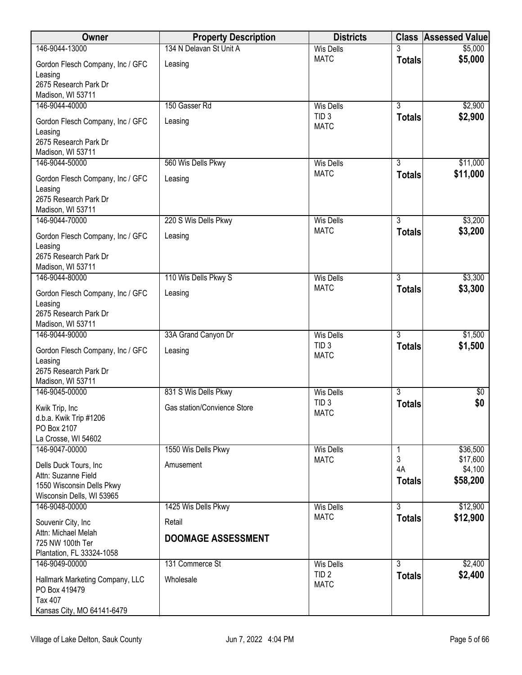| Owner                                                                                                  | <b>Property Description</b>   | <b>Districts</b>                | <b>Class</b>                    | <b>Assessed Value</b>           |
|--------------------------------------------------------------------------------------------------------|-------------------------------|---------------------------------|---------------------------------|---------------------------------|
| 146-9044-13000                                                                                         | 134 N Delavan St Unit A       | <b>Wis Dells</b>                |                                 | \$5,000                         |
| Gordon Flesch Company, Inc / GFC<br>Leasing                                                            | Leasing                       | <b>MATC</b>                     | <b>Totals</b>                   | \$5,000                         |
| 2675 Research Park Dr<br>Madison, WI 53711                                                             |                               |                                 |                                 |                                 |
| 146-9044-40000                                                                                         | 150 Gasser Rd                 | <b>Wis Dells</b>                | $\overline{3}$                  | \$2,900                         |
| Gordon Flesch Company, Inc / GFC<br>Leasing<br>2675 Research Park Dr                                   | Leasing                       | TID <sub>3</sub><br><b>MATC</b> | <b>Totals</b>                   | \$2,900                         |
| Madison, WI 53711                                                                                      |                               |                                 |                                 |                                 |
| 146-9044-50000<br>Gordon Flesch Company, Inc / GFC<br>Leasing<br>2675 Research Park Dr                 | 560 Wis Dells Pkwy<br>Leasing | <b>Wis Dells</b><br><b>MATC</b> | $\overline{3}$<br><b>Totals</b> | \$11,000<br>\$11,000            |
| Madison, WI 53711                                                                                      |                               |                                 |                                 |                                 |
| 146-9044-70000                                                                                         | 220 S Wis Dells Pkwy          | <b>Wis Dells</b>                | $\overline{3}$                  | \$3,200                         |
| Gordon Flesch Company, Inc / GFC<br>Leasing<br>2675 Research Park Dr                                   | Leasing                       | <b>MATC</b>                     | <b>Totals</b>                   | \$3,200                         |
| Madison, WI 53711                                                                                      |                               |                                 |                                 |                                 |
| 146-9044-80000                                                                                         | 110 Wis Dells Pkwy S          | <b>Wis Dells</b><br><b>MATC</b> | $\overline{3}$<br><b>Totals</b> | \$3,300<br>\$3,300              |
| Gordon Flesch Company, Inc / GFC<br>Leasing<br>2675 Research Park Dr<br>Madison, WI 53711              | Leasing                       |                                 |                                 |                                 |
| 146-9044-90000                                                                                         | 33A Grand Canyon Dr           | <b>Wis Dells</b>                | $\overline{3}$                  | \$1,500                         |
| Gordon Flesch Company, Inc / GFC<br>Leasing<br>2675 Research Park Dr<br>Madison, WI 53711              | Leasing                       | TID <sub>3</sub><br><b>MATC</b> | <b>Totals</b>                   | \$1,500                         |
| 146-9045-00000                                                                                         | 831 S Wis Dells Pkwy          | <b>Wis Dells</b>                | $\overline{3}$                  | $\sqrt[6]{}$                    |
| Kwik Trip, Inc<br>d.b.a. Kwik Trip #1206<br>PO Box 2107<br>La Crosse, WI 54602                         | Gas station/Convience Store   | TID <sub>3</sub><br><b>MATC</b> | <b>Totals</b>                   | \$0                             |
| 146-9047-00000                                                                                         | 1550 Wis Dells Pkwy           | <b>Wis Dells</b>                |                                 | \$36,500                        |
| Dells Duck Tours, Inc<br>Attn: Suzanne Field<br>1550 Wisconsin Dells Pkwy<br>Wisconsin Dells, WI 53965 | Amusement                     | <b>MATC</b>                     | 3<br>4A<br><b>Totals</b>        | \$17,600<br>\$4,100<br>\$58,200 |
| 146-9048-00000                                                                                         | 1425 Wis Dells Pkwy           | <b>Wis Dells</b>                | $\overline{3}$                  | \$12,900                        |
| Souvenir City, Inc.                                                                                    | Retail                        | <b>MATC</b>                     | <b>Totals</b>                   | \$12,900                        |
| Attn: Michael Melah<br>725 NW 100th Ter<br>Plantation, FL 33324-1058                                   | <b>DOOMAGE ASSESSMENT</b>     |                                 |                                 |                                 |
| 146-9049-00000                                                                                         | 131 Commerce St               | <b>Wis Dells</b>                | $\overline{3}$                  | \$2,400                         |
| Hallmark Marketing Company, LLC<br>PO Box 419479<br>Tax 407<br>Kansas City, MO 64141-6479              | Wholesale                     | TID <sub>2</sub><br><b>MATC</b> | <b>Totals</b>                   | \$2,400                         |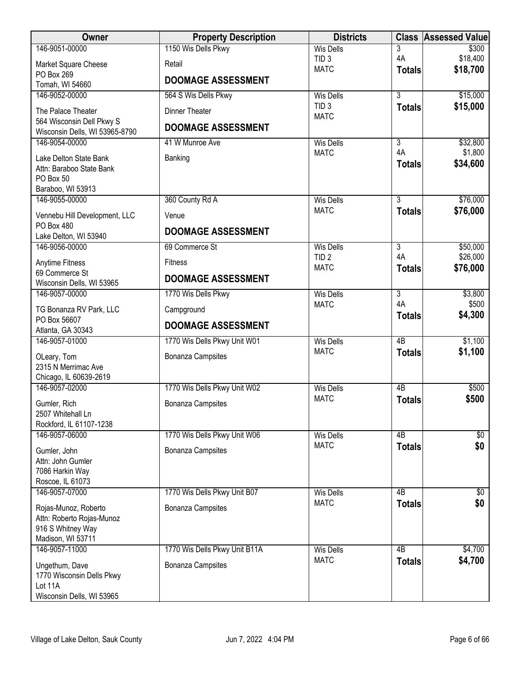| <b>Owner</b>                                   | <b>Property Description</b>   | <b>Districts</b>                |                     | <b>Class Assessed Value</b> |
|------------------------------------------------|-------------------------------|---------------------------------|---------------------|-----------------------------|
| 146-9051-00000                                 | 1150 Wis Dells Pkwy           | <b>Wis Dells</b>                | 3                   | \$300                       |
| Market Square Cheese                           | Retail                        | TID <sub>3</sub>                | 4A                  | \$18,400                    |
| PO Box 269                                     | <b>DOOMAGE ASSESSMENT</b>     | <b>MATC</b>                     | <b>Totals</b>       | \$18,700                    |
| Tomah, WI 54660                                |                               |                                 |                     |                             |
| 146-9052-00000                                 | 564 S Wis Dells Pkwy          | <b>Wis Dells</b>                | $\overline{3}$      | \$15,000                    |
| The Palace Theater                             | Dinner Theater                | TID <sub>3</sub><br><b>MATC</b> | <b>Totals</b>       | \$15,000                    |
| 564 Wisconsin Dell Pkwy S                      | <b>DOOMAGE ASSESSMENT</b>     |                                 |                     |                             |
| Wisconsin Dells, WI 53965-8790                 |                               |                                 |                     |                             |
| 146-9054-00000                                 | 41 W Munroe Ave               | <b>Wis Dells</b>                | 3                   | \$32,800                    |
| Lake Delton State Bank                         | Banking                       | <b>MATC</b>                     | 4A<br><b>Totals</b> | \$1,800<br>\$34,600         |
| Attn: Baraboo State Bank                       |                               |                                 |                     |                             |
| PO Box 50                                      |                               |                                 |                     |                             |
| Baraboo, WI 53913<br>146-9055-00000            | 360 County Rd A               | <b>Wis Dells</b>                | $\overline{3}$      | \$76,000                    |
|                                                |                               | <b>MATC</b>                     | <b>Totals</b>       | \$76,000                    |
| Vennebu Hill Development, LLC                  | Venue                         |                                 |                     |                             |
| <b>PO Box 480</b><br>Lake Delton, WI 53940     | <b>DOOMAGE ASSESSMENT</b>     |                                 |                     |                             |
| 146-9056-00000                                 | 69 Commerce St                | <b>Wis Dells</b>                | $\overline{3}$      | \$50,000                    |
|                                                |                               | TID <sub>2</sub>                | 4A                  | \$26,000                    |
| Anytime Fitness<br>69 Commerce St              | <b>Fitness</b>                | <b>MATC</b>                     | <b>Totals</b>       | \$76,000                    |
| Wisconsin Dells, WI 53965                      | <b>DOOMAGE ASSESSMENT</b>     |                                 |                     |                             |
| 146-9057-00000                                 | 1770 Wis Dells Pkwy           | <b>Wis Dells</b>                | 3                   | \$3,800                     |
| TG Bonanza RV Park, LLC                        | Campground                    | <b>MATC</b>                     | 4A                  | \$500                       |
| PO Box 56607                                   |                               |                                 | <b>Totals</b>       | \$4,300                     |
| Atlanta, GA 30343                              | <b>DOOMAGE ASSESSMENT</b>     |                                 |                     |                             |
| 146-9057-01000                                 | 1770 Wis Dells Pkwy Unit W01  | <b>Wis Dells</b>                | $\overline{AB}$     | \$1,100                     |
| OLeary, Tom                                    | Bonanza Campsites             | <b>MATC</b>                     | <b>Totals</b>       | \$1,100                     |
| 2315 N Merrimac Ave                            |                               |                                 |                     |                             |
| Chicago, IL 60639-2619                         |                               |                                 |                     |                             |
| 146-9057-02000                                 | 1770 Wis Dells Pkwy Unit W02  | <b>Wis Dells</b>                | 4B                  | \$500                       |
| Gumler, Rich                                   | Bonanza Campsites             | <b>MATC</b>                     | <b>Totals</b>       | \$500                       |
| 2507 Whitehall Ln                              |                               |                                 |                     |                             |
| Rockford, IL 61107-1238                        |                               |                                 |                     |                             |
| 146-9057-06000                                 | 1770 Wis Dells Pkwy Unit W06  | <b>Wis Dells</b>                | 4B                  | \$0                         |
| Gumler, John                                   | <b>Bonanza Campsites</b>      | <b>MATC</b>                     | <b>Totals</b>       | \$0                         |
| Attn: John Gumler                              |                               |                                 |                     |                             |
| 7086 Harkin Way                                |                               |                                 |                     |                             |
| Roscoe, IL 61073<br>146-9057-07000             | 1770 Wis Dells Pkwy Unit B07  | <b>Wis Dells</b>                | 4B                  | $\sqrt[6]{30}$              |
|                                                |                               | <b>MATC</b>                     | <b>Totals</b>       | \$0                         |
| Rojas-Munoz, Roberto                           | <b>Bonanza Campsites</b>      |                                 |                     |                             |
| Attn: Roberto Rojas-Munoz<br>916 S Whitney Way |                               |                                 |                     |                             |
| Madison, WI 53711                              |                               |                                 |                     |                             |
| 146-9057-11000                                 | 1770 Wis Dells Pkwy Unit B11A | <b>Wis Dells</b>                | $\overline{AB}$     | \$4,700                     |
| Ungethum, Dave                                 | Bonanza Campsites             | <b>MATC</b>                     | <b>Totals</b>       | \$4,700                     |
| 1770 Wisconsin Dells Pkwy                      |                               |                                 |                     |                             |
| Lot 11A                                        |                               |                                 |                     |                             |
| Wisconsin Dells, WI 53965                      |                               |                                 |                     |                             |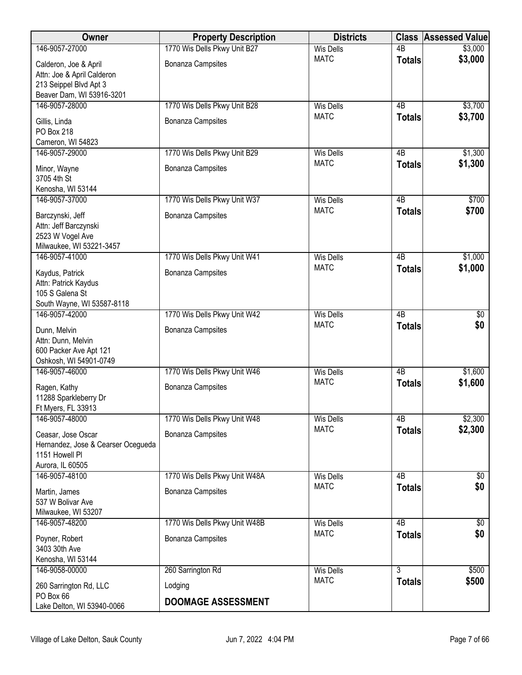| Owner                                        | <b>Property Description</b>   | <b>Districts</b>                | <b>Class</b>    | <b>Assessed Value</b> |
|----------------------------------------------|-------------------------------|---------------------------------|-----------------|-----------------------|
| 146-9057-27000                               | 1770 Wis Dells Pkwy Unit B27  | <b>Wis Dells</b>                | $\overline{AB}$ | \$3,000               |
| Calderon, Joe & April                        | Bonanza Campsites             | <b>MATC</b>                     | <b>Totals</b>   | \$3,000               |
| Attn: Joe & April Calderon                   |                               |                                 |                 |                       |
| 213 Seippel Blvd Apt 3                       |                               |                                 |                 |                       |
| Beaver Dam, WI 53916-3201                    |                               |                                 |                 |                       |
| 146-9057-28000                               | 1770 Wis Dells Pkwy Unit B28  | <b>Wis Dells</b><br><b>MATC</b> | 4B              | \$3,700               |
| Gillis, Linda                                | Bonanza Campsites             |                                 | <b>Totals</b>   | \$3,700               |
| <b>PO Box 218</b>                            |                               |                                 |                 |                       |
| Cameron, WI 54823                            |                               |                                 | 4B              |                       |
| 146-9057-29000                               | 1770 Wis Dells Pkwy Unit B29  | <b>Wis Dells</b><br><b>MATC</b> | <b>Totals</b>   | \$1,300<br>\$1,300    |
| Minor, Wayne                                 | <b>Bonanza Campsites</b>      |                                 |                 |                       |
| 3705 4th St                                  |                               |                                 |                 |                       |
| Kenosha, WI 53144<br>146-9057-37000          | 1770 Wis Dells Pkwy Unit W37  | <b>Wis Dells</b>                | $\overline{AB}$ | \$700                 |
|                                              |                               | <b>MATC</b>                     | <b>Totals</b>   | \$700                 |
| Barczynski, Jeff                             | Bonanza Campsites             |                                 |                 |                       |
| Attn: Jeff Barczynski                        |                               |                                 |                 |                       |
| 2523 W Vogel Ave<br>Milwaukee, WI 53221-3457 |                               |                                 |                 |                       |
| 146-9057-41000                               | 1770 Wis Dells Pkwy Unit W41  | <b>Wis Dells</b>                | $\overline{AB}$ | \$1,000               |
|                                              |                               | <b>MATC</b>                     | <b>Totals</b>   | \$1,000               |
| Kaydus, Patrick                              | Bonanza Campsites             |                                 |                 |                       |
| Attn: Patrick Kaydus<br>105 S Galena St      |                               |                                 |                 |                       |
| South Wayne, WI 53587-8118                   |                               |                                 |                 |                       |
| 146-9057-42000                               | 1770 Wis Dells Pkwy Unit W42  | <b>Wis Dells</b>                | $\overline{AB}$ | $\overline{60}$       |
| Dunn, Melvin                                 | Bonanza Campsites             | <b>MATC</b>                     | <b>Totals</b>   | \$0                   |
| Attn: Dunn, Melvin                           |                               |                                 |                 |                       |
| 600 Packer Ave Apt 121                       |                               |                                 |                 |                       |
| Oshkosh, WI 54901-0749                       |                               |                                 |                 |                       |
| 146-9057-46000                               | 1770 Wis Dells Pkwy Unit W46  | <b>Wis Dells</b>                | $\overline{AB}$ | \$1,600               |
| Ragen, Kathy                                 | Bonanza Campsites             | <b>MATC</b>                     | <b>Totals</b>   | \$1,600               |
| 11288 Sparkleberry Dr                        |                               |                                 |                 |                       |
| Ft Myers, FL 33913                           |                               |                                 |                 |                       |
| 146-9057-48000                               | 1770 Wis Dells Pkwy Unit W48  | <b>Wis Dells</b>                | 4B              | \$2,300               |
| Ceasar, Jose Oscar                           | Bonanza Campsites             | <b>MATC</b>                     | <b>Totals</b>   | \$2,300               |
| Hernandez, Jose & Cearser Ocegueda           |                               |                                 |                 |                       |
| 1151 Howell PI                               |                               |                                 |                 |                       |
| Aurora, IL 60505                             |                               |                                 |                 |                       |
| 146-9057-48100                               | 1770 Wis Dells Pkwy Unit W48A | <b>Wis Dells</b><br><b>MATC</b> | 4B              | \$0                   |
| Martin, James                                | <b>Bonanza Campsites</b>      |                                 | <b>Totals</b>   | \$0                   |
| 537 W Bolivar Ave                            |                               |                                 |                 |                       |
| Milwaukee, WI 53207                          |                               |                                 |                 |                       |
| 146-9057-48200                               | 1770 Wis Dells Pkwy Unit W48B | <b>Wis Dells</b><br><b>MATC</b> | $\overline{AB}$ | $\sqrt[6]{30}$<br>\$0 |
| Poyner, Robert                               | <b>Bonanza Campsites</b>      |                                 | <b>Totals</b>   |                       |
| 3403 30th Ave                                |                               |                                 |                 |                       |
| Kenosha, WI 53144<br>146-9058-00000          | 260 Sarrington Rd             | <b>Wis Dells</b>                | $\overline{3}$  | \$500                 |
|                                              |                               | <b>MATC</b>                     | <b>Totals</b>   | \$500                 |
| 260 Sarrington Rd, LLC                       | Lodging                       |                                 |                 |                       |
| PO Box 66<br>Lake Delton, WI 53940-0066      | <b>DOOMAGE ASSESSMENT</b>     |                                 |                 |                       |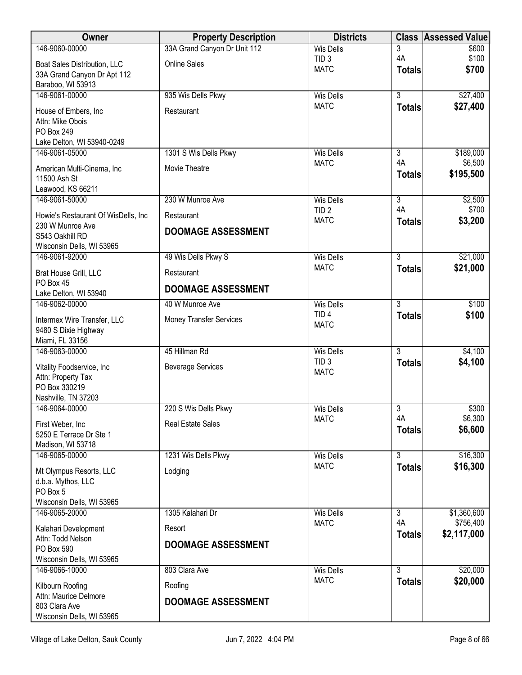| Owner                                                                                 | <b>Property Description</b>    | <b>Districts</b>                     | <b>Class</b>                    | <b>Assessed Value</b> |
|---------------------------------------------------------------------------------------|--------------------------------|--------------------------------------|---------------------------------|-----------------------|
| 146-9060-00000                                                                        | 33A Grand Canyon Dr Unit 112   | <b>Wis Dells</b>                     | 3                               | \$600                 |
| Boat Sales Distribution, LLC                                                          | <b>Online Sales</b>            | TID <sub>3</sub>                     | 4A                              | \$100                 |
| 33A Grand Canyon Dr Apt 112<br>Baraboo, WI 53913                                      |                                | <b>MATC</b>                          | <b>Totals</b>                   | \$700                 |
| 146-9061-00000                                                                        | 935 Wis Dells Pkwy             | <b>Wis Dells</b>                     | $\overline{3}$                  | \$27,400              |
| House of Embers, Inc.<br>Attn: Mike Obois<br>PO Box 249<br>Lake Delton, WI 53940-0249 | Restaurant                     | <b>MATC</b>                          | <b>Totals</b>                   | \$27,400              |
| 146-9061-05000                                                                        | 1301 S Wis Dells Pkwy          | <b>Wis Dells</b>                     | 3                               | \$189,000             |
| American Multi-Cinema, Inc<br>11500 Ash St                                            | Movie Theatre                  | <b>MATC</b>                          | 4A<br><b>Totals</b>             | \$6,500<br>\$195,500  |
| Leawood, KS 66211                                                                     |                                |                                      |                                 |                       |
| 146-9061-50000                                                                        | 230 W Munroe Ave               | <b>Wis Dells</b><br>TID <sub>2</sub> | $\overline{3}$<br>4A            | \$2,500<br>\$700      |
| Howie's Restaurant Of WisDells, Inc.                                                  | Restaurant                     | <b>MATC</b>                          | <b>Totals</b>                   | \$3,200               |
| 230 W Munroe Ave<br>S543 Oakhill RD                                                   | DOOMAGE ASSESSMENT             |                                      |                                 |                       |
| Wisconsin Dells, WI 53965                                                             |                                |                                      |                                 |                       |
| 146-9061-92000                                                                        | 49 Wis Dells Pkwy S            | <b>Wis Dells</b>                     | $\overline{3}$                  | \$21,000              |
| Brat House Grill, LLC                                                                 | Restaurant                     | <b>MATC</b>                          | <b>Totals</b>                   | \$21,000              |
| PO Box 45                                                                             | <b>DOOMAGE ASSESSMENT</b>      |                                      |                                 |                       |
| Lake Delton, WI 53940<br>146-9062-00000                                               | 40 W Munroe Ave                | <b>Wis Dells</b>                     | $\overline{3}$                  | \$100                 |
|                                                                                       |                                | TID <sub>4</sub>                     | <b>Totals</b>                   | \$100                 |
| Intermex Wire Transfer, LLC<br>9480 S Dixie Highway<br>Miami, FL 33156                | <b>Money Transfer Services</b> | <b>MATC</b>                          |                                 |                       |
| 146-9063-00000                                                                        | 45 Hillman Rd                  | <b>Wis Dells</b>                     | $\overline{3}$                  | \$4,100               |
|                                                                                       |                                | TID <sub>3</sub>                     | <b>Totals</b>                   | \$4,100               |
| Vitality Foodservice, Inc<br>Attn: Property Tax                                       | <b>Beverage Services</b>       | <b>MATC</b>                          |                                 |                       |
| PO Box 330219                                                                         |                                |                                      |                                 |                       |
| Nashville, TN 37203                                                                   |                                |                                      |                                 |                       |
| 146-9064-00000                                                                        | 220 S Wis Dells Pkwy           | <b>Wis Dells</b>                     | 3                               | \$300                 |
| First Weber, Inc                                                                      | <b>Real Estate Sales</b>       | <b>MATC</b>                          | 4A                              | \$6,300               |
| 5250 E Terrace Dr Ste 1                                                               |                                |                                      | <b>Totals</b>                   | \$6,600               |
| Madison, WI 53718                                                                     |                                |                                      |                                 |                       |
| 146-9065-00000                                                                        | 1231 Wis Dells Pkwy            | <b>Wis Dells</b><br><b>MATC</b>      | $\overline{3}$<br><b>Totals</b> | \$16,300<br>\$16,300  |
| Mt Olympus Resorts, LLC                                                               | Lodging                        |                                      |                                 |                       |
| d.b.a. Mythos, LLC<br>PO Box 5                                                        |                                |                                      |                                 |                       |
| Wisconsin Dells, WI 53965                                                             |                                |                                      |                                 |                       |
| 146-9065-20000                                                                        | 1305 Kalahari Dr               | <b>Wis Dells</b>                     | $\overline{3}$                  | \$1,360,600           |
| Kalahari Development                                                                  | Resort                         | <b>MATC</b>                          | 4A                              | \$756,400             |
| Attn: Todd Nelson                                                                     | <b>DOOMAGE ASSESSMENT</b>      |                                      | <b>Totals</b>                   | \$2,117,000           |
| PO Box 590                                                                            |                                |                                      |                                 |                       |
| Wisconsin Dells, WI 53965<br>146-9066-10000                                           | 803 Clara Ave                  | <b>Wis Dells</b>                     | $\overline{3}$                  | \$20,000              |
|                                                                                       |                                | <b>MATC</b>                          | <b>Totals</b>                   | \$20,000              |
| Kilbourn Roofing<br>Attn: Maurice Delmore                                             | Roofing                        |                                      |                                 |                       |
| 803 Clara Ave                                                                         | <b>DOOMAGE ASSESSMENT</b>      |                                      |                                 |                       |
| Wisconsin Dells, WI 53965                                                             |                                |                                      |                                 |                       |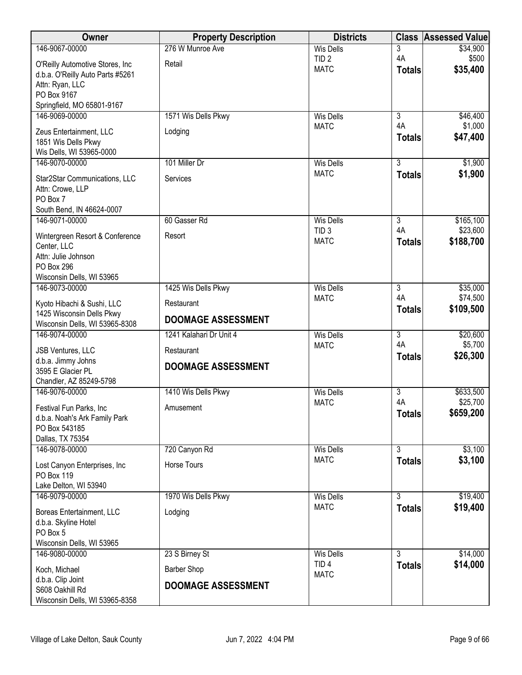| Owner                                                       | <b>Property Description</b> | <b>Districts</b> |                | <b>Class Assessed Value</b> |
|-------------------------------------------------------------|-----------------------------|------------------|----------------|-----------------------------|
| 146-9067-00000                                              | 276 W Munroe Ave            | <b>Wis Dells</b> | 3              | \$34,900                    |
| O'Reilly Automotive Stores, Inc.                            | Retail                      | TID <sub>2</sub> | 4A             | \$500                       |
| d.b.a. O'Reilly Auto Parts #5261                            |                             | <b>MATC</b>      | <b>Totals</b>  | \$35,400                    |
| Attn: Ryan, LLC                                             |                             |                  |                |                             |
| PO Box 9167                                                 |                             |                  |                |                             |
| Springfield, MO 65801-9167<br>146-9069-00000                | 1571 Wis Dells Pkwy         | <b>Wis Dells</b> | 3              | \$46,400                    |
|                                                             |                             | <b>MATC</b>      | 4A             | \$1,000                     |
| Zeus Entertainment, LLC                                     | Lodging                     |                  | <b>Totals</b>  | \$47,400                    |
| 1851 Wis Dells Pkwy<br>Wis Dells, WI 53965-0000             |                             |                  |                |                             |
| 146-9070-00000                                              | 101 Miller Dr               | <b>Wis Dells</b> | $\overline{3}$ | \$1,900                     |
|                                                             |                             | <b>MATC</b>      | <b>Totals</b>  | \$1,900                     |
| Star2Star Communications, LLC<br>Attn: Crowe, LLP           | Services                    |                  |                |                             |
| PO Box 7                                                    |                             |                  |                |                             |
| South Bend, IN 46624-0007                                   |                             |                  |                |                             |
| 146-9071-00000                                              | 60 Gasser Rd                | <b>Wis Dells</b> | $\overline{3}$ | \$165,100                   |
| Wintergreen Resort & Conference                             | Resort                      | TID <sub>3</sub> | 4A             | \$23,600                    |
| Center, LLC                                                 |                             | <b>MATC</b>      | <b>Totals</b>  | \$188,700                   |
| Attn: Julie Johnson                                         |                             |                  |                |                             |
| PO Box 296                                                  |                             |                  |                |                             |
| Wisconsin Dells, WI 53965<br>146-9073-00000                 | 1425 Wis Dells Pkwy         | <b>Wis Dells</b> | $\overline{3}$ | \$35,000                    |
|                                                             |                             | <b>MATC</b>      | 4A             | \$74,500                    |
| Kyoto Hibachi & Sushi, LLC                                  | Restaurant                  |                  | <b>Totals</b>  | \$109,500                   |
| 1425 Wisconsin Dells Pkwy<br>Wisconsin Dells, WI 53965-8308 | <b>DOOMAGE ASSESSMENT</b>   |                  |                |                             |
| 146-9074-00000                                              | 1241 Kalahari Dr Unit 4     | <b>Wis Dells</b> | $\overline{3}$ | \$20,600                    |
| <b>JSB Ventures, LLC</b>                                    | Restaurant                  | <b>MATC</b>      | 4A             | \$5,700                     |
| d.b.a. Jimmy Johns                                          |                             |                  | <b>Totals</b>  | \$26,300                    |
| 3595 E Glacier PL                                           | <b>DOOMAGE ASSESSMENT</b>   |                  |                |                             |
| Chandler, AZ 85249-5798                                     |                             |                  |                |                             |
| 146-9076-00000                                              | 1410 Wis Dells Pkwy         | <b>Wis Dells</b> | 3              | \$633,500                   |
| Festival Fun Parks, Inc.                                    | Amusement                   | <b>MATC</b>      | 4A             | \$25,700                    |
| d.b.a. Noah's Ark Family Park                               |                             |                  | <b>Totals</b>  | \$659,200                   |
| PO Box 543185                                               |                             |                  |                |                             |
| Dallas, TX 75354<br>146-9078-00000                          | 720 Canyon Rd               | <b>Wis Dells</b> | $\overline{3}$ | \$3,100                     |
|                                                             |                             | <b>MATC</b>      | <b>Totals</b>  | \$3,100                     |
| Lost Canyon Enterprises, Inc                                | Horse Tours                 |                  |                |                             |
| PO Box 119<br>Lake Delton, WI 53940                         |                             |                  |                |                             |
| 146-9079-00000                                              | 1970 Wis Dells Pkwy         | <b>Wis Dells</b> | $\overline{3}$ | \$19,400                    |
|                                                             |                             | <b>MATC</b>      | <b>Totals</b>  | \$19,400                    |
| Boreas Entertainment, LLC                                   | Lodging                     |                  |                |                             |
| d.b.a. Skyline Hotel<br>PO Box 5                            |                             |                  |                |                             |
| Wisconsin Dells, WI 53965                                   |                             |                  |                |                             |
| 146-9080-00000                                              | 23 S Birney St              | <b>Wis Dells</b> | 3              | \$14,000                    |
| Koch, Michael                                               | <b>Barber Shop</b>          | TID <sub>4</sub> | <b>Totals</b>  | \$14,000                    |
| d.b.a. Clip Joint                                           |                             | <b>MATC</b>      |                |                             |
| S608 Oakhill Rd                                             | <b>DOOMAGE ASSESSMENT</b>   |                  |                |                             |
| Wisconsin Dells, WI 53965-8358                              |                             |                  |                |                             |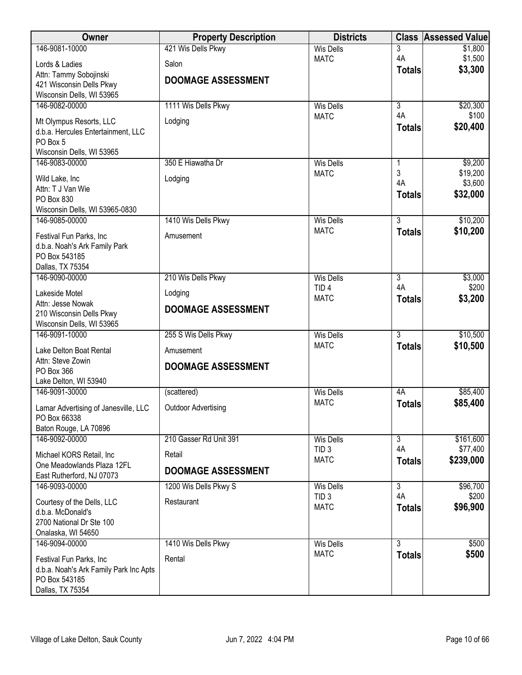| Owner                                                    | <b>Property Description</b> | <b>Districts</b>                | <b>Class</b>                    | <b>Assessed Value</b> |
|----------------------------------------------------------|-----------------------------|---------------------------------|---------------------------------|-----------------------|
| 146-9081-10000                                           | 421 Wis Dells Pkwy          | <b>Wis Dells</b>                | 3                               | \$1,800               |
| Lords & Ladies                                           | Salon                       | <b>MATC</b>                     | 4A                              | \$1,500               |
| Attn: Tammy Sobojinski                                   |                             |                                 | <b>Totals</b>                   | \$3,300               |
| 421 Wisconsin Dells Pkwy                                 | <b>DOOMAGE ASSESSMENT</b>   |                                 |                                 |                       |
| Wisconsin Dells, WI 53965                                |                             |                                 |                                 |                       |
| 146-9082-00000                                           | 1111 Wis Dells Pkwy         | <b>Wis Dells</b>                | $\overline{3}$                  | \$20,300              |
| Mt Olympus Resorts, LLC                                  | Lodging                     | <b>MATC</b>                     | 4A                              | \$100                 |
| d.b.a. Hercules Entertainment, LLC                       |                             |                                 | <b>Totals</b>                   | \$20,400              |
| PO Box 5                                                 |                             |                                 |                                 |                       |
| Wisconsin Dells, WI 53965<br>146-9083-00000              | 350 E Hiawatha Dr           | <b>Wis Dells</b>                |                                 | \$9,200               |
|                                                          |                             | <b>MATC</b>                     | 1<br>3                          | \$19,200              |
| Wild Lake, Inc                                           | Lodging                     |                                 | 4A                              | \$3,600               |
| Attn: T J Van Wie                                        |                             |                                 | <b>Totals</b>                   | \$32,000              |
| PO Box 830<br>Wisconsin Dells, WI 53965-0830             |                             |                                 |                                 |                       |
| 146-9085-00000                                           | 1410 Wis Dells Pkwy         | <b>Wis Dells</b>                | $\overline{3}$                  | \$10,200              |
|                                                          |                             | <b>MATC</b>                     | <b>Totals</b>                   | \$10,200              |
| Festival Fun Parks, Inc<br>d.b.a. Noah's Ark Family Park | Amusement                   |                                 |                                 |                       |
| PO Box 543185                                            |                             |                                 |                                 |                       |
| Dallas, TX 75354                                         |                             |                                 |                                 |                       |
| 146-9090-00000                                           | 210 Wis Dells Pkwy          | <b>Wis Dells</b>                | $\overline{3}$                  | \$3,000               |
| Lakeside Motel                                           | Lodging                     | TID <sub>4</sub>                | 4A                              | \$200                 |
| Attn: Jesse Nowak                                        | <b>DOOMAGE ASSESSMENT</b>   | <b>MATC</b>                     | <b>Totals</b>                   | \$3,200               |
| 210 Wisconsin Dells Pkwy                                 |                             |                                 |                                 |                       |
| Wisconsin Dells, WI 53965                                |                             |                                 |                                 |                       |
| 146-9091-10000                                           | 255 S Wis Dells Pkwy        | <b>Wis Dells</b><br><b>MATC</b> | $\overline{3}$<br><b>Totals</b> | \$10,500<br>\$10,500  |
| Lake Delton Boat Rental                                  | Amusement                   |                                 |                                 |                       |
| Attn: Steve Zowin<br>PO Box 366                          | <b>DOOMAGE ASSESSMENT</b>   |                                 |                                 |                       |
| Lake Delton, WI 53940                                    |                             |                                 |                                 |                       |
| 146-9091-30000                                           | (scattered)                 | <b>Wis Dells</b>                | 4A                              | \$85,400              |
|                                                          | <b>Outdoor Advertising</b>  | <b>MATC</b>                     | <b>Totals</b>                   | \$85,400              |
| Lamar Advertising of Janesville, LLC<br>PO Box 66338     |                             |                                 |                                 |                       |
| Baton Rouge, LA 70896                                    |                             |                                 |                                 |                       |
| 146-9092-00000                                           | 210 Gasser Rd Unit 391      | <b>Wis Dells</b>                | $\overline{3}$                  | \$161,600             |
| Michael KORS Retail, Inc.                                | Retail                      | TID <sub>3</sub>                | 4A                              | \$77,400              |
| One Meadowlands Plaza 12FL                               |                             | <b>MATC</b>                     | <b>Totals</b>                   | \$239,000             |
| East Rutherford, NJ 07073                                | <b>DOOMAGE ASSESSMENT</b>   |                                 |                                 |                       |
| 146-9093-00000                                           | 1200 Wis Dells Pkwy S       | Wis Dells                       | $\overline{3}$                  | \$96,700              |
| Courtesy of the Dells, LLC                               | Restaurant                  | TID <sub>3</sub>                | 4A                              | \$200                 |
| d.b.a. McDonald's                                        |                             | <b>MATC</b>                     | <b>Totals</b>                   | \$96,900              |
| 2700 National Dr Ste 100                                 |                             |                                 |                                 |                       |
| Onalaska, WI 54650                                       |                             |                                 |                                 |                       |
| 146-9094-00000                                           | 1410 Wis Dells Pkwy         | <b>Wis Dells</b><br><b>MATC</b> | $\overline{3}$                  | \$500                 |
| Festival Fun Parks, Inc                                  | Rental                      |                                 | <b>Totals</b>                   | \$500                 |
| d.b.a. Noah's Ark Family Park Inc Apts                   |                             |                                 |                                 |                       |
| PO Box 543185<br>Dallas, TX 75354                        |                             |                                 |                                 |                       |
|                                                          |                             |                                 |                                 |                       |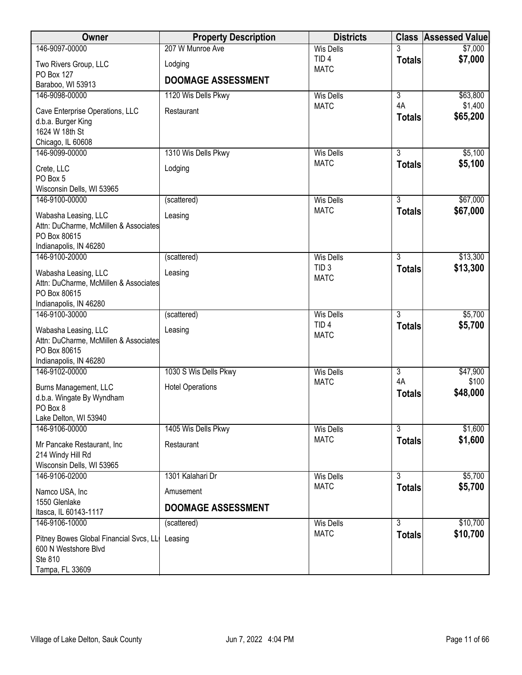| \$7,000<br><b>Wis Dells</b><br>3<br>\$7,000<br>TID <sub>4</sub><br><b>Totals</b><br>Two Rivers Group, LLC<br>Lodging<br><b>MATC</b><br>PO Box 127<br><b>DOOMAGE ASSESSMENT</b><br>Baraboo, WI 53913<br>146-9098-00000<br>1120 Wis Dells Pkwy<br><b>Wis Dells</b><br>$\overline{3}$<br>\$63,800<br>4A<br>\$1,400<br><b>MATC</b><br>Restaurant<br>Cave Enterprise Operations, LLC<br>\$65,200<br><b>Totals</b><br>d.b.a. Burger King<br>1624 W 18th St<br>Chicago, IL 60608<br>146-9099-00000<br>1310 Wis Dells Pkwy<br>$\overline{3}$<br>\$5,100<br><b>Wis Dells</b><br>\$5,100<br><b>MATC</b><br><b>Totals</b><br>Crete, LLC<br>Lodging<br>PO Box 5<br>Wisconsin Dells, WI 53965<br>146-9100-00000<br>$\overline{3}$<br>\$67,000<br>(scattered)<br><b>Wis Dells</b><br>\$67,000<br><b>MATC</b><br><b>Totals</b><br>Leasing<br>Wabasha Leasing, LLC<br>Attn: DuCharme, McMillen & Associates<br>PO Box 80615<br>Indianapolis, IN 46280<br>$\overline{3}$<br>\$13,300<br>146-9100-20000<br>(scattered)<br><b>Wis Dells</b><br>TID <sub>3</sub><br>\$13,300<br><b>Totals</b><br>Wabasha Leasing, LLC<br>Leasing<br><b>MATC</b><br>Attn: DuCharme, McMillen & Associates<br>PO Box 80615<br>Indianapolis, IN 46280<br>$\overline{3}$<br>\$5,700<br>146-9100-30000<br>(scattered)<br><b>Wis Dells</b><br>TID <sub>4</sub><br>\$5,700<br><b>Totals</b><br>Leasing<br>Wabasha Leasing, LLC<br><b>MATC</b><br>Attn: DuCharme, McMillen & Associates<br>PO Box 80615<br>Indianapolis, IN 46280<br>$\overline{\overline{3}}$<br>146-9102-00000<br>1030 S Wis Dells Pkwy<br>\$47,900<br><b>Wis Dells</b><br>4A<br>\$100<br><b>MATC</b><br><b>Hotel Operations</b><br>Burns Management, LLC<br>\$48,000<br><b>Totals</b><br>d.b.a. Wingate By Wyndham<br>PO Box 8<br>Lake Delton, WI 53940<br>146-9106-00000<br>1405 Wis Dells Pkwy<br>3<br>\$1,600<br><b>Wis Dells</b><br>\$1,600<br><b>MATC</b><br><b>Totals</b><br>Restaurant<br>Mr Pancake Restaurant, Inc.<br>214 Windy Hill Rd<br>Wisconsin Dells, WI 53965<br>\$5,700<br>146-9106-02000<br>1301 Kalahari Dr<br>$\overline{3}$<br><b>Wis Dells</b><br><b>MATC</b><br>\$5,700<br><b>Totals</b><br>Amusement<br>Namco USA, Inc<br>1550 Glenlake<br><b>DOOMAGE ASSESSMENT</b><br>Itasca, IL 60143-1117<br>$\overline{3}$<br>\$10,700<br>146-9106-10000<br><b>Wis Dells</b><br>(scattered)<br><b>MATC</b><br>\$10,700<br><b>Totals</b><br>Pitney Bowes Global Financial Svcs, LL<br>Leasing<br>600 N Westshore Blvd<br>Ste 810 | Owner           | <b>Property Description</b> | <b>Districts</b> | <b>Class Assessed Value</b> |
|----------------------------------------------------------------------------------------------------------------------------------------------------------------------------------------------------------------------------------------------------------------------------------------------------------------------------------------------------------------------------------------------------------------------------------------------------------------------------------------------------------------------------------------------------------------------------------------------------------------------------------------------------------------------------------------------------------------------------------------------------------------------------------------------------------------------------------------------------------------------------------------------------------------------------------------------------------------------------------------------------------------------------------------------------------------------------------------------------------------------------------------------------------------------------------------------------------------------------------------------------------------------------------------------------------------------------------------------------------------------------------------------------------------------------------------------------------------------------------------------------------------------------------------------------------------------------------------------------------------------------------------------------------------------------------------------------------------------------------------------------------------------------------------------------------------------------------------------------------------------------------------------------------------------------------------------------------------------------------------------------------------------------------------------------------------------------------------------------------------------------------------------------------------------------------------------------------------------------------------------------------------------------------------------------------------------------------------------------------------------------------------------------------------------------------------------------------------------|-----------------|-----------------------------|------------------|-----------------------------|
|                                                                                                                                                                                                                                                                                                                                                                                                                                                                                                                                                                                                                                                                                                                                                                                                                                                                                                                                                                                                                                                                                                                                                                                                                                                                                                                                                                                                                                                                                                                                                                                                                                                                                                                                                                                                                                                                                                                                                                                                                                                                                                                                                                                                                                                                                                                                                                                                                                                                      | 146-9097-00000  | 207 W Munroe Ave            |                  |                             |
|                                                                                                                                                                                                                                                                                                                                                                                                                                                                                                                                                                                                                                                                                                                                                                                                                                                                                                                                                                                                                                                                                                                                                                                                                                                                                                                                                                                                                                                                                                                                                                                                                                                                                                                                                                                                                                                                                                                                                                                                                                                                                                                                                                                                                                                                                                                                                                                                                                                                      |                 |                             |                  |                             |
|                                                                                                                                                                                                                                                                                                                                                                                                                                                                                                                                                                                                                                                                                                                                                                                                                                                                                                                                                                                                                                                                                                                                                                                                                                                                                                                                                                                                                                                                                                                                                                                                                                                                                                                                                                                                                                                                                                                                                                                                                                                                                                                                                                                                                                                                                                                                                                                                                                                                      |                 |                             |                  |                             |
|                                                                                                                                                                                                                                                                                                                                                                                                                                                                                                                                                                                                                                                                                                                                                                                                                                                                                                                                                                                                                                                                                                                                                                                                                                                                                                                                                                                                                                                                                                                                                                                                                                                                                                                                                                                                                                                                                                                                                                                                                                                                                                                                                                                                                                                                                                                                                                                                                                                                      |                 |                             |                  |                             |
|                                                                                                                                                                                                                                                                                                                                                                                                                                                                                                                                                                                                                                                                                                                                                                                                                                                                                                                                                                                                                                                                                                                                                                                                                                                                                                                                                                                                                                                                                                                                                                                                                                                                                                                                                                                                                                                                                                                                                                                                                                                                                                                                                                                                                                                                                                                                                                                                                                                                      |                 |                             |                  |                             |
|                                                                                                                                                                                                                                                                                                                                                                                                                                                                                                                                                                                                                                                                                                                                                                                                                                                                                                                                                                                                                                                                                                                                                                                                                                                                                                                                                                                                                                                                                                                                                                                                                                                                                                                                                                                                                                                                                                                                                                                                                                                                                                                                                                                                                                                                                                                                                                                                                                                                      |                 |                             |                  |                             |
|                                                                                                                                                                                                                                                                                                                                                                                                                                                                                                                                                                                                                                                                                                                                                                                                                                                                                                                                                                                                                                                                                                                                                                                                                                                                                                                                                                                                                                                                                                                                                                                                                                                                                                                                                                                                                                                                                                                                                                                                                                                                                                                                                                                                                                                                                                                                                                                                                                                                      |                 |                             |                  |                             |
|                                                                                                                                                                                                                                                                                                                                                                                                                                                                                                                                                                                                                                                                                                                                                                                                                                                                                                                                                                                                                                                                                                                                                                                                                                                                                                                                                                                                                                                                                                                                                                                                                                                                                                                                                                                                                                                                                                                                                                                                                                                                                                                                                                                                                                                                                                                                                                                                                                                                      |                 |                             |                  |                             |
|                                                                                                                                                                                                                                                                                                                                                                                                                                                                                                                                                                                                                                                                                                                                                                                                                                                                                                                                                                                                                                                                                                                                                                                                                                                                                                                                                                                                                                                                                                                                                                                                                                                                                                                                                                                                                                                                                                                                                                                                                                                                                                                                                                                                                                                                                                                                                                                                                                                                      |                 |                             |                  |                             |
|                                                                                                                                                                                                                                                                                                                                                                                                                                                                                                                                                                                                                                                                                                                                                                                                                                                                                                                                                                                                                                                                                                                                                                                                                                                                                                                                                                                                                                                                                                                                                                                                                                                                                                                                                                                                                                                                                                                                                                                                                                                                                                                                                                                                                                                                                                                                                                                                                                                                      |                 |                             |                  |                             |
|                                                                                                                                                                                                                                                                                                                                                                                                                                                                                                                                                                                                                                                                                                                                                                                                                                                                                                                                                                                                                                                                                                                                                                                                                                                                                                                                                                                                                                                                                                                                                                                                                                                                                                                                                                                                                                                                                                                                                                                                                                                                                                                                                                                                                                                                                                                                                                                                                                                                      |                 |                             |                  |                             |
|                                                                                                                                                                                                                                                                                                                                                                                                                                                                                                                                                                                                                                                                                                                                                                                                                                                                                                                                                                                                                                                                                                                                                                                                                                                                                                                                                                                                                                                                                                                                                                                                                                                                                                                                                                                                                                                                                                                                                                                                                                                                                                                                                                                                                                                                                                                                                                                                                                                                      |                 |                             |                  |                             |
|                                                                                                                                                                                                                                                                                                                                                                                                                                                                                                                                                                                                                                                                                                                                                                                                                                                                                                                                                                                                                                                                                                                                                                                                                                                                                                                                                                                                                                                                                                                                                                                                                                                                                                                                                                                                                                                                                                                                                                                                                                                                                                                                                                                                                                                                                                                                                                                                                                                                      |                 |                             |                  |                             |
|                                                                                                                                                                                                                                                                                                                                                                                                                                                                                                                                                                                                                                                                                                                                                                                                                                                                                                                                                                                                                                                                                                                                                                                                                                                                                                                                                                                                                                                                                                                                                                                                                                                                                                                                                                                                                                                                                                                                                                                                                                                                                                                                                                                                                                                                                                                                                                                                                                                                      |                 |                             |                  |                             |
|                                                                                                                                                                                                                                                                                                                                                                                                                                                                                                                                                                                                                                                                                                                                                                                                                                                                                                                                                                                                                                                                                                                                                                                                                                                                                                                                                                                                                                                                                                                                                                                                                                                                                                                                                                                                                                                                                                                                                                                                                                                                                                                                                                                                                                                                                                                                                                                                                                                                      |                 |                             |                  |                             |
|                                                                                                                                                                                                                                                                                                                                                                                                                                                                                                                                                                                                                                                                                                                                                                                                                                                                                                                                                                                                                                                                                                                                                                                                                                                                                                                                                                                                                                                                                                                                                                                                                                                                                                                                                                                                                                                                                                                                                                                                                                                                                                                                                                                                                                                                                                                                                                                                                                                                      |                 |                             |                  |                             |
|                                                                                                                                                                                                                                                                                                                                                                                                                                                                                                                                                                                                                                                                                                                                                                                                                                                                                                                                                                                                                                                                                                                                                                                                                                                                                                                                                                                                                                                                                                                                                                                                                                                                                                                                                                                                                                                                                                                                                                                                                                                                                                                                                                                                                                                                                                                                                                                                                                                                      |                 |                             |                  |                             |
|                                                                                                                                                                                                                                                                                                                                                                                                                                                                                                                                                                                                                                                                                                                                                                                                                                                                                                                                                                                                                                                                                                                                                                                                                                                                                                                                                                                                                                                                                                                                                                                                                                                                                                                                                                                                                                                                                                                                                                                                                                                                                                                                                                                                                                                                                                                                                                                                                                                                      |                 |                             |                  |                             |
|                                                                                                                                                                                                                                                                                                                                                                                                                                                                                                                                                                                                                                                                                                                                                                                                                                                                                                                                                                                                                                                                                                                                                                                                                                                                                                                                                                                                                                                                                                                                                                                                                                                                                                                                                                                                                                                                                                                                                                                                                                                                                                                                                                                                                                                                                                                                                                                                                                                                      |                 |                             |                  |                             |
|                                                                                                                                                                                                                                                                                                                                                                                                                                                                                                                                                                                                                                                                                                                                                                                                                                                                                                                                                                                                                                                                                                                                                                                                                                                                                                                                                                                                                                                                                                                                                                                                                                                                                                                                                                                                                                                                                                                                                                                                                                                                                                                                                                                                                                                                                                                                                                                                                                                                      |                 |                             |                  |                             |
|                                                                                                                                                                                                                                                                                                                                                                                                                                                                                                                                                                                                                                                                                                                                                                                                                                                                                                                                                                                                                                                                                                                                                                                                                                                                                                                                                                                                                                                                                                                                                                                                                                                                                                                                                                                                                                                                                                                                                                                                                                                                                                                                                                                                                                                                                                                                                                                                                                                                      |                 |                             |                  |                             |
|                                                                                                                                                                                                                                                                                                                                                                                                                                                                                                                                                                                                                                                                                                                                                                                                                                                                                                                                                                                                                                                                                                                                                                                                                                                                                                                                                                                                                                                                                                                                                                                                                                                                                                                                                                                                                                                                                                                                                                                                                                                                                                                                                                                                                                                                                                                                                                                                                                                                      |                 |                             |                  |                             |
|                                                                                                                                                                                                                                                                                                                                                                                                                                                                                                                                                                                                                                                                                                                                                                                                                                                                                                                                                                                                                                                                                                                                                                                                                                                                                                                                                                                                                                                                                                                                                                                                                                                                                                                                                                                                                                                                                                                                                                                                                                                                                                                                                                                                                                                                                                                                                                                                                                                                      |                 |                             |                  |                             |
|                                                                                                                                                                                                                                                                                                                                                                                                                                                                                                                                                                                                                                                                                                                                                                                                                                                                                                                                                                                                                                                                                                                                                                                                                                                                                                                                                                                                                                                                                                                                                                                                                                                                                                                                                                                                                                                                                                                                                                                                                                                                                                                                                                                                                                                                                                                                                                                                                                                                      |                 |                             |                  |                             |
|                                                                                                                                                                                                                                                                                                                                                                                                                                                                                                                                                                                                                                                                                                                                                                                                                                                                                                                                                                                                                                                                                                                                                                                                                                                                                                                                                                                                                                                                                                                                                                                                                                                                                                                                                                                                                                                                                                                                                                                                                                                                                                                                                                                                                                                                                                                                                                                                                                                                      |                 |                             |                  |                             |
|                                                                                                                                                                                                                                                                                                                                                                                                                                                                                                                                                                                                                                                                                                                                                                                                                                                                                                                                                                                                                                                                                                                                                                                                                                                                                                                                                                                                                                                                                                                                                                                                                                                                                                                                                                                                                                                                                                                                                                                                                                                                                                                                                                                                                                                                                                                                                                                                                                                                      |                 |                             |                  |                             |
|                                                                                                                                                                                                                                                                                                                                                                                                                                                                                                                                                                                                                                                                                                                                                                                                                                                                                                                                                                                                                                                                                                                                                                                                                                                                                                                                                                                                                                                                                                                                                                                                                                                                                                                                                                                                                                                                                                                                                                                                                                                                                                                                                                                                                                                                                                                                                                                                                                                                      |                 |                             |                  |                             |
|                                                                                                                                                                                                                                                                                                                                                                                                                                                                                                                                                                                                                                                                                                                                                                                                                                                                                                                                                                                                                                                                                                                                                                                                                                                                                                                                                                                                                                                                                                                                                                                                                                                                                                                                                                                                                                                                                                                                                                                                                                                                                                                                                                                                                                                                                                                                                                                                                                                                      |                 |                             |                  |                             |
|                                                                                                                                                                                                                                                                                                                                                                                                                                                                                                                                                                                                                                                                                                                                                                                                                                                                                                                                                                                                                                                                                                                                                                                                                                                                                                                                                                                                                                                                                                                                                                                                                                                                                                                                                                                                                                                                                                                                                                                                                                                                                                                                                                                                                                                                                                                                                                                                                                                                      |                 |                             |                  |                             |
|                                                                                                                                                                                                                                                                                                                                                                                                                                                                                                                                                                                                                                                                                                                                                                                                                                                                                                                                                                                                                                                                                                                                                                                                                                                                                                                                                                                                                                                                                                                                                                                                                                                                                                                                                                                                                                                                                                                                                                                                                                                                                                                                                                                                                                                                                                                                                                                                                                                                      |                 |                             |                  |                             |
|                                                                                                                                                                                                                                                                                                                                                                                                                                                                                                                                                                                                                                                                                                                                                                                                                                                                                                                                                                                                                                                                                                                                                                                                                                                                                                                                                                                                                                                                                                                                                                                                                                                                                                                                                                                                                                                                                                                                                                                                                                                                                                                                                                                                                                                                                                                                                                                                                                                                      |                 |                             |                  |                             |
|                                                                                                                                                                                                                                                                                                                                                                                                                                                                                                                                                                                                                                                                                                                                                                                                                                                                                                                                                                                                                                                                                                                                                                                                                                                                                                                                                                                                                                                                                                                                                                                                                                                                                                                                                                                                                                                                                                                                                                                                                                                                                                                                                                                                                                                                                                                                                                                                                                                                      |                 |                             |                  |                             |
|                                                                                                                                                                                                                                                                                                                                                                                                                                                                                                                                                                                                                                                                                                                                                                                                                                                                                                                                                                                                                                                                                                                                                                                                                                                                                                                                                                                                                                                                                                                                                                                                                                                                                                                                                                                                                                                                                                                                                                                                                                                                                                                                                                                                                                                                                                                                                                                                                                                                      |                 |                             |                  |                             |
|                                                                                                                                                                                                                                                                                                                                                                                                                                                                                                                                                                                                                                                                                                                                                                                                                                                                                                                                                                                                                                                                                                                                                                                                                                                                                                                                                                                                                                                                                                                                                                                                                                                                                                                                                                                                                                                                                                                                                                                                                                                                                                                                                                                                                                                                                                                                                                                                                                                                      |                 |                             |                  |                             |
|                                                                                                                                                                                                                                                                                                                                                                                                                                                                                                                                                                                                                                                                                                                                                                                                                                                                                                                                                                                                                                                                                                                                                                                                                                                                                                                                                                                                                                                                                                                                                                                                                                                                                                                                                                                                                                                                                                                                                                                                                                                                                                                                                                                                                                                                                                                                                                                                                                                                      |                 |                             |                  |                             |
|                                                                                                                                                                                                                                                                                                                                                                                                                                                                                                                                                                                                                                                                                                                                                                                                                                                                                                                                                                                                                                                                                                                                                                                                                                                                                                                                                                                                                                                                                                                                                                                                                                                                                                                                                                                                                                                                                                                                                                                                                                                                                                                                                                                                                                                                                                                                                                                                                                                                      |                 |                             |                  |                             |
|                                                                                                                                                                                                                                                                                                                                                                                                                                                                                                                                                                                                                                                                                                                                                                                                                                                                                                                                                                                                                                                                                                                                                                                                                                                                                                                                                                                                                                                                                                                                                                                                                                                                                                                                                                                                                                                                                                                                                                                                                                                                                                                                                                                                                                                                                                                                                                                                                                                                      |                 |                             |                  |                             |
|                                                                                                                                                                                                                                                                                                                                                                                                                                                                                                                                                                                                                                                                                                                                                                                                                                                                                                                                                                                                                                                                                                                                                                                                                                                                                                                                                                                                                                                                                                                                                                                                                                                                                                                                                                                                                                                                                                                                                                                                                                                                                                                                                                                                                                                                                                                                                                                                                                                                      |                 |                             |                  |                             |
|                                                                                                                                                                                                                                                                                                                                                                                                                                                                                                                                                                                                                                                                                                                                                                                                                                                                                                                                                                                                                                                                                                                                                                                                                                                                                                                                                                                                                                                                                                                                                                                                                                                                                                                                                                                                                                                                                                                                                                                                                                                                                                                                                                                                                                                                                                                                                                                                                                                                      |                 |                             |                  |                             |
|                                                                                                                                                                                                                                                                                                                                                                                                                                                                                                                                                                                                                                                                                                                                                                                                                                                                                                                                                                                                                                                                                                                                                                                                                                                                                                                                                                                                                                                                                                                                                                                                                                                                                                                                                                                                                                                                                                                                                                                                                                                                                                                                                                                                                                                                                                                                                                                                                                                                      |                 |                             |                  |                             |
|                                                                                                                                                                                                                                                                                                                                                                                                                                                                                                                                                                                                                                                                                                                                                                                                                                                                                                                                                                                                                                                                                                                                                                                                                                                                                                                                                                                                                                                                                                                                                                                                                                                                                                                                                                                                                                                                                                                                                                                                                                                                                                                                                                                                                                                                                                                                                                                                                                                                      |                 |                             |                  |                             |
|                                                                                                                                                                                                                                                                                                                                                                                                                                                                                                                                                                                                                                                                                                                                                                                                                                                                                                                                                                                                                                                                                                                                                                                                                                                                                                                                                                                                                                                                                                                                                                                                                                                                                                                                                                                                                                                                                                                                                                                                                                                                                                                                                                                                                                                                                                                                                                                                                                                                      | Tampa, FL 33609 |                             |                  |                             |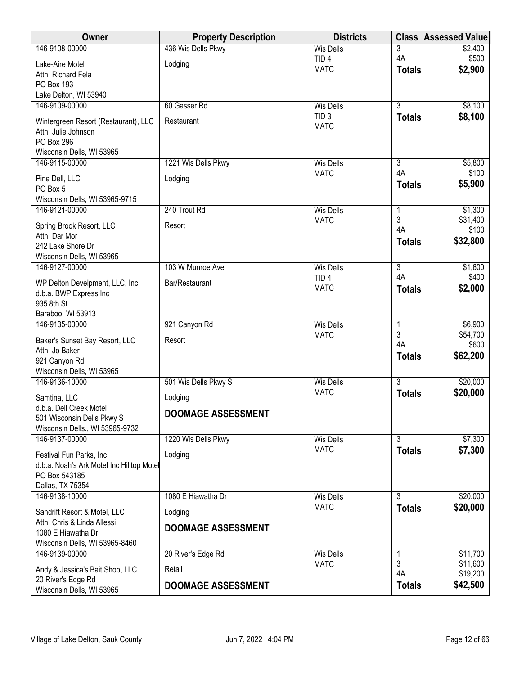| Owner                                                                     | <b>Property Description</b> | <b>Districts</b>                     | <b>Class</b>         | <b>Assessed Value</b> |
|---------------------------------------------------------------------------|-----------------------------|--------------------------------------|----------------------|-----------------------|
| 146-9108-00000                                                            | 436 Wis Dells Pkwy          | <b>Wis Dells</b>                     | 3                    | \$2,400               |
| Lake-Aire Motel                                                           | Lodging                     | TID <sub>4</sub>                     | 4A                   | \$500                 |
| Attn: Richard Fela                                                        |                             | <b>MATC</b>                          | <b>Totals</b>        | \$2,900               |
| PO Box 193                                                                |                             |                                      |                      |                       |
| Lake Delton, WI 53940                                                     |                             |                                      |                      |                       |
| 146-9109-00000                                                            | 60 Gasser Rd                | <b>Wis Dells</b>                     | $\overline{3}$       | \$8,100               |
| Wintergreen Resort (Restaurant), LLC<br>Attn: Julie Johnson<br>PO Box 296 | Restaurant                  | TID <sub>3</sub><br><b>MATC</b>      | <b>Totals</b>        | \$8,100               |
| Wisconsin Dells, WI 53965                                                 |                             |                                      |                      |                       |
| 146-9115-00000                                                            | 1221 Wis Dells Pkwy         | <b>Wis Dells</b>                     | 3                    | \$5,800               |
| Pine Dell, LLC                                                            | Lodging                     | <b>MATC</b>                          | 4A                   | \$100                 |
| PO Box 5                                                                  |                             |                                      | <b>Totals</b>        | \$5,900               |
| Wisconsin Dells, WI 53965-9715                                            |                             |                                      |                      |                       |
| 146-9121-00000                                                            | 240 Trout Rd                | <b>Wis Dells</b>                     | 1                    | \$1,300               |
| Spring Brook Resort, LLC                                                  | Resort                      | <b>MATC</b>                          | 3<br>4A              | \$31,400<br>\$100     |
| Attn: Dar Mor                                                             |                             |                                      | <b>Totals</b>        | \$32,800              |
| 242 Lake Shore Dr                                                         |                             |                                      |                      |                       |
| Wisconsin Dells, WI 53965                                                 |                             |                                      |                      |                       |
| 146-9127-00000                                                            | 103 W Munroe Ave            | <b>Wis Dells</b><br>TID <sub>4</sub> | $\overline{3}$<br>4A | \$1,600<br>\$400      |
| WP Delton Develpment, LLC, Inc                                            | Bar/Restaurant              | <b>MATC</b>                          | <b>Totals</b>        | \$2,000               |
| d.b.a. BWP Express Inc                                                    |                             |                                      |                      |                       |
| 935 8th St<br>Baraboo, WI 53913                                           |                             |                                      |                      |                       |
| 146-9135-00000                                                            | 921 Canyon Rd               | <b>Wis Dells</b>                     | 1                    | \$6,900               |
|                                                                           |                             | <b>MATC</b>                          | 3                    | \$54,700              |
| Baker's Sunset Bay Resort, LLC<br>Attn: Jo Baker                          | Resort                      |                                      | 4A                   | \$600                 |
| 921 Canyon Rd                                                             |                             |                                      | <b>Totals</b>        | \$62,200              |
| Wisconsin Dells, WI 53965                                                 |                             |                                      |                      |                       |
| 146-9136-10000                                                            | 501 Wis Dells Pkwy S        | <b>Wis Dells</b>                     | $\overline{3}$       | \$20,000              |
| Samtina, LLC                                                              | Lodging                     | <b>MATC</b>                          | <b>Totals</b>        | \$20,000              |
| d.b.a. Dell Creek Motel                                                   |                             |                                      |                      |                       |
| 501 Wisconsin Dells Pkwy S                                                | <b>DOOMAGE ASSESSMENT</b>   |                                      |                      |                       |
| Wisconsin Dells., WI 53965-9732                                           |                             |                                      |                      |                       |
| 146-9137-00000                                                            | 1220 Wis Dells Pkwy         | <b>Wis Dells</b>                     | $\overline{3}$       | \$7,300               |
| Festival Fun Parks, Inc                                                   | Lodging                     | <b>MATC</b>                          | <b>Totals</b>        | \$7,300               |
| d.b.a. Noah's Ark Motel Inc Hilltop Motel                                 |                             |                                      |                      |                       |
| PO Box 543185                                                             |                             |                                      |                      |                       |
| Dallas, TX 75354<br>146-9138-10000                                        | 1080 E Hiawatha Dr          | <b>Wis Dells</b>                     | 3                    | \$20,000              |
|                                                                           |                             | <b>MATC</b>                          | <b>Totals</b>        | \$20,000              |
| Sandrift Resort & Motel, LLC                                              | Lodging                     |                                      |                      |                       |
| Attn: Chris & Linda Allessi<br>1080 E Hiawatha Dr                         | <b>DOOMAGE ASSESSMENT</b>   |                                      |                      |                       |
| Wisconsin Dells, WI 53965-8460                                            |                             |                                      |                      |                       |
| 146-9139-00000                                                            | 20 River's Edge Rd          | <b>Wis Dells</b>                     | 1                    | \$11,700              |
| Andy & Jessica's Bait Shop, LLC                                           | Retail                      | <b>MATC</b>                          | 3                    | \$11,600              |
| 20 River's Edge Rd                                                        |                             |                                      | 4A                   | \$19,200              |
| Wisconsin Dells, WI 53965                                                 | <b>DOOMAGE ASSESSMENT</b>   |                                      | <b>Totals</b>        | \$42,500              |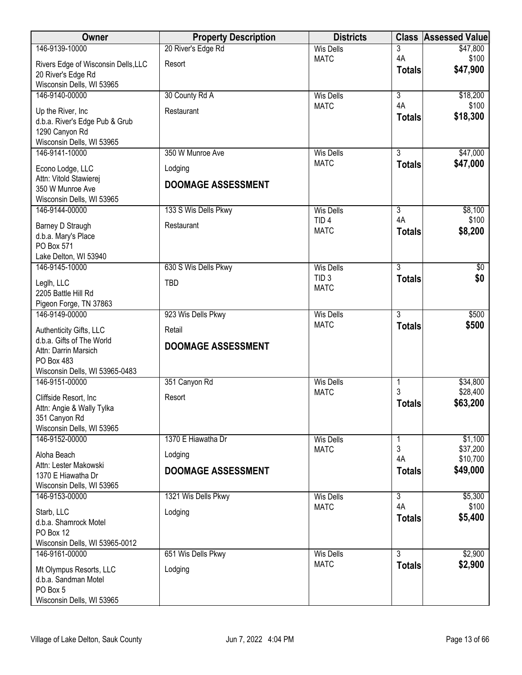| Owner                                       | <b>Property Description</b> | <b>Districts</b>                |                | <b>Class Assessed Value</b> |
|---------------------------------------------|-----------------------------|---------------------------------|----------------|-----------------------------|
| 146-9139-10000                              | 20 River's Edge Rd          | <b>Wis Dells</b>                | 3              | \$47,800                    |
| Rivers Edge of Wisconsin Dells, LLC         | Resort                      | <b>MATC</b>                     | 4A             | \$100                       |
| 20 River's Edge Rd                          |                             |                                 | <b>Totals</b>  | \$47,900                    |
| Wisconsin Dells, WI 53965                   |                             |                                 |                |                             |
| 146-9140-00000                              | 30 County Rd A              | <b>Wis Dells</b>                | $\overline{3}$ | \$18,200                    |
| Up the River, Inc.                          | Restaurant                  | <b>MATC</b>                     | 4A             | \$100                       |
| d.b.a. River's Edge Pub & Grub              |                             |                                 | <b>Totals</b>  | \$18,300                    |
| 1290 Canyon Rd                              |                             |                                 |                |                             |
| Wisconsin Dells, WI 53965<br>146-9141-10000 | 350 W Munroe Ave            | <b>Wis Dells</b>                | $\overline{3}$ | \$47,000                    |
|                                             |                             | <b>MATC</b>                     | <b>Totals</b>  | \$47,000                    |
| Econo Lodge, LLC                            | Lodging                     |                                 |                |                             |
| Attn: Vitold Stawierej<br>350 W Munroe Ave  | <b>DOOMAGE ASSESSMENT</b>   |                                 |                |                             |
| Wisconsin Dells, WI 53965                   |                             |                                 |                |                             |
| 146-9144-00000                              | 133 S Wis Dells Pkwy        | <b>Wis Dells</b>                | $\overline{3}$ | \$8,100                     |
| Barney D Straugh                            | Restaurant                  | TID <sub>4</sub>                | 4A             | \$100                       |
| d.b.a. Mary's Place                         |                             | <b>MATC</b>                     | <b>Totals</b>  | \$8,200                     |
| PO Box 571                                  |                             |                                 |                |                             |
| Lake Delton, WI 53940                       |                             |                                 |                |                             |
| 146-9145-10000                              | 630 S Wis Dells Pkwy        | <b>Wis Dells</b>                | $\overline{3}$ | $\overline{60}$             |
| Leglh, LLC                                  | <b>TBD</b>                  | TID <sub>3</sub><br><b>MATC</b> | <b>Totals</b>  | \$0                         |
| 2205 Battle Hill Rd                         |                             |                                 |                |                             |
| Pigeon Forge, TN 37863                      |                             |                                 |                |                             |
| 146-9149-00000                              | 923 Wis Dells Pkwy          | <b>Wis Dells</b><br><b>MATC</b> | $\overline{3}$ | \$500                       |
| Authenticity Gifts, LLC                     | Retail                      |                                 | <b>Totals</b>  | \$500                       |
| d.b.a. Gifts of The World                   | <b>DOOMAGE ASSESSMENT</b>   |                                 |                |                             |
| Attn: Darrin Marsich<br>PO Box 483          |                             |                                 |                |                             |
| Wisconsin Dells, WI 53965-0483              |                             |                                 |                |                             |
| 146-9151-00000                              | 351 Canyon Rd               | <b>Wis Dells</b>                | 1              | \$34,800                    |
| Cliffside Resort, Inc.                      | Resort                      | <b>MATC</b>                     | 3              | \$28,400                    |
| Attn: Angie & Wally Tylka                   |                             |                                 | <b>Totals</b>  | \$63,200                    |
| 351 Canyon Rd                               |                             |                                 |                |                             |
| Wisconsin Dells, WI 53965                   |                             |                                 |                |                             |
| 146-9152-00000                              | 1370 E Hiawatha Dr          | <b>Wis Dells</b>                | 1              | \$1,100                     |
| Aloha Beach                                 | Lodging                     | <b>MATC</b>                     | 3<br>4A        | \$37,200<br>\$10,700        |
| Attn: Lester Makowski                       | <b>DOOMAGE ASSESSMENT</b>   |                                 | <b>Totals</b>  | \$49,000                    |
| 1370 E Hiawatha Dr                          |                             |                                 |                |                             |
| Wisconsin Dells, WI 53965<br>146-9153-00000 | 1321 Wis Dells Pkwy         | <b>Wis Dells</b>                | $\overline{3}$ | \$5,300                     |
|                                             |                             | <b>MATC</b>                     | 4A             | \$100                       |
| Starb, LLC                                  | Lodging                     |                                 | <b>Totals</b>  | \$5,400                     |
| d.b.a. Shamrock Motel<br>PO Box 12          |                             |                                 |                |                             |
| Wisconsin Dells, WI 53965-0012              |                             |                                 |                |                             |
| 146-9161-00000                              | 651 Wis Dells Pkwy          | <b>Wis Dells</b>                | $\overline{3}$ | \$2,900                     |
| Mt Olympus Resorts, LLC                     | Lodging                     | <b>MATC</b>                     | <b>Totals</b>  | \$2,900                     |
| d.b.a. Sandman Motel                        |                             |                                 |                |                             |
| PO Box 5                                    |                             |                                 |                |                             |
| Wisconsin Dells, WI 53965                   |                             |                                 |                |                             |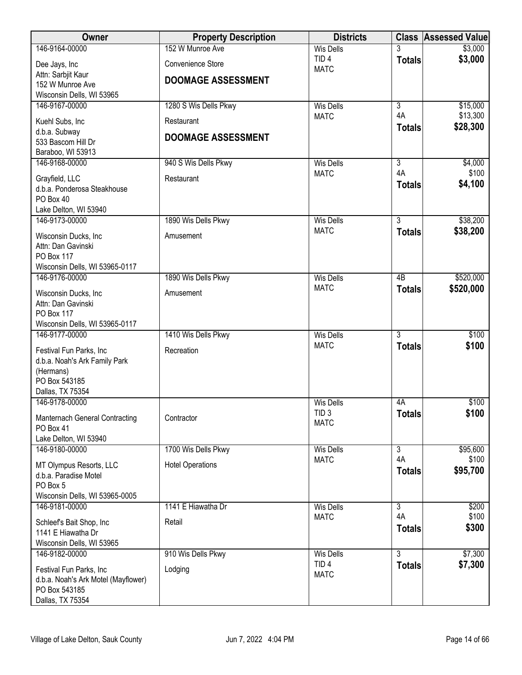| Owner                                                    | <b>Property Description</b> | <b>Districts</b>                |                 | <b>Class Assessed Value</b> |
|----------------------------------------------------------|-----------------------------|---------------------------------|-----------------|-----------------------------|
| 146-9164-00000                                           | 152 W Munroe Ave            | <b>Wis Dells</b>                |                 | \$3,000                     |
| Dee Jays, Inc                                            | Convenience Store           | TID <sub>4</sub><br><b>MATC</b> | <b>Totals</b>   | \$3,000                     |
| Attn: Sarbjit Kaur                                       | <b>DOOMAGE ASSESSMENT</b>   |                                 |                 |                             |
| 152 W Munroe Ave<br>Wisconsin Dells, WI 53965            |                             |                                 |                 |                             |
| 146-9167-00000                                           | 1280 S Wis Dells Pkwy       | <b>Wis Dells</b>                | $\overline{3}$  | \$15,000                    |
|                                                          |                             | <b>MATC</b>                     | 4A              | \$13,300                    |
| Kuehl Subs, Inc<br>d.b.a. Subway                         | Restaurant                  |                                 | <b>Totals</b>   | \$28,300                    |
| 533 Bascom Hill Dr                                       | <b>DOOMAGE ASSESSMENT</b>   |                                 |                 |                             |
| Baraboo, WI 53913                                        |                             |                                 |                 |                             |
| 146-9168-00000                                           | 940 S Wis Dells Pkwy        | <b>Wis Dells</b>                | $\overline{3}$  | \$4,000                     |
| Grayfield, LLC                                           | Restaurant                  | <b>MATC</b>                     | 4A              | \$100                       |
| d.b.a. Ponderosa Steakhouse                              |                             |                                 | <b>Totals</b>   | \$4,100                     |
| PO Box 40                                                |                             |                                 |                 |                             |
| Lake Delton, WI 53940<br>146-9173-00000                  | 1890 Wis Dells Pkwy         | <b>Wis Dells</b>                | $\overline{3}$  | \$38,200                    |
|                                                          |                             | <b>MATC</b>                     | <b>Totals</b>   | \$38,200                    |
| Wisconsin Ducks, Inc<br>Attn: Dan Gavinski               | Amusement                   |                                 |                 |                             |
| PO Box 117                                               |                             |                                 |                 |                             |
| Wisconsin Dells, WI 53965-0117                           |                             |                                 |                 |                             |
| 146-9176-00000                                           | 1890 Wis Dells Pkwy         | <b>Wis Dells</b>                | $\overline{AB}$ | \$520,000                   |
| Wisconsin Ducks, Inc                                     | Amusement                   | <b>MATC</b>                     | <b>Totals</b>   | \$520,000                   |
| Attn: Dan Gavinski                                       |                             |                                 |                 |                             |
| PO Box 117                                               |                             |                                 |                 |                             |
| Wisconsin Dells, WI 53965-0117<br>146-9177-00000         | 1410 Wis Dells Pkwy         | <b>Wis Dells</b>                | $\overline{3}$  | \$100                       |
|                                                          |                             | <b>MATC</b>                     | <b>Totals</b>   | \$100                       |
| Festival Fun Parks, Inc<br>d.b.a. Noah's Ark Family Park | Recreation                  |                                 |                 |                             |
| (Hermans)                                                |                             |                                 |                 |                             |
| PO Box 543185                                            |                             |                                 |                 |                             |
| Dallas, TX 75354                                         |                             |                                 |                 |                             |
| 146-9178-00000                                           |                             | <b>Wis Dells</b>                | 4A              | \$100                       |
| Manternach General Contracting                           | Contractor                  | TID <sub>3</sub><br><b>MATC</b> | <b>Totals</b>   | \$100                       |
| PO Box 41                                                |                             |                                 |                 |                             |
| Lake Delton, WI 53940<br>146-9180-00000                  | 1700 Wis Dells Pkwy         | Wis Dells                       | $\overline{3}$  | \$95,600                    |
|                                                          |                             | <b>MATC</b>                     | 4A              | \$100                       |
| MT Olympus Resorts, LLC<br>d.b.a. Paradise Motel         | <b>Hotel Operations</b>     |                                 | <b>Totals</b>   | \$95,700                    |
| PO Box 5                                                 |                             |                                 |                 |                             |
| Wisconsin Dells, WI 53965-0005                           |                             |                                 |                 |                             |
| 146-9181-00000                                           | 1141 E Hiawatha Dr          | <b>Wis Dells</b>                | $\overline{3}$  | \$200                       |
| Schleef's Bait Shop, Inc                                 | Retail                      | <b>MATC</b>                     | 4A              | \$100                       |
| 1141 E Hiawatha Dr                                       |                             |                                 | <b>Totals</b>   | \$300                       |
| Wisconsin Dells, WI 53965                                |                             |                                 |                 |                             |
| 146-9182-00000                                           | 910 Wis Dells Pkwy          | <b>Wis Dells</b>                | $\overline{3}$  | \$7,300                     |
| Festival Fun Parks, Inc                                  | Lodging                     | TID <sub>4</sub><br><b>MATC</b> | <b>Totals</b>   | \$7,300                     |
| d.b.a. Noah's Ark Motel (Mayflower)                      |                             |                                 |                 |                             |
| PO Box 543185<br>Dallas, TX 75354                        |                             |                                 |                 |                             |
|                                                          |                             |                                 |                 |                             |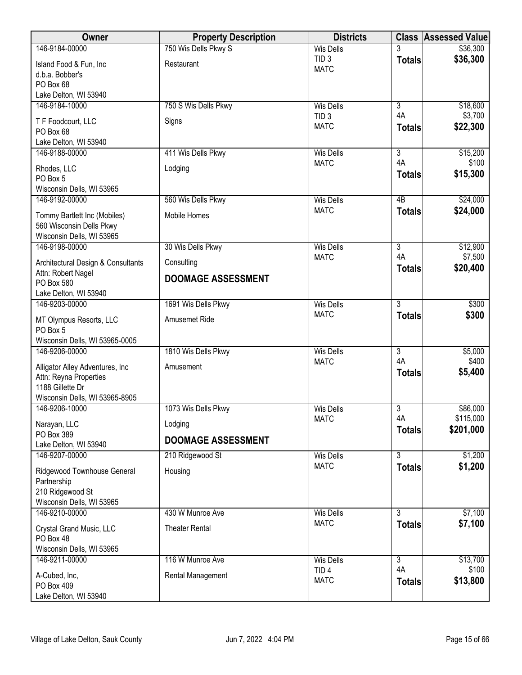| Owner                                            | <b>Property Description</b> | <b>Districts</b>                |                           | <b>Class Assessed Value</b> |
|--------------------------------------------------|-----------------------------|---------------------------------|---------------------------|-----------------------------|
| 146-9184-00000                                   | 750 Wis Dells Pkwy S        | <b>Wis Dells</b>                |                           | \$36,300                    |
| Island Food & Fun, Inc                           | Restaurant                  | TID <sub>3</sub><br><b>MATC</b> | <b>Totals</b>             | \$36,300                    |
| d.b.a. Bobber's                                  |                             |                                 |                           |                             |
| PO Box 68                                        |                             |                                 |                           |                             |
| Lake Delton, WI 53940<br>146-9184-10000          | 750 S Wis Dells Pkwy        | <b>Wis Dells</b>                | $\overline{3}$            | \$18,600                    |
|                                                  |                             | TID <sub>3</sub>                | 4A                        | \$3,700                     |
| T F Foodcourt, LLC<br>PO Box 68                  | Signs                       | <b>MATC</b>                     | <b>Totals</b>             | \$22,300                    |
| Lake Delton, WI 53940                            |                             |                                 |                           |                             |
| 146-9188-00000                                   | 411 Wis Dells Pkwy          | <b>Wis Dells</b>                | $\overline{3}$            | \$15,200                    |
| Rhodes, LLC                                      | Lodging                     | <b>MATC</b>                     | 4A                        | \$100                       |
| PO Box 5                                         |                             |                                 | <b>Totals</b>             | \$15,300                    |
| Wisconsin Dells, WI 53965                        |                             |                                 |                           |                             |
| 146-9192-00000                                   | 560 Wis Dells Pkwy          | <b>Wis Dells</b>                | 4B                        | \$24,000                    |
| Tommy Bartlett Inc (Mobiles)                     | Mobile Homes                | <b>MATC</b>                     | <b>Totals</b>             | \$24,000                    |
| 560 Wisconsin Dells Pkwy                         |                             |                                 |                           |                             |
| Wisconsin Dells, WI 53965                        |                             |                                 |                           |                             |
| 146-9198-00000                                   | 30 Wis Dells Pkwy           | <b>Wis Dells</b><br><b>MATC</b> | $\overline{3}$<br>4A      | \$12,900<br>\$7,500         |
| Architectural Design & Consultants               | Consulting                  |                                 | <b>Totals</b>             | \$20,400                    |
| Attn: Robert Nagel<br>PO Box 580                 | <b>DOOMAGE ASSESSMENT</b>   |                                 |                           |                             |
| Lake Delton, WI 53940                            |                             |                                 |                           |                             |
| 146-9203-00000                                   | 1691 Wis Dells Pkwy         | <b>Wis Dells</b>                | $\overline{3}$            | \$300                       |
| MT Olympus Resorts, LLC                          | Amusemet Ride               | <b>MATC</b>                     | <b>Totals</b>             | \$300                       |
| PO Box 5                                         |                             |                                 |                           |                             |
| Wisconsin Dells, WI 53965-0005                   |                             |                                 |                           |                             |
| 146-9206-00000                                   | 1810 Wis Dells Pkwy         | <b>Wis Dells</b>                | $\overline{\overline{3}}$ | \$5,000                     |
| Alligator Alley Adventures, Inc.                 | Amusement                   | <b>MATC</b>                     | 4A                        | \$400                       |
| Attn: Reyna Properties                           |                             |                                 | <b>Totals</b>             | \$5,400                     |
| 1188 Gillette Dr                                 |                             |                                 |                           |                             |
| Wisconsin Dells, WI 53965-8905<br>146-9206-10000 | 1073 Wis Dells Pkwy         | Wis Dells                       | $\overline{3}$            | \$86,000                    |
|                                                  |                             | <b>MATC</b>                     | 4A                        | \$115,000                   |
| Narayan, LLC<br>PO Box 389                       | Lodging                     |                                 | <b>Totals</b>             | \$201,000                   |
| Lake Delton, WI 53940                            | <b>DOOMAGE ASSESSMENT</b>   |                                 |                           |                             |
| 146-9207-00000                                   | 210 Ridgewood St            | <b>Wis Dells</b>                | 3                         | \$1,200                     |
| Ridgewood Townhouse General                      | Housing                     | <b>MATC</b>                     | <b>Totals</b>             | \$1,200                     |
| Partnership                                      |                             |                                 |                           |                             |
| 210 Ridgewood St                                 |                             |                                 |                           |                             |
| Wisconsin Dells, WI 53965                        |                             |                                 |                           |                             |
| 146-9210-00000                                   | 430 W Munroe Ave            | <b>Wis Dells</b>                | $\overline{3}$            | \$7,100                     |
| Crystal Grand Music, LLC                         | <b>Theater Rental</b>       | <b>MATC</b>                     | <b>Totals</b>             | \$7,100                     |
| PO Box 48                                        |                             |                                 |                           |                             |
| Wisconsin Dells, WI 53965<br>146-9211-00000      | 116 W Munroe Ave            | <b>Wis Dells</b>                | $\overline{3}$            | \$13,700                    |
|                                                  |                             | TID <sub>4</sub>                | 4A                        | \$100                       |
| A-Cubed, Inc,<br>PO Box 409                      | Rental Management           | <b>MATC</b>                     | <b>Totals</b>             | \$13,800                    |
| Lake Delton, WI 53940                            |                             |                                 |                           |                             |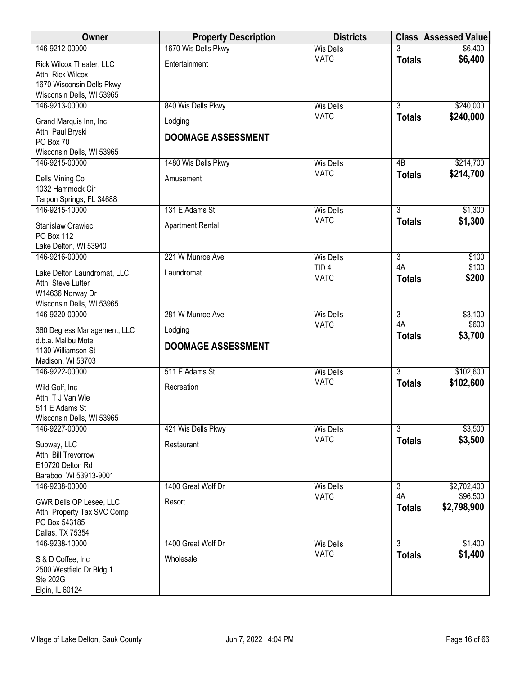| Owner                                                  | <b>Property Description</b> | <b>Districts</b>                |                      | <b>Class Assessed Value</b> |
|--------------------------------------------------------|-----------------------------|---------------------------------|----------------------|-----------------------------|
| 146-9212-00000                                         | 1670 Wis Dells Pkwy         | <b>Wis Dells</b>                |                      | \$6,400                     |
| Rick Wilcox Theater, LLC                               | Entertainment               | <b>MATC</b>                     | <b>Totals</b>        | \$6,400                     |
| Attn: Rick Wilcox                                      |                             |                                 |                      |                             |
| 1670 Wisconsin Dells Pkwy<br>Wisconsin Dells, WI 53965 |                             |                                 |                      |                             |
| 146-9213-00000                                         | 840 Wis Dells Pkwy          | <b>Wis Dells</b>                | $\overline{3}$       | \$240,000                   |
| Grand Marquis Inn, Inc                                 | Lodging                     | <b>MATC</b>                     | <b>Totals</b>        | \$240,000                   |
| Attn: Paul Bryski                                      |                             |                                 |                      |                             |
| PO Box 70                                              | <b>DOOMAGE ASSESSMENT</b>   |                                 |                      |                             |
| Wisconsin Dells, WI 53965                              |                             |                                 |                      |                             |
| 146-9215-00000                                         | 1480 Wis Dells Pkwy         | <b>Wis Dells</b>                | 4B                   | \$214,700                   |
| Dells Mining Co                                        | Amusement                   | <b>MATC</b>                     | <b>Totals</b>        | \$214,700                   |
| 1032 Hammock Cir                                       |                             |                                 |                      |                             |
| Tarpon Springs, FL 34688<br>146-9215-10000             | 131 E Adams St              | <b>Wis Dells</b>                | $\overline{3}$       | \$1,300                     |
|                                                        |                             | <b>MATC</b>                     | <b>Totals</b>        | \$1,300                     |
| <b>Stanislaw Orawiec</b><br>PO Box 112                 | <b>Apartment Rental</b>     |                                 |                      |                             |
| Lake Delton, WI 53940                                  |                             |                                 |                      |                             |
| 146-9216-00000                                         | 221 W Munroe Ave            | <b>Wis Dells</b>                | $\overline{3}$       | \$100                       |
| Lake Delton Laundromat, LLC                            | Laundromat                  | TID <sub>4</sub>                | 4A                   | \$100                       |
| Attn: Steve Lutter                                     |                             | <b>MATC</b>                     | <b>Totals</b>        | \$200                       |
| W14636 Norway Dr                                       |                             |                                 |                      |                             |
| Wisconsin Dells, WI 53965                              |                             |                                 |                      |                             |
| 146-9220-00000                                         | 281 W Munroe Ave            | <b>Wis Dells</b><br><b>MATC</b> | $\overline{3}$<br>4A | \$3,100<br>\$600            |
| 360 Degress Management, LLC                            | Lodging                     |                                 | <b>Totals</b>        | \$3,700                     |
| d.b.a. Malibu Motel<br>1130 Williamson St              | <b>DOOMAGE ASSESSMENT</b>   |                                 |                      |                             |
| Madison, WI 53703                                      |                             |                                 |                      |                             |
| 146-9222-00000                                         | 511 E Adams St              | <b>Wis Dells</b>                | $\overline{3}$       | \$102,600                   |
| Wild Golf, Inc                                         | Recreation                  | <b>MATC</b>                     | <b>Totals</b>        | \$102,600                   |
| Attn: T J Van Wie                                      |                             |                                 |                      |                             |
| 511 E Adams St                                         |                             |                                 |                      |                             |
| Wisconsin Dells, WI 53965<br>146-9227-00000            | 421 Wis Dells Pkwy          | <b>Wis Dells</b>                | $\overline{3}$       | \$3,500                     |
|                                                        |                             | <b>MATC</b>                     | <b>Totals</b>        | \$3,500                     |
| Subway, LLC<br>Attn: Bill Trevorrow                    | Restaurant                  |                                 |                      |                             |
| E10720 Delton Rd                                       |                             |                                 |                      |                             |
| Baraboo, WI 53913-9001                                 |                             |                                 |                      |                             |
| 146-9238-00000                                         | 1400 Great Wolf Dr          | <b>Wis Dells</b>                | $\overline{3}$       | \$2,702,400                 |
| GWR Dells OP Lesee, LLC                                | Resort                      | <b>MATC</b>                     | 4A                   | \$96,500                    |
| Attn: Property Tax SVC Comp                            |                             |                                 | <b>Totals</b>        | \$2,798,900                 |
| PO Box 543185                                          |                             |                                 |                      |                             |
| Dallas, TX 75354<br>146-9238-10000                     | 1400 Great Wolf Dr          | <b>Wis Dells</b>                | $\overline{3}$       | \$1,400                     |
|                                                        |                             | <b>MATC</b>                     | <b>Totals</b>        | \$1,400                     |
| S & D Coffee, Inc<br>2500 Westfield Dr Bldg 1          | Wholesale                   |                                 |                      |                             |
| <b>Ste 202G</b>                                        |                             |                                 |                      |                             |
| Elgin, IL 60124                                        |                             |                                 |                      |                             |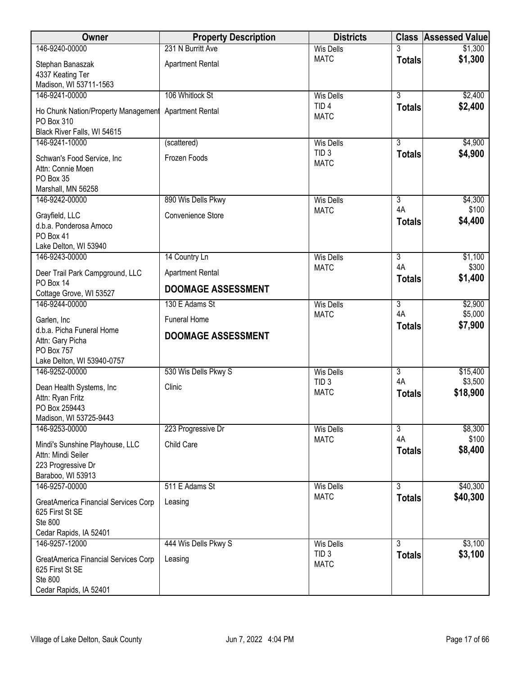| 146-9240-00000<br>231 N Burritt Ave<br><b>Wis Dells</b><br>\$1,300<br>\$1,300<br><b>MATC</b><br><b>Totals</b><br>Stephan Banaszak<br><b>Apartment Rental</b><br>4337 Keating Ter<br>Madison, WI 53711-1563<br>146-9241-00000<br>106 Whitlock St<br>$\overline{3}$<br>\$2,400<br><b>Wis Dells</b><br>TID <sub>4</sub><br>\$2,400<br><b>Totals</b><br><b>Apartment Rental</b><br>Ho Chunk Nation/Property Management<br><b>MATC</b><br>PO Box 310<br>Black River Falls, WI 54615<br>$\overline{3}$<br>\$4,900<br>146-9241-10000<br><b>Wis Dells</b><br>(scattered)<br>TID <sub>3</sub><br>\$4,900<br><b>Totals</b><br>Frozen Foods<br>Schwan's Food Service, Inc<br><b>MATC</b><br>Attn: Connie Moen<br>PO Box 35<br>Marshall, MN 56258<br>146-9242-00000<br>890 Wis Dells Pkwy<br>$\overline{3}$<br>\$4,300<br><b>Wis Dells</b><br>\$100<br>4A<br><b>MATC</b><br>Convenience Store<br>Grayfield, LLC<br>\$4,400<br><b>Totals</b><br>d.b.a. Ponderosa Amoco<br>PO Box 41<br>Lake Delton, WI 53940<br>\$1,100<br>146-9243-00000<br>14 Country Ln<br><b>Wis Dells</b><br>$\overline{3}$<br>4A<br>\$300<br><b>MATC</b><br><b>Apartment Rental</b><br>Deer Trail Park Campground, LLC<br>\$1,400<br><b>Totals</b><br>PO Box 14<br><b>DOOMAGE ASSESSMENT</b><br>Cottage Grove, WI 53527<br>146-9244-00000<br>$\overline{3}$<br>\$2,900<br>130 E Adams St<br><b>Wis Dells</b><br>4A<br>\$5,000<br><b>MATC</b><br><b>Funeral Home</b><br>Garlen, Inc<br>\$7,900<br><b>Totals</b><br>d.b.a. Picha Funeral Home<br><b>DOOMAGE ASSESSMENT</b><br>Attn: Gary Picha<br><b>PO Box 757</b><br>Lake Delton, WI 53940-0757<br>530 Wis Dells Pkwy S<br>$\overline{\overline{3}}$<br>146-9252-00000<br><b>Wis Dells</b><br>\$15,400<br>4A<br>\$3,500<br>TID <sub>3</sub><br>Clinic<br>Dean Health Systems, Inc<br><b>MATC</b><br>\$18,900<br><b>Totals</b> |
|----------------------------------------------------------------------------------------------------------------------------------------------------------------------------------------------------------------------------------------------------------------------------------------------------------------------------------------------------------------------------------------------------------------------------------------------------------------------------------------------------------------------------------------------------------------------------------------------------------------------------------------------------------------------------------------------------------------------------------------------------------------------------------------------------------------------------------------------------------------------------------------------------------------------------------------------------------------------------------------------------------------------------------------------------------------------------------------------------------------------------------------------------------------------------------------------------------------------------------------------------------------------------------------------------------------------------------------------------------------------------------------------------------------------------------------------------------------------------------------------------------------------------------------------------------------------------------------------------------------------------------------------------------------------------------------------------------------------------------------------------------------------------------------------------------------------------------------|
|                                                                                                                                                                                                                                                                                                                                                                                                                                                                                                                                                                                                                                                                                                                                                                                                                                                                                                                                                                                                                                                                                                                                                                                                                                                                                                                                                                                                                                                                                                                                                                                                                                                                                                                                                                                                                                        |
|                                                                                                                                                                                                                                                                                                                                                                                                                                                                                                                                                                                                                                                                                                                                                                                                                                                                                                                                                                                                                                                                                                                                                                                                                                                                                                                                                                                                                                                                                                                                                                                                                                                                                                                                                                                                                                        |
|                                                                                                                                                                                                                                                                                                                                                                                                                                                                                                                                                                                                                                                                                                                                                                                                                                                                                                                                                                                                                                                                                                                                                                                                                                                                                                                                                                                                                                                                                                                                                                                                                                                                                                                                                                                                                                        |
|                                                                                                                                                                                                                                                                                                                                                                                                                                                                                                                                                                                                                                                                                                                                                                                                                                                                                                                                                                                                                                                                                                                                                                                                                                                                                                                                                                                                                                                                                                                                                                                                                                                                                                                                                                                                                                        |
|                                                                                                                                                                                                                                                                                                                                                                                                                                                                                                                                                                                                                                                                                                                                                                                                                                                                                                                                                                                                                                                                                                                                                                                                                                                                                                                                                                                                                                                                                                                                                                                                                                                                                                                                                                                                                                        |
|                                                                                                                                                                                                                                                                                                                                                                                                                                                                                                                                                                                                                                                                                                                                                                                                                                                                                                                                                                                                                                                                                                                                                                                                                                                                                                                                                                                                                                                                                                                                                                                                                                                                                                                                                                                                                                        |
|                                                                                                                                                                                                                                                                                                                                                                                                                                                                                                                                                                                                                                                                                                                                                                                                                                                                                                                                                                                                                                                                                                                                                                                                                                                                                                                                                                                                                                                                                                                                                                                                                                                                                                                                                                                                                                        |
|                                                                                                                                                                                                                                                                                                                                                                                                                                                                                                                                                                                                                                                                                                                                                                                                                                                                                                                                                                                                                                                                                                                                                                                                                                                                                                                                                                                                                                                                                                                                                                                                                                                                                                                                                                                                                                        |
|                                                                                                                                                                                                                                                                                                                                                                                                                                                                                                                                                                                                                                                                                                                                                                                                                                                                                                                                                                                                                                                                                                                                                                                                                                                                                                                                                                                                                                                                                                                                                                                                                                                                                                                                                                                                                                        |
|                                                                                                                                                                                                                                                                                                                                                                                                                                                                                                                                                                                                                                                                                                                                                                                                                                                                                                                                                                                                                                                                                                                                                                                                                                                                                                                                                                                                                                                                                                                                                                                                                                                                                                                                                                                                                                        |
|                                                                                                                                                                                                                                                                                                                                                                                                                                                                                                                                                                                                                                                                                                                                                                                                                                                                                                                                                                                                                                                                                                                                                                                                                                                                                                                                                                                                                                                                                                                                                                                                                                                                                                                                                                                                                                        |
|                                                                                                                                                                                                                                                                                                                                                                                                                                                                                                                                                                                                                                                                                                                                                                                                                                                                                                                                                                                                                                                                                                                                                                                                                                                                                                                                                                                                                                                                                                                                                                                                                                                                                                                                                                                                                                        |
|                                                                                                                                                                                                                                                                                                                                                                                                                                                                                                                                                                                                                                                                                                                                                                                                                                                                                                                                                                                                                                                                                                                                                                                                                                                                                                                                                                                                                                                                                                                                                                                                                                                                                                                                                                                                                                        |
|                                                                                                                                                                                                                                                                                                                                                                                                                                                                                                                                                                                                                                                                                                                                                                                                                                                                                                                                                                                                                                                                                                                                                                                                                                                                                                                                                                                                                                                                                                                                                                                                                                                                                                                                                                                                                                        |
|                                                                                                                                                                                                                                                                                                                                                                                                                                                                                                                                                                                                                                                                                                                                                                                                                                                                                                                                                                                                                                                                                                                                                                                                                                                                                                                                                                                                                                                                                                                                                                                                                                                                                                                                                                                                                                        |
|                                                                                                                                                                                                                                                                                                                                                                                                                                                                                                                                                                                                                                                                                                                                                                                                                                                                                                                                                                                                                                                                                                                                                                                                                                                                                                                                                                                                                                                                                                                                                                                                                                                                                                                                                                                                                                        |
|                                                                                                                                                                                                                                                                                                                                                                                                                                                                                                                                                                                                                                                                                                                                                                                                                                                                                                                                                                                                                                                                                                                                                                                                                                                                                                                                                                                                                                                                                                                                                                                                                                                                                                                                                                                                                                        |
|                                                                                                                                                                                                                                                                                                                                                                                                                                                                                                                                                                                                                                                                                                                                                                                                                                                                                                                                                                                                                                                                                                                                                                                                                                                                                                                                                                                                                                                                                                                                                                                                                                                                                                                                                                                                                                        |
|                                                                                                                                                                                                                                                                                                                                                                                                                                                                                                                                                                                                                                                                                                                                                                                                                                                                                                                                                                                                                                                                                                                                                                                                                                                                                                                                                                                                                                                                                                                                                                                                                                                                                                                                                                                                                                        |
|                                                                                                                                                                                                                                                                                                                                                                                                                                                                                                                                                                                                                                                                                                                                                                                                                                                                                                                                                                                                                                                                                                                                                                                                                                                                                                                                                                                                                                                                                                                                                                                                                                                                                                                                                                                                                                        |
|                                                                                                                                                                                                                                                                                                                                                                                                                                                                                                                                                                                                                                                                                                                                                                                                                                                                                                                                                                                                                                                                                                                                                                                                                                                                                                                                                                                                                                                                                                                                                                                                                                                                                                                                                                                                                                        |
|                                                                                                                                                                                                                                                                                                                                                                                                                                                                                                                                                                                                                                                                                                                                                                                                                                                                                                                                                                                                                                                                                                                                                                                                                                                                                                                                                                                                                                                                                                                                                                                                                                                                                                                                                                                                                                        |
|                                                                                                                                                                                                                                                                                                                                                                                                                                                                                                                                                                                                                                                                                                                                                                                                                                                                                                                                                                                                                                                                                                                                                                                                                                                                                                                                                                                                                                                                                                                                                                                                                                                                                                                                                                                                                                        |
|                                                                                                                                                                                                                                                                                                                                                                                                                                                                                                                                                                                                                                                                                                                                                                                                                                                                                                                                                                                                                                                                                                                                                                                                                                                                                                                                                                                                                                                                                                                                                                                                                                                                                                                                                                                                                                        |
|                                                                                                                                                                                                                                                                                                                                                                                                                                                                                                                                                                                                                                                                                                                                                                                                                                                                                                                                                                                                                                                                                                                                                                                                                                                                                                                                                                                                                                                                                                                                                                                                                                                                                                                                                                                                                                        |
|                                                                                                                                                                                                                                                                                                                                                                                                                                                                                                                                                                                                                                                                                                                                                                                                                                                                                                                                                                                                                                                                                                                                                                                                                                                                                                                                                                                                                                                                                                                                                                                                                                                                                                                                                                                                                                        |
|                                                                                                                                                                                                                                                                                                                                                                                                                                                                                                                                                                                                                                                                                                                                                                                                                                                                                                                                                                                                                                                                                                                                                                                                                                                                                                                                                                                                                                                                                                                                                                                                                                                                                                                                                                                                                                        |
|                                                                                                                                                                                                                                                                                                                                                                                                                                                                                                                                                                                                                                                                                                                                                                                                                                                                                                                                                                                                                                                                                                                                                                                                                                                                                                                                                                                                                                                                                                                                                                                                                                                                                                                                                                                                                                        |
|                                                                                                                                                                                                                                                                                                                                                                                                                                                                                                                                                                                                                                                                                                                                                                                                                                                                                                                                                                                                                                                                                                                                                                                                                                                                                                                                                                                                                                                                                                                                                                                                                                                                                                                                                                                                                                        |
| Attn: Ryan Fritz                                                                                                                                                                                                                                                                                                                                                                                                                                                                                                                                                                                                                                                                                                                                                                                                                                                                                                                                                                                                                                                                                                                                                                                                                                                                                                                                                                                                                                                                                                                                                                                                                                                                                                                                                                                                                       |
| PO Box 259443                                                                                                                                                                                                                                                                                                                                                                                                                                                                                                                                                                                                                                                                                                                                                                                                                                                                                                                                                                                                                                                                                                                                                                                                                                                                                                                                                                                                                                                                                                                                                                                                                                                                                                                                                                                                                          |
| Madison, WI 53725-9443<br>146-9253-00000<br>223 Progressive Dr<br>$\overline{3}$<br>\$8,300<br>Wis Dells                                                                                                                                                                                                                                                                                                                                                                                                                                                                                                                                                                                                                                                                                                                                                                                                                                                                                                                                                                                                                                                                                                                                                                                                                                                                                                                                                                                                                                                                                                                                                                                                                                                                                                                               |
| \$100<br>4A<br><b>MATC</b>                                                                                                                                                                                                                                                                                                                                                                                                                                                                                                                                                                                                                                                                                                                                                                                                                                                                                                                                                                                                                                                                                                                                                                                                                                                                                                                                                                                                                                                                                                                                                                                                                                                                                                                                                                                                             |
| Child Care<br>Mindi's Sunshine Playhouse, LLC<br>\$8,400<br><b>Totals</b>                                                                                                                                                                                                                                                                                                                                                                                                                                                                                                                                                                                                                                                                                                                                                                                                                                                                                                                                                                                                                                                                                                                                                                                                                                                                                                                                                                                                                                                                                                                                                                                                                                                                                                                                                              |
| Attn: Mindi Seiler                                                                                                                                                                                                                                                                                                                                                                                                                                                                                                                                                                                                                                                                                                                                                                                                                                                                                                                                                                                                                                                                                                                                                                                                                                                                                                                                                                                                                                                                                                                                                                                                                                                                                                                                                                                                                     |
| 223 Progressive Dr                                                                                                                                                                                                                                                                                                                                                                                                                                                                                                                                                                                                                                                                                                                                                                                                                                                                                                                                                                                                                                                                                                                                                                                                                                                                                                                                                                                                                                                                                                                                                                                                                                                                                                                                                                                                                     |
| Baraboo, WI 53913<br>\$40,300<br>146-9257-00000<br>511 E Adams St<br>$\overline{3}$<br><b>Wis Dells</b>                                                                                                                                                                                                                                                                                                                                                                                                                                                                                                                                                                                                                                                                                                                                                                                                                                                                                                                                                                                                                                                                                                                                                                                                                                                                                                                                                                                                                                                                                                                                                                                                                                                                                                                                |
| <b>MATC</b><br>\$40,300<br><b>Totals</b>                                                                                                                                                                                                                                                                                                                                                                                                                                                                                                                                                                                                                                                                                                                                                                                                                                                                                                                                                                                                                                                                                                                                                                                                                                                                                                                                                                                                                                                                                                                                                                                                                                                                                                                                                                                               |
| GreatAmerica Financial Services Corp<br>Leasing                                                                                                                                                                                                                                                                                                                                                                                                                                                                                                                                                                                                                                                                                                                                                                                                                                                                                                                                                                                                                                                                                                                                                                                                                                                                                                                                                                                                                                                                                                                                                                                                                                                                                                                                                                                        |
| 625 First St SE                                                                                                                                                                                                                                                                                                                                                                                                                                                                                                                                                                                                                                                                                                                                                                                                                                                                                                                                                                                                                                                                                                                                                                                                                                                                                                                                                                                                                                                                                                                                                                                                                                                                                                                                                                                                                        |
| Ste 800<br>Cedar Rapids, IA 52401                                                                                                                                                                                                                                                                                                                                                                                                                                                                                                                                                                                                                                                                                                                                                                                                                                                                                                                                                                                                                                                                                                                                                                                                                                                                                                                                                                                                                                                                                                                                                                                                                                                                                                                                                                                                      |
| $\overline{3}$<br>146-9257-12000<br>444 Wis Dells Pkwy S<br>\$3,100<br><b>Wis Dells</b>                                                                                                                                                                                                                                                                                                                                                                                                                                                                                                                                                                                                                                                                                                                                                                                                                                                                                                                                                                                                                                                                                                                                                                                                                                                                                                                                                                                                                                                                                                                                                                                                                                                                                                                                                |
| TID <sub>3</sub><br>\$3,100<br><b>Totals</b>                                                                                                                                                                                                                                                                                                                                                                                                                                                                                                                                                                                                                                                                                                                                                                                                                                                                                                                                                                                                                                                                                                                                                                                                                                                                                                                                                                                                                                                                                                                                                                                                                                                                                                                                                                                           |
| GreatAmerica Financial Services Corp<br>Leasing<br><b>MATC</b>                                                                                                                                                                                                                                                                                                                                                                                                                                                                                                                                                                                                                                                                                                                                                                                                                                                                                                                                                                                                                                                                                                                                                                                                                                                                                                                                                                                                                                                                                                                                                                                                                                                                                                                                                                         |
| 625 First St SE<br>Ste 800                                                                                                                                                                                                                                                                                                                                                                                                                                                                                                                                                                                                                                                                                                                                                                                                                                                                                                                                                                                                                                                                                                                                                                                                                                                                                                                                                                                                                                                                                                                                                                                                                                                                                                                                                                                                             |
| Cedar Rapids, IA 52401                                                                                                                                                                                                                                                                                                                                                                                                                                                                                                                                                                                                                                                                                                                                                                                                                                                                                                                                                                                                                                                                                                                                                                                                                                                                                                                                                                                                                                                                                                                                                                                                                                                                                                                                                                                                                 |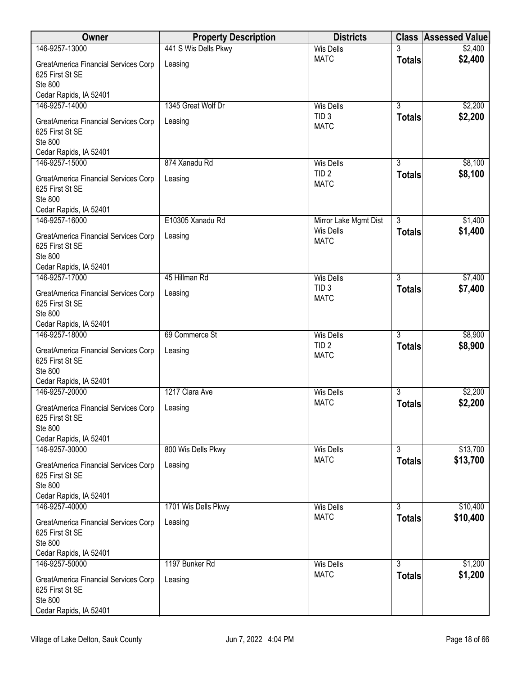| Owner                                                                                                          | <b>Property Description</b> | <b>Districts</b>                                    |                                 | <b>Class Assessed Value</b> |
|----------------------------------------------------------------------------------------------------------------|-----------------------------|-----------------------------------------------------|---------------------------------|-----------------------------|
| 146-9257-13000                                                                                                 | 441 S Wis Dells Pkwy        | <b>Wis Dells</b>                                    |                                 | \$2,400                     |
| <b>GreatAmerica Financial Services Corp</b><br>625 First St SE<br>Ste 800                                      | Leasing                     | <b>MATC</b>                                         | <b>Totals</b>                   | \$2,400                     |
| Cedar Rapids, IA 52401                                                                                         |                             |                                                     |                                 |                             |
| 146-9257-14000                                                                                                 | 1345 Great Wolf Dr          | <b>Wis Dells</b>                                    | $\overline{3}$                  | \$2,200                     |
| GreatAmerica Financial Services Corp<br>625 First St SE<br>Ste 800<br>Cedar Rapids, IA 52401                   | Leasing                     | TID <sub>3</sub><br><b>MATC</b>                     | <b>Totals</b>                   | \$2,200                     |
| 146-9257-15000                                                                                                 | 874 Xanadu Rd               | <b>Wis Dells</b>                                    | 3                               | \$8,100                     |
| GreatAmerica Financial Services Corp<br>625 First St SE<br>Ste 800                                             | Leasing                     | TID <sub>2</sub><br><b>MATC</b>                     | <b>Totals</b>                   | \$8,100                     |
| Cedar Rapids, IA 52401<br>146-9257-16000                                                                       | E10305 Xanadu Rd            | Mirror Lake Mgmt Dist                               | $\overline{3}$                  | \$1,400                     |
| GreatAmerica Financial Services Corp<br>625 First St SE<br>Ste 800<br>Cedar Rapids, IA 52401                   | Leasing                     | <b>Wis Dells</b><br><b>MATC</b>                     | <b>Totals</b>                   | \$1,400                     |
| 146-9257-17000                                                                                                 | 45 Hillman Rd               | <b>Wis Dells</b>                                    | $\overline{3}$                  | \$7,400                     |
| GreatAmerica Financial Services Corp<br>625 First St SE<br>Ste 800                                             | Leasing                     | TID <sub>3</sub><br><b>MATC</b>                     | <b>Totals</b>                   | \$7,400                     |
| Cedar Rapids, IA 52401                                                                                         |                             |                                                     |                                 |                             |
| 146-9257-18000<br>GreatAmerica Financial Services Corp<br>625 First St SE<br>Ste 800<br>Cedar Rapids, IA 52401 | 69 Commerce St<br>Leasing   | <b>Wis Dells</b><br>TID <sub>2</sub><br><b>MATC</b> | $\overline{3}$<br><b>Totals</b> | \$8,900<br>\$8,900          |
| 146-9257-20000                                                                                                 | 1217 Clara Ave              | <b>Wis Dells</b>                                    | $\overline{3}$                  | \$2,200                     |
| GreatAmerica Financial Services Corp<br>625 First St SE<br>Ste 800<br>Cedar Rapids, IA 52401                   | Leasing                     | <b>MATC</b>                                         | <b>Totals</b>                   | \$2,200                     |
| 146-9257-30000                                                                                                 | 800 Wis Dells Pkwy          | <b>Wis Dells</b>                                    | 3                               | \$13,700                    |
| GreatAmerica Financial Services Corp<br>625 First St SE<br>Ste 800<br>Cedar Rapids, IA 52401                   | Leasing                     | <b>MATC</b>                                         | <b>Totals</b>                   | \$13,700                    |
| 146-9257-40000                                                                                                 | 1701 Wis Dells Pkwy         | <b>Wis Dells</b>                                    | $\overline{3}$                  | \$10,400                    |
| GreatAmerica Financial Services Corp<br>625 First St SE<br>Ste 800<br>Cedar Rapids, IA 52401                   | Leasing                     | <b>MATC</b>                                         | <b>Totals</b>                   | \$10,400                    |
| 146-9257-50000                                                                                                 | 1197 Bunker Rd              | <b>Wis Dells</b>                                    | $\overline{3}$                  | \$1,200                     |
| GreatAmerica Financial Services Corp<br>625 First St SE<br><b>Ste 800</b><br>Cedar Rapids, IA 52401            | Leasing                     | <b>MATC</b>                                         | <b>Totals</b>                   | \$1,200                     |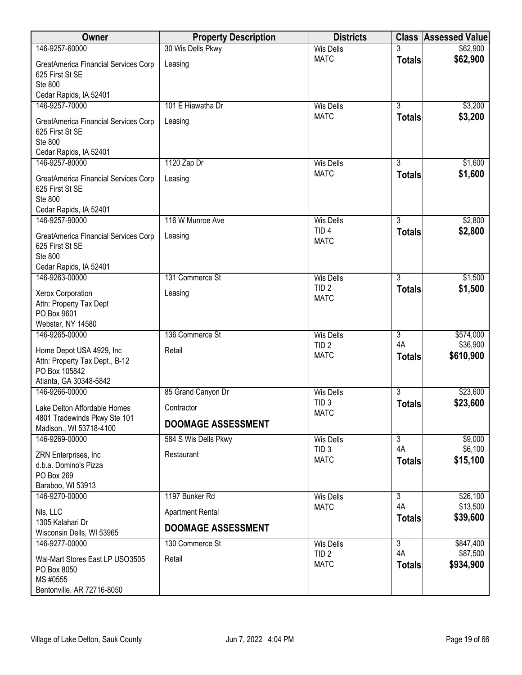| Owner                                                                                                 | <b>Property Description</b>        | <b>Districts</b>                                    |                                                  | <b>Class Assessed Value</b>    |
|-------------------------------------------------------------------------------------------------------|------------------------------------|-----------------------------------------------------|--------------------------------------------------|--------------------------------|
| 146-9257-60000                                                                                        | 30 Wis Dells Pkwy                  | <b>Wis Dells</b>                                    |                                                  | \$62,900                       |
| GreatAmerica Financial Services Corp<br>625 First St SE<br>Ste 800                                    | Leasing                            | <b>MATC</b>                                         | <b>Totals</b>                                    | \$62,900                       |
| Cedar Rapids, IA 52401<br>146-9257-70000                                                              | 101 E Hiawatha Dr                  | <b>Wis Dells</b>                                    | $\overline{3}$                                   | \$3,200                        |
| GreatAmerica Financial Services Corp<br>625 First St SE<br><b>Ste 800</b><br>Cedar Rapids, IA 52401   | Leasing                            | <b>MATC</b>                                         | <b>Totals</b>                                    | \$3,200                        |
| 146-9257-80000                                                                                        | 1120 Zap Dr                        | <b>Wis Dells</b>                                    | $\overline{3}$                                   | \$1,600                        |
| GreatAmerica Financial Services Corp<br>625 First St SE<br>Ste 800<br>Cedar Rapids, IA 52401          | Leasing                            | <b>MATC</b>                                         | <b>Totals</b>                                    | \$1,600                        |
| 146-9257-90000                                                                                        | 116 W Munroe Ave                   | <b>Wis Dells</b>                                    | $\overline{3}$                                   | \$2,800                        |
| GreatAmerica Financial Services Corp<br>625 First St SE<br><b>Ste 800</b><br>Cedar Rapids, IA 52401   | Leasing                            | TID <sub>4</sub><br><b>MATC</b>                     | <b>Totals</b>                                    | \$2,800                        |
| 146-9263-00000                                                                                        | 131 Commerce St                    | <b>Wis Dells</b>                                    | $\overline{3}$                                   | \$1,500                        |
| Xerox Corporation<br>Attn: Property Tax Dept<br>PO Box 9601                                           | Leasing                            | TID <sub>2</sub><br><b>MATC</b>                     | <b>Totals</b>                                    | \$1,500                        |
| Webster, NY 14580<br>146-9265-00000                                                                   | 136 Commerce St                    | <b>Wis Dells</b>                                    | $\overline{3}$                                   | \$574,000                      |
| Home Depot USA 4929, Inc<br>Attn: Property Tax Dept., B-12<br>PO Box 105842<br>Atlanta, GA 30348-5842 | Retail                             | TID <sub>2</sub><br><b>MATC</b>                     | 4A<br><b>Totals</b>                              | \$36,900<br>\$610,900          |
| 146-9266-00000                                                                                        | 85 Grand Canyon Dr                 | <b>Wis Dells</b>                                    | $\overline{3}$                                   | \$23,600                       |
| Lake Delton Affordable Homes<br>4801 Tradewinds Pkwy Ste 101                                          | Contractor                         | TID <sub>3</sub><br><b>MATC</b>                     | <b>Totals</b>                                    | \$23,600                       |
| Madison., WI 53718-4100                                                                               | <b>DOOMAGE ASSESSMENT</b>          |                                                     |                                                  |                                |
| 146-9269-00000<br>ZRN Enterprises, Inc<br>d.b.a. Domino's Pizza<br>PO Box 269<br>Baraboo, WI 53913    | 584 S Wis Dells Pkwy<br>Restaurant | <b>Wis Dells</b><br>TID <sub>3</sub><br><b>MATC</b> | $\overline{\overline{3}}$<br>4A<br><b>Totals</b> | \$9,000<br>\$6,100<br>\$15,100 |
| 146-9270-00000                                                                                        | 1197 Bunker Rd                     | <b>Wis Dells</b>                                    | $\overline{3}$                                   | \$26,100                       |
| NIs, LLC<br>1305 Kalahari Dr                                                                          | <b>Apartment Rental</b>            | <b>MATC</b>                                         | 4A<br><b>Totals</b>                              | \$13,500<br>\$39,600           |
| Wisconsin Dells, WI 53965                                                                             | <b>DOOMAGE ASSESSMENT</b>          |                                                     |                                                  |                                |
| 146-9277-00000                                                                                        | 130 Commerce St                    | <b>Wis Dells</b>                                    | $\overline{3}$                                   | \$847,400                      |
| Wal-Mart Stores East LP USO3505<br>PO Box 8050<br>MS #0555<br>Bentonville, AR 72716-8050              | Retail                             | TID <sub>2</sub><br><b>MATC</b>                     | 4A<br><b>Totals</b>                              | \$87,500<br>\$934,900          |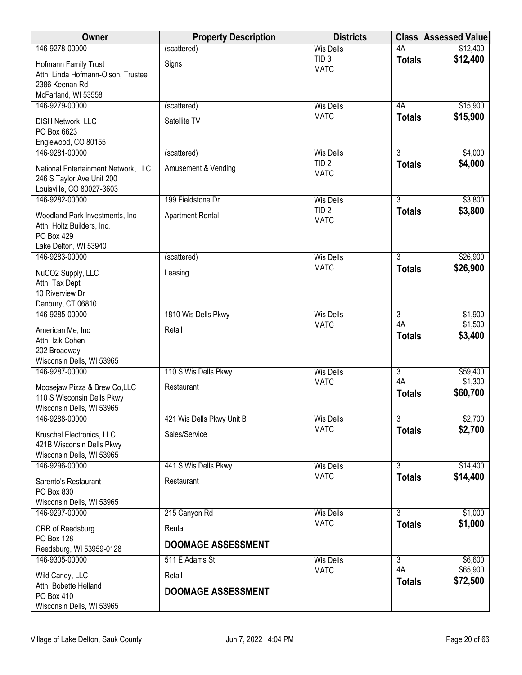| Owner                                                  | <b>Property Description</b> | <b>Districts</b>                     | <b>Class</b>                    | <b>Assessed Value</b> |
|--------------------------------------------------------|-----------------------------|--------------------------------------|---------------------------------|-----------------------|
| 146-9278-00000                                         | (scattered)                 | <b>Wis Dells</b>                     | 4A                              | \$12,400              |
| Hofmann Family Trust                                   | Signs                       | TID <sub>3</sub><br><b>MATC</b>      | <b>Totals</b>                   | \$12,400              |
| Attn: Linda Hofmann-Olson, Trustee                     |                             |                                      |                                 |                       |
| 2386 Keenan Rd<br>McFarland, WI 53558                  |                             |                                      |                                 |                       |
| 146-9279-00000                                         | (scattered)                 | <b>Wis Dells</b>                     | 4A                              | \$15,900              |
|                                                        | Satellite TV                | <b>MATC</b>                          | <b>Totals</b>                   | \$15,900              |
| <b>DISH Network, LLC</b><br>PO Box 6623                |                             |                                      |                                 |                       |
| Englewood, CO 80155                                    |                             |                                      |                                 |                       |
| 146-9281-00000                                         | (scattered)                 | <b>Wis Dells</b>                     | $\overline{3}$                  | \$4,000               |
| National Entertainment Network, LLC                    | Amusement & Vending         | TID <sub>2</sub>                     | <b>Totals</b>                   | \$4,000               |
| 246 S Taylor Ave Unit 200                              |                             | <b>MATC</b>                          |                                 |                       |
| Louisville, CO 80027-3603                              |                             |                                      |                                 |                       |
| 146-9282-00000                                         | 199 Fieldstone Dr           | <b>Wis Dells</b><br>TID <sub>2</sub> | $\overline{3}$<br><b>Totals</b> | \$3,800<br>\$3,800    |
| Woodland Park Investments, Inc                         | <b>Apartment Rental</b>     | <b>MATC</b>                          |                                 |                       |
| Attn: Holtz Builders, Inc.<br>PO Box 429               |                             |                                      |                                 |                       |
| Lake Delton, WI 53940                                  |                             |                                      |                                 |                       |
| 146-9283-00000                                         | (scattered)                 | <b>Wis Dells</b>                     | $\overline{3}$                  | \$26,900              |
| NuCO2 Supply, LLC                                      | Leasing                     | <b>MATC</b>                          | <b>Totals</b>                   | \$26,900              |
| Attn: Tax Dept                                         |                             |                                      |                                 |                       |
| 10 Riverview Dr                                        |                             |                                      |                                 |                       |
| Danbury, CT 06810<br>146-9285-00000                    | 1810 Wis Dells Pkwy         | <b>Wis Dells</b>                     | $\overline{3}$                  | \$1,900               |
|                                                        |                             | <b>MATC</b>                          | 4A                              | \$1,500               |
| American Me, Inc<br>Attn: Izik Cohen                   | Retail                      |                                      | <b>Totals</b>                   | \$3,400               |
| 202 Broadway                                           |                             |                                      |                                 |                       |
| Wisconsin Dells, WI 53965                              |                             |                                      |                                 |                       |
| 146-9287-00000                                         | 110 S Wis Dells Pkwy        | <b>Wis Dells</b>                     | $\overline{3}$<br>4A            | \$59,400              |
| Moosejaw Pizza & Brew Co,LLC                           | Restaurant                  | <b>MATC</b>                          | <b>Totals</b>                   | \$1,300<br>\$60,700   |
| 110 S Wisconsin Dells Pkwy                             |                             |                                      |                                 |                       |
| Wisconsin Dells, WI 53965<br>146-9288-00000            | 421 Wis Dells Pkwy Unit B   | <b>Wis Dells</b>                     | $\overline{3}$                  | \$2,700               |
|                                                        |                             | <b>MATC</b>                          | <b>Totals</b>                   | \$2,700               |
| Kruschel Electronics, LLC<br>421B Wisconsin Dells Pkwy | Sales/Service               |                                      |                                 |                       |
| Wisconsin Dells, WI 53965                              |                             |                                      |                                 |                       |
| 146-9296-00000                                         | 441 S Wis Dells Pkwy        | <b>Wis Dells</b>                     | $\overline{3}$                  | \$14,400              |
| Sarento's Restaurant                                   | Restaurant                  | <b>MATC</b>                          | <b>Totals</b>                   | \$14,400              |
| PO Box 830                                             |                             |                                      |                                 |                       |
| Wisconsin Dells, WI 53965                              |                             |                                      | $\overline{3}$                  |                       |
| 146-9297-00000                                         | 215 Canyon Rd               | <b>Wis Dells</b><br><b>MATC</b>      | <b>Totals</b>                   | \$1,000<br>\$1,000    |
| CRR of Reedsburg<br><b>PO Box 128</b>                  | Rental                      |                                      |                                 |                       |
| Reedsburg, WI 53959-0128                               | <b>DOOMAGE ASSESSMENT</b>   |                                      |                                 |                       |
| 146-9305-00000                                         | 511 E Adams St              | <b>Wis Dells</b>                     | $\overline{3}$                  | \$6,600               |
| Wild Candy, LLC                                        | Retail                      | <b>MATC</b>                          | 4A                              | \$65,900              |
| Attn: Bobette Helland                                  |                             |                                      | <b>Totals</b>                   | \$72,500              |
| PO Box 410                                             | <b>DOOMAGE ASSESSMENT</b>   |                                      |                                 |                       |
| Wisconsin Dells, WI 53965                              |                             |                                      |                                 |                       |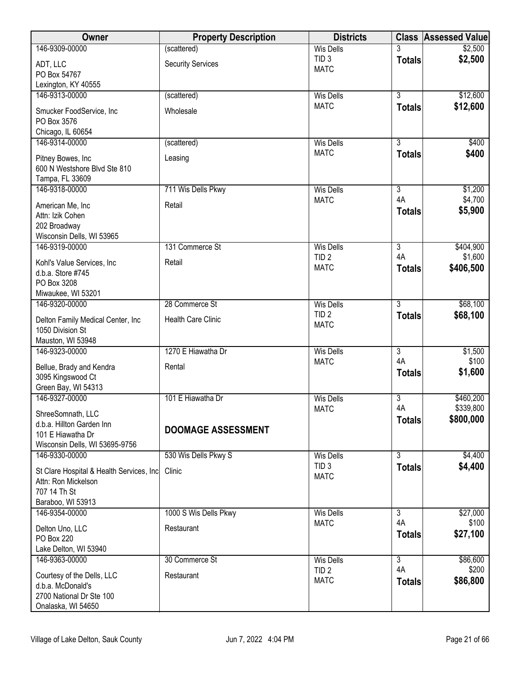| Owner                                                           | <b>Property Description</b> | <b>Districts</b>                |                      | <b>Class Assessed Value</b> |
|-----------------------------------------------------------------|-----------------------------|---------------------------------|----------------------|-----------------------------|
| 146-9309-00000                                                  | (scattered)                 | <b>Wis Dells</b>                |                      | \$2,500                     |
| ADT, LLC                                                        | <b>Security Services</b>    | TID <sub>3</sub><br><b>MATC</b> | <b>Totals</b>        | \$2,500                     |
| PO Box 54767                                                    |                             |                                 |                      |                             |
| Lexington, KY 40555                                             |                             |                                 |                      |                             |
| 146-9313-00000                                                  | (scattered)                 | <b>Wis Dells</b>                | $\overline{3}$       | \$12,600                    |
| Smucker FoodService, Inc                                        | Wholesale                   | <b>MATC</b>                     | <b>Totals</b>        | \$12,600                    |
| PO Box 3576                                                     |                             |                                 |                      |                             |
| Chicago, IL 60654                                               |                             |                                 |                      |                             |
| 146-9314-00000                                                  | (scattered)                 | <b>Wis Dells</b><br><b>MATC</b> | $\overline{3}$       | \$400<br>\$400              |
| Pitney Bowes, Inc                                               | Leasing                     |                                 | <b>Totals</b>        |                             |
| 600 N Westshore Blvd Ste 810                                    |                             |                                 |                      |                             |
| Tampa, FL 33609<br>146-9318-00000                               | 711 Wis Dells Pkwy          | <b>Wis Dells</b>                | $\overline{3}$       | \$1,200                     |
|                                                                 |                             | <b>MATC</b>                     | 4A                   | \$4,700                     |
| American Me, Inc                                                | Retail                      |                                 | <b>Totals</b>        | \$5,900                     |
| Attn: Izik Cohen<br>202 Broadway                                |                             |                                 |                      |                             |
| Wisconsin Dells, WI 53965                                       |                             |                                 |                      |                             |
| 146-9319-00000                                                  | 131 Commerce St             | <b>Wis Dells</b>                | $\overline{3}$       | \$404,900                   |
| Kohl's Value Services, Inc                                      | Retail                      | TID <sub>2</sub>                | 4A                   | \$1,600                     |
| d.b.a. Store #745                                               |                             | <b>MATC</b>                     | <b>Totals</b>        | \$406,500                   |
| PO Box 3208                                                     |                             |                                 |                      |                             |
| Miwaukee, WI 53201                                              |                             |                                 |                      |                             |
| 146-9320-00000                                                  | 28 Commerce St              | <b>Wis Dells</b>                | $\overline{3}$       | \$68,100                    |
| Delton Family Medical Center, Inc                               | <b>Health Care Clinic</b>   | TID <sub>2</sub>                | <b>Totals</b>        | \$68,100                    |
| 1050 Division St                                                |                             | <b>MATC</b>                     |                      |                             |
| Mauston, WI 53948                                               |                             |                                 |                      |                             |
| 146-9323-00000                                                  | 1270 E Hiawatha Dr          | <b>Wis Dells</b>                | $\overline{3}$       | \$1,500                     |
| Bellue, Brady and Kendra                                        | Rental                      | <b>MATC</b>                     | 4A                   | \$100<br>\$1,600            |
| 3095 Kingswood Ct                                               |                             |                                 | <b>Totals</b>        |                             |
| Green Bay, WI 54313                                             |                             |                                 |                      |                             |
| 146-9327-00000                                                  | 101 E Hiawatha Dr           | <b>Wis Dells</b><br><b>MATC</b> | $\overline{3}$<br>4A | \$460,200<br>\$339,800      |
| ShreeSomnath, LLC                                               |                             |                                 | <b>Totals</b>        | \$800,000                   |
| d.b.a. Hillton Garden Inn                                       | <b>DOOMAGE ASSESSMENT</b>   |                                 |                      |                             |
| 101 E Hiawatha Dr<br>Wisconsin Dells, WI 53695-9756             |                             |                                 |                      |                             |
| 146-9330-00000                                                  | 530 Wis Dells Pkwy S        | <b>Wis Dells</b>                | $\overline{3}$       | \$4,400                     |
|                                                                 |                             | TID <sub>3</sub>                | <b>Totals</b>        | \$4,400                     |
| St Clare Hospital & Health Services, Inc<br>Attn: Ron Mickelson | Clinic                      | <b>MATC</b>                     |                      |                             |
| 707 14 Th St                                                    |                             |                                 |                      |                             |
| Baraboo, WI 53913                                               |                             |                                 |                      |                             |
| 146-9354-00000                                                  | 1000 S Wis Dells Pkwy       | <b>Wis Dells</b>                | $\overline{3}$       | \$27,000                    |
| Delton Uno, LLC                                                 | Restaurant                  | <b>MATC</b>                     | 4A                   | \$100                       |
| PO Box 220                                                      |                             |                                 | <b>Totals</b>        | \$27,100                    |
| Lake Delton, WI 53940                                           |                             |                                 |                      |                             |
| 146-9363-00000                                                  | 30 Commerce St              | Wis Dells                       | $\overline{3}$       | \$86,600                    |
| Courtesy of the Dells, LLC                                      | Restaurant                  | TID <sub>2</sub>                | 4A                   | \$200                       |
| d.b.a. McDonald's                                               |                             | <b>MATC</b>                     | <b>Totals</b>        | \$86,800                    |
| 2700 National Dr Ste 100                                        |                             |                                 |                      |                             |
| Onalaska, WI 54650                                              |                             |                                 |                      |                             |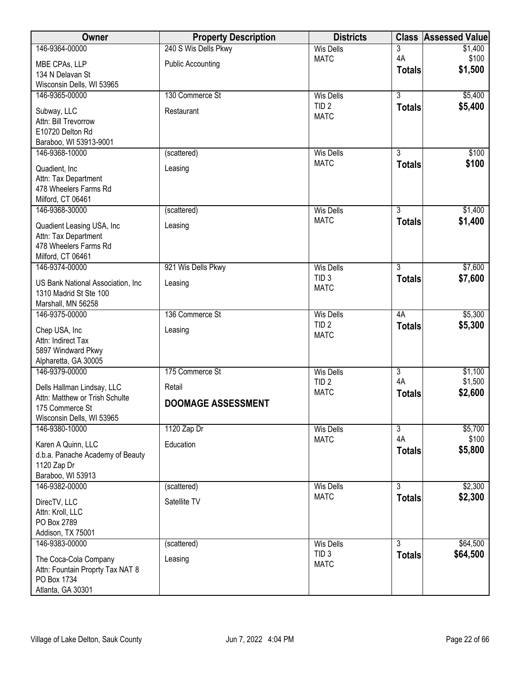| Owner                                           | <b>Property Description</b> | <b>Districts</b>                     | <b>Class</b>   | <b>Assessed Value</b> |
|-------------------------------------------------|-----------------------------|--------------------------------------|----------------|-----------------------|
| 146-9364-00000                                  | 240 S Wis Dells Pkwy        | <b>Wis Dells</b>                     | 3              | \$1,400               |
| MBE CPAs, LLP                                   | <b>Public Accounting</b>    | <b>MATC</b>                          | 4A             | \$100                 |
| 134 N Delavan St                                |                             |                                      | <b>Totals</b>  | \$1,500               |
| Wisconsin Dells, WI 53965                       |                             |                                      |                |                       |
| 146-9365-00000                                  | 130 Commerce St             | <b>Wis Dells</b>                     | $\overline{3}$ | \$5,400               |
| Subway, LLC                                     | Restaurant                  | TID <sub>2</sub>                     | <b>Totals</b>  | \$5,400               |
| Attn: Bill Trevorrow                            |                             | <b>MATC</b>                          |                |                       |
| E10720 Delton Rd                                |                             |                                      |                |                       |
| Baraboo, WI 53913-9001                          |                             |                                      |                |                       |
| 146-9368-10000                                  | (scattered)                 | <b>Wis Dells</b>                     | $\overline{3}$ | \$100                 |
| Quadient, Inc                                   | Leasing                     | <b>MATC</b>                          | <b>Totals</b>  | \$100                 |
| Attn: Tax Department                            |                             |                                      |                |                       |
| 478 Wheelers Farms Rd                           |                             |                                      |                |                       |
| Milford, CT 06461                               |                             |                                      |                |                       |
| 146-9368-30000                                  | (scattered)                 | <b>Wis Dells</b><br><b>MATC</b>      | $\overline{3}$ | \$1,400               |
| Quadient Leasing USA, Inc                       | Leasing                     |                                      | <b>Totals</b>  | \$1,400               |
| Attn: Tax Department                            |                             |                                      |                |                       |
| 478 Wheelers Farms Rd                           |                             |                                      |                |                       |
| Milford, CT 06461                               |                             |                                      | $\overline{3}$ | \$7,600               |
| 146-9374-00000                                  | 921 Wis Dells Pkwy          | <b>Wis Dells</b><br>TID <sub>3</sub> |                | \$7,600               |
| US Bank National Association, Inc.              | Leasing                     | <b>MATC</b>                          | <b>Totals</b>  |                       |
| 1310 Madrid St Ste 100                          |                             |                                      |                |                       |
| Marshall, MN 56258                              |                             |                                      |                |                       |
| 146-9375-00000                                  | 136 Commerce St             | <b>Wis Dells</b><br>TID <sub>2</sub> | 4A             | \$5,300               |
| Chep USA, Inc                                   | Leasing                     | <b>MATC</b>                          | <b>Totals</b>  | \$5,300               |
| Attn: Indirect Tax                              |                             |                                      |                |                       |
| 5897 Windward Pkwy                              |                             |                                      |                |                       |
| Alpharetta, GA 30005<br>146-9379-00000          | 175 Commerce St             | <b>Wis Dells</b>                     | $\overline{3}$ | \$1,100               |
|                                                 |                             | TID <sub>2</sub>                     | 4A             | \$1,500               |
| Dells Hallman Lindsay, LLC                      | Retail                      | <b>MATC</b>                          | <b>Totals</b>  | \$2,600               |
| Attn: Matthew or Trish Schulte                  | <b>DOOMAGE ASSESSMENT</b>   |                                      |                |                       |
| 175 Commerce St                                 |                             |                                      |                |                       |
| Wisconsin Dells, WI 53965<br>146-9380-10000     | 1120 Zap Dr                 | Wis Dells                            | $\overline{3}$ | \$5,700               |
|                                                 |                             | <b>MATC</b>                          | 4A             | \$100                 |
| Karen A Quinn, LLC                              | Education                   |                                      | <b>Totals</b>  | \$5,800               |
| d.b.a. Panache Academy of Beauty                |                             |                                      |                |                       |
| 1120 Zap Dr<br>Baraboo, WI 53913                |                             |                                      |                |                       |
| 146-9382-00000                                  | (scattered)                 | <b>Wis Dells</b>                     | $\overline{3}$ | \$2,300               |
|                                                 |                             | <b>MATC</b>                          | <b>Totals</b>  | \$2,300               |
| DirecTV, LLC                                    | Satellite TV                |                                      |                |                       |
| Attn: Kroll, LLC<br>PO Box 2789                 |                             |                                      |                |                       |
| Addison, TX 75001                               |                             |                                      |                |                       |
| 146-9383-00000                                  | (scattered)                 | <b>Wis Dells</b>                     | $\overline{3}$ | \$64,500              |
|                                                 |                             | TID <sub>3</sub>                     | <b>Totals</b>  | \$64,500              |
| The Coca-Cola Company                           | Leasing                     | <b>MATC</b>                          |                |                       |
| Attn: Fountain Proprty Tax NAT 8<br>PO Box 1734 |                             |                                      |                |                       |
| Atlanta, GA 30301                               |                             |                                      |                |                       |
|                                                 |                             |                                      |                |                       |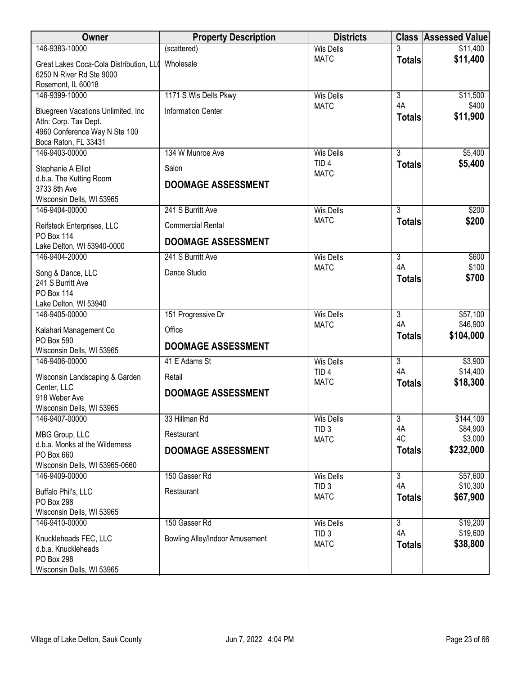| Owner                                                                                                                | <b>Property Description</b>           | <b>Districts</b>                |                     | <b>Class Assessed Value</b> |
|----------------------------------------------------------------------------------------------------------------------|---------------------------------------|---------------------------------|---------------------|-----------------------------|
| 146-9383-10000                                                                                                       | (scattered)                           | <b>Wis Dells</b>                |                     | \$11,400                    |
| Great Lakes Coca-Cola Distribution, LLO<br>6250 N River Rd Ste 9000<br>Rosemont, IL 60018                            | Wholesale                             | <b>MATC</b>                     | <b>Totals</b>       | \$11,400                    |
| 146-9399-10000                                                                                                       | 1171 S Wis Dells Pkwy                 | <b>Wis Dells</b>                | $\overline{3}$      | \$11,500                    |
| Bluegreen Vacations Unlimited, Inc<br>Attn: Corp. Tax Dept.<br>4960 Conference Way N Ste 100<br>Boca Raton, FL 33431 | <b>Information Center</b>             | <b>MATC</b>                     | 4A<br><b>Totals</b> | \$400<br>\$11,900           |
| 146-9403-00000                                                                                                       | 134 W Munroe Ave                      | <b>Wis Dells</b>                | $\overline{3}$      | \$5,400                     |
| Stephanie A Elliot<br>d.b.a. The Kutting Room                                                                        | Salon                                 | TID <sub>4</sub><br><b>MATC</b> | <b>Totals</b>       | \$5,400                     |
| 3733 8th Ave                                                                                                         | <b>DOOMAGE ASSESSMENT</b>             |                                 |                     |                             |
| Wisconsin Dells, WI 53965<br>146-9404-00000                                                                          | 241 S Burritt Ave                     | <b>Wis Dells</b>                | 3                   | \$200                       |
|                                                                                                                      | <b>Commercial Rental</b>              | <b>MATC</b>                     | <b>Totals</b>       | \$200                       |
| Reifsteck Enterprises, LLC<br>PO Box 114                                                                             | <b>DOOMAGE ASSESSMENT</b>             |                                 |                     |                             |
| Lake Delton, WI 53940-0000<br>146-9404-20000                                                                         | 241 S Burritt Ave                     | <b>Wis Dells</b>                | $\overline{3}$      | \$600                       |
| Song & Dance, LLC<br>241 S Burritt Ave                                                                               | Dance Studio                          | <b>MATC</b>                     | 4A<br><b>Totals</b> | \$100<br>\$700              |
| PO Box 114<br>Lake Delton, WI 53940                                                                                  |                                       |                                 |                     |                             |
| 146-9405-00000                                                                                                       | 151 Progressive Dr                    | <b>Wis Dells</b>                | $\overline{3}$      | \$57,100                    |
| Kalahari Management Co                                                                                               | Office                                | <b>MATC</b>                     | 4A                  | \$46,900<br>\$104,000       |
| PO Box 590<br>Wisconsin Dells, WI 53965                                                                              | <b>DOOMAGE ASSESSMENT</b>             |                                 | <b>Totals</b>       |                             |
| 146-9406-00000                                                                                                       | 41 E Adams St                         | <b>Wis Dells</b>                | $\overline{3}$      | \$3,900                     |
| Wisconsin Landscaping & Garden                                                                                       | Retail                                | TID <sub>4</sub><br><b>MATC</b> | 4A<br><b>Totals</b> | \$14,400<br>\$18,300        |
| Center, LLC<br>918 Weber Ave<br>Wisconsin Dells, WI 53965                                                            | <b>DOOMAGE ASSESSMENT</b>             |                                 |                     |                             |
| 146-9407-00000                                                                                                       | 33 Hillman Rd                         | <b>Wis Dells</b>                | $\overline{3}$      | \$144,100                   |
| MBG Group, LLC                                                                                                       | Restaurant                            | TID <sub>3</sub><br><b>MATC</b> | 4A<br>4C            | \$84,900<br>\$3,000         |
| d.b.a. Monks at the Wilderness<br>PO Box 660<br>Wisconsin Dells, WI 53965-0660                                       | <b>DOOMAGE ASSESSMENT</b>             |                                 | <b>Totals</b>       | \$232,000                   |
| 146-9409-00000                                                                                                       | 150 Gasser Rd                         | <b>Wis Dells</b>                | $\overline{3}$      | \$57,600                    |
| Buffalo Phil's, LLC<br><b>PO Box 298</b><br>Wisconsin Dells, WI 53965                                                | Restaurant                            | TID <sub>3</sub><br><b>MATC</b> | 4A<br><b>Totals</b> | \$10,300<br>\$67,900        |
| 146-9410-00000                                                                                                       | 150 Gasser Rd                         | <b>Wis Dells</b>                | $\overline{3}$      | \$19,200                    |
| Knuckleheads FEC, LLC<br>d.b.a. Knuckleheads<br>PO Box 298<br>Wisconsin Dells, WI 53965                              | <b>Bowling Alley/Indoor Amusement</b> | TID <sub>3</sub><br><b>MATC</b> | 4A<br><b>Totals</b> | \$19,600<br>\$38,800        |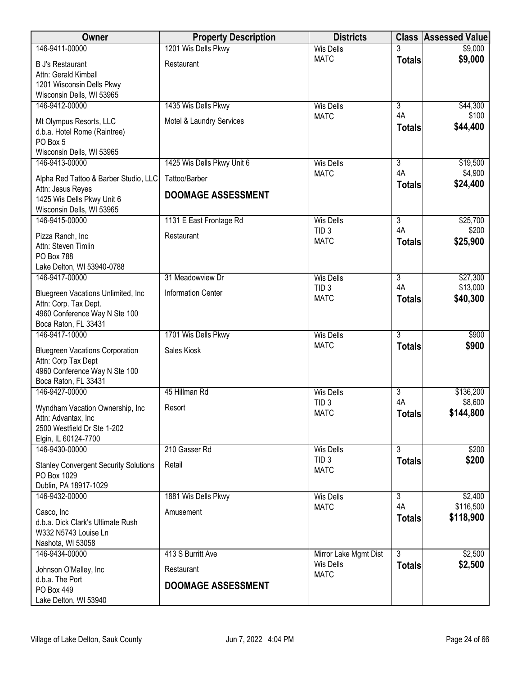| \$9,000<br><b>Wis Dells</b><br>\$9,000<br><b>MATC</b><br><b>Totals</b><br><b>B J's Restaurant</b><br>Restaurant<br>Attn: Gerald Kimball<br>1201 Wisconsin Dells Pkwy<br>Wisconsin Dells, WI 53965<br>1435 Wis Dells Pkwy<br>146-9412-00000<br>$\overline{3}$<br>\$44,300<br><b>Wis Dells</b><br>4A<br>\$100<br><b>MATC</b><br>Mt Olympus Resorts, LLC<br>Motel & Laundry Services<br>\$44,400<br><b>Totals</b><br>d.b.a. Hotel Rome (Raintree)<br>PO Box 5<br>Wisconsin Dells, WI 53965<br>1425 Wis Dells Pkwy Unit 6<br>146-9413-00000<br>3<br>\$19,500<br><b>Wis Dells</b><br>4A<br>\$4,900<br><b>MATC</b><br>Tattoo/Barber<br>Alpha Red Tattoo & Barber Studio, LLC<br>\$24,400<br><b>Totals</b><br>Attn: Jesus Reyes<br><b>DOOMAGE ASSESSMENT</b><br>1425 Wis Dells Pkwy Unit 6<br>Wisconsin Dells, WI 53965<br>146-9415-00000<br>$\overline{3}$<br>\$25,700<br>1131 E East Frontage Rd<br><b>Wis Dells</b><br>4A<br>\$200<br>TID <sub>3</sub><br>Restaurant<br>Pizza Ranch, Inc<br>\$25,900<br><b>MATC</b><br><b>Totals</b><br>Attn: Steven Timlin<br><b>PO Box 788</b><br>Lake Delton, WI 53940-0788<br>\$27,300<br>146-9417-00000<br>31 Meadowview Dr<br>3<br><b>Wis Dells</b><br>4A<br>\$13,000<br>TID <sub>3</sub><br>Bluegreen Vacations Unlimited, Inc<br><b>Information Center</b><br>\$40,300<br><b>MATC</b><br><b>Totals</b><br>Attn: Corp. Tax Dept.<br>4960 Conference Way N Ste 100<br>Boca Raton, FL 33431<br>1701 Wis Dells Pkwy<br>$\overline{3}$<br>146-9417-10000<br><b>Wis Dells</b><br>\$900<br>\$900<br><b>MATC</b><br><b>Totals</b><br>Sales Kiosk<br><b>Bluegreen Vacations Corporation</b><br>Attn: Corp Tax Dept<br>4960 Conference Way N Ste 100<br>Boca Raton, FL 33431<br>146-9427-00000<br>45 Hillman Rd<br>3<br>\$136,200<br><b>Wis Dells</b><br>4A<br>\$8,600<br>TID <sub>3</sub><br>Wyndham Vacation Ownership, Inc.<br>Resort<br>\$144,800<br><b>MATC</b><br><b>Totals</b><br>Attn: Advantax, Inc<br>2500 Westfield Dr Ste 1-202<br>Elgin, IL 60124-7700<br>$\overline{3}$<br>146-9430-00000<br>210 Gasser Rd<br>\$200<br><b>Wis Dells</b><br>TID <sub>3</sub><br>\$200<br><b>Totals</b><br>Retail<br><b>Stanley Convergent Security Solutions</b><br><b>MATC</b><br>PO Box 1029<br>Dublin, PA 18917-1029<br>\$2,400<br>146-9432-00000<br>1881 Wis Dells Pkwy<br><b>Wis Dells</b><br>$\overline{3}$<br>\$116,500<br>4A<br><b>MATC</b><br>Amusement<br>Casco, Inc.<br>\$118,900<br><b>Totals</b><br>d.b.a. Dick Clark's Ultimate Rush<br>W332 N5743 Louise Ln<br>Nashota, WI 53058<br>413 S Burritt Ave<br>$\overline{3}$<br>\$2,500<br>146-9434-00000<br>Mirror Lake Mgmt Dist<br>\$2,500<br><b>Wis Dells</b><br><b>Totals</b><br>Restaurant<br>Johnson O'Malley, Inc.<br><b>MATC</b><br>d.b.a. The Port<br><b>DOOMAGE ASSESSMENT</b><br>PO Box 449 | Owner          | <b>Property Description</b> | <b>Districts</b> | <b>Class</b> | <b>Assessed Value</b> |
|------------------------------------------------------------------------------------------------------------------------------------------------------------------------------------------------------------------------------------------------------------------------------------------------------------------------------------------------------------------------------------------------------------------------------------------------------------------------------------------------------------------------------------------------------------------------------------------------------------------------------------------------------------------------------------------------------------------------------------------------------------------------------------------------------------------------------------------------------------------------------------------------------------------------------------------------------------------------------------------------------------------------------------------------------------------------------------------------------------------------------------------------------------------------------------------------------------------------------------------------------------------------------------------------------------------------------------------------------------------------------------------------------------------------------------------------------------------------------------------------------------------------------------------------------------------------------------------------------------------------------------------------------------------------------------------------------------------------------------------------------------------------------------------------------------------------------------------------------------------------------------------------------------------------------------------------------------------------------------------------------------------------------------------------------------------------------------------------------------------------------------------------------------------------------------------------------------------------------------------------------------------------------------------------------------------------------------------------------------------------------------------------------------------------------------------------------------------------------------------------------------------------------------------------------------------------------------------------------------------------------------------------------------------------------------------------------------------------------------------------------------------------------------------|----------------|-----------------------------|------------------|--------------|-----------------------|
|                                                                                                                                                                                                                                                                                                                                                                                                                                                                                                                                                                                                                                                                                                                                                                                                                                                                                                                                                                                                                                                                                                                                                                                                                                                                                                                                                                                                                                                                                                                                                                                                                                                                                                                                                                                                                                                                                                                                                                                                                                                                                                                                                                                                                                                                                                                                                                                                                                                                                                                                                                                                                                                                                                                                                                                          | 146-9411-00000 | 1201 Wis Dells Pkwy         |                  |              |                       |
|                                                                                                                                                                                                                                                                                                                                                                                                                                                                                                                                                                                                                                                                                                                                                                                                                                                                                                                                                                                                                                                                                                                                                                                                                                                                                                                                                                                                                                                                                                                                                                                                                                                                                                                                                                                                                                                                                                                                                                                                                                                                                                                                                                                                                                                                                                                                                                                                                                                                                                                                                                                                                                                                                                                                                                                          |                |                             |                  |              |                       |
|                                                                                                                                                                                                                                                                                                                                                                                                                                                                                                                                                                                                                                                                                                                                                                                                                                                                                                                                                                                                                                                                                                                                                                                                                                                                                                                                                                                                                                                                                                                                                                                                                                                                                                                                                                                                                                                                                                                                                                                                                                                                                                                                                                                                                                                                                                                                                                                                                                                                                                                                                                                                                                                                                                                                                                                          |                |                             |                  |              |                       |
|                                                                                                                                                                                                                                                                                                                                                                                                                                                                                                                                                                                                                                                                                                                                                                                                                                                                                                                                                                                                                                                                                                                                                                                                                                                                                                                                                                                                                                                                                                                                                                                                                                                                                                                                                                                                                                                                                                                                                                                                                                                                                                                                                                                                                                                                                                                                                                                                                                                                                                                                                                                                                                                                                                                                                                                          |                |                             |                  |              |                       |
|                                                                                                                                                                                                                                                                                                                                                                                                                                                                                                                                                                                                                                                                                                                                                                                                                                                                                                                                                                                                                                                                                                                                                                                                                                                                                                                                                                                                                                                                                                                                                                                                                                                                                                                                                                                                                                                                                                                                                                                                                                                                                                                                                                                                                                                                                                                                                                                                                                                                                                                                                                                                                                                                                                                                                                                          |                |                             |                  |              |                       |
|                                                                                                                                                                                                                                                                                                                                                                                                                                                                                                                                                                                                                                                                                                                                                                                                                                                                                                                                                                                                                                                                                                                                                                                                                                                                                                                                                                                                                                                                                                                                                                                                                                                                                                                                                                                                                                                                                                                                                                                                                                                                                                                                                                                                                                                                                                                                                                                                                                                                                                                                                                                                                                                                                                                                                                                          |                |                             |                  |              |                       |
|                                                                                                                                                                                                                                                                                                                                                                                                                                                                                                                                                                                                                                                                                                                                                                                                                                                                                                                                                                                                                                                                                                                                                                                                                                                                                                                                                                                                                                                                                                                                                                                                                                                                                                                                                                                                                                                                                                                                                                                                                                                                                                                                                                                                                                                                                                                                                                                                                                                                                                                                                                                                                                                                                                                                                                                          |                |                             |                  |              |                       |
|                                                                                                                                                                                                                                                                                                                                                                                                                                                                                                                                                                                                                                                                                                                                                                                                                                                                                                                                                                                                                                                                                                                                                                                                                                                                                                                                                                                                                                                                                                                                                                                                                                                                                                                                                                                                                                                                                                                                                                                                                                                                                                                                                                                                                                                                                                                                                                                                                                                                                                                                                                                                                                                                                                                                                                                          |                |                             |                  |              |                       |
|                                                                                                                                                                                                                                                                                                                                                                                                                                                                                                                                                                                                                                                                                                                                                                                                                                                                                                                                                                                                                                                                                                                                                                                                                                                                                                                                                                                                                                                                                                                                                                                                                                                                                                                                                                                                                                                                                                                                                                                                                                                                                                                                                                                                                                                                                                                                                                                                                                                                                                                                                                                                                                                                                                                                                                                          |                |                             |                  |              |                       |
|                                                                                                                                                                                                                                                                                                                                                                                                                                                                                                                                                                                                                                                                                                                                                                                                                                                                                                                                                                                                                                                                                                                                                                                                                                                                                                                                                                                                                                                                                                                                                                                                                                                                                                                                                                                                                                                                                                                                                                                                                                                                                                                                                                                                                                                                                                                                                                                                                                                                                                                                                                                                                                                                                                                                                                                          |                |                             |                  |              |                       |
|                                                                                                                                                                                                                                                                                                                                                                                                                                                                                                                                                                                                                                                                                                                                                                                                                                                                                                                                                                                                                                                                                                                                                                                                                                                                                                                                                                                                                                                                                                                                                                                                                                                                                                                                                                                                                                                                                                                                                                                                                                                                                                                                                                                                                                                                                                                                                                                                                                                                                                                                                                                                                                                                                                                                                                                          |                |                             |                  |              |                       |
|                                                                                                                                                                                                                                                                                                                                                                                                                                                                                                                                                                                                                                                                                                                                                                                                                                                                                                                                                                                                                                                                                                                                                                                                                                                                                                                                                                                                                                                                                                                                                                                                                                                                                                                                                                                                                                                                                                                                                                                                                                                                                                                                                                                                                                                                                                                                                                                                                                                                                                                                                                                                                                                                                                                                                                                          |                |                             |                  |              |                       |
|                                                                                                                                                                                                                                                                                                                                                                                                                                                                                                                                                                                                                                                                                                                                                                                                                                                                                                                                                                                                                                                                                                                                                                                                                                                                                                                                                                                                                                                                                                                                                                                                                                                                                                                                                                                                                                                                                                                                                                                                                                                                                                                                                                                                                                                                                                                                                                                                                                                                                                                                                                                                                                                                                                                                                                                          |                |                             |                  |              |                       |
|                                                                                                                                                                                                                                                                                                                                                                                                                                                                                                                                                                                                                                                                                                                                                                                                                                                                                                                                                                                                                                                                                                                                                                                                                                                                                                                                                                                                                                                                                                                                                                                                                                                                                                                                                                                                                                                                                                                                                                                                                                                                                                                                                                                                                                                                                                                                                                                                                                                                                                                                                                                                                                                                                                                                                                                          |                |                             |                  |              |                       |
|                                                                                                                                                                                                                                                                                                                                                                                                                                                                                                                                                                                                                                                                                                                                                                                                                                                                                                                                                                                                                                                                                                                                                                                                                                                                                                                                                                                                                                                                                                                                                                                                                                                                                                                                                                                                                                                                                                                                                                                                                                                                                                                                                                                                                                                                                                                                                                                                                                                                                                                                                                                                                                                                                                                                                                                          |                |                             |                  |              |                       |
|                                                                                                                                                                                                                                                                                                                                                                                                                                                                                                                                                                                                                                                                                                                                                                                                                                                                                                                                                                                                                                                                                                                                                                                                                                                                                                                                                                                                                                                                                                                                                                                                                                                                                                                                                                                                                                                                                                                                                                                                                                                                                                                                                                                                                                                                                                                                                                                                                                                                                                                                                                                                                                                                                                                                                                                          |                |                             |                  |              |                       |
|                                                                                                                                                                                                                                                                                                                                                                                                                                                                                                                                                                                                                                                                                                                                                                                                                                                                                                                                                                                                                                                                                                                                                                                                                                                                                                                                                                                                                                                                                                                                                                                                                                                                                                                                                                                                                                                                                                                                                                                                                                                                                                                                                                                                                                                                                                                                                                                                                                                                                                                                                                                                                                                                                                                                                                                          |                |                             |                  |              |                       |
|                                                                                                                                                                                                                                                                                                                                                                                                                                                                                                                                                                                                                                                                                                                                                                                                                                                                                                                                                                                                                                                                                                                                                                                                                                                                                                                                                                                                                                                                                                                                                                                                                                                                                                                                                                                                                                                                                                                                                                                                                                                                                                                                                                                                                                                                                                                                                                                                                                                                                                                                                                                                                                                                                                                                                                                          |                |                             |                  |              |                       |
|                                                                                                                                                                                                                                                                                                                                                                                                                                                                                                                                                                                                                                                                                                                                                                                                                                                                                                                                                                                                                                                                                                                                                                                                                                                                                                                                                                                                                                                                                                                                                                                                                                                                                                                                                                                                                                                                                                                                                                                                                                                                                                                                                                                                                                                                                                                                                                                                                                                                                                                                                                                                                                                                                                                                                                                          |                |                             |                  |              |                       |
|                                                                                                                                                                                                                                                                                                                                                                                                                                                                                                                                                                                                                                                                                                                                                                                                                                                                                                                                                                                                                                                                                                                                                                                                                                                                                                                                                                                                                                                                                                                                                                                                                                                                                                                                                                                                                                                                                                                                                                                                                                                                                                                                                                                                                                                                                                                                                                                                                                                                                                                                                                                                                                                                                                                                                                                          |                |                             |                  |              |                       |
|                                                                                                                                                                                                                                                                                                                                                                                                                                                                                                                                                                                                                                                                                                                                                                                                                                                                                                                                                                                                                                                                                                                                                                                                                                                                                                                                                                                                                                                                                                                                                                                                                                                                                                                                                                                                                                                                                                                                                                                                                                                                                                                                                                                                                                                                                                                                                                                                                                                                                                                                                                                                                                                                                                                                                                                          |                |                             |                  |              |                       |
|                                                                                                                                                                                                                                                                                                                                                                                                                                                                                                                                                                                                                                                                                                                                                                                                                                                                                                                                                                                                                                                                                                                                                                                                                                                                                                                                                                                                                                                                                                                                                                                                                                                                                                                                                                                                                                                                                                                                                                                                                                                                                                                                                                                                                                                                                                                                                                                                                                                                                                                                                                                                                                                                                                                                                                                          |                |                             |                  |              |                       |
|                                                                                                                                                                                                                                                                                                                                                                                                                                                                                                                                                                                                                                                                                                                                                                                                                                                                                                                                                                                                                                                                                                                                                                                                                                                                                                                                                                                                                                                                                                                                                                                                                                                                                                                                                                                                                                                                                                                                                                                                                                                                                                                                                                                                                                                                                                                                                                                                                                                                                                                                                                                                                                                                                                                                                                                          |                |                             |                  |              |                       |
|                                                                                                                                                                                                                                                                                                                                                                                                                                                                                                                                                                                                                                                                                                                                                                                                                                                                                                                                                                                                                                                                                                                                                                                                                                                                                                                                                                                                                                                                                                                                                                                                                                                                                                                                                                                                                                                                                                                                                                                                                                                                                                                                                                                                                                                                                                                                                                                                                                                                                                                                                                                                                                                                                                                                                                                          |                |                             |                  |              |                       |
|                                                                                                                                                                                                                                                                                                                                                                                                                                                                                                                                                                                                                                                                                                                                                                                                                                                                                                                                                                                                                                                                                                                                                                                                                                                                                                                                                                                                                                                                                                                                                                                                                                                                                                                                                                                                                                                                                                                                                                                                                                                                                                                                                                                                                                                                                                                                                                                                                                                                                                                                                                                                                                                                                                                                                                                          |                |                             |                  |              |                       |
|                                                                                                                                                                                                                                                                                                                                                                                                                                                                                                                                                                                                                                                                                                                                                                                                                                                                                                                                                                                                                                                                                                                                                                                                                                                                                                                                                                                                                                                                                                                                                                                                                                                                                                                                                                                                                                                                                                                                                                                                                                                                                                                                                                                                                                                                                                                                                                                                                                                                                                                                                                                                                                                                                                                                                                                          |                |                             |                  |              |                       |
|                                                                                                                                                                                                                                                                                                                                                                                                                                                                                                                                                                                                                                                                                                                                                                                                                                                                                                                                                                                                                                                                                                                                                                                                                                                                                                                                                                                                                                                                                                                                                                                                                                                                                                                                                                                                                                                                                                                                                                                                                                                                                                                                                                                                                                                                                                                                                                                                                                                                                                                                                                                                                                                                                                                                                                                          |                |                             |                  |              |                       |
|                                                                                                                                                                                                                                                                                                                                                                                                                                                                                                                                                                                                                                                                                                                                                                                                                                                                                                                                                                                                                                                                                                                                                                                                                                                                                                                                                                                                                                                                                                                                                                                                                                                                                                                                                                                                                                                                                                                                                                                                                                                                                                                                                                                                                                                                                                                                                                                                                                                                                                                                                                                                                                                                                                                                                                                          |                |                             |                  |              |                       |
|                                                                                                                                                                                                                                                                                                                                                                                                                                                                                                                                                                                                                                                                                                                                                                                                                                                                                                                                                                                                                                                                                                                                                                                                                                                                                                                                                                                                                                                                                                                                                                                                                                                                                                                                                                                                                                                                                                                                                                                                                                                                                                                                                                                                                                                                                                                                                                                                                                                                                                                                                                                                                                                                                                                                                                                          |                |                             |                  |              |                       |
|                                                                                                                                                                                                                                                                                                                                                                                                                                                                                                                                                                                                                                                                                                                                                                                                                                                                                                                                                                                                                                                                                                                                                                                                                                                                                                                                                                                                                                                                                                                                                                                                                                                                                                                                                                                                                                                                                                                                                                                                                                                                                                                                                                                                                                                                                                                                                                                                                                                                                                                                                                                                                                                                                                                                                                                          |                |                             |                  |              |                       |
|                                                                                                                                                                                                                                                                                                                                                                                                                                                                                                                                                                                                                                                                                                                                                                                                                                                                                                                                                                                                                                                                                                                                                                                                                                                                                                                                                                                                                                                                                                                                                                                                                                                                                                                                                                                                                                                                                                                                                                                                                                                                                                                                                                                                                                                                                                                                                                                                                                                                                                                                                                                                                                                                                                                                                                                          |                |                             |                  |              |                       |
|                                                                                                                                                                                                                                                                                                                                                                                                                                                                                                                                                                                                                                                                                                                                                                                                                                                                                                                                                                                                                                                                                                                                                                                                                                                                                                                                                                                                                                                                                                                                                                                                                                                                                                                                                                                                                                                                                                                                                                                                                                                                                                                                                                                                                                                                                                                                                                                                                                                                                                                                                                                                                                                                                                                                                                                          |                |                             |                  |              |                       |
|                                                                                                                                                                                                                                                                                                                                                                                                                                                                                                                                                                                                                                                                                                                                                                                                                                                                                                                                                                                                                                                                                                                                                                                                                                                                                                                                                                                                                                                                                                                                                                                                                                                                                                                                                                                                                                                                                                                                                                                                                                                                                                                                                                                                                                                                                                                                                                                                                                                                                                                                                                                                                                                                                                                                                                                          |                |                             |                  |              |                       |
|                                                                                                                                                                                                                                                                                                                                                                                                                                                                                                                                                                                                                                                                                                                                                                                                                                                                                                                                                                                                                                                                                                                                                                                                                                                                                                                                                                                                                                                                                                                                                                                                                                                                                                                                                                                                                                                                                                                                                                                                                                                                                                                                                                                                                                                                                                                                                                                                                                                                                                                                                                                                                                                                                                                                                                                          |                |                             |                  |              |                       |
|                                                                                                                                                                                                                                                                                                                                                                                                                                                                                                                                                                                                                                                                                                                                                                                                                                                                                                                                                                                                                                                                                                                                                                                                                                                                                                                                                                                                                                                                                                                                                                                                                                                                                                                                                                                                                                                                                                                                                                                                                                                                                                                                                                                                                                                                                                                                                                                                                                                                                                                                                                                                                                                                                                                                                                                          |                |                             |                  |              |                       |
|                                                                                                                                                                                                                                                                                                                                                                                                                                                                                                                                                                                                                                                                                                                                                                                                                                                                                                                                                                                                                                                                                                                                                                                                                                                                                                                                                                                                                                                                                                                                                                                                                                                                                                                                                                                                                                                                                                                                                                                                                                                                                                                                                                                                                                                                                                                                                                                                                                                                                                                                                                                                                                                                                                                                                                                          |                |                             |                  |              |                       |
|                                                                                                                                                                                                                                                                                                                                                                                                                                                                                                                                                                                                                                                                                                                                                                                                                                                                                                                                                                                                                                                                                                                                                                                                                                                                                                                                                                                                                                                                                                                                                                                                                                                                                                                                                                                                                                                                                                                                                                                                                                                                                                                                                                                                                                                                                                                                                                                                                                                                                                                                                                                                                                                                                                                                                                                          |                |                             |                  |              |                       |
|                                                                                                                                                                                                                                                                                                                                                                                                                                                                                                                                                                                                                                                                                                                                                                                                                                                                                                                                                                                                                                                                                                                                                                                                                                                                                                                                                                                                                                                                                                                                                                                                                                                                                                                                                                                                                                                                                                                                                                                                                                                                                                                                                                                                                                                                                                                                                                                                                                                                                                                                                                                                                                                                                                                                                                                          |                |                             |                  |              |                       |
|                                                                                                                                                                                                                                                                                                                                                                                                                                                                                                                                                                                                                                                                                                                                                                                                                                                                                                                                                                                                                                                                                                                                                                                                                                                                                                                                                                                                                                                                                                                                                                                                                                                                                                                                                                                                                                                                                                                                                                                                                                                                                                                                                                                                                                                                                                                                                                                                                                                                                                                                                                                                                                                                                                                                                                                          |                |                             |                  |              |                       |
|                                                                                                                                                                                                                                                                                                                                                                                                                                                                                                                                                                                                                                                                                                                                                                                                                                                                                                                                                                                                                                                                                                                                                                                                                                                                                                                                                                                                                                                                                                                                                                                                                                                                                                                                                                                                                                                                                                                                                                                                                                                                                                                                                                                                                                                                                                                                                                                                                                                                                                                                                                                                                                                                                                                                                                                          |                |                             |                  |              |                       |
|                                                                                                                                                                                                                                                                                                                                                                                                                                                                                                                                                                                                                                                                                                                                                                                                                                                                                                                                                                                                                                                                                                                                                                                                                                                                                                                                                                                                                                                                                                                                                                                                                                                                                                                                                                                                                                                                                                                                                                                                                                                                                                                                                                                                                                                                                                                                                                                                                                                                                                                                                                                                                                                                                                                                                                                          |                |                             |                  |              |                       |
|                                                                                                                                                                                                                                                                                                                                                                                                                                                                                                                                                                                                                                                                                                                                                                                                                                                                                                                                                                                                                                                                                                                                                                                                                                                                                                                                                                                                                                                                                                                                                                                                                                                                                                                                                                                                                                                                                                                                                                                                                                                                                                                                                                                                                                                                                                                                                                                                                                                                                                                                                                                                                                                                                                                                                                                          |                |                             |                  |              |                       |
|                                                                                                                                                                                                                                                                                                                                                                                                                                                                                                                                                                                                                                                                                                                                                                                                                                                                                                                                                                                                                                                                                                                                                                                                                                                                                                                                                                                                                                                                                                                                                                                                                                                                                                                                                                                                                                                                                                                                                                                                                                                                                                                                                                                                                                                                                                                                                                                                                                                                                                                                                                                                                                                                                                                                                                                          |                |                             |                  |              |                       |
|                                                                                                                                                                                                                                                                                                                                                                                                                                                                                                                                                                                                                                                                                                                                                                                                                                                                                                                                                                                                                                                                                                                                                                                                                                                                                                                                                                                                                                                                                                                                                                                                                                                                                                                                                                                                                                                                                                                                                                                                                                                                                                                                                                                                                                                                                                                                                                                                                                                                                                                                                                                                                                                                                                                                                                                          |                |                             |                  |              |                       |
|                                                                                                                                                                                                                                                                                                                                                                                                                                                                                                                                                                                                                                                                                                                                                                                                                                                                                                                                                                                                                                                                                                                                                                                                                                                                                                                                                                                                                                                                                                                                                                                                                                                                                                                                                                                                                                                                                                                                                                                                                                                                                                                                                                                                                                                                                                                                                                                                                                                                                                                                                                                                                                                                                                                                                                                          |                |                             |                  |              |                       |
| Lake Delton, WI 53940                                                                                                                                                                                                                                                                                                                                                                                                                                                                                                                                                                                                                                                                                                                                                                                                                                                                                                                                                                                                                                                                                                                                                                                                                                                                                                                                                                                                                                                                                                                                                                                                                                                                                                                                                                                                                                                                                                                                                                                                                                                                                                                                                                                                                                                                                                                                                                                                                                                                                                                                                                                                                                                                                                                                                                    |                |                             |                  |              |                       |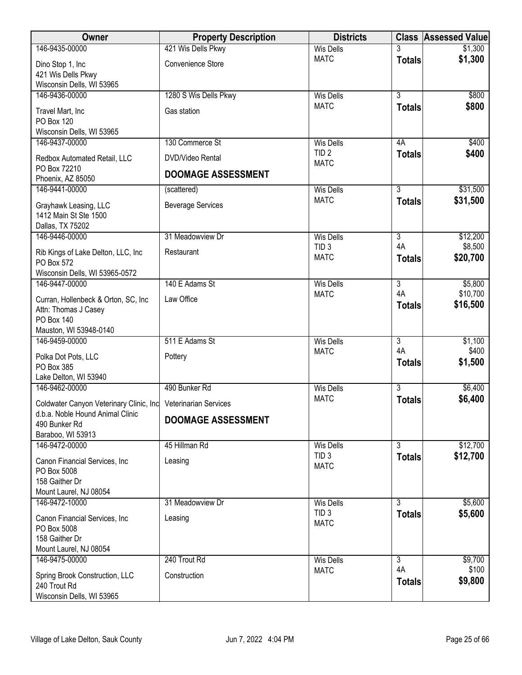| 146-9435-00000<br>421 Wis Dells Pkwy<br><b>Wis Dells</b><br>\$1,300<br><b>MATC</b><br><b>Totals</b><br>Convenience Store<br>Dino Stop 1, Inc<br>421 Wis Dells Pkwy<br>Wisconsin Dells, WI 53965<br>$\overline{3}$<br>1280 S Wis Dells Pkwy<br><b>Wis Dells</b><br>\$800<br>146-9436-00000<br><b>MATC</b><br>\$800<br><b>Totals</b><br>Travel Mart, Inc<br>Gas station<br>PO Box 120<br>Wisconsin Dells, WI 53965<br>130 Commerce St<br>\$400<br>146-9437-00000<br><b>Wis Dells</b><br>4A<br>TID <sub>2</sub><br>\$400<br><b>Totals</b><br>DVD/Video Rental<br>Redbox Automated Retail, LLC<br><b>MATC</b><br>PO Box 72210<br><b>DOOMAGE ASSESSMENT</b><br>Phoenix, AZ 85050<br>$\overline{3}$<br>146-9441-00000<br>\$31,500<br><b>Wis Dells</b><br>(scattered)<br><b>MATC</b><br>\$31,500<br><b>Totals</b><br>Grayhawk Leasing, LLC<br><b>Beverage Services</b><br>1412 Main St Ste 1500<br>Dallas, TX 75202<br>\$12,200<br>31 Meadowview Dr<br>$\overline{3}$<br>146-9446-00000<br><b>Wis Dells</b><br>4A<br>\$8,500<br>TID <sub>3</sub><br>Rib Kings of Lake Delton, LLC, Inc<br>Restaurant<br>\$20,700<br><b>MATC</b><br><b>Totals</b><br>PO Box 572<br>Wisconsin Dells, WI 53965-0572<br>140 E Adams St<br>$\overline{3}$<br>\$5,800<br>146-9447-00000<br><b>Wis Dells</b><br>4A<br>\$10,700<br><b>MATC</b><br>Law Office<br>Curran, Hollenbeck & Orton, SC, Inc.<br>\$16,500<br><b>Totals</b><br>Attn: Thomas J Casey<br>PO Box 140<br>Mauston, WI 53948-0140<br>511 E Adams St<br>$\overline{3}$<br>146-9459-00000<br><b>Wis Dells</b><br>\$1,100<br>4A<br>\$400<br><b>MATC</b><br>Polka Dot Pots, LLC<br>Pottery<br>\$1,500<br><b>Totals</b><br>PO Box 385<br>Lake Delton, WI 53940<br>490 Bunker Rd<br>$\overline{3}$<br>\$6,400<br>146-9462-00000<br><b>Wis Dells</b><br><b>MATC</b><br>\$6,400<br><b>Totals</b><br>Coldwater Canyon Veterinary Clinic, Inc Veterinarian Services<br>d.b.a. Noble Hound Animal Clinic<br><b>DOOMAGE ASSESSMENT</b><br>490 Bunker Rd<br>Baraboo, WI 53913<br>\$12,700<br>146-9472-00000<br>45 Hillman Rd<br>3<br><b>Wis Dells</b><br>TID <sub>3</sub><br>\$12,700<br><b>Totals</b><br>Canon Financial Services, Inc<br>Leasing<br><b>MATC</b><br>PO Box 5008<br>158 Gaither Dr<br>Mount Laurel, NJ 08054<br>146-9472-10000<br>$\overline{3}$<br>\$5,600<br>31 Meadowview Dr<br><b>Wis Dells</b><br>TID <sub>3</sub><br>\$5,600<br><b>Totals</b><br>Canon Financial Services, Inc.<br>Leasing<br><b>MATC</b><br>PO Box 5008<br>158 Gaither Dr<br>Mount Laurel, NJ 08054<br>\$9,700<br>146-9475-00000<br>240 Trout Rd<br>$\overline{3}$<br><b>Wis Dells</b> | <b>Owner</b> | <b>Property Description</b> | <b>Districts</b> |    | <b>Class Assessed Value</b> |
|---------------------------------------------------------------------------------------------------------------------------------------------------------------------------------------------------------------------------------------------------------------------------------------------------------------------------------------------------------------------------------------------------------------------------------------------------------------------------------------------------------------------------------------------------------------------------------------------------------------------------------------------------------------------------------------------------------------------------------------------------------------------------------------------------------------------------------------------------------------------------------------------------------------------------------------------------------------------------------------------------------------------------------------------------------------------------------------------------------------------------------------------------------------------------------------------------------------------------------------------------------------------------------------------------------------------------------------------------------------------------------------------------------------------------------------------------------------------------------------------------------------------------------------------------------------------------------------------------------------------------------------------------------------------------------------------------------------------------------------------------------------------------------------------------------------------------------------------------------------------------------------------------------------------------------------------------------------------------------------------------------------------------------------------------------------------------------------------------------------------------------------------------------------------------------------------------------------------------------------------------------------------------------------------------------------------------------------------------------------------------------------------------------------------------------------------------------------------------------------------------------------------------------------------------------------------------------------------------|--------------|-----------------------------|------------------|----|-----------------------------|
|                                                                                                                                                                                                                                                                                                                                                                                                                                                                                                                                                                                                                                                                                                                                                                                                                                                                                                                                                                                                                                                                                                                                                                                                                                                                                                                                                                                                                                                                                                                                                                                                                                                                                                                                                                                                                                                                                                                                                                                                                                                                                                                                                                                                                                                                                                                                                                                                                                                                                                                                                                                                   |              |                             |                  |    | \$1,300                     |
|                                                                                                                                                                                                                                                                                                                                                                                                                                                                                                                                                                                                                                                                                                                                                                                                                                                                                                                                                                                                                                                                                                                                                                                                                                                                                                                                                                                                                                                                                                                                                                                                                                                                                                                                                                                                                                                                                                                                                                                                                                                                                                                                                                                                                                                                                                                                                                                                                                                                                                                                                                                                   |              |                             |                  |    |                             |
|                                                                                                                                                                                                                                                                                                                                                                                                                                                                                                                                                                                                                                                                                                                                                                                                                                                                                                                                                                                                                                                                                                                                                                                                                                                                                                                                                                                                                                                                                                                                                                                                                                                                                                                                                                                                                                                                                                                                                                                                                                                                                                                                                                                                                                                                                                                                                                                                                                                                                                                                                                                                   |              |                             |                  |    |                             |
|                                                                                                                                                                                                                                                                                                                                                                                                                                                                                                                                                                                                                                                                                                                                                                                                                                                                                                                                                                                                                                                                                                                                                                                                                                                                                                                                                                                                                                                                                                                                                                                                                                                                                                                                                                                                                                                                                                                                                                                                                                                                                                                                                                                                                                                                                                                                                                                                                                                                                                                                                                                                   |              |                             |                  |    |                             |
|                                                                                                                                                                                                                                                                                                                                                                                                                                                                                                                                                                                                                                                                                                                                                                                                                                                                                                                                                                                                                                                                                                                                                                                                                                                                                                                                                                                                                                                                                                                                                                                                                                                                                                                                                                                                                                                                                                                                                                                                                                                                                                                                                                                                                                                                                                                                                                                                                                                                                                                                                                                                   |              |                             |                  |    |                             |
|                                                                                                                                                                                                                                                                                                                                                                                                                                                                                                                                                                                                                                                                                                                                                                                                                                                                                                                                                                                                                                                                                                                                                                                                                                                                                                                                                                                                                                                                                                                                                                                                                                                                                                                                                                                                                                                                                                                                                                                                                                                                                                                                                                                                                                                                                                                                                                                                                                                                                                                                                                                                   |              |                             |                  |    |                             |
|                                                                                                                                                                                                                                                                                                                                                                                                                                                                                                                                                                                                                                                                                                                                                                                                                                                                                                                                                                                                                                                                                                                                                                                                                                                                                                                                                                                                                                                                                                                                                                                                                                                                                                                                                                                                                                                                                                                                                                                                                                                                                                                                                                                                                                                                                                                                                                                                                                                                                                                                                                                                   |              |                             |                  |    |                             |
|                                                                                                                                                                                                                                                                                                                                                                                                                                                                                                                                                                                                                                                                                                                                                                                                                                                                                                                                                                                                                                                                                                                                                                                                                                                                                                                                                                                                                                                                                                                                                                                                                                                                                                                                                                                                                                                                                                                                                                                                                                                                                                                                                                                                                                                                                                                                                                                                                                                                                                                                                                                                   |              |                             |                  |    |                             |
|                                                                                                                                                                                                                                                                                                                                                                                                                                                                                                                                                                                                                                                                                                                                                                                                                                                                                                                                                                                                                                                                                                                                                                                                                                                                                                                                                                                                                                                                                                                                                                                                                                                                                                                                                                                                                                                                                                                                                                                                                                                                                                                                                                                                                                                                                                                                                                                                                                                                                                                                                                                                   |              |                             |                  |    |                             |
|                                                                                                                                                                                                                                                                                                                                                                                                                                                                                                                                                                                                                                                                                                                                                                                                                                                                                                                                                                                                                                                                                                                                                                                                                                                                                                                                                                                                                                                                                                                                                                                                                                                                                                                                                                                                                                                                                                                                                                                                                                                                                                                                                                                                                                                                                                                                                                                                                                                                                                                                                                                                   |              |                             |                  |    |                             |
|                                                                                                                                                                                                                                                                                                                                                                                                                                                                                                                                                                                                                                                                                                                                                                                                                                                                                                                                                                                                                                                                                                                                                                                                                                                                                                                                                                                                                                                                                                                                                                                                                                                                                                                                                                                                                                                                                                                                                                                                                                                                                                                                                                                                                                                                                                                                                                                                                                                                                                                                                                                                   |              |                             |                  |    |                             |
|                                                                                                                                                                                                                                                                                                                                                                                                                                                                                                                                                                                                                                                                                                                                                                                                                                                                                                                                                                                                                                                                                                                                                                                                                                                                                                                                                                                                                                                                                                                                                                                                                                                                                                                                                                                                                                                                                                                                                                                                                                                                                                                                                                                                                                                                                                                                                                                                                                                                                                                                                                                                   |              |                             |                  |    |                             |
|                                                                                                                                                                                                                                                                                                                                                                                                                                                                                                                                                                                                                                                                                                                                                                                                                                                                                                                                                                                                                                                                                                                                                                                                                                                                                                                                                                                                                                                                                                                                                                                                                                                                                                                                                                                                                                                                                                                                                                                                                                                                                                                                                                                                                                                                                                                                                                                                                                                                                                                                                                                                   |              |                             |                  |    |                             |
|                                                                                                                                                                                                                                                                                                                                                                                                                                                                                                                                                                                                                                                                                                                                                                                                                                                                                                                                                                                                                                                                                                                                                                                                                                                                                                                                                                                                                                                                                                                                                                                                                                                                                                                                                                                                                                                                                                                                                                                                                                                                                                                                                                                                                                                                                                                                                                                                                                                                                                                                                                                                   |              |                             |                  |    |                             |
|                                                                                                                                                                                                                                                                                                                                                                                                                                                                                                                                                                                                                                                                                                                                                                                                                                                                                                                                                                                                                                                                                                                                                                                                                                                                                                                                                                                                                                                                                                                                                                                                                                                                                                                                                                                                                                                                                                                                                                                                                                                                                                                                                                                                                                                                                                                                                                                                                                                                                                                                                                                                   |              |                             |                  |    |                             |
|                                                                                                                                                                                                                                                                                                                                                                                                                                                                                                                                                                                                                                                                                                                                                                                                                                                                                                                                                                                                                                                                                                                                                                                                                                                                                                                                                                                                                                                                                                                                                                                                                                                                                                                                                                                                                                                                                                                                                                                                                                                                                                                                                                                                                                                                                                                                                                                                                                                                                                                                                                                                   |              |                             |                  |    |                             |
|                                                                                                                                                                                                                                                                                                                                                                                                                                                                                                                                                                                                                                                                                                                                                                                                                                                                                                                                                                                                                                                                                                                                                                                                                                                                                                                                                                                                                                                                                                                                                                                                                                                                                                                                                                                                                                                                                                                                                                                                                                                                                                                                                                                                                                                                                                                                                                                                                                                                                                                                                                                                   |              |                             |                  |    |                             |
|                                                                                                                                                                                                                                                                                                                                                                                                                                                                                                                                                                                                                                                                                                                                                                                                                                                                                                                                                                                                                                                                                                                                                                                                                                                                                                                                                                                                                                                                                                                                                                                                                                                                                                                                                                                                                                                                                                                                                                                                                                                                                                                                                                                                                                                                                                                                                                                                                                                                                                                                                                                                   |              |                             |                  |    |                             |
|                                                                                                                                                                                                                                                                                                                                                                                                                                                                                                                                                                                                                                                                                                                                                                                                                                                                                                                                                                                                                                                                                                                                                                                                                                                                                                                                                                                                                                                                                                                                                                                                                                                                                                                                                                                                                                                                                                                                                                                                                                                                                                                                                                                                                                                                                                                                                                                                                                                                                                                                                                                                   |              |                             |                  |    |                             |
|                                                                                                                                                                                                                                                                                                                                                                                                                                                                                                                                                                                                                                                                                                                                                                                                                                                                                                                                                                                                                                                                                                                                                                                                                                                                                                                                                                                                                                                                                                                                                                                                                                                                                                                                                                                                                                                                                                                                                                                                                                                                                                                                                                                                                                                                                                                                                                                                                                                                                                                                                                                                   |              |                             |                  |    |                             |
|                                                                                                                                                                                                                                                                                                                                                                                                                                                                                                                                                                                                                                                                                                                                                                                                                                                                                                                                                                                                                                                                                                                                                                                                                                                                                                                                                                                                                                                                                                                                                                                                                                                                                                                                                                                                                                                                                                                                                                                                                                                                                                                                                                                                                                                                                                                                                                                                                                                                                                                                                                                                   |              |                             |                  |    |                             |
|                                                                                                                                                                                                                                                                                                                                                                                                                                                                                                                                                                                                                                                                                                                                                                                                                                                                                                                                                                                                                                                                                                                                                                                                                                                                                                                                                                                                                                                                                                                                                                                                                                                                                                                                                                                                                                                                                                                                                                                                                                                                                                                                                                                                                                                                                                                                                                                                                                                                                                                                                                                                   |              |                             |                  |    |                             |
|                                                                                                                                                                                                                                                                                                                                                                                                                                                                                                                                                                                                                                                                                                                                                                                                                                                                                                                                                                                                                                                                                                                                                                                                                                                                                                                                                                                                                                                                                                                                                                                                                                                                                                                                                                                                                                                                                                                                                                                                                                                                                                                                                                                                                                                                                                                                                                                                                                                                                                                                                                                                   |              |                             |                  |    |                             |
|                                                                                                                                                                                                                                                                                                                                                                                                                                                                                                                                                                                                                                                                                                                                                                                                                                                                                                                                                                                                                                                                                                                                                                                                                                                                                                                                                                                                                                                                                                                                                                                                                                                                                                                                                                                                                                                                                                                                                                                                                                                                                                                                                                                                                                                                                                                                                                                                                                                                                                                                                                                                   |              |                             |                  |    |                             |
|                                                                                                                                                                                                                                                                                                                                                                                                                                                                                                                                                                                                                                                                                                                                                                                                                                                                                                                                                                                                                                                                                                                                                                                                                                                                                                                                                                                                                                                                                                                                                                                                                                                                                                                                                                                                                                                                                                                                                                                                                                                                                                                                                                                                                                                                                                                                                                                                                                                                                                                                                                                                   |              |                             |                  |    |                             |
|                                                                                                                                                                                                                                                                                                                                                                                                                                                                                                                                                                                                                                                                                                                                                                                                                                                                                                                                                                                                                                                                                                                                                                                                                                                                                                                                                                                                                                                                                                                                                                                                                                                                                                                                                                                                                                                                                                                                                                                                                                                                                                                                                                                                                                                                                                                                                                                                                                                                                                                                                                                                   |              |                             |                  |    |                             |
|                                                                                                                                                                                                                                                                                                                                                                                                                                                                                                                                                                                                                                                                                                                                                                                                                                                                                                                                                                                                                                                                                                                                                                                                                                                                                                                                                                                                                                                                                                                                                                                                                                                                                                                                                                                                                                                                                                                                                                                                                                                                                                                                                                                                                                                                                                                                                                                                                                                                                                                                                                                                   |              |                             |                  |    |                             |
|                                                                                                                                                                                                                                                                                                                                                                                                                                                                                                                                                                                                                                                                                                                                                                                                                                                                                                                                                                                                                                                                                                                                                                                                                                                                                                                                                                                                                                                                                                                                                                                                                                                                                                                                                                                                                                                                                                                                                                                                                                                                                                                                                                                                                                                                                                                                                                                                                                                                                                                                                                                                   |              |                             |                  |    |                             |
|                                                                                                                                                                                                                                                                                                                                                                                                                                                                                                                                                                                                                                                                                                                                                                                                                                                                                                                                                                                                                                                                                                                                                                                                                                                                                                                                                                                                                                                                                                                                                                                                                                                                                                                                                                                                                                                                                                                                                                                                                                                                                                                                                                                                                                                                                                                                                                                                                                                                                                                                                                                                   |              |                             |                  |    |                             |
|                                                                                                                                                                                                                                                                                                                                                                                                                                                                                                                                                                                                                                                                                                                                                                                                                                                                                                                                                                                                                                                                                                                                                                                                                                                                                                                                                                                                                                                                                                                                                                                                                                                                                                                                                                                                                                                                                                                                                                                                                                                                                                                                                                                                                                                                                                                                                                                                                                                                                                                                                                                                   |              |                             |                  |    |                             |
|                                                                                                                                                                                                                                                                                                                                                                                                                                                                                                                                                                                                                                                                                                                                                                                                                                                                                                                                                                                                                                                                                                                                                                                                                                                                                                                                                                                                                                                                                                                                                                                                                                                                                                                                                                                                                                                                                                                                                                                                                                                                                                                                                                                                                                                                                                                                                                                                                                                                                                                                                                                                   |              |                             |                  |    |                             |
|                                                                                                                                                                                                                                                                                                                                                                                                                                                                                                                                                                                                                                                                                                                                                                                                                                                                                                                                                                                                                                                                                                                                                                                                                                                                                                                                                                                                                                                                                                                                                                                                                                                                                                                                                                                                                                                                                                                                                                                                                                                                                                                                                                                                                                                                                                                                                                                                                                                                                                                                                                                                   |              |                             |                  |    |                             |
|                                                                                                                                                                                                                                                                                                                                                                                                                                                                                                                                                                                                                                                                                                                                                                                                                                                                                                                                                                                                                                                                                                                                                                                                                                                                                                                                                                                                                                                                                                                                                                                                                                                                                                                                                                                                                                                                                                                                                                                                                                                                                                                                                                                                                                                                                                                                                                                                                                                                                                                                                                                                   |              |                             |                  |    |                             |
|                                                                                                                                                                                                                                                                                                                                                                                                                                                                                                                                                                                                                                                                                                                                                                                                                                                                                                                                                                                                                                                                                                                                                                                                                                                                                                                                                                                                                                                                                                                                                                                                                                                                                                                                                                                                                                                                                                                                                                                                                                                                                                                                                                                                                                                                                                                                                                                                                                                                                                                                                                                                   |              |                             |                  |    |                             |
|                                                                                                                                                                                                                                                                                                                                                                                                                                                                                                                                                                                                                                                                                                                                                                                                                                                                                                                                                                                                                                                                                                                                                                                                                                                                                                                                                                                                                                                                                                                                                                                                                                                                                                                                                                                                                                                                                                                                                                                                                                                                                                                                                                                                                                                                                                                                                                                                                                                                                                                                                                                                   |              |                             |                  |    |                             |
|                                                                                                                                                                                                                                                                                                                                                                                                                                                                                                                                                                                                                                                                                                                                                                                                                                                                                                                                                                                                                                                                                                                                                                                                                                                                                                                                                                                                                                                                                                                                                                                                                                                                                                                                                                                                                                                                                                                                                                                                                                                                                                                                                                                                                                                                                                                                                                                                                                                                                                                                                                                                   |              |                             |                  |    |                             |
|                                                                                                                                                                                                                                                                                                                                                                                                                                                                                                                                                                                                                                                                                                                                                                                                                                                                                                                                                                                                                                                                                                                                                                                                                                                                                                                                                                                                                                                                                                                                                                                                                                                                                                                                                                                                                                                                                                                                                                                                                                                                                                                                                                                                                                                                                                                                                                                                                                                                                                                                                                                                   |              |                             |                  |    |                             |
|                                                                                                                                                                                                                                                                                                                                                                                                                                                                                                                                                                                                                                                                                                                                                                                                                                                                                                                                                                                                                                                                                                                                                                                                                                                                                                                                                                                                                                                                                                                                                                                                                                                                                                                                                                                                                                                                                                                                                                                                                                                                                                                                                                                                                                                                                                                                                                                                                                                                                                                                                                                                   |              |                             |                  |    |                             |
|                                                                                                                                                                                                                                                                                                                                                                                                                                                                                                                                                                                                                                                                                                                                                                                                                                                                                                                                                                                                                                                                                                                                                                                                                                                                                                                                                                                                                                                                                                                                                                                                                                                                                                                                                                                                                                                                                                                                                                                                                                                                                                                                                                                                                                                                                                                                                                                                                                                                                                                                                                                                   |              |                             |                  |    |                             |
|                                                                                                                                                                                                                                                                                                                                                                                                                                                                                                                                                                                                                                                                                                                                                                                                                                                                                                                                                                                                                                                                                                                                                                                                                                                                                                                                                                                                                                                                                                                                                                                                                                                                                                                                                                                                                                                                                                                                                                                                                                                                                                                                                                                                                                                                                                                                                                                                                                                                                                                                                                                                   |              |                             |                  |    |                             |
|                                                                                                                                                                                                                                                                                                                                                                                                                                                                                                                                                                                                                                                                                                                                                                                                                                                                                                                                                                                                                                                                                                                                                                                                                                                                                                                                                                                                                                                                                                                                                                                                                                                                                                                                                                                                                                                                                                                                                                                                                                                                                                                                                                                                                                                                                                                                                                                                                                                                                                                                                                                                   |              |                             |                  |    |                             |
|                                                                                                                                                                                                                                                                                                                                                                                                                                                                                                                                                                                                                                                                                                                                                                                                                                                                                                                                                                                                                                                                                                                                                                                                                                                                                                                                                                                                                                                                                                                                                                                                                                                                                                                                                                                                                                                                                                                                                                                                                                                                                                                                                                                                                                                                                                                                                                                                                                                                                                                                                                                                   |              |                             |                  |    |                             |
|                                                                                                                                                                                                                                                                                                                                                                                                                                                                                                                                                                                                                                                                                                                                                                                                                                                                                                                                                                                                                                                                                                                                                                                                                                                                                                                                                                                                                                                                                                                                                                                                                                                                                                                                                                                                                                                                                                                                                                                                                                                                                                                                                                                                                                                                                                                                                                                                                                                                                                                                                                                                   |              |                             |                  |    |                             |
| Construction<br>Spring Brook Construction, LLC                                                                                                                                                                                                                                                                                                                                                                                                                                                                                                                                                                                                                                                                                                                                                                                                                                                                                                                                                                                                                                                                                                                                                                                                                                                                                                                                                                                                                                                                                                                                                                                                                                                                                                                                                                                                                                                                                                                                                                                                                                                                                                                                                                                                                                                                                                                                                                                                                                                                                                                                                    |              |                             | <b>MATC</b>      | 4A | \$100                       |
| \$9,800<br><b>Totals</b><br>240 Trout Rd                                                                                                                                                                                                                                                                                                                                                                                                                                                                                                                                                                                                                                                                                                                                                                                                                                                                                                                                                                                                                                                                                                                                                                                                                                                                                                                                                                                                                                                                                                                                                                                                                                                                                                                                                                                                                                                                                                                                                                                                                                                                                                                                                                                                                                                                                                                                                                                                                                                                                                                                                          |              |                             |                  |    |                             |
| Wisconsin Dells, WI 53965                                                                                                                                                                                                                                                                                                                                                                                                                                                                                                                                                                                                                                                                                                                                                                                                                                                                                                                                                                                                                                                                                                                                                                                                                                                                                                                                                                                                                                                                                                                                                                                                                                                                                                                                                                                                                                                                                                                                                                                                                                                                                                                                                                                                                                                                                                                                                                                                                                                                                                                                                                         |              |                             |                  |    |                             |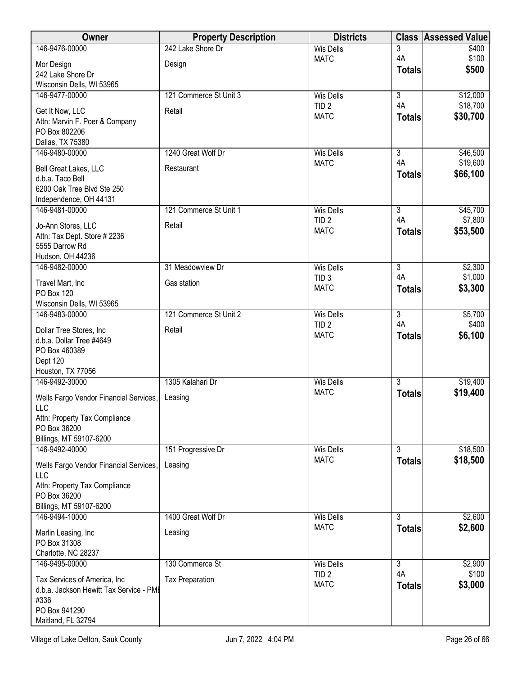| Owner                                               | <b>Property Description</b> | <b>Districts</b>                |                      | <b>Class Assessed Value</b> |
|-----------------------------------------------------|-----------------------------|---------------------------------|----------------------|-----------------------------|
| 146-9476-00000                                      | 242 Lake Shore Dr           | <b>Wis Dells</b>                | 3                    | \$400                       |
| Mor Design                                          | Design                      | <b>MATC</b>                     | 4A                   | \$100                       |
| 242 Lake Shore Dr                                   |                             |                                 | <b>Totals</b>        | \$500                       |
| Wisconsin Dells, WI 53965                           |                             |                                 |                      |                             |
| 146-9477-00000                                      | 121 Commerce St Unit 3      | <b>Wis Dells</b>                | $\overline{3}$       | \$12,000                    |
| Get It Now, LLC                                     | Retail                      | TID <sub>2</sub><br><b>MATC</b> | 4A                   | \$18,700                    |
| Attn: Marvin F. Poer & Company                      |                             |                                 | <b>Totals</b>        | \$30,700                    |
| PO Box 802206                                       |                             |                                 |                      |                             |
| Dallas, TX 75380                                    |                             |                                 |                      |                             |
| 146-9480-00000                                      | 1240 Great Wolf Dr          | <b>Wis Dells</b><br><b>MATC</b> | $\overline{3}$<br>4A | \$46,500<br>\$19,600        |
| Bell Great Lakes, LLC                               | Restaurant                  |                                 | <b>Totals</b>        | \$66,100                    |
| d.b.a. Taco Bell                                    |                             |                                 |                      |                             |
| 6200 Oak Tree Blvd Ste 250                          |                             |                                 |                      |                             |
| Independence, OH 44131<br>146-9481-00000            | 121 Commerce St Unit 1      | <b>Wis Dells</b>                | $\overline{3}$       | \$45,700                    |
|                                                     |                             | TID <sub>2</sub>                | 4A                   | \$7,800                     |
| Jo-Ann Stores, LLC                                  | Retail                      | <b>MATC</b>                     | <b>Totals</b>        | \$53,500                    |
| Attn: Tax Dept. Store # 2236<br>5555 Darrow Rd      |                             |                                 |                      |                             |
| Hudson, OH 44236                                    |                             |                                 |                      |                             |
| 146-9482-00000                                      | 31 Meadowview Dr            | <b>Wis Dells</b>                | $\overline{3}$       | \$2,300                     |
|                                                     |                             | TID <sub>3</sub>                | 4A                   | \$1,000                     |
| Travel Mart, Inc<br><b>PO Box 120</b>               | Gas station                 | <b>MATC</b>                     | <b>Totals</b>        | \$3,300                     |
| Wisconsin Dells, WI 53965                           |                             |                                 |                      |                             |
| 146-9483-00000                                      | 121 Commerce St Unit 2      | <b>Wis Dells</b>                | $\overline{3}$       | \$5,700                     |
|                                                     | Retail                      | TID <sub>2</sub>                | 4A                   | \$400                       |
| Dollar Tree Stores, Inc<br>d.b.a. Dollar Tree #4649 |                             | <b>MATC</b>                     | <b>Totals</b>        | \$6,100                     |
| PO Box 460389                                       |                             |                                 |                      |                             |
| Dept 120                                            |                             |                                 |                      |                             |
| Houston, TX 77056                                   |                             |                                 |                      |                             |
| 146-9492-30000                                      | 1305 Kalahari Dr            | <b>Wis Dells</b>                | $\overline{3}$       | \$19,400                    |
| Wells Fargo Vendor Financial Services,              | Leasing                     | <b>MATC</b>                     | <b>Totals</b>        | \$19,400                    |
| LLC                                                 |                             |                                 |                      |                             |
| Attn: Property Tax Compliance                       |                             |                                 |                      |                             |
| PO Box 36200                                        |                             |                                 |                      |                             |
| Billings, MT 59107-6200<br>146-9492-40000           | 151 Progressive Dr          | <b>Wis Dells</b>                | $\overline{3}$       | \$18,500                    |
|                                                     |                             | <b>MATC</b>                     | <b>Totals</b>        | \$18,500                    |
| Wells Fargo Vendor Financial Services,              | Leasing                     |                                 |                      |                             |
| LLC                                                 |                             |                                 |                      |                             |
| Attn: Property Tax Compliance<br>PO Box 36200       |                             |                                 |                      |                             |
| Billings, MT 59107-6200                             |                             |                                 |                      |                             |
| 146-9494-10000                                      | 1400 Great Wolf Dr          | Wis Dells                       | $\overline{3}$       | \$2,600                     |
|                                                     | Leasing                     | <b>MATC</b>                     | <b>Totals</b>        | \$2,600                     |
| Marlin Leasing, Inc<br>PO Box 31308                 |                             |                                 |                      |                             |
| Charlotte, NC 28237                                 |                             |                                 |                      |                             |
| 146-9495-00000                                      | 130 Commerce St             | Wis Dells                       | $\overline{3}$       | \$2,900                     |
| Tax Services of America, Inc                        | <b>Tax Preparation</b>      | TID <sub>2</sub>                | 4A                   | \$100                       |
| d.b.a. Jackson Hewitt Tax Service - PME             |                             | <b>MATC</b>                     | <b>Totals</b>        | \$3,000                     |
| #336                                                |                             |                                 |                      |                             |
| PO Box 941290                                       |                             |                                 |                      |                             |
| Maitland, FL 32794                                  |                             |                                 |                      |                             |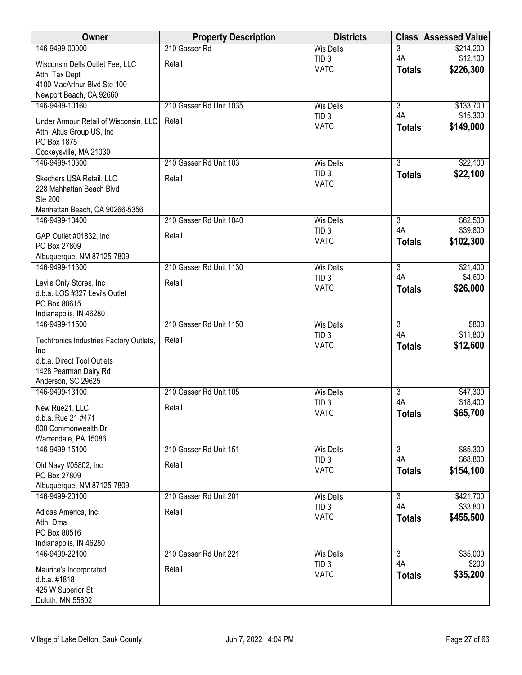| Owner                                                  | <b>Property Description</b> | <b>Districts</b>                     |                                 | <b>Class Assessed Value</b> |
|--------------------------------------------------------|-----------------------------|--------------------------------------|---------------------------------|-----------------------------|
| 146-9499-00000                                         | 210 Gasser Rd               | <b>Wis Dells</b>                     | 3                               | \$214,200                   |
| Wisconsin Dells Outlet Fee, LLC                        | Retail                      | TID <sub>3</sub><br><b>MATC</b>      | 4A<br><b>Totals</b>             | \$12,100<br>\$226,300       |
| Attn: Tax Dept                                         |                             |                                      |                                 |                             |
| 4100 MacArthur Blvd Ste 100<br>Newport Beach, CA 92660 |                             |                                      |                                 |                             |
| 146-9499-10160                                         | 210 Gasser Rd Unit 1035     | <b>Wis Dells</b>                     | $\overline{3}$                  | \$133,700                   |
| Under Armour Retail of Wisconsin, LLC                  | Retail                      | TID <sub>3</sub>                     | 4A                              | \$15,300                    |
| Attn: Altus Group US, Inc                              |                             | <b>MATC</b>                          | <b>Totals</b>                   | \$149,000                   |
| PO Box 1875                                            |                             |                                      |                                 |                             |
| Cockeysville, MA 21030                                 |                             |                                      |                                 |                             |
| 146-9499-10300                                         | 210 Gasser Rd Unit 103      | <b>Wis Dells</b><br>TID <sub>3</sub> | $\overline{3}$<br><b>Totals</b> | \$22,100<br>\$22,100        |
| Skechers USA Retail, LLC                               | Retail                      | <b>MATC</b>                          |                                 |                             |
| 228 Mahhattan Beach Blvd<br><b>Ste 200</b>             |                             |                                      |                                 |                             |
| Manhattan Beach, CA 90266-5356                         |                             |                                      |                                 |                             |
| 146-9499-10400                                         | 210 Gasser Rd Unit 1040     | <b>Wis Dells</b>                     | $\overline{3}$                  | \$62,500                    |
| GAP Outlet #01832, Inc                                 | Retail                      | TID <sub>3</sub>                     | 4A                              | \$39,800                    |
| PO Box 27809                                           |                             | <b>MATC</b>                          | <b>Totals</b>                   | \$102,300                   |
| Albuquerque, NM 87125-7809                             |                             |                                      |                                 |                             |
| 146-9499-11300                                         | 210 Gasser Rd Unit 1130     | <b>Wis Dells</b><br>TID <sub>3</sub> | $\overline{3}$<br>4A            | \$21,400<br>\$4,600         |
| Levi's Only Stores, Inc                                | Retail                      | <b>MATC</b>                          | <b>Totals</b>                   | \$26,000                    |
| d.b.a. LOS #327 Levi's Outlet<br>PO Box 80615          |                             |                                      |                                 |                             |
| Indianapolis, IN 46280                                 |                             |                                      |                                 |                             |
| 146-9499-11500                                         | 210 Gasser Rd Unit 1150     | <b>Wis Dells</b>                     | $\overline{3}$                  | \$800                       |
| Techtronics Industries Factory Outlets,                | Retail                      | TID <sub>3</sub>                     | 4A                              | \$11,800                    |
| Inc                                                    |                             | <b>MATC</b>                          | <b>Totals</b>                   | \$12,600                    |
| d.b.a. Direct Tool Outlets                             |                             |                                      |                                 |                             |
| 1428 Pearman Dairy Rd<br>Anderson, SC 29625            |                             |                                      |                                 |                             |
| 146-9499-13100                                         | 210 Gasser Rd Unit 105      | <b>Wis Dells</b>                     | 3                               | \$47,300                    |
| New Rue21, LLC                                         | Retail                      | TID <sub>3</sub>                     | 4A                              | \$18,400                    |
| d.b.a. Rue 21 #471                                     |                             | <b>MATC</b>                          | <b>Totals</b>                   | \$65,700                    |
| 800 Commonwealth Dr                                    |                             |                                      |                                 |                             |
| Warrendale, PA 15086                                   |                             |                                      |                                 |                             |
| 146-9499-15100                                         | 210 Gasser Rd Unit 151      | <b>Wis Dells</b><br>TID <sub>3</sub> | $\overline{3}$<br>4A            | \$85,300<br>\$68,800        |
| Old Navy #05802, Inc                                   | Retail                      | <b>MATC</b>                          | <b>Totals</b>                   | \$154,100                   |
| PO Box 27809<br>Albuquerque, NM 87125-7809             |                             |                                      |                                 |                             |
| 146-9499-20100                                         | 210 Gasser Rd Unit 201      | <b>Wis Dells</b>                     | $\overline{3}$                  | \$421,700                   |
| Adidas America, Inc.                                   | Retail                      | TID <sub>3</sub>                     | 4A                              | \$33,800                    |
| Attn: Dma                                              |                             | <b>MATC</b>                          | <b>Totals</b>                   | \$455,500                   |
| PO Box 80516                                           |                             |                                      |                                 |                             |
| Indianapolis, IN 46280                                 |                             |                                      |                                 |                             |
| 146-9499-22100                                         | 210 Gasser Rd Unit 221      | <b>Wis Dells</b><br>TID <sub>3</sub> | $\overline{3}$<br>4A            | \$35,000<br>\$200           |
| Maurice's Incorporated                                 | Retail                      | <b>MATC</b>                          | <b>Totals</b>                   | \$35,200                    |
| d.b.a. #1818<br>425 W Superior St                      |                             |                                      |                                 |                             |
| Duluth, MN 55802                                       |                             |                                      |                                 |                             |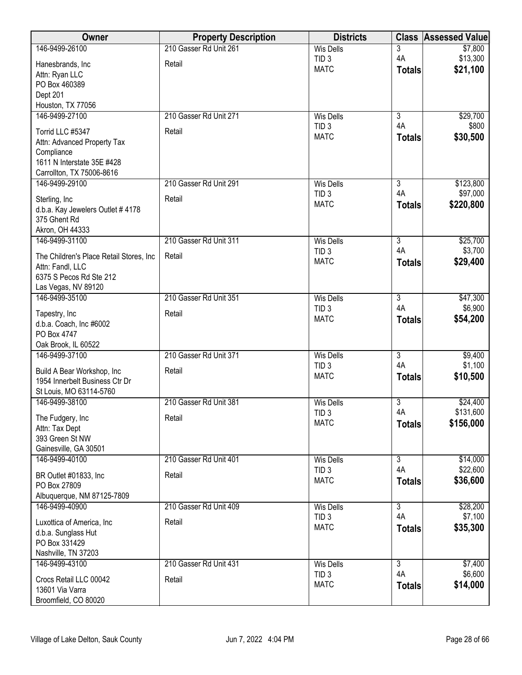| Owner                                                     | <b>Property Description</b> | <b>Districts</b>                | <b>Class</b>         | <b>Assessed Value</b> |
|-----------------------------------------------------------|-----------------------------|---------------------------------|----------------------|-----------------------|
| 146-9499-26100                                            | 210 Gasser Rd Unit 261      | <b>Wis Dells</b>                | 3                    | \$7,800               |
| Hanesbrands, Inc                                          | Retail                      | TID <sub>3</sub><br><b>MATC</b> | 4A                   | \$13,300<br>\$21,100  |
| Attn: Ryan LLC                                            |                             |                                 | <b>Totals</b>        |                       |
| PO Box 460389                                             |                             |                                 |                      |                       |
| Dept 201<br>Houston, TX 77056                             |                             |                                 |                      |                       |
| 146-9499-27100                                            | 210 Gasser Rd Unit 271      | <b>Wis Dells</b>                | $\overline{3}$       | \$29,700              |
|                                                           |                             | TID <sub>3</sub>                | 4A                   | \$800                 |
| Torrid LLC #5347                                          | Retail                      | <b>MATC</b>                     | <b>Totals</b>        | \$30,500              |
| Attn: Advanced Property Tax<br>Compliance                 |                             |                                 |                      |                       |
| 1611 N Interstate 35E #428                                |                             |                                 |                      |                       |
| Carrollton, TX 75006-8616                                 |                             |                                 |                      |                       |
| 146-9499-29100                                            | 210 Gasser Rd Unit 291      | <b>Wis Dells</b>                | 3                    | \$123,800             |
| Sterling, Inc.                                            | Retail                      | TID <sub>3</sub>                | 4A                   | \$97,000              |
| d.b.a. Kay Jewelers Outlet # 4178                         |                             | <b>MATC</b>                     | <b>Totals</b>        | \$220,800             |
| 375 Ghent Rd                                              |                             |                                 |                      |                       |
| Akron, OH 44333                                           |                             |                                 |                      |                       |
| 146-9499-31100                                            | 210 Gasser Rd Unit 311      | <b>Wis Dells</b>                | $\overline{3}$       | \$25,700              |
| The Children's Place Retail Stores, Inc                   | Retail                      | TID <sub>3</sub>                | 4A                   | \$3,700               |
| Attn: Fandl, LLC                                          |                             | <b>MATC</b>                     | <b>Totals</b>        | \$29,400              |
| 6375 S Pecos Rd Ste 212                                   |                             |                                 |                      |                       |
| Las Vegas, NV 89120                                       |                             |                                 |                      |                       |
| 146-9499-35100                                            | 210 Gasser Rd Unit 351      | <b>Wis Dells</b>                | $\overline{3}$<br>4A | \$47,300<br>\$6,900   |
| Tapestry, Inc                                             | Retail                      | TID <sub>3</sub><br><b>MATC</b> | <b>Totals</b>        | \$54,200              |
| d.b.a. Coach, Inc #6002                                   |                             |                                 |                      |                       |
| PO Box 4747                                               |                             |                                 |                      |                       |
| Oak Brook, IL 60522<br>146-9499-37100                     | 210 Gasser Rd Unit 371      | <b>Wis Dells</b>                | $\overline{3}$       | \$9,400               |
|                                                           |                             | TID <sub>3</sub>                | 4A                   | \$1,100               |
| Build A Bear Workshop, Inc.                               | Retail                      | <b>MATC</b>                     | <b>Totals</b>        | \$10,500              |
| 1954 Innerbelt Business Ctr Dr<br>St Louis, MO 63114-5760 |                             |                                 |                      |                       |
| 146-9499-38100                                            | 210 Gasser Rd Unit 381      | <b>Wis Dells</b>                | $\overline{3}$       | \$24,400              |
|                                                           |                             | TID <sub>3</sub>                | 4A                   | \$131,600             |
| The Fudgery, Inc                                          | Retail                      | <b>MATC</b>                     | <b>Totals</b>        | \$156,000             |
| Attn: Tax Dept<br>393 Green St NW                         |                             |                                 |                      |                       |
| Gainesville, GA 30501                                     |                             |                                 |                      |                       |
| 146-9499-40100                                            | 210 Gasser Rd Unit 401      | <b>Wis Dells</b>                | $\overline{3}$       | \$14,000              |
| BR Outlet #01833, Inc                                     | Retail                      | TID <sub>3</sub>                | 4A                   | \$22,600              |
| PO Box 27809                                              |                             | <b>MATC</b>                     | <b>Totals</b>        | \$36,600              |
| Albuquerque, NM 87125-7809                                |                             |                                 |                      |                       |
| 146-9499-40900                                            | 210 Gasser Rd Unit 409      | Wis Dells                       | $\overline{3}$       | \$28,200              |
| Luxottica of America, Inc                                 | Retail                      | TID <sub>3</sub>                | 4A                   | \$7,100               |
| d.b.a. Sunglass Hut                                       |                             | <b>MATC</b>                     | <b>Totals</b>        | \$35,300              |
| PO Box 331429                                             |                             |                                 |                      |                       |
| Nashville, TN 37203                                       |                             |                                 |                      |                       |
| 146-9499-43100                                            | 210 Gasser Rd Unit 431      | <b>Wis Dells</b>                | $\overline{3}$       | \$7,400               |
| Crocs Retail LLC 00042                                    | Retail                      | TID <sub>3</sub>                | 4A                   | \$6,600               |
| 13601 Via Varra                                           |                             | <b>MATC</b>                     | <b>Totals</b>        | \$14,000              |
| Broomfield, CO 80020                                      |                             |                                 |                      |                       |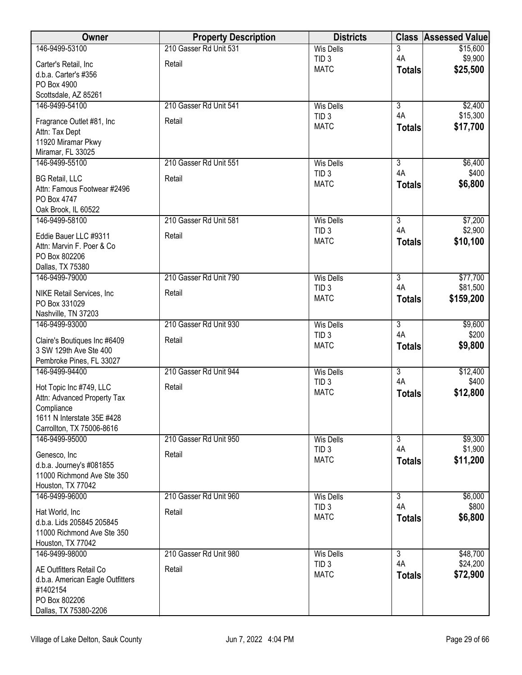| 3<br>4A<br>\$9,900<br>TID <sub>3</sub><br>Carter's Retail, Inc<br>Retail<br>\$25,500<br><b>MATC</b><br><b>Totals</b><br>d.b.a. Carter's #356<br>PO Box 4900<br>Scottsdale, AZ 85261<br>\$2,400<br>146-9499-54100<br>210 Gasser Rd Unit 541<br>$\overline{3}$<br><b>Wis Dells</b><br>4A<br>\$15,300<br>TID <sub>3</sub><br>Retail<br>Fragrance Outlet #81, Inc<br><b>MATC</b><br>\$17,700<br><b>Totals</b><br>Attn: Tax Dept<br>11920 Miramar Pkwy<br>Miramar, FL 33025<br>$\overline{\overline{3}}$<br>146-9499-55100<br>210 Gasser Rd Unit 551<br>\$6,400<br><b>Wis Dells</b><br>4A<br>TID <sub>3</sub><br>\$400<br>Retail<br><b>BG Retail, LLC</b><br><b>MATC</b><br>\$6,800<br><b>Totals</b><br>Attn: Famous Footwear #2496<br>PO Box 4747<br>Oak Brook, IL 60522<br>146-9499-58100<br>210 Gasser Rd Unit 581<br>$\overline{3}$<br>\$7,200<br><b>Wis Dells</b><br>4A<br>\$2,900<br>TID <sub>3</sub><br>Eddie Bauer LLC #9311<br>Retail<br>\$10,100<br><b>MATC</b><br><b>Totals</b><br>Attn: Marvin F. Poer & Co<br>PO Box 802206<br>Dallas, TX 75380<br>\$77,700<br>210 Gasser Rd Unit 790<br><b>Wis Dells</b><br>$\overline{3}$<br>146-9499-79000<br>4A<br>\$81,500<br>TID <sub>3</sub><br>NIKE Retail Services, Inc<br>Retail<br>\$159,200<br><b>MATC</b><br><b>Totals</b><br>PO Box 331029<br>Nashville, TN 37203<br>$\overline{3}$<br>146-9499-93000<br>210 Gasser Rd Unit 930<br><b>Wis Dells</b><br>\$9,600<br>4A<br>\$200<br>TID <sub>3</sub><br>Claire's Boutiques Inc #6409<br>Retail<br>\$9,800<br><b>MATC</b><br><b>Totals</b><br>3 SW 129th Ave Ste 400<br>Pembroke Pines, FL 33027<br>$\overline{3}$<br>146-9499-94400<br>210 Gasser Rd Unit 944<br>\$12,400<br><b>Wis Dells</b><br>4A<br>\$400<br>TID <sub>3</sub><br>Retail<br>Hot Topic Inc #749, LLC<br><b>MATC</b><br>\$12,800<br><b>Totals</b><br>Attn: Advanced Property Tax<br>Compliance<br>1611 N Interstate 35E #428<br>Carrollton, TX 75006-8616<br>$\overline{\overline{3}}$<br>146-9499-95000<br>210 Gasser Rd Unit 950<br><b>Wis Dells</b><br>\$9,300<br>4A<br>\$1,900<br>TID <sub>3</sub><br>Retail<br>Genesco, Inc<br><b>MATC</b><br>\$11,200<br><b>Totals</b><br>d.b.a. Journey's #081855<br>11000 Richmond Ave Ste 350<br>Houston, TX 77042<br>210 Gasser Rd Unit 960<br>$\overline{3}$<br>\$6,000<br>146-9499-96000<br><b>Wis Dells</b><br>4A<br>\$800<br>TID <sub>3</sub><br>Retail<br>Hat World, Inc<br>\$6,800<br><b>MATC</b><br><b>Totals</b><br>d.b.a. Lids 205845 205845<br>11000 Richmond Ave Ste 350<br>Houston, TX 77042<br>146-9499-98000<br>$\overline{3}$<br>\$48,700<br>210 Gasser Rd Unit 980<br><b>Wis Dells</b> | Owner          | <b>Property Description</b> | <b>Districts</b> |    | <b>Class Assessed Value</b> |
|---------------------------------------------------------------------------------------------------------------------------------------------------------------------------------------------------------------------------------------------------------------------------------------------------------------------------------------------------------------------------------------------------------------------------------------------------------------------------------------------------------------------------------------------------------------------------------------------------------------------------------------------------------------------------------------------------------------------------------------------------------------------------------------------------------------------------------------------------------------------------------------------------------------------------------------------------------------------------------------------------------------------------------------------------------------------------------------------------------------------------------------------------------------------------------------------------------------------------------------------------------------------------------------------------------------------------------------------------------------------------------------------------------------------------------------------------------------------------------------------------------------------------------------------------------------------------------------------------------------------------------------------------------------------------------------------------------------------------------------------------------------------------------------------------------------------------------------------------------------------------------------------------------------------------------------------------------------------------------------------------------------------------------------------------------------------------------------------------------------------------------------------------------------------------------------------------------------------------------------------------------------------------------------------------------------------------------------------------------------------------------------------------------------------------------------------------------------------------------------------------------------------------------------------------------------------------------------------------------------------|----------------|-----------------------------|------------------|----|-----------------------------|
|                                                                                                                                                                                                                                                                                                                                                                                                                                                                                                                                                                                                                                                                                                                                                                                                                                                                                                                                                                                                                                                                                                                                                                                                                                                                                                                                                                                                                                                                                                                                                                                                                                                                                                                                                                                                                                                                                                                                                                                                                                                                                                                                                                                                                                                                                                                                                                                                                                                                                                                                                                                                                     | 146-9499-53100 | 210 Gasser Rd Unit 531      | <b>Wis Dells</b> |    | \$15,600                    |
|                                                                                                                                                                                                                                                                                                                                                                                                                                                                                                                                                                                                                                                                                                                                                                                                                                                                                                                                                                                                                                                                                                                                                                                                                                                                                                                                                                                                                                                                                                                                                                                                                                                                                                                                                                                                                                                                                                                                                                                                                                                                                                                                                                                                                                                                                                                                                                                                                                                                                                                                                                                                                     |                |                             |                  |    |                             |
|                                                                                                                                                                                                                                                                                                                                                                                                                                                                                                                                                                                                                                                                                                                                                                                                                                                                                                                                                                                                                                                                                                                                                                                                                                                                                                                                                                                                                                                                                                                                                                                                                                                                                                                                                                                                                                                                                                                                                                                                                                                                                                                                                                                                                                                                                                                                                                                                                                                                                                                                                                                                                     |                |                             |                  |    |                             |
|                                                                                                                                                                                                                                                                                                                                                                                                                                                                                                                                                                                                                                                                                                                                                                                                                                                                                                                                                                                                                                                                                                                                                                                                                                                                                                                                                                                                                                                                                                                                                                                                                                                                                                                                                                                                                                                                                                                                                                                                                                                                                                                                                                                                                                                                                                                                                                                                                                                                                                                                                                                                                     |                |                             |                  |    |                             |
|                                                                                                                                                                                                                                                                                                                                                                                                                                                                                                                                                                                                                                                                                                                                                                                                                                                                                                                                                                                                                                                                                                                                                                                                                                                                                                                                                                                                                                                                                                                                                                                                                                                                                                                                                                                                                                                                                                                                                                                                                                                                                                                                                                                                                                                                                                                                                                                                                                                                                                                                                                                                                     |                |                             |                  |    |                             |
|                                                                                                                                                                                                                                                                                                                                                                                                                                                                                                                                                                                                                                                                                                                                                                                                                                                                                                                                                                                                                                                                                                                                                                                                                                                                                                                                                                                                                                                                                                                                                                                                                                                                                                                                                                                                                                                                                                                                                                                                                                                                                                                                                                                                                                                                                                                                                                                                                                                                                                                                                                                                                     |                |                             |                  |    |                             |
|                                                                                                                                                                                                                                                                                                                                                                                                                                                                                                                                                                                                                                                                                                                                                                                                                                                                                                                                                                                                                                                                                                                                                                                                                                                                                                                                                                                                                                                                                                                                                                                                                                                                                                                                                                                                                                                                                                                                                                                                                                                                                                                                                                                                                                                                                                                                                                                                                                                                                                                                                                                                                     |                |                             |                  |    |                             |
|                                                                                                                                                                                                                                                                                                                                                                                                                                                                                                                                                                                                                                                                                                                                                                                                                                                                                                                                                                                                                                                                                                                                                                                                                                                                                                                                                                                                                                                                                                                                                                                                                                                                                                                                                                                                                                                                                                                                                                                                                                                                                                                                                                                                                                                                                                                                                                                                                                                                                                                                                                                                                     |                |                             |                  |    |                             |
|                                                                                                                                                                                                                                                                                                                                                                                                                                                                                                                                                                                                                                                                                                                                                                                                                                                                                                                                                                                                                                                                                                                                                                                                                                                                                                                                                                                                                                                                                                                                                                                                                                                                                                                                                                                                                                                                                                                                                                                                                                                                                                                                                                                                                                                                                                                                                                                                                                                                                                                                                                                                                     |                |                             |                  |    |                             |
|                                                                                                                                                                                                                                                                                                                                                                                                                                                                                                                                                                                                                                                                                                                                                                                                                                                                                                                                                                                                                                                                                                                                                                                                                                                                                                                                                                                                                                                                                                                                                                                                                                                                                                                                                                                                                                                                                                                                                                                                                                                                                                                                                                                                                                                                                                                                                                                                                                                                                                                                                                                                                     |                |                             |                  |    |                             |
|                                                                                                                                                                                                                                                                                                                                                                                                                                                                                                                                                                                                                                                                                                                                                                                                                                                                                                                                                                                                                                                                                                                                                                                                                                                                                                                                                                                                                                                                                                                                                                                                                                                                                                                                                                                                                                                                                                                                                                                                                                                                                                                                                                                                                                                                                                                                                                                                                                                                                                                                                                                                                     |                |                             |                  |    |                             |
|                                                                                                                                                                                                                                                                                                                                                                                                                                                                                                                                                                                                                                                                                                                                                                                                                                                                                                                                                                                                                                                                                                                                                                                                                                                                                                                                                                                                                                                                                                                                                                                                                                                                                                                                                                                                                                                                                                                                                                                                                                                                                                                                                                                                                                                                                                                                                                                                                                                                                                                                                                                                                     |                |                             |                  |    |                             |
|                                                                                                                                                                                                                                                                                                                                                                                                                                                                                                                                                                                                                                                                                                                                                                                                                                                                                                                                                                                                                                                                                                                                                                                                                                                                                                                                                                                                                                                                                                                                                                                                                                                                                                                                                                                                                                                                                                                                                                                                                                                                                                                                                                                                                                                                                                                                                                                                                                                                                                                                                                                                                     |                |                             |                  |    |                             |
|                                                                                                                                                                                                                                                                                                                                                                                                                                                                                                                                                                                                                                                                                                                                                                                                                                                                                                                                                                                                                                                                                                                                                                                                                                                                                                                                                                                                                                                                                                                                                                                                                                                                                                                                                                                                                                                                                                                                                                                                                                                                                                                                                                                                                                                                                                                                                                                                                                                                                                                                                                                                                     |                |                             |                  |    |                             |
|                                                                                                                                                                                                                                                                                                                                                                                                                                                                                                                                                                                                                                                                                                                                                                                                                                                                                                                                                                                                                                                                                                                                                                                                                                                                                                                                                                                                                                                                                                                                                                                                                                                                                                                                                                                                                                                                                                                                                                                                                                                                                                                                                                                                                                                                                                                                                                                                                                                                                                                                                                                                                     |                |                             |                  |    |                             |
|                                                                                                                                                                                                                                                                                                                                                                                                                                                                                                                                                                                                                                                                                                                                                                                                                                                                                                                                                                                                                                                                                                                                                                                                                                                                                                                                                                                                                                                                                                                                                                                                                                                                                                                                                                                                                                                                                                                                                                                                                                                                                                                                                                                                                                                                                                                                                                                                                                                                                                                                                                                                                     |                |                             |                  |    |                             |
|                                                                                                                                                                                                                                                                                                                                                                                                                                                                                                                                                                                                                                                                                                                                                                                                                                                                                                                                                                                                                                                                                                                                                                                                                                                                                                                                                                                                                                                                                                                                                                                                                                                                                                                                                                                                                                                                                                                                                                                                                                                                                                                                                                                                                                                                                                                                                                                                                                                                                                                                                                                                                     |                |                             |                  |    |                             |
|                                                                                                                                                                                                                                                                                                                                                                                                                                                                                                                                                                                                                                                                                                                                                                                                                                                                                                                                                                                                                                                                                                                                                                                                                                                                                                                                                                                                                                                                                                                                                                                                                                                                                                                                                                                                                                                                                                                                                                                                                                                                                                                                                                                                                                                                                                                                                                                                                                                                                                                                                                                                                     |                |                             |                  |    |                             |
|                                                                                                                                                                                                                                                                                                                                                                                                                                                                                                                                                                                                                                                                                                                                                                                                                                                                                                                                                                                                                                                                                                                                                                                                                                                                                                                                                                                                                                                                                                                                                                                                                                                                                                                                                                                                                                                                                                                                                                                                                                                                                                                                                                                                                                                                                                                                                                                                                                                                                                                                                                                                                     |                |                             |                  |    |                             |
|                                                                                                                                                                                                                                                                                                                                                                                                                                                                                                                                                                                                                                                                                                                                                                                                                                                                                                                                                                                                                                                                                                                                                                                                                                                                                                                                                                                                                                                                                                                                                                                                                                                                                                                                                                                                                                                                                                                                                                                                                                                                                                                                                                                                                                                                                                                                                                                                                                                                                                                                                                                                                     |                |                             |                  |    |                             |
|                                                                                                                                                                                                                                                                                                                                                                                                                                                                                                                                                                                                                                                                                                                                                                                                                                                                                                                                                                                                                                                                                                                                                                                                                                                                                                                                                                                                                                                                                                                                                                                                                                                                                                                                                                                                                                                                                                                                                                                                                                                                                                                                                                                                                                                                                                                                                                                                                                                                                                                                                                                                                     |                |                             |                  |    |                             |
|                                                                                                                                                                                                                                                                                                                                                                                                                                                                                                                                                                                                                                                                                                                                                                                                                                                                                                                                                                                                                                                                                                                                                                                                                                                                                                                                                                                                                                                                                                                                                                                                                                                                                                                                                                                                                                                                                                                                                                                                                                                                                                                                                                                                                                                                                                                                                                                                                                                                                                                                                                                                                     |                |                             |                  |    |                             |
|                                                                                                                                                                                                                                                                                                                                                                                                                                                                                                                                                                                                                                                                                                                                                                                                                                                                                                                                                                                                                                                                                                                                                                                                                                                                                                                                                                                                                                                                                                                                                                                                                                                                                                                                                                                                                                                                                                                                                                                                                                                                                                                                                                                                                                                                                                                                                                                                                                                                                                                                                                                                                     |                |                             |                  |    |                             |
|                                                                                                                                                                                                                                                                                                                                                                                                                                                                                                                                                                                                                                                                                                                                                                                                                                                                                                                                                                                                                                                                                                                                                                                                                                                                                                                                                                                                                                                                                                                                                                                                                                                                                                                                                                                                                                                                                                                                                                                                                                                                                                                                                                                                                                                                                                                                                                                                                                                                                                                                                                                                                     |                |                             |                  |    |                             |
|                                                                                                                                                                                                                                                                                                                                                                                                                                                                                                                                                                                                                                                                                                                                                                                                                                                                                                                                                                                                                                                                                                                                                                                                                                                                                                                                                                                                                                                                                                                                                                                                                                                                                                                                                                                                                                                                                                                                                                                                                                                                                                                                                                                                                                                                                                                                                                                                                                                                                                                                                                                                                     |                |                             |                  |    |                             |
|                                                                                                                                                                                                                                                                                                                                                                                                                                                                                                                                                                                                                                                                                                                                                                                                                                                                                                                                                                                                                                                                                                                                                                                                                                                                                                                                                                                                                                                                                                                                                                                                                                                                                                                                                                                                                                                                                                                                                                                                                                                                                                                                                                                                                                                                                                                                                                                                                                                                                                                                                                                                                     |                |                             |                  |    |                             |
|                                                                                                                                                                                                                                                                                                                                                                                                                                                                                                                                                                                                                                                                                                                                                                                                                                                                                                                                                                                                                                                                                                                                                                                                                                                                                                                                                                                                                                                                                                                                                                                                                                                                                                                                                                                                                                                                                                                                                                                                                                                                                                                                                                                                                                                                                                                                                                                                                                                                                                                                                                                                                     |                |                             |                  |    |                             |
|                                                                                                                                                                                                                                                                                                                                                                                                                                                                                                                                                                                                                                                                                                                                                                                                                                                                                                                                                                                                                                                                                                                                                                                                                                                                                                                                                                                                                                                                                                                                                                                                                                                                                                                                                                                                                                                                                                                                                                                                                                                                                                                                                                                                                                                                                                                                                                                                                                                                                                                                                                                                                     |                |                             |                  |    |                             |
|                                                                                                                                                                                                                                                                                                                                                                                                                                                                                                                                                                                                                                                                                                                                                                                                                                                                                                                                                                                                                                                                                                                                                                                                                                                                                                                                                                                                                                                                                                                                                                                                                                                                                                                                                                                                                                                                                                                                                                                                                                                                                                                                                                                                                                                                                                                                                                                                                                                                                                                                                                                                                     |                |                             |                  |    |                             |
|                                                                                                                                                                                                                                                                                                                                                                                                                                                                                                                                                                                                                                                                                                                                                                                                                                                                                                                                                                                                                                                                                                                                                                                                                                                                                                                                                                                                                                                                                                                                                                                                                                                                                                                                                                                                                                                                                                                                                                                                                                                                                                                                                                                                                                                                                                                                                                                                                                                                                                                                                                                                                     |                |                             |                  |    |                             |
|                                                                                                                                                                                                                                                                                                                                                                                                                                                                                                                                                                                                                                                                                                                                                                                                                                                                                                                                                                                                                                                                                                                                                                                                                                                                                                                                                                                                                                                                                                                                                                                                                                                                                                                                                                                                                                                                                                                                                                                                                                                                                                                                                                                                                                                                                                                                                                                                                                                                                                                                                                                                                     |                |                             |                  |    |                             |
|                                                                                                                                                                                                                                                                                                                                                                                                                                                                                                                                                                                                                                                                                                                                                                                                                                                                                                                                                                                                                                                                                                                                                                                                                                                                                                                                                                                                                                                                                                                                                                                                                                                                                                                                                                                                                                                                                                                                                                                                                                                                                                                                                                                                                                                                                                                                                                                                                                                                                                                                                                                                                     |                |                             |                  |    |                             |
|                                                                                                                                                                                                                                                                                                                                                                                                                                                                                                                                                                                                                                                                                                                                                                                                                                                                                                                                                                                                                                                                                                                                                                                                                                                                                                                                                                                                                                                                                                                                                                                                                                                                                                                                                                                                                                                                                                                                                                                                                                                                                                                                                                                                                                                                                                                                                                                                                                                                                                                                                                                                                     |                |                             |                  |    |                             |
|                                                                                                                                                                                                                                                                                                                                                                                                                                                                                                                                                                                                                                                                                                                                                                                                                                                                                                                                                                                                                                                                                                                                                                                                                                                                                                                                                                                                                                                                                                                                                                                                                                                                                                                                                                                                                                                                                                                                                                                                                                                                                                                                                                                                                                                                                                                                                                                                                                                                                                                                                                                                                     |                |                             |                  |    |                             |
|                                                                                                                                                                                                                                                                                                                                                                                                                                                                                                                                                                                                                                                                                                                                                                                                                                                                                                                                                                                                                                                                                                                                                                                                                                                                                                                                                                                                                                                                                                                                                                                                                                                                                                                                                                                                                                                                                                                                                                                                                                                                                                                                                                                                                                                                                                                                                                                                                                                                                                                                                                                                                     |                |                             |                  |    |                             |
|                                                                                                                                                                                                                                                                                                                                                                                                                                                                                                                                                                                                                                                                                                                                                                                                                                                                                                                                                                                                                                                                                                                                                                                                                                                                                                                                                                                                                                                                                                                                                                                                                                                                                                                                                                                                                                                                                                                                                                                                                                                                                                                                                                                                                                                                                                                                                                                                                                                                                                                                                                                                                     |                |                             |                  |    |                             |
|                                                                                                                                                                                                                                                                                                                                                                                                                                                                                                                                                                                                                                                                                                                                                                                                                                                                                                                                                                                                                                                                                                                                                                                                                                                                                                                                                                                                                                                                                                                                                                                                                                                                                                                                                                                                                                                                                                                                                                                                                                                                                                                                                                                                                                                                                                                                                                                                                                                                                                                                                                                                                     |                |                             |                  |    |                             |
|                                                                                                                                                                                                                                                                                                                                                                                                                                                                                                                                                                                                                                                                                                                                                                                                                                                                                                                                                                                                                                                                                                                                                                                                                                                                                                                                                                                                                                                                                                                                                                                                                                                                                                                                                                                                                                                                                                                                                                                                                                                                                                                                                                                                                                                                                                                                                                                                                                                                                                                                                                                                                     |                |                             |                  |    |                             |
| AE Outfitters Retail Co<br>Retail                                                                                                                                                                                                                                                                                                                                                                                                                                                                                                                                                                                                                                                                                                                                                                                                                                                                                                                                                                                                                                                                                                                                                                                                                                                                                                                                                                                                                                                                                                                                                                                                                                                                                                                                                                                                                                                                                                                                                                                                                                                                                                                                                                                                                                                                                                                                                                                                                                                                                                                                                                                   |                |                             | TID <sub>3</sub> | 4A | \$24,200                    |
| \$72,900<br><b>MATC</b><br><b>Totals</b><br>d.b.a. American Eagle Outfitters                                                                                                                                                                                                                                                                                                                                                                                                                                                                                                                                                                                                                                                                                                                                                                                                                                                                                                                                                                                                                                                                                                                                                                                                                                                                                                                                                                                                                                                                                                                                                                                                                                                                                                                                                                                                                                                                                                                                                                                                                                                                                                                                                                                                                                                                                                                                                                                                                                                                                                                                        |                |                             |                  |    |                             |
| #1402154                                                                                                                                                                                                                                                                                                                                                                                                                                                                                                                                                                                                                                                                                                                                                                                                                                                                                                                                                                                                                                                                                                                                                                                                                                                                                                                                                                                                                                                                                                                                                                                                                                                                                                                                                                                                                                                                                                                                                                                                                                                                                                                                                                                                                                                                                                                                                                                                                                                                                                                                                                                                            |                |                             |                  |    |                             |
| PO Box 802206<br>Dallas, TX 75380-2206                                                                                                                                                                                                                                                                                                                                                                                                                                                                                                                                                                                                                                                                                                                                                                                                                                                                                                                                                                                                                                                                                                                                                                                                                                                                                                                                                                                                                                                                                                                                                                                                                                                                                                                                                                                                                                                                                                                                                                                                                                                                                                                                                                                                                                                                                                                                                                                                                                                                                                                                                                              |                |                             |                  |    |                             |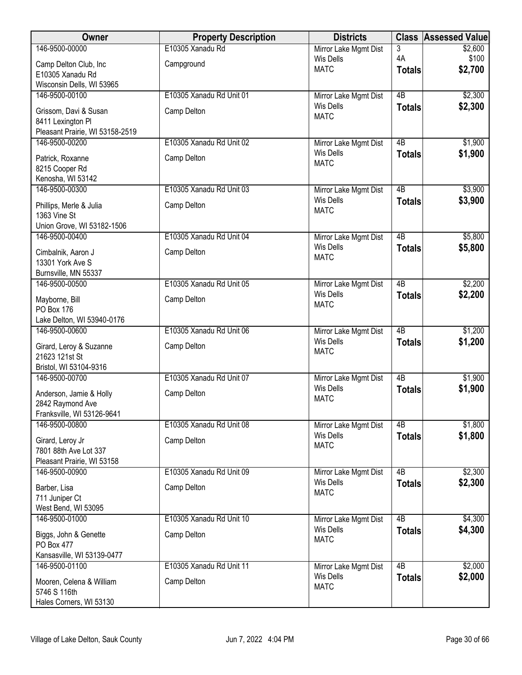| Owner                                                | <b>Property Description</b> | <b>Districts</b>                          |                     | <b>Class Assessed Value</b> |
|------------------------------------------------------|-----------------------------|-------------------------------------------|---------------------|-----------------------------|
| 146-9500-00000                                       | E10305 Xanadu Rd            | Mirror Lake Mgmt Dist                     | 3                   | \$2,600                     |
| Camp Delton Club, Inc                                | Campground                  | <b>Wis Dells</b><br><b>MATC</b>           | 4A<br><b>Totals</b> | \$100<br>\$2,700            |
| E10305 Xanadu Rd                                     |                             |                                           |                     |                             |
| Wisconsin Dells, WI 53965<br>146-9500-00100          | E10305 Xanadu Rd Unit 01    | Mirror Lake Mgmt Dist                     | $\overline{AB}$     | \$2,300                     |
|                                                      |                             | <b>Wis Dells</b>                          | <b>Totals</b>       | \$2,300                     |
| Grissom, Davi & Susan                                | Camp Delton                 | <b>MATC</b>                               |                     |                             |
| 8411 Lexington Pl<br>Pleasant Prairie, WI 53158-2519 |                             |                                           |                     |                             |
| 146-9500-00200                                       | E10305 Xanadu Rd Unit 02    | Mirror Lake Mgmt Dist                     | 4B                  | \$1,900                     |
| Patrick, Roxanne                                     | Camp Delton                 | <b>Wis Dells</b>                          | <b>Totals</b>       | \$1,900                     |
| 8215 Cooper Rd                                       |                             | <b>MATC</b>                               |                     |                             |
| Kenosha, WI 53142                                    |                             |                                           |                     |                             |
| 146-9500-00300                                       | E10305 Xanadu Rd Unit 03    | Mirror Lake Mgmt Dist                     | 4B                  | \$3,900                     |
| Phillips, Merle & Julia                              | Camp Delton                 | <b>Wis Dells</b><br><b>MATC</b>           | <b>Totals</b>       | \$3,900                     |
| 1363 Vine St                                         |                             |                                           |                     |                             |
| Union Grove, WI 53182-1506<br>146-9500-00400         | E10305 Xanadu Rd Unit 04    | Mirror Lake Mgmt Dist                     | $\overline{AB}$     | \$5,800                     |
|                                                      |                             | <b>Wis Dells</b>                          | <b>Totals</b>       | \$5,800                     |
| Cimbalnik, Aaron J<br>13301 York Ave S               | Camp Delton                 | <b>MATC</b>                               |                     |                             |
| Burnsville, MN 55337                                 |                             |                                           |                     |                             |
| 146-9500-00500                                       | E10305 Xanadu Rd Unit 05    | Mirror Lake Mgmt Dist                     | 4B                  | \$2,200                     |
| Mayborne, Bill                                       | Camp Delton                 | Wis Dells                                 | <b>Totals</b>       | \$2,200                     |
| PO Box 176                                           |                             | <b>MATC</b>                               |                     |                             |
| Lake Delton, WI 53940-0176                           |                             |                                           |                     |                             |
| 146-9500-00600                                       | E10305 Xanadu Rd Unit 06    | Mirror Lake Mgmt Dist<br><b>Wis Dells</b> | $\overline{AB}$     | \$1,200                     |
| Girard, Leroy & Suzanne                              | Camp Delton                 | <b>MATC</b>                               | <b>Totals</b>       | \$1,200                     |
| 21623 121st St<br>Bristol, WI 53104-9316             |                             |                                           |                     |                             |
| 146-9500-00700                                       | E10305 Xanadu Rd Unit 07    | Mirror Lake Mgmt Dist                     | 4B                  | \$1,900                     |
|                                                      |                             | <b>Wis Dells</b>                          | <b>Totals</b>       | \$1,900                     |
| Anderson, Jamie & Holly<br>2842 Raymond Ave          | Camp Delton                 | <b>MATC</b>                               |                     |                             |
| Franksville, WI 53126-9641                           |                             |                                           |                     |                             |
| 146-9500-00800                                       | E10305 Xanadu Rd Unit 08    | Mirror Lake Mgmt Dist                     | 4B                  | \$1,800                     |
| Girard, Leroy Jr                                     | Camp Delton                 | <b>Wis Dells</b><br><b>MATC</b>           | <b>Totals</b>       | \$1,800                     |
| 7801 88th Ave Lot 337                                |                             |                                           |                     |                             |
| Pleasant Prairie, WI 53158                           |                             |                                           | $\overline{AB}$     |                             |
| 146-9500-00900                                       | E10305 Xanadu Rd Unit 09    | Mirror Lake Mgmt Dist<br><b>Wis Dells</b> | <b>Totals</b>       | \$2,300<br>\$2,300          |
| Barber, Lisa                                         | Camp Delton                 | <b>MATC</b>                               |                     |                             |
| 711 Juniper Ct<br>West Bend, WI 53095                |                             |                                           |                     |                             |
| 146-9500-01000                                       | E10305 Xanadu Rd Unit 10    | Mirror Lake Mgmt Dist                     | 4B                  | \$4,300                     |
| Biggs, John & Genette                                | Camp Delton                 | <b>Wis Dells</b>                          | <b>Totals</b>       | \$4,300                     |
| PO Box 477                                           |                             | <b>MATC</b>                               |                     |                             |
| Kansasville, WI 53139-0477                           |                             |                                           |                     |                             |
| 146-9500-01100                                       | E10305 Xanadu Rd Unit 11    | Mirror Lake Mgmt Dist                     | 4B                  | \$2,000                     |
| Mooren, Celena & William                             | Camp Delton                 | <b>Wis Dells</b><br><b>MATC</b>           | <b>Totals</b>       | \$2,000                     |
| 5746 S 116th                                         |                             |                                           |                     |                             |
| Hales Corners, WI 53130                              |                             |                                           |                     |                             |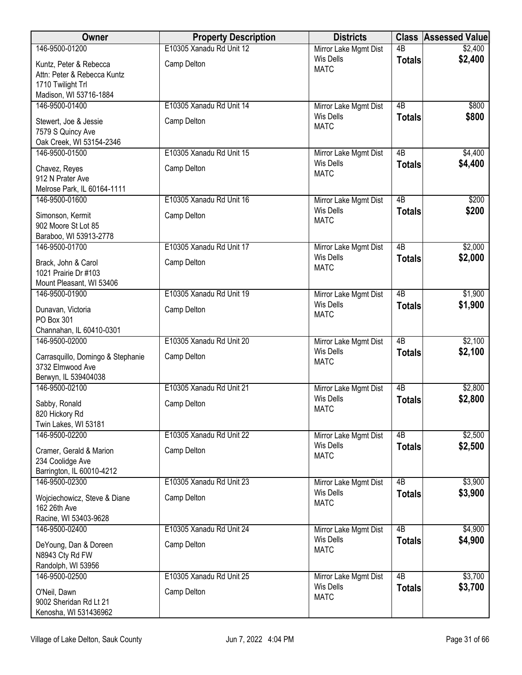| Owner                                                                         | <b>Property Description</b>             | <b>Districts</b>                          |                                  | <b>Class Assessed Value</b> |
|-------------------------------------------------------------------------------|-----------------------------------------|-------------------------------------------|----------------------------------|-----------------------------|
| 146-9500-01200                                                                | E10305 Xanadu Rd Unit 12                | Mirror Lake Mgmt Dist                     | $\overline{AB}$                  | \$2,400                     |
| Kuntz, Peter & Rebecca<br>Attn: Peter & Rebecca Kuntz                         | Camp Delton                             | <b>Wis Dells</b><br><b>MATC</b>           | <b>Totals</b>                    | \$2,400                     |
| 1710 Twilight Trl<br>Madison, WI 53716-1884                                   |                                         |                                           |                                  |                             |
| 146-9500-01400                                                                | E10305 Xanadu Rd Unit 14                | Mirror Lake Mgmt Dist                     | 4B                               | \$800                       |
| Stewert, Joe & Jessie<br>7579 S Quincy Ave<br>Oak Creek, WI 53154-2346        | Camp Delton                             | <b>Wis Dells</b><br><b>MATC</b>           | <b>Totals</b>                    | \$800                       |
| 146-9500-01500                                                                | E10305 Xanadu Rd Unit 15                | Mirror Lake Mgmt Dist                     | $\overline{AB}$                  | \$4,400                     |
| Chavez, Reyes<br>912 N Prater Ave                                             | Camp Delton                             | Wis Dells<br><b>MATC</b>                  | <b>Totals</b>                    | \$4,400                     |
| Melrose Park, IL 60164-1111                                                   |                                         |                                           |                                  |                             |
| 146-9500-01600                                                                | E10305 Xanadu Rd Unit 16                | Mirror Lake Mgmt Dist<br><b>Wis Dells</b> | $\overline{AB}$                  | \$200                       |
| Simonson, Kermit<br>902 Moore St Lot 85                                       | Camp Delton                             | <b>MATC</b>                               | <b>Totals</b>                    | \$200                       |
| Baraboo, WI 53913-2778                                                        |                                         |                                           |                                  |                             |
| 146-9500-01700                                                                | E10305 Xanadu Rd Unit 17                | Mirror Lake Mgmt Dist<br><b>Wis Dells</b> | 4B<br><b>Totals</b>              | \$2,000<br>\$2,000          |
| Brack, John & Carol<br>1021 Prairie Dr #103                                   | Camp Delton                             | <b>MATC</b>                               |                                  |                             |
| Mount Pleasant, WI 53406                                                      |                                         |                                           |                                  |                             |
| 146-9500-01900<br>Dunavan, Victoria                                           | E10305 Xanadu Rd Unit 19<br>Camp Delton | Mirror Lake Mgmt Dist<br><b>Wis Dells</b> | $\overline{AB}$<br><b>Totals</b> | \$1,900<br>\$1,900          |
| PO Box 301<br>Channahan, IL 60410-0301                                        |                                         | <b>MATC</b>                               |                                  |                             |
| 146-9500-02000                                                                | E10305 Xanadu Rd Unit 20                | Mirror Lake Mgmt Dist                     | $\overline{AB}$                  | \$2,100                     |
| Carrasquillo, Domingo & Stephanie<br>3732 Elmwood Ave<br>Berwyn, IL 539404038 | Camp Delton                             | <b>Wis Dells</b><br><b>MATC</b>           | <b>Totals</b>                    | \$2,100                     |
| 146-9500-02100                                                                | E10305 Xanadu Rd Unit 21                | Mirror Lake Mgmt Dist                     | $\overline{AB}$                  | \$2,800                     |
| Sabby, Ronald<br>820 Hickory Rd<br>Twin Lakes, WI 53181                       | Camp Delton                             | <b>Wis Dells</b><br><b>MATC</b>           | <b>Totals</b>                    | \$2,800                     |
| 146-9500-02200                                                                | E10305 Xanadu Rd Unit 22                | Mirror Lake Mgmt Dist                     | 4B                               | \$2,500                     |
| Cramer, Gerald & Marion<br>234 Coolidge Ave                                   | Camp Delton                             | <b>Wis Dells</b><br><b>MATC</b>           | <b>Totals</b>                    | \$2,500                     |
| Barrington, IL 60010-4212                                                     |                                         |                                           |                                  |                             |
| 146-9500-02300                                                                | E10305 Xanadu Rd Unit 23                | Mirror Lake Mgmt Dist                     | 4B                               | \$3,900                     |
| Wojciechowicz, Steve & Diane<br>162 26th Ave                                  | Camp Delton                             | <b>Wis Dells</b><br><b>MATC</b>           | <b>Totals</b>                    | \$3,900                     |
| Racine, WI 53403-9628                                                         |                                         |                                           |                                  |                             |
| 146-9500-02400                                                                | E10305 Xanadu Rd Unit 24                | Mirror Lake Mgmt Dist                     | $\overline{AB}$                  | \$4,900                     |
| DeYoung, Dan & Doreen<br>N8943 Cty Rd FW                                      | Camp Delton                             | <b>Wis Dells</b><br><b>MATC</b>           | <b>Totals</b>                    | \$4,900                     |
| Randolph, WI 53956                                                            |                                         |                                           |                                  |                             |
| 146-9500-02500                                                                | E10305 Xanadu Rd Unit 25                | Mirror Lake Mgmt Dist                     | 4B                               | \$3,700                     |
| O'Neil, Dawn<br>9002 Sheridan Rd Lt 21                                        | Camp Delton                             | <b>Wis Dells</b><br><b>MATC</b>           | <b>Totals</b>                    | \$3,700                     |
| Kenosha, WI 531436962                                                         |                                         |                                           |                                  |                             |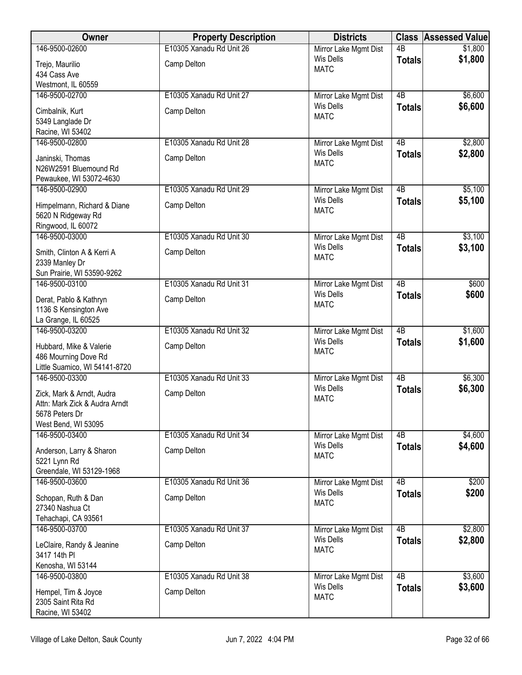| <b>Owner</b>                                 | <b>Property Description</b> | <b>Districts</b>                          |                 | <b>Class Assessed Value</b> |
|----------------------------------------------|-----------------------------|-------------------------------------------|-----------------|-----------------------------|
| 146-9500-02600                               | E10305 Xanadu Rd Unit 26    | Mirror Lake Mgmt Dist                     | $\overline{AB}$ | \$1,800                     |
| Trejo, Maurilio                              | Camp Delton                 | Wis Dells<br><b>MATC</b>                  | <b>Totals</b>   | \$1,800                     |
| 434 Cass Ave                                 |                             |                                           |                 |                             |
| Westmont, IL 60559                           |                             |                                           |                 |                             |
| 146-9500-02700                               | E10305 Xanadu Rd Unit 27    | Mirror Lake Mgmt Dist<br><b>Wis Dells</b> | $\overline{AB}$ | \$6,600                     |
| Cimbalnik, Kurt                              | Camp Delton                 | <b>MATC</b>                               | <b>Totals</b>   | \$6,600                     |
| 5349 Langlade Dr                             |                             |                                           |                 |                             |
| Racine, WI 53402<br>146-9500-02800           | E10305 Xanadu Rd Unit 28    |                                           | 4B              | \$2,800                     |
|                                              |                             | Mirror Lake Mgmt Dist<br><b>Wis Dells</b> | <b>Totals</b>   | \$2,800                     |
| Janinski, Thomas                             | Camp Delton                 | <b>MATC</b>                               |                 |                             |
| N26W2591 Bluemound Rd                        |                             |                                           |                 |                             |
| Pewaukee, WI 53072-4630<br>146-9500-02900    | E10305 Xanadu Rd Unit 29    | Mirror Lake Mgmt Dist                     | $\overline{AB}$ | \$5,100                     |
|                                              |                             | <b>Wis Dells</b>                          | <b>Totals</b>   | \$5,100                     |
| Himpelmann, Richard & Diane                  | Camp Delton                 | <b>MATC</b>                               |                 |                             |
| 5620 N Ridgeway Rd<br>Ringwood, IL 60072     |                             |                                           |                 |                             |
| 146-9500-03000                               | E10305 Xanadu Rd Unit 30    | Mirror Lake Mgmt Dist                     | $\overline{AB}$ | \$3,100                     |
|                                              |                             | <b>Wis Dells</b>                          | <b>Totals</b>   | \$3,100                     |
| Smith, Clinton A & Kerri A<br>2339 Manley Dr | Camp Delton                 | <b>MATC</b>                               |                 |                             |
| Sun Prairie, WI 53590-9262                   |                             |                                           |                 |                             |
| 146-9500-03100                               | E10305 Xanadu Rd Unit 31    | Mirror Lake Mgmt Dist                     | $\overline{AB}$ | \$600                       |
| Derat, Pablo & Kathryn                       | Camp Delton                 | <b>Wis Dells</b>                          | <b>Totals</b>   | \$600                       |
| 1136 S Kensington Ave                        |                             | <b>MATC</b>                               |                 |                             |
| La Grange, IL 60525                          |                             |                                           |                 |                             |
| 146-9500-03200                               | E10305 Xanadu Rd Unit 32    | Mirror Lake Mgmt Dist                     | $\overline{AB}$ | \$1,600                     |
| Hubbard, Mike & Valerie                      | Camp Delton                 | <b>Wis Dells</b>                          | <b>Totals</b>   | \$1,600                     |
| 486 Mourning Dove Rd                         |                             | <b>MATC</b>                               |                 |                             |
| Little Suamico, WI 54141-8720                |                             |                                           |                 |                             |
| 146-9500-03300                               | E10305 Xanadu Rd Unit 33    | Mirror Lake Mgmt Dist                     | $\overline{AB}$ | \$6,300                     |
| Zick, Mark & Arndt, Audra                    | Camp Delton                 | <b>Wis Dells</b><br><b>MATC</b>           | <b>Totals</b>   | \$6,300                     |
| Attn: Mark Zick & Audra Arndt                |                             |                                           |                 |                             |
| 5678 Peters Dr                               |                             |                                           |                 |                             |
| West Bend, WI 53095<br>146-9500-03400        | E10305 Xanadu Rd Unit 34    | Mirror Lake Mgmt Dist                     | 4B              | \$4,600                     |
|                                              |                             | <b>Wis Dells</b>                          | <b>Totals</b>   | \$4,600                     |
| Anderson, Larry & Sharon                     | Camp Delton                 | <b>MATC</b>                               |                 |                             |
| 5221 Lynn Rd<br>Greendale, WI 53129-1968     |                             |                                           |                 |                             |
| 146-9500-03600                               | E10305 Xanadu Rd Unit 36    | Mirror Lake Mgmt Dist                     | 4B              | \$200                       |
|                                              |                             | <b>Wis Dells</b>                          | <b>Totals</b>   | \$200                       |
| Schopan, Ruth & Dan<br>27340 Nashua Ct       | Camp Delton                 | <b>MATC</b>                               |                 |                             |
| Tehachapi, CA 93561                          |                             |                                           |                 |                             |
| 146-9500-03700                               | E10305 Xanadu Rd Unit 37    | Mirror Lake Mgmt Dist                     | $\overline{AB}$ | \$2,800                     |
| LeClaire, Randy & Jeanine                    | Camp Delton                 | Wis Dells                                 | <b>Totals</b>   | \$2,800                     |
| 3417 14th PI                                 |                             | <b>MATC</b>                               |                 |                             |
| Kenosha, WI 53144                            |                             |                                           |                 |                             |
| 146-9500-03800                               | E10305 Xanadu Rd Unit 38    | Mirror Lake Mgmt Dist                     | $\overline{AB}$ | \$3,600                     |
| Hempel, Tim & Joyce                          | Camp Delton                 | Wis Dells                                 | <b>Totals</b>   | \$3,600                     |
| 2305 Saint Rita Rd                           |                             | <b>MATC</b>                               |                 |                             |
| Racine, WI 53402                             |                             |                                           |                 |                             |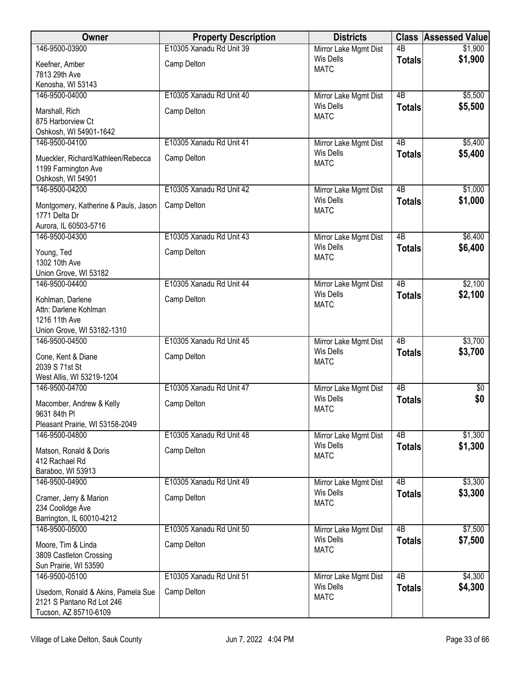| Owner                                                     | <b>Property Description</b> | <b>Districts</b>                          |                                  | <b>Class Assessed Value</b> |
|-----------------------------------------------------------|-----------------------------|-------------------------------------------|----------------------------------|-----------------------------|
| 146-9500-03900                                            | E10305 Xanadu Rd Unit 39    | Mirror Lake Mgmt Dist                     | $\overline{AB}$                  | \$1,900                     |
| Keefner, Amber                                            | Camp Delton                 | <b>Wis Dells</b><br><b>MATC</b>           | <b>Totals</b>                    | \$1,900                     |
| 7813 29th Ave                                             |                             |                                           |                                  |                             |
| Kenosha, WI 53143                                         |                             |                                           |                                  |                             |
| 146-9500-04000                                            | E10305 Xanadu Rd Unit 40    | Mirror Lake Mgmt Dist<br><b>Wis Dells</b> | $\overline{AB}$<br><b>Totals</b> | \$5,500<br>\$5,500          |
| Marshall, Rich                                            | Camp Delton                 | <b>MATC</b>                               |                                  |                             |
| 875 Harborview Ct<br>Oshkosh, WI 54901-1642               |                             |                                           |                                  |                             |
| 146-9500-04100                                            | E10305 Xanadu Rd Unit 41    | Mirror Lake Mgmt Dist                     | $\overline{AB}$                  | \$5,400                     |
|                                                           |                             | Wis Dells                                 | <b>Totals</b>                    | \$5,400                     |
| Mueckler, Richard/Kathleen/Rebecca<br>1199 Farmington Ave | Camp Delton                 | <b>MATC</b>                               |                                  |                             |
| Oshkosh, WI 54901                                         |                             |                                           |                                  |                             |
| 146-9500-04200                                            | E10305 Xanadu Rd Unit 42    | Mirror Lake Mgmt Dist                     | $\overline{AB}$                  | \$1,000                     |
| Montgomery, Katherine & Pauls, Jason                      | Camp Delton                 | <b>Wis Dells</b>                          | <b>Totals</b>                    | \$1,000                     |
| 1771 Delta Dr                                             |                             | <b>MATC</b>                               |                                  |                             |
| Aurora, IL 60503-5716                                     |                             |                                           |                                  |                             |
| 146-9500-04300                                            | E10305 Xanadu Rd Unit 43    | Mirror Lake Mgmt Dist                     | $\overline{AB}$                  | \$6,400                     |
| Young, Ted                                                | Camp Delton                 | <b>Wis Dells</b><br><b>MATC</b>           | <b>Totals</b>                    | \$6,400                     |
| 1302 10th Ave                                             |                             |                                           |                                  |                             |
| Union Grove, WI 53182                                     |                             |                                           |                                  |                             |
| 146-9500-04400                                            | E10305 Xanadu Rd Unit 44    | Mirror Lake Mgmt Dist<br><b>Wis Dells</b> | $\overline{AB}$<br><b>Totals</b> | \$2,100<br>\$2,100          |
| Kohlman, Darlene                                          | Camp Delton                 | <b>MATC</b>                               |                                  |                             |
| Attn: Darlene Kohlman<br>1216 11th Ave                    |                             |                                           |                                  |                             |
| Union Grove, WI 53182-1310                                |                             |                                           |                                  |                             |
| 146-9500-04500                                            | E10305 Xanadu Rd Unit 45    | Mirror Lake Mgmt Dist                     | $\overline{AB}$                  | \$3,700                     |
| Cone, Kent & Diane                                        | Camp Delton                 | <b>Wis Dells</b>                          | <b>Totals</b>                    | \$3,700                     |
| 2039 S 71st St                                            |                             | <b>MATC</b>                               |                                  |                             |
| West Allis, WI 53219-1204                                 |                             |                                           |                                  |                             |
| 146-9500-04700                                            | E10305 Xanadu Rd Unit 47    | Mirror Lake Mgmt Dist                     | 4B                               | $\sqrt[6]{3}$               |
| Macomber, Andrew & Kelly                                  | Camp Delton                 | <b>Wis Dells</b><br><b>MATC</b>           | <b>Totals</b>                    | \$0                         |
| 9631 84th PI                                              |                             |                                           |                                  |                             |
| Pleasant Prairie, WI 53158-2049                           |                             |                                           |                                  |                             |
| 146-9500-04800                                            | E10305 Xanadu Rd Unit 48    | Mirror Lake Mgmt Dist<br><b>Wis Dells</b> | 4B<br><b>Totals</b>              | \$1,300<br>\$1,300          |
| Matson, Ronald & Doris                                    | Camp Delton                 | <b>MATC</b>                               |                                  |                             |
| 412 Rachael Rd<br>Baraboo, WI 53913                       |                             |                                           |                                  |                             |
| 146-9500-04900                                            | E10305 Xanadu Rd Unit 49    | Mirror Lake Mgmt Dist                     | $\overline{AB}$                  | \$3,300                     |
|                                                           |                             | <b>Wis Dells</b>                          | <b>Totals</b>                    | \$3,300                     |
| Cramer, Jerry & Marion<br>234 Coolidge Ave                | Camp Delton                 | <b>MATC</b>                               |                                  |                             |
| Barrington, IL 60010-4212                                 |                             |                                           |                                  |                             |
| 146-9500-05000                                            | E10305 Xanadu Rd Unit 50    | Mirror Lake Mgmt Dist                     | 4B                               | \$7,500                     |
| Moore, Tim & Linda                                        | Camp Delton                 | <b>Wis Dells</b>                          | <b>Totals</b>                    | \$7,500                     |
| 3809 Castleton Crossing                                   |                             | <b>MATC</b>                               |                                  |                             |
| Sun Prairie, WI 53590                                     |                             |                                           |                                  |                             |
| 146-9500-05100                                            | E10305 Xanadu Rd Unit 51    | Mirror Lake Mgmt Dist                     | $\overline{AB}$                  | \$4,300                     |
| Usedom, Ronald & Akins, Pamela Sue                        | Camp Delton                 | <b>Wis Dells</b>                          | <b>Totals</b>                    | \$4,300                     |
| 2121 S Pantano Rd Lot 246                                 |                             | <b>MATC</b>                               |                                  |                             |
| Tucson, AZ 85710-6109                                     |                             |                                           |                                  |                             |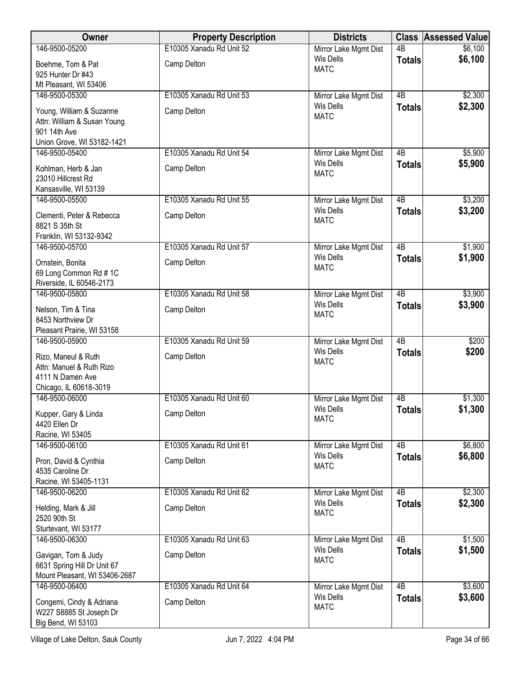| Owner                                                                                                 | <b>Property Description</b>             | <b>Districts</b>                                         |                 | <b>Class Assessed Value</b> |
|-------------------------------------------------------------------------------------------------------|-----------------------------------------|----------------------------------------------------------|-----------------|-----------------------------|
| 146-9500-05200                                                                                        | E10305 Xanadu Rd Unit 52                | Mirror Lake Mgmt Dist                                    | $\overline{AB}$ | \$6,100                     |
| Boehme, Tom & Pat                                                                                     | Camp Delton                             | <b>Wis Dells</b><br><b>MATC</b>                          | <b>Totals</b>   | \$6,100                     |
| 925 Hunter Dr #43                                                                                     |                                         |                                                          |                 |                             |
| Mt Pleasant, WI 53406                                                                                 |                                         |                                                          |                 |                             |
| 146-9500-05300                                                                                        | E10305 Xanadu Rd Unit 53                | Mirror Lake Mgmt Dist<br><b>Wis Dells</b>                | $\overline{AB}$ | \$2,300<br>\$2,300          |
| Young, William & Suzanne<br>Attn: William & Susan Young<br>901 14th Ave                               | Camp Delton                             | <b>MATC</b>                                              | <b>Totals</b>   |                             |
| Union Grove, WI 53182-1421                                                                            |                                         |                                                          |                 |                             |
| 146-9500-05400                                                                                        | E10305 Xanadu Rd Unit 54                | Mirror Lake Mgmt Dist                                    | 4B              | \$5,900                     |
| Kohlman, Herb & Jan<br>23010 Hillcrest Rd<br>Kansasville, WI 53139                                    | Camp Delton                             | <b>Wis Dells</b><br><b>MATC</b>                          | <b>Totals</b>   | \$5,900                     |
| 146-9500-05500                                                                                        | E10305 Xanadu Rd Unit 55                | Mirror Lake Mgmt Dist                                    | $\overline{AB}$ | \$3,200                     |
| Clementi, Peter & Rebecca<br>8821 S 35th St                                                           | Camp Delton                             | <b>Wis Dells</b><br><b>MATC</b>                          | <b>Totals</b>   | \$3,200                     |
| Franklin, WI 53132-9342                                                                               |                                         |                                                          |                 |                             |
| 146-9500-05700                                                                                        | E10305 Xanadu Rd Unit 57                | Mirror Lake Mgmt Dist                                    | 4B              | \$1,900                     |
| Ornstein, Bonita<br>69 Long Common Rd #1C                                                             | Camp Delton                             | <b>Wis Dells</b><br><b>MATC</b>                          | <b>Totals</b>   | \$1,900                     |
| Riverside, IL 60546-2173<br>146-9500-05800                                                            | E10305 Xanadu Rd Unit 58                | Mirror Lake Mgmt Dist                                    | $\overline{AB}$ | \$3,900                     |
|                                                                                                       |                                         | <b>Wis Dells</b>                                         | <b>Totals</b>   | \$3,900                     |
| Nelson, Tim & Tina<br>8453 Northview Dr<br>Pleasant Prairie, WI 53158                                 | Camp Delton                             | <b>MATC</b>                                              |                 |                             |
| 146-9500-05900                                                                                        | E10305 Xanadu Rd Unit 59                | Mirror Lake Mgmt Dist                                    | $\overline{AB}$ | \$200                       |
| Rizo, Maneul & Ruth<br>Attn: Manuel & Ruth Rizo<br>4111 N Damen Ave                                   | Camp Delton                             | <b>Wis Dells</b><br><b>MATC</b>                          | <b>Totals</b>   | \$200                       |
| Chicago, IL 60618-3019<br>146-9500-06000                                                              | E10305 Xanadu Rd Unit 60                | Mirror Lake Mgmt Dist                                    | 4B              | \$1,300                     |
| Kupper, Gary & Linda<br>4420 Ellen Dr                                                                 | Camp Delton                             | Wis Dells<br><b>MATC</b>                                 | <b>Totals</b>   | \$1,300                     |
| Racine, WI 53405                                                                                      |                                         |                                                          |                 |                             |
| 146-9500-06100                                                                                        | E10305 Xanadu Rd Unit 61                | Mirror Lake Mgmt Dist                                    | 4B              | \$6,800                     |
| Pron, David & Cynthia<br>4535 Caroline Dr<br>Racine, WI 53405-1131                                    | Camp Delton                             | <b>Wis Dells</b><br><b>MATC</b>                          | <b>Totals</b>   | \$6,800                     |
| 146-9500-06200                                                                                        | E10305 Xanadu Rd Unit 62                | Mirror Lake Mgmt Dist                                    | 4B              | \$2,300                     |
| Helding, Mark & Jill<br>2520 90th St                                                                  | Camp Delton                             | <b>Wis Dells</b><br><b>MATC</b>                          | <b>Totals</b>   | \$2,300                     |
| Sturtevant, WI 53177                                                                                  |                                         |                                                          | $\overline{AB}$ |                             |
| 146-9500-06300<br>Gavigan, Tom & Judy<br>6631 Spring Hill Dr Unit 67<br>Mount Pleasant, WI 53406-2687 | E10305 Xanadu Rd Unit 63<br>Camp Delton | Mirror Lake Mgmt Dist<br><b>Wis Dells</b><br><b>MATC</b> | <b>Totals</b>   | \$1,500<br>\$1,500          |
| 146-9500-06400                                                                                        | E10305 Xanadu Rd Unit 64                | Mirror Lake Mgmt Dist                                    | 4B              | \$3,600                     |
| Congemi, Cindy & Adriana<br>W227 S8885 St Joseph Dr<br>Big Bend, WI 53103                             | Camp Delton                             | <b>Wis Dells</b><br><b>MATC</b>                          | <b>Totals</b>   | \$3,600                     |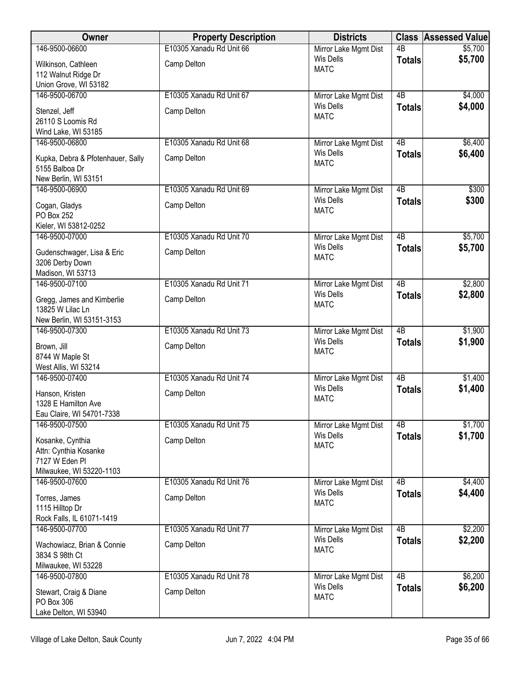| Owner                                            | <b>Property Description</b> | <b>Districts</b>                          |                 | <b>Class Assessed Value</b> |
|--------------------------------------------------|-----------------------------|-------------------------------------------|-----------------|-----------------------------|
| 146-9500-06600                                   | E10305 Xanadu Rd Unit 66    | Mirror Lake Mgmt Dist                     | $\overline{AB}$ | \$5,700                     |
| Wilkinson, Cathleen                              | Camp Delton                 | <b>Wis Dells</b><br><b>MATC</b>           | <b>Totals</b>   | \$5,700                     |
| 112 Walnut Ridge Dr                              |                             |                                           |                 |                             |
| Union Grove, WI 53182                            |                             |                                           |                 |                             |
| 146-9500-06700                                   | E10305 Xanadu Rd Unit 67    | Mirror Lake Mgmt Dist                     | 4B              | \$4,000                     |
| Stenzel, Jeff                                    | Camp Delton                 | <b>Wis Dells</b><br><b>MATC</b>           | <b>Totals</b>   | \$4,000                     |
| 26110 S Loomis Rd                                |                             |                                           |                 |                             |
| Wind Lake, WI 53185<br>146-9500-06800            |                             |                                           | $\overline{AB}$ |                             |
|                                                  | E10305 Xanadu Rd Unit 68    | Mirror Lake Mgmt Dist<br><b>Wis Dells</b> | <b>Totals</b>   | \$6,400<br>\$6,400          |
| Kupka, Debra & Pfotenhauer, Sally                | Camp Delton                 | <b>MATC</b>                               |                 |                             |
| 5155 Balboa Dr<br>New Berlin, WI 53151           |                             |                                           |                 |                             |
| 146-9500-06900                                   | E10305 Xanadu Rd Unit 69    | Mirror Lake Mgmt Dist                     | 4B              | \$300                       |
|                                                  |                             | <b>Wis Dells</b>                          | <b>Totals</b>   | \$300                       |
| Cogan, Gladys<br><b>PO Box 252</b>               | Camp Delton                 | <b>MATC</b>                               |                 |                             |
| Kieler, WI 53812-0252                            |                             |                                           |                 |                             |
| 146-9500-07000                                   | E10305 Xanadu Rd Unit 70    | Mirror Lake Mgmt Dist                     | 4B              | \$5,700                     |
| Gudenschwager, Lisa & Eric                       | Camp Delton                 | <b>Wis Dells</b>                          | <b>Totals</b>   | \$5,700                     |
| 3206 Derby Down                                  |                             | <b>MATC</b>                               |                 |                             |
| Madison, WI 53713                                |                             |                                           |                 |                             |
| 146-9500-07100                                   | E10305 Xanadu Rd Unit 71    | Mirror Lake Mgmt Dist                     | $\overline{AB}$ | \$2,800                     |
| Gregg, James and Kimberlie                       | Camp Delton                 | <b>Wis Dells</b>                          | <b>Totals</b>   | \$2,800                     |
| 13825 W Lilac Ln                                 |                             | <b>MATC</b>                               |                 |                             |
| New Berlin, WI 53151-3153                        |                             |                                           |                 |                             |
| 146-9500-07300                                   | E10305 Xanadu Rd Unit 73    | Mirror Lake Mgmt Dist                     | $\overline{AB}$ | \$1,900                     |
| Brown, Jill                                      | Camp Delton                 | <b>Wis Dells</b><br><b>MATC</b>           | <b>Totals</b>   | \$1,900                     |
| 8744 W Maple St                                  |                             |                                           |                 |                             |
| West Allis, WI 53214<br>146-9500-07400           | E10305 Xanadu Rd Unit 74    |                                           | $\overline{AB}$ | \$1,400                     |
|                                                  |                             | Mirror Lake Mgmt Dist<br><b>Wis Dells</b> | <b>Totals</b>   | \$1,400                     |
| Hanson, Kristen                                  | Camp Delton                 | <b>MATC</b>                               |                 |                             |
| 1328 E Hamilton Ave<br>Eau Claire, WI 54701-7338 |                             |                                           |                 |                             |
| 146-9500-07500                                   | E10305 Xanadu Rd Unit 75    | Mirror Lake Mgmt Dist                     | 4B              | \$1,700                     |
|                                                  |                             | <b>Wis Dells</b>                          | <b>Totals</b>   | \$1,700                     |
| Kosanke, Cynthia<br>Attn: Cynthia Kosanke        | Camp Delton                 | <b>MATC</b>                               |                 |                             |
| 7127 W Eden PI                                   |                             |                                           |                 |                             |
| Milwaukee, WI 53220-1103                         |                             |                                           |                 |                             |
| 146-9500-07600                                   | E10305 Xanadu Rd Unit 76    | Mirror Lake Mgmt Dist                     | 4B              | \$4,400                     |
| Torres, James                                    | Camp Delton                 | <b>Wis Dells</b>                          | <b>Totals</b>   | \$4,400                     |
| 1115 Hilltop Dr                                  |                             | <b>MATC</b>                               |                 |                             |
| Rock Falls, IL 61071-1419                        |                             |                                           |                 |                             |
| 146-9500-07700                                   | E10305 Xanadu Rd Unit 77    | Mirror Lake Mgmt Dist                     | 4B              | \$2,200                     |
| Wachowiacz, Brian & Connie                       | Camp Delton                 | <b>Wis Dells</b><br><b>MATC</b>           | <b>Totals</b>   | \$2,200                     |
| 3834 S 98th Ct                                   |                             |                                           |                 |                             |
| Milwaukee, WI 53228<br>146-9500-07800            | E10305 Xanadu Rd Unit 78    |                                           | 4B              | \$6,200                     |
|                                                  |                             | Mirror Lake Mgmt Dist<br><b>Wis Dells</b> | <b>Totals</b>   | \$6,200                     |
| Stewart, Craig & Diane                           | Camp Delton                 | <b>MATC</b>                               |                 |                             |
| PO Box 306<br>Lake Delton, WI 53940              |                             |                                           |                 |                             |
|                                                  |                             |                                           |                 |                             |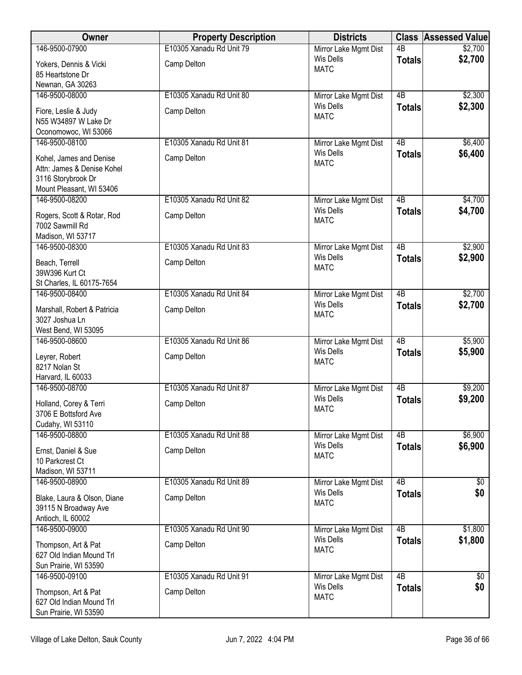| Owner                                                                                                   | <b>Property Description</b> | <b>Districts</b>                          |                 | <b>Class Assessed Value</b> |
|---------------------------------------------------------------------------------------------------------|-----------------------------|-------------------------------------------|-----------------|-----------------------------|
| 146-9500-07900                                                                                          | E10305 Xanadu Rd Unit 79    | Mirror Lake Mgmt Dist                     | $\overline{AB}$ | \$2,700                     |
| Yokers, Dennis & Vicki                                                                                  | Camp Delton                 | <b>Wis Dells</b><br><b>MATC</b>           | <b>Totals</b>   | \$2,700                     |
| 85 Heartstone Dr                                                                                        |                             |                                           |                 |                             |
| Newnan, GA 30263                                                                                        |                             |                                           |                 |                             |
| 146-9500-08000                                                                                          | E10305 Xanadu Rd Unit 80    | Mirror Lake Mgmt Dist<br><b>Wis Dells</b> | $\overline{AB}$ | \$2,300                     |
| Fiore, Leslie & Judy<br>N55 W34897 W Lake Dr<br>Oconomowoc, WI 53066                                    | Camp Delton                 | <b>MATC</b>                               | <b>Totals</b>   | \$2,300                     |
| 146-9500-08100                                                                                          | E10305 Xanadu Rd Unit 81    | Mirror Lake Mgmt Dist                     | 4B              | \$6,400                     |
| Kohel, James and Denise<br>Attn: James & Denise Kohel<br>3116 Storybrook Dr<br>Mount Pleasant, WI 53406 | Camp Delton                 | <b>Wis Dells</b><br><b>MATC</b>           | <b>Totals</b>   | \$6,400                     |
| 146-9500-08200                                                                                          | E10305 Xanadu Rd Unit 82    | Mirror Lake Mgmt Dist                     | 4B              | \$4,700                     |
| Rogers, Scott & Rotar, Rod<br>7002 Sawmill Rd<br>Madison, WI 53717                                      | Camp Delton                 | <b>Wis Dells</b><br><b>MATC</b>           | <b>Totals</b>   | \$4,700                     |
| 146-9500-08300                                                                                          | E10305 Xanadu Rd Unit 83    | Mirror Lake Mgmt Dist                     | $\overline{AB}$ | \$2,900                     |
| Beach, Terrell                                                                                          | Camp Delton                 | <b>Wis Dells</b><br><b>MATC</b>           | <b>Totals</b>   | \$2,900                     |
| 39W396 Kurt Ct<br>St Charles, IL 60175-7654                                                             |                             |                                           |                 |                             |
| 146-9500-08400                                                                                          | E10305 Xanadu Rd Unit 84    | Mirror Lake Mgmt Dist                     | $\overline{AB}$ | \$2,700                     |
| Marshall, Robert & Patricia<br>3027 Joshua Ln                                                           | Camp Delton                 | <b>Wis Dells</b><br><b>MATC</b>           | <b>Totals</b>   | \$2,700                     |
| West Bend, WI 53095                                                                                     |                             |                                           |                 |                             |
| 146-9500-08600                                                                                          | E10305 Xanadu Rd Unit 86    | Mirror Lake Mgmt Dist                     | $\overline{AB}$ | \$5,900                     |
| Leyrer, Robert<br>8217 Nolan St<br>Harvard, IL 60033                                                    | Camp Delton                 | <b>Wis Dells</b><br><b>MATC</b>           | <b>Totals</b>   | \$5,900                     |
| 146-9500-08700                                                                                          | E10305 Xanadu Rd Unit 87    | Mirror Lake Mgmt Dist                     | 4B              | \$9,200                     |
| Holland, Corey & Terri<br>3706 E Bottsford Ave<br>Cudahy, WI 53110                                      | Camp Delton                 | <b>Wis Dells</b><br><b>MATC</b>           | <b>Totals</b>   | \$9,200                     |
| 146-9500-08800                                                                                          | E10305 Xanadu Rd Unit 88    | Mirror Lake Mgmt Dist                     | 4B              | \$6,900                     |
| Ernst, Daniel & Sue<br>10 Parkcrest Ct<br>Madison, WI 53711                                             | Camp Delton                 | <b>Wis Dells</b><br><b>MATC</b>           | <b>Totals</b>   | \$6,900                     |
| 146-9500-08900                                                                                          | E10305 Xanadu Rd Unit 89    | Mirror Lake Mgmt Dist                     | $\overline{AB}$ | $\sqrt[6]{30}$              |
| Blake, Laura & Olson, Diane<br>39115 N Broadway Ave<br>Antioch, IL 60002                                | Camp Delton                 | <b>Wis Dells</b><br><b>MATC</b>           | <b>Totals</b>   | \$0                         |
| 146-9500-09000                                                                                          | E10305 Xanadu Rd Unit 90    | Mirror Lake Mgmt Dist                     | $\overline{AB}$ | \$1,800                     |
| Thompson, Art & Pat<br>627 Old Indian Mound Trl<br>Sun Prairie, WI 53590                                | Camp Delton                 | Wis Dells<br><b>MATC</b>                  | <b>Totals</b>   | \$1,800                     |
| 146-9500-09100                                                                                          | E10305 Xanadu Rd Unit 91    | Mirror Lake Mgmt Dist                     | $\overline{AB}$ | $\sqrt[6]{}$                |
| Thompson, Art & Pat<br>627 Old Indian Mound Trl<br>Sun Prairie, WI 53590                                | Camp Delton                 | <b>Wis Dells</b><br><b>MATC</b>           | <b>Totals</b>   | \$0                         |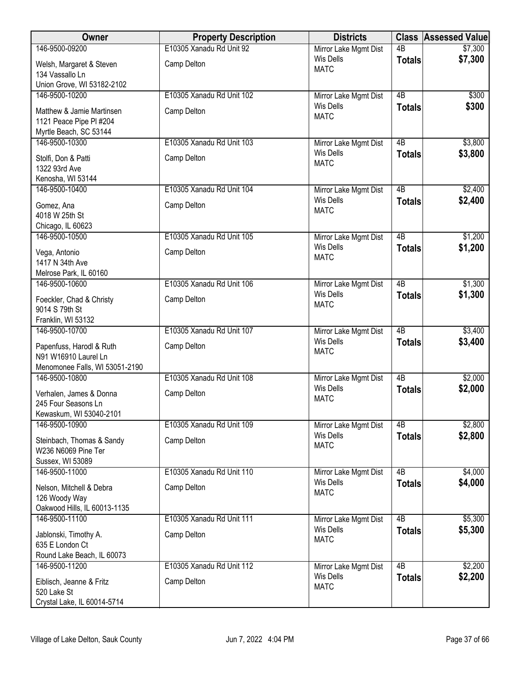| Owner                                                  | <b>Property Description</b> | <b>Districts</b>                          |                                  | <b>Class Assessed Value</b> |
|--------------------------------------------------------|-----------------------------|-------------------------------------------|----------------------------------|-----------------------------|
| 146-9500-09200                                         | E10305 Xanadu Rd Unit 92    | Mirror Lake Mgmt Dist                     | $\overline{AB}$                  | \$7,300                     |
| Welsh, Margaret & Steven                               | Camp Delton                 | Wis Dells<br><b>MATC</b>                  | <b>Totals</b>                    | \$7,300                     |
| 134 Vassallo Ln                                        |                             |                                           |                                  |                             |
| Union Grove, WI 53182-2102<br>146-9500-10200           | E10305 Xanadu Rd Unit 102   | Mirror Lake Mgmt Dist                     | $\overline{AB}$                  | \$300                       |
|                                                        |                             | <b>Wis Dells</b>                          | <b>Totals</b>                    | \$300                       |
| Matthew & Jamie Martinsen<br>1121 Peace Pipe PI #204   | Camp Delton                 | <b>MATC</b>                               |                                  |                             |
| Myrtle Beach, SC 53144                                 |                             |                                           |                                  |                             |
| 146-9500-10300                                         | E10305 Xanadu Rd Unit 103   | Mirror Lake Mgmt Dist                     | 4B                               | \$3,800                     |
| Stolfi, Don & Patti                                    | Camp Delton                 | <b>Wis Dells</b>                          | <b>Totals</b>                    | \$3,800                     |
| 1322 93rd Ave                                          |                             | <b>MATC</b>                               |                                  |                             |
| Kenosha, WI 53144                                      |                             |                                           |                                  |                             |
| 146-9500-10400                                         | E10305 Xanadu Rd Unit 104   | Mirror Lake Mgmt Dist<br><b>Wis Dells</b> | 4B                               | \$2,400                     |
| Gomez, Ana                                             | Camp Delton                 | <b>MATC</b>                               | <b>Totals</b>                    | \$2,400                     |
| 4018 W 25th St                                         |                             |                                           |                                  |                             |
| Chicago, IL 60623<br>146-9500-10500                    | E10305 Xanadu Rd Unit 105   | Mirror Lake Mgmt Dist                     | $\overline{AB}$                  | \$1,200                     |
| Vega, Antonio                                          | Camp Delton                 | <b>Wis Dells</b>                          | <b>Totals</b>                    | \$1,200                     |
| 1417 N 34th Ave                                        |                             | <b>MATC</b>                               |                                  |                             |
| Melrose Park, IL 60160                                 |                             |                                           |                                  |                             |
| 146-9500-10600                                         | E10305 Xanadu Rd Unit 106   | Mirror Lake Mgmt Dist                     | 4B                               | \$1,300                     |
| Foeckler, Chad & Christy                               | Camp Delton                 | Wis Dells                                 | <b>Totals</b>                    | \$1,300                     |
| 9014 S 79th St                                         |                             | <b>MATC</b>                               |                                  |                             |
| Franklin, WI 53132                                     |                             |                                           |                                  |                             |
| 146-9500-10700                                         | E10305 Xanadu Rd Unit 107   | Mirror Lake Mgmt Dist<br><b>Wis Dells</b> | $\overline{AB}$<br><b>Totals</b> | \$3,400<br>\$3,400          |
| Papenfuss, Harodl & Ruth                               | Camp Delton                 | <b>MATC</b>                               |                                  |                             |
| N91 W16910 Laurel Ln<br>Menomonee Falls, WI 53051-2190 |                             |                                           |                                  |                             |
| 146-9500-10800                                         | E10305 Xanadu Rd Unit 108   | Mirror Lake Mgmt Dist                     | 4B                               | \$2,000                     |
| Verhalen, James & Donna                                | Camp Delton                 | <b>Wis Dells</b>                          | <b>Totals</b>                    | \$2,000                     |
| 245 Four Seasons Ln                                    |                             | <b>MATC</b>                               |                                  |                             |
| Kewaskum, WI 53040-2101                                |                             |                                           |                                  |                             |
| 146-9500-10900                                         | E10305 Xanadu Rd Unit 109   | Mirror Lake Mgmt Dist                     | 4B                               | \$2,800                     |
| Steinbach, Thomas & Sandy                              | Camp Delton                 | Wis Dells<br><b>MATC</b>                  | <b>Totals</b>                    | \$2,800                     |
| W236 N6069 Pine Ter                                    |                             |                                           |                                  |                             |
| Sussex, WI 53089<br>146-9500-11000                     | E10305 Xanadu Rd Unit 110   | Mirror Lake Mgmt Dist                     | $\overline{AB}$                  | \$4,000                     |
|                                                        |                             | Wis Dells                                 | <b>Totals</b>                    | \$4,000                     |
| Nelson, Mitchell & Debra<br>126 Woody Way              | Camp Delton                 | <b>MATC</b>                               |                                  |                             |
| Oakwood Hills, IL 60013-1135                           |                             |                                           |                                  |                             |
| 146-9500-11100                                         | E10305 Xanadu Rd Unit 111   | Mirror Lake Mgmt Dist                     | $\overline{AB}$                  | \$5,300                     |
| Jablonski, Timothy A.                                  | Camp Delton                 | <b>Wis Dells</b>                          | <b>Totals</b>                    | \$5,300                     |
| 635 E London Ct                                        |                             | <b>MATC</b>                               |                                  |                             |
| Round Lake Beach, IL 60073                             |                             |                                           |                                  |                             |
| 146-9500-11200                                         | E10305 Xanadu Rd Unit 112   | Mirror Lake Mgmt Dist<br><b>Wis Dells</b> | 4B                               | \$2,200                     |
| Eiblisch, Jeanne & Fritz                               | Camp Delton                 | <b>MATC</b>                               | <b>Totals</b>                    | \$2,200                     |
| 520 Lake St                                            |                             |                                           |                                  |                             |
| Crystal Lake, IL 60014-5714                            |                             |                                           |                                  |                             |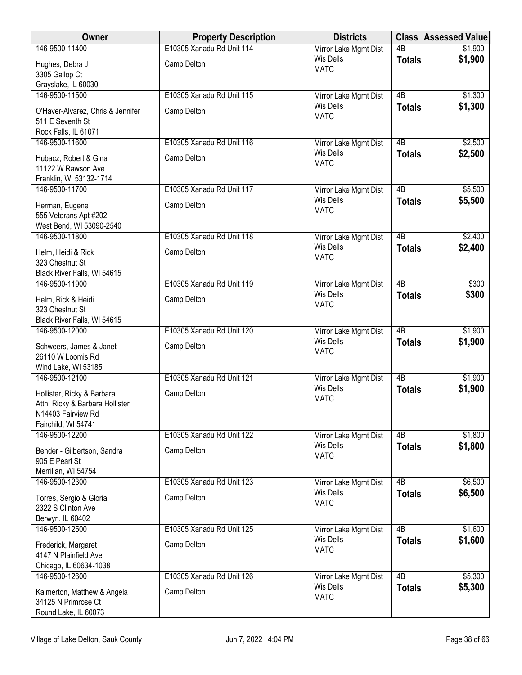| Owner                                                                                                      | <b>Property Description</b> | <b>Districts</b>                                         |                 | <b>Class Assessed Value</b> |
|------------------------------------------------------------------------------------------------------------|-----------------------------|----------------------------------------------------------|-----------------|-----------------------------|
| 146-9500-11400                                                                                             | E10305 Xanadu Rd Unit 114   | Mirror Lake Mgmt Dist                                    | $\overline{AB}$ | \$1,900                     |
| Hughes, Debra J                                                                                            | Camp Delton                 | Wis Dells<br><b>MATC</b>                                 | <b>Totals</b>   | \$1,900                     |
| 3305 Gallop Ct                                                                                             |                             |                                                          |                 |                             |
| Grayslake, IL 60030                                                                                        |                             |                                                          |                 |                             |
| 146-9500-11500                                                                                             | E10305 Xanadu Rd Unit 115   | Mirror Lake Mgmt Dist                                    | $\overline{AB}$ | \$1,300                     |
| O'Haver-Alvarez, Chris & Jennifer<br>511 E Seventh St<br>Rock Falls, IL 61071                              | Camp Delton                 | <b>Wis Dells</b><br><b>MATC</b>                          | <b>Totals</b>   | \$1,300                     |
| 146-9500-11600                                                                                             | E10305 Xanadu Rd Unit 116   | Mirror Lake Mgmt Dist                                    | 4B              | \$2,500                     |
| Hubacz, Robert & Gina<br>11122 W Rawson Ave<br>Franklin, WI 53132-1714                                     | Camp Delton                 | <b>Wis Dells</b><br><b>MATC</b>                          | <b>Totals</b>   | \$2,500                     |
| 146-9500-11700                                                                                             | E10305 Xanadu Rd Unit 117   | Mirror Lake Mgmt Dist                                    | 4B              | \$5,500                     |
| Herman, Eugene<br>555 Veterans Apt #202<br>West Bend, WI 53090-2540                                        | Camp Delton                 | <b>Wis Dells</b><br><b>MATC</b>                          | <b>Totals</b>   | \$5,500                     |
| 146-9500-11800                                                                                             | E10305 Xanadu Rd Unit 118   | Mirror Lake Mgmt Dist                                    | $\overline{AB}$ | \$2,400                     |
| Helm, Heidi & Rick<br>323 Chestnut St<br>Black River Falls, WI 54615                                       | Camp Delton                 | <b>Wis Dells</b><br><b>MATC</b>                          | <b>Totals</b>   | \$2,400                     |
| 146-9500-11900                                                                                             | E10305 Xanadu Rd Unit 119   | Mirror Lake Mgmt Dist                                    | 4B              | \$300                       |
| Helm, Rick & Heidi<br>323 Chestnut St                                                                      | Camp Delton                 | Wis Dells<br><b>MATC</b>                                 | <b>Totals</b>   | \$300                       |
| Black River Falls, WI 54615<br>146-9500-12000                                                              | E10305 Xanadu Rd Unit 120   |                                                          | $\overline{AB}$ | \$1,900                     |
| Schweers, James & Janet<br>26110 W Loomis Rd<br>Wind Lake, WI 53185                                        | Camp Delton                 | Mirror Lake Mgmt Dist<br><b>Wis Dells</b><br><b>MATC</b> | <b>Totals</b>   | \$1,900                     |
| 146-9500-12100                                                                                             | E10305 Xanadu Rd Unit 121   | Mirror Lake Mgmt Dist                                    | 4B              | \$1,900                     |
| Hollister, Ricky & Barbara<br>Attn: Ricky & Barbara Hollister<br>N14403 Fairview Rd<br>Fairchild, WI 54741 | Camp Delton                 | <b>Wis Dells</b><br><b>MATC</b>                          | <b>Totals</b>   | \$1,900                     |
| 146-9500-12200                                                                                             | E10305 Xanadu Rd Unit 122   | Mirror Lake Mgmt Dist                                    | 4B              | \$1,800                     |
| Bender - Gilbertson, Sandra<br>905 E Pearl St<br>Merrillan, WI 54754                                       | Camp Delton                 | <b>Wis Dells</b><br><b>MATC</b>                          | <b>Totals</b>   | \$1,800                     |
| 146-9500-12300                                                                                             | E10305 Xanadu Rd Unit 123   | Mirror Lake Mgmt Dist                                    | $\overline{AB}$ | \$6,500                     |
| Torres, Sergio & Gloria<br>2322 S Clinton Ave<br>Berwyn, IL 60402                                          | Camp Delton                 | Wis Dells<br><b>MATC</b>                                 | <b>Totals</b>   | \$6,500                     |
| 146-9500-12500                                                                                             | E10305 Xanadu Rd Unit 125   | Mirror Lake Mgmt Dist                                    | $\overline{AB}$ | \$1,600                     |
| Frederick, Margaret<br>4147 N Plainfield Ave<br>Chicago, IL 60634-1038                                     | Camp Delton                 | Wis Dells<br><b>MATC</b>                                 | <b>Totals</b>   | \$1,600                     |
| 146-9500-12600                                                                                             | E10305 Xanadu Rd Unit 126   | Mirror Lake Mgmt Dist                                    | 4B              | \$5,300                     |
| Kalmerton, Matthew & Angela<br>34125 N Primrose Ct<br>Round Lake, IL 60073                                 | Camp Delton                 | <b>Wis Dells</b><br><b>MATC</b>                          | <b>Totals</b>   | \$5,300                     |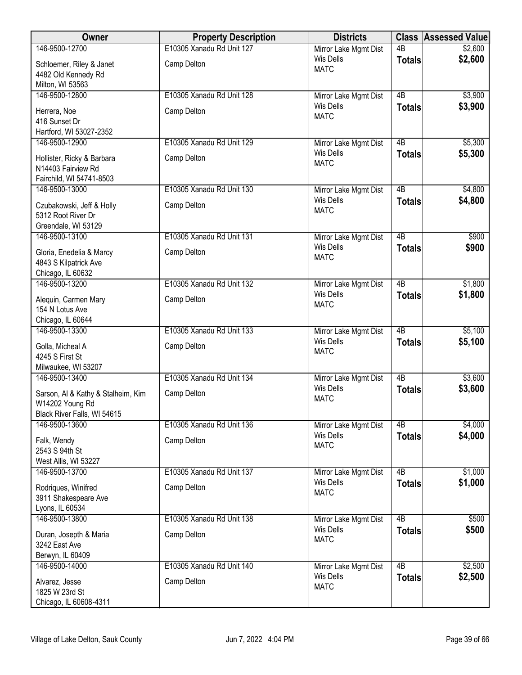| Owner                                       | <b>Property Description</b> | <b>Districts</b>                          |                 | <b>Class Assessed Value</b> |
|---------------------------------------------|-----------------------------|-------------------------------------------|-----------------|-----------------------------|
| 146-9500-12700                              | E10305 Xanadu Rd Unit 127   | Mirror Lake Mgmt Dist                     | $\overline{AB}$ | \$2,600                     |
| Schloemer, Riley & Janet                    | Camp Delton                 | Wis Dells<br><b>MATC</b>                  | <b>Totals</b>   | \$2,600                     |
| 4482 Old Kennedy Rd<br>Milton, WI 53563     |                             |                                           |                 |                             |
| 146-9500-12800                              | E10305 Xanadu Rd Unit 128   | Mirror Lake Mgmt Dist                     | $\overline{AB}$ | \$3,900                     |
|                                             |                             | <b>Wis Dells</b>                          | <b>Totals</b>   | \$3,900                     |
| Herrera, Noe<br>416 Sunset Dr               | Camp Delton                 | <b>MATC</b>                               |                 |                             |
| Hartford, WI 53027-2352                     |                             |                                           |                 |                             |
| 146-9500-12900                              | E10305 Xanadu Rd Unit 129   | Mirror Lake Mgmt Dist                     | 4B              | \$5,300                     |
| Hollister, Ricky & Barbara                  | Camp Delton                 | <b>Wis Dells</b>                          | <b>Totals</b>   | \$5,300                     |
| N14403 Fairview Rd                          |                             | <b>MATC</b>                               |                 |                             |
| Fairchild, WI 54741-8503                    |                             |                                           |                 |                             |
| 146-9500-13000                              | E10305 Xanadu Rd Unit 130   | Mirror Lake Mgmt Dist                     | 4B              | \$4,800                     |
| Czubakowski, Jeff & Holly                   | Camp Delton                 | <b>Wis Dells</b><br><b>MATC</b>           | <b>Totals</b>   | \$4,800                     |
| 5312 Root River Dr                          |                             |                                           |                 |                             |
| Greendale, WI 53129                         |                             |                                           |                 |                             |
| 146-9500-13100                              | E10305 Xanadu Rd Unit 131   | Mirror Lake Mgmt Dist<br><b>Wis Dells</b> | $\overline{AB}$ | \$900                       |
| Gloria, Enedelia & Marcy                    | Camp Delton                 | <b>MATC</b>                               | <b>Totals</b>   | \$900                       |
| 4843 S Kilpatrick Ave                       |                             |                                           |                 |                             |
| Chicago, IL 60632<br>146-9500-13200         | E10305 Xanadu Rd Unit 132   | Mirror Lake Mgmt Dist                     | $\overline{AB}$ | \$1,800                     |
|                                             |                             | <b>Wis Dells</b>                          | <b>Totals</b>   | \$1,800                     |
| Alequin, Carmen Mary<br>154 N Lotus Ave     | Camp Delton                 | <b>MATC</b>                               |                 |                             |
| Chicago, IL 60644                           |                             |                                           |                 |                             |
| 146-9500-13300                              | E10305 Xanadu Rd Unit 133   | Mirror Lake Mgmt Dist                     | $\overline{AB}$ | \$5,100                     |
| Golla, Micheal A                            | Camp Delton                 | <b>Wis Dells</b>                          | <b>Totals</b>   | \$5,100                     |
| 4245 S First St                             |                             | <b>MATC</b>                               |                 |                             |
| Milwaukee, WI 53207                         |                             |                                           |                 |                             |
| 146-9500-13400                              | E10305 Xanadu Rd Unit 134   | Mirror Lake Mgmt Dist                     | 4B              | \$3,600                     |
| Sarson, Al & Kathy & Stalheim, Kim          | Camp Delton                 | <b>Wis Dells</b>                          | <b>Totals</b>   | \$3,600                     |
| W14202 Young Rd                             |                             | <b>MATC</b>                               |                 |                             |
| Black River Falls, WI 54615                 |                             |                                           |                 |                             |
| 146-9500-13600                              | E10305 Xanadu Rd Unit 136   | Mirror Lake Mgmt Dist<br><b>Wis Dells</b> | 4B              | \$4,000                     |
| Falk, Wendy                                 | Camp Delton                 | <b>MATC</b>                               | <b>Totals</b>   | \$4,000                     |
| 2543 S 94th St                              |                             |                                           |                 |                             |
| West Allis, WI 53227<br>146-9500-13700      | E10305 Xanadu Rd Unit 137   | Mirror Lake Mgmt Dist                     | $\overline{AB}$ | \$1,000                     |
|                                             |                             | Wis Dells                                 | <b>Totals</b>   | \$1,000                     |
| Rodriques, Winifred<br>3911 Shakespeare Ave | Camp Delton                 | <b>MATC</b>                               |                 |                             |
| Lyons, IL 60534                             |                             |                                           |                 |                             |
| 146-9500-13800                              | E10305 Xanadu Rd Unit 138   | Mirror Lake Mgmt Dist                     | $\overline{AB}$ | \$500                       |
| Duran, Josepth & Maria                      | Camp Delton                 | Wis Dells                                 | <b>Totals</b>   | \$500                       |
| 3242 East Ave                               |                             | <b>MATC</b>                               |                 |                             |
| Berwyn, IL 60409                            |                             |                                           |                 |                             |
| 146-9500-14000                              | E10305 Xanadu Rd Unit 140   | Mirror Lake Mgmt Dist                     | 4B              | \$2,500                     |
| Alvarez, Jesse                              | Camp Delton                 | Wis Dells<br><b>MATC</b>                  | <b>Totals</b>   | \$2,500                     |
| 1825 W 23rd St                              |                             |                                           |                 |                             |
| Chicago, IL 60608-4311                      |                             |                                           |                 |                             |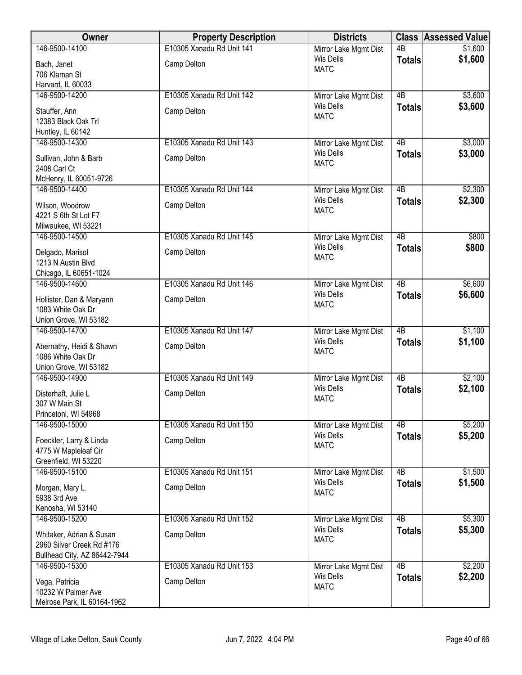| Owner                                         | <b>Property Description</b> | <b>Districts</b>                          |                 | <b>Class Assessed Value</b> |
|-----------------------------------------------|-----------------------------|-------------------------------------------|-----------------|-----------------------------|
| 146-9500-14100                                | E10305 Xanadu Rd Unit 141   | Mirror Lake Mgmt Dist                     | $\overline{AB}$ | \$1,600                     |
| Bach, Janet                                   | Camp Delton                 | Wis Dells<br><b>MATC</b>                  | <b>Totals</b>   | \$1,600                     |
| 706 Klaman St                                 |                             |                                           |                 |                             |
| Harvard, IL 60033                             |                             |                                           |                 |                             |
| 146-9500-14200                                | E10305 Xanadu Rd Unit 142   | Mirror Lake Mgmt Dist<br><b>Wis Dells</b> | $\overline{AB}$ | \$3,600                     |
| Stauffer, Ann                                 | Camp Delton                 | <b>MATC</b>                               | <b>Totals</b>   | \$3,600                     |
| 12383 Black Oak Trl                           |                             |                                           |                 |                             |
| Huntley, IL 60142                             |                             |                                           |                 |                             |
| 146-9500-14300                                | E10305 Xanadu Rd Unit 143   | Mirror Lake Mgmt Dist<br>Wis Dells        | $\overline{AB}$ | \$3,000<br>\$3,000          |
| Sullivan, John & Barb                         | Camp Delton                 | <b>MATC</b>                               | <b>Totals</b>   |                             |
| 2408 Carl Ct                                  |                             |                                           |                 |                             |
| McHenry, IL 60051-9726<br>146-9500-14400      |                             |                                           | $\overline{AB}$ |                             |
|                                               | E10305 Xanadu Rd Unit 144   | Mirror Lake Mgmt Dist<br><b>Wis Dells</b> | <b>Totals</b>   | \$2,300<br>\$2,300          |
| Wilson, Woodrow                               | Camp Delton                 | <b>MATC</b>                               |                 |                             |
| 4221 S 6th St Lot F7                          |                             |                                           |                 |                             |
| Milwaukee, WI 53221<br>146-9500-14500         | E10305 Xanadu Rd Unit 145   | Mirror Lake Mgmt Dist                     | 4B              | \$800                       |
|                                               |                             | Wis Dells                                 | <b>Totals</b>   | \$800                       |
| Delgado, Marisol                              | Camp Delton                 | <b>MATC</b>                               |                 |                             |
| 1213 N Austin Blvd<br>Chicago, IL 60651-1024  |                             |                                           |                 |                             |
| 146-9500-14600                                | E10305 Xanadu Rd Unit 146   | Mirror Lake Mgmt Dist                     | $\overline{AB}$ | \$6,600                     |
|                                               |                             | Wis Dells                                 | <b>Totals</b>   | \$6,600                     |
| Hollister, Dan & Maryann<br>1083 White Oak Dr | Camp Delton                 | <b>MATC</b>                               |                 |                             |
| Union Grove, WI 53182                         |                             |                                           |                 |                             |
| 146-9500-14700                                | E10305 Xanadu Rd Unit 147   | Mirror Lake Mgmt Dist                     | $\overline{AB}$ | \$1,100                     |
|                                               |                             | <b>Wis Dells</b>                          | <b>Totals</b>   | \$1,100                     |
| Abernathy, Heidi & Shawn<br>1086 White Oak Dr | Camp Delton                 | <b>MATC</b>                               |                 |                             |
| Union Grove, WI 53182                         |                             |                                           |                 |                             |
| 146-9500-14900                                | E10305 Xanadu Rd Unit 149   | Mirror Lake Mgmt Dist                     | $\overline{AB}$ | \$2,100                     |
| Disterhaft, Julie L                           | Camp Delton                 | <b>Wis Dells</b>                          | <b>Totals</b>   | \$2,100                     |
| 307 W Main St                                 |                             | <b>MATC</b>                               |                 |                             |
| Princetonl, WI 54968                          |                             |                                           |                 |                             |
| 146-9500-15000                                | E10305 Xanadu Rd Unit 150   | Mirror Lake Mgmt Dist                     | $\overline{AB}$ | \$5,200                     |
| Foeckler, Larry & Linda                       | Camp Delton                 | <b>Wis Dells</b>                          | <b>Totals</b>   | \$5,200                     |
| 4775 W Mapleleaf Cir                          |                             | <b>MATC</b>                               |                 |                             |
| Greenfield, WI 53220                          |                             |                                           |                 |                             |
| 146-9500-15100                                | E10305 Xanadu Rd Unit 151   | Mirror Lake Mgmt Dist                     | $\overline{AB}$ | \$1,500                     |
| Morgan, Mary L.                               | Camp Delton                 | Wis Dells                                 | <b>Totals</b>   | \$1,500                     |
| 5938 3rd Ave                                  |                             | <b>MATC</b>                               |                 |                             |
| Kenosha, WI 53140                             |                             |                                           |                 |                             |
| 146-9500-15200                                | E10305 Xanadu Rd Unit 152   | Mirror Lake Mgmt Dist                     | $\overline{AB}$ | \$5,300                     |
| Whitaker, Adrian & Susan                      | Camp Delton                 | Wis Dells<br><b>MATC</b>                  | <b>Totals</b>   | \$5,300                     |
| 2960 Silver Creek Rd #176                     |                             |                                           |                 |                             |
| Bullhead City, AZ 86442-7944                  |                             |                                           |                 |                             |
| 146-9500-15300                                | E10305 Xanadu Rd Unit 153   | Mirror Lake Mgmt Dist                     | 4B              | \$2,200                     |
| Vega, Patricia                                | Camp Delton                 | Wis Dells<br><b>MATC</b>                  | <b>Totals</b>   | \$2,200                     |
| 10232 W Palmer Ave                            |                             |                                           |                 |                             |
| Melrose Park, IL 60164-1962                   |                             |                                           |                 |                             |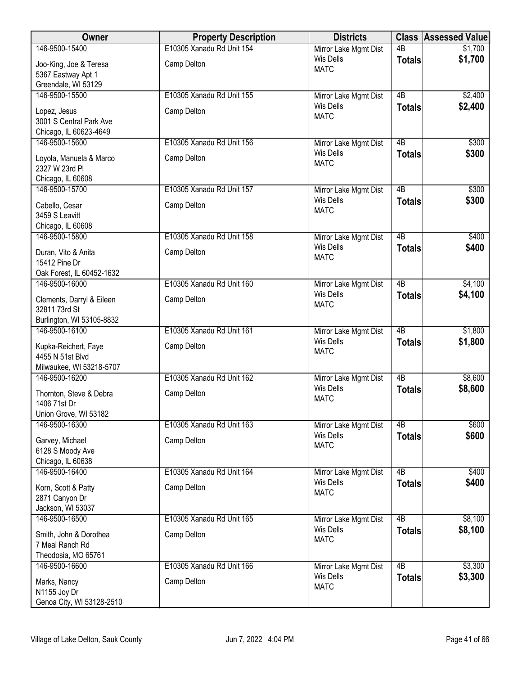| Owner                                    | <b>Property Description</b> | <b>Districts</b>                          |                     | <b>Class Assessed Value</b> |
|------------------------------------------|-----------------------------|-------------------------------------------|---------------------|-----------------------------|
| 146-9500-15400                           | E10305 Xanadu Rd Unit 154   | Mirror Lake Mgmt Dist                     | $\overline{AB}$     | \$1,700                     |
| Joo-King, Joe & Teresa                   | Camp Delton                 | Wis Dells<br><b>MATC</b>                  | <b>Totals</b>       | \$1,700                     |
| 5367 Eastway Apt 1                       |                             |                                           |                     |                             |
| Greendale, WI 53129                      |                             |                                           |                     |                             |
| 146-9500-15500                           | E10305 Xanadu Rd Unit 155   | Mirror Lake Mgmt Dist<br><b>Wis Dells</b> | $\overline{AB}$     | \$2,400<br>\$2,400          |
| Lopez, Jesus                             | Camp Delton                 | <b>MATC</b>                               | <b>Totals</b>       |                             |
| 3001 S Central Park Ave                  |                             |                                           |                     |                             |
| Chicago, IL 60623-4649<br>146-9500-15600 | E10305 Xanadu Rd Unit 156   | Mirror Lake Mgmt Dist                     | 4B                  | \$300                       |
|                                          |                             | <b>Wis Dells</b>                          | <b>Totals</b>       | \$300                       |
| Loyola, Manuela & Marco                  | Camp Delton                 | <b>MATC</b>                               |                     |                             |
| 2327 W 23rd PI<br>Chicago, IL 60608      |                             |                                           |                     |                             |
| 146-9500-15700                           | E10305 Xanadu Rd Unit 157   | Mirror Lake Mgmt Dist                     | 4B                  | \$300                       |
|                                          |                             | <b>Wis Dells</b>                          | <b>Totals</b>       | \$300                       |
| Cabello, Cesar<br>3459 S Leavitt         | Camp Delton                 | <b>MATC</b>                               |                     |                             |
| Chicago, IL 60608                        |                             |                                           |                     |                             |
| 146-9500-15800                           | E10305 Xanadu Rd Unit 158   | Mirror Lake Mgmt Dist                     | $\overline{AB}$     | \$400                       |
| Duran, Vito & Anita                      | Camp Delton                 | <b>Wis Dells</b>                          | <b>Totals</b>       | \$400                       |
| 15412 Pine Dr                            |                             | <b>MATC</b>                               |                     |                             |
| Oak Forest, IL 60452-1632                |                             |                                           |                     |                             |
| 146-9500-16000                           | E10305 Xanadu Rd Unit 160   | Mirror Lake Mgmt Dist                     | 4B                  | \$4,100                     |
| Clements, Darryl & Eileen                | Camp Delton                 | Wis Dells                                 | <b>Totals</b>       | \$4,100                     |
| 32811 73rd St                            |                             | <b>MATC</b>                               |                     |                             |
| Burlington, WI 53105-8832                |                             |                                           |                     |                             |
| 146-9500-16100                           | E10305 Xanadu Rd Unit 161   | Mirror Lake Mgmt Dist                     | $\overline{AB}$     | \$1,800                     |
| Kupka-Reichert, Faye                     | Camp Delton                 | <b>Wis Dells</b>                          | <b>Totals</b>       | \$1,800                     |
| 4455 N 51st Blvd                         |                             | <b>MATC</b>                               |                     |                             |
| Milwaukee, WI 53218-5707                 |                             |                                           |                     |                             |
| 146-9500-16200                           | E10305 Xanadu Rd Unit 162   | Mirror Lake Mgmt Dist                     | 4B                  | \$8,600                     |
| Thornton, Steve & Debra                  | Camp Delton                 | <b>Wis Dells</b><br><b>MATC</b>           | <b>Totals</b>       | \$8,600                     |
| 1406 71st Dr                             |                             |                                           |                     |                             |
| Union Grove, WI 53182<br>146-9500-16300  |                             |                                           |                     |                             |
|                                          | E10305 Xanadu Rd Unit 163   | Mirror Lake Mgmt Dist<br><b>Wis Dells</b> | 4B<br><b>Totals</b> | \$600<br>\$600              |
| Garvey, Michael                          | Camp Delton                 | <b>MATC</b>                               |                     |                             |
| 6128 S Moody Ave<br>Chicago, IL 60638    |                             |                                           |                     |                             |
| 146-9500-16400                           | E10305 Xanadu Rd Unit 164   | Mirror Lake Mgmt Dist                     | $\overline{AB}$     | \$400                       |
|                                          |                             | Wis Dells                                 | <b>Totals</b>       | \$400                       |
| Korn, Scott & Patty<br>2871 Canyon Dr    | Camp Delton                 | <b>MATC</b>                               |                     |                             |
| Jackson, WI 53037                        |                             |                                           |                     |                             |
| 146-9500-16500                           | E10305 Xanadu Rd Unit 165   | Mirror Lake Mgmt Dist                     | $\overline{AB}$     | \$8,100                     |
| Smith, John & Dorothea                   | Camp Delton                 | Wis Dells                                 | <b>Totals</b>       | \$8,100                     |
| 7 Meal Ranch Rd                          |                             | <b>MATC</b>                               |                     |                             |
| Theodosia, MO 65761                      |                             |                                           |                     |                             |
| 146-9500-16600                           | E10305 Xanadu Rd Unit 166   | Mirror Lake Mgmt Dist                     | 4B                  | \$3,300                     |
| Marks, Nancy                             | Camp Delton                 | <b>Wis Dells</b>                          | <b>Totals</b>       | \$3,300                     |
| N1155 Joy Dr                             |                             | <b>MATC</b>                               |                     |                             |
| Genoa City, WI 53128-2510                |                             |                                           |                     |                             |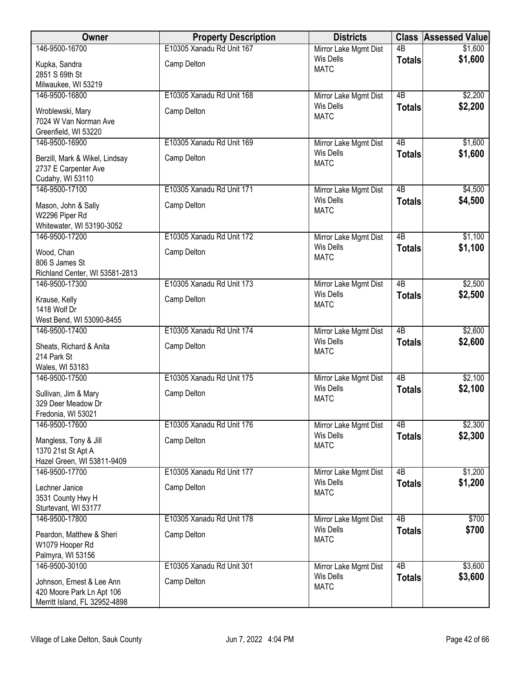| Owner                          | <b>Property Description</b> | <b>Districts</b>      |                 | <b>Class Assessed Value</b> |
|--------------------------------|-----------------------------|-----------------------|-----------------|-----------------------------|
| 146-9500-16700                 | E10305 Xanadu Rd Unit 167   | Mirror Lake Mgmt Dist | $\overline{AB}$ | \$1,600                     |
| Kupka, Sandra                  | Camp Delton                 | <b>Wis Dells</b>      | <b>Totals</b>   | \$1,600                     |
| 2851 S 69th St                 |                             | <b>MATC</b>           |                 |                             |
| Milwaukee, WI 53219            |                             |                       |                 |                             |
| 146-9500-16800                 | E10305 Xanadu Rd Unit 168   | Mirror Lake Mgmt Dist | $\overline{AB}$ | \$2,200                     |
| Wroblewski, Mary               | Camp Delton                 | <b>Wis Dells</b>      | <b>Totals</b>   | \$2,200                     |
| 7024 W Van Norman Ave          |                             | <b>MATC</b>           |                 |                             |
| Greenfield, WI 53220           |                             |                       |                 |                             |
| 146-9500-16900                 | E10305 Xanadu Rd Unit 169   | Mirror Lake Mgmt Dist | $\overline{AB}$ | \$1,600                     |
| Berzill, Mark & Wikel, Lindsay | Camp Delton                 | <b>Wis Dells</b>      | <b>Totals</b>   | \$1,600                     |
| 2737 E Carpenter Ave           |                             | <b>MATC</b>           |                 |                             |
| Cudahy, WI 53110               |                             |                       |                 |                             |
| 146-9500-17100                 | E10305 Xanadu Rd Unit 171   | Mirror Lake Mgmt Dist | $\overline{AB}$ | \$4,500                     |
| Mason, John & Sally            | Camp Delton                 | <b>Wis Dells</b>      | <b>Totals</b>   | \$4,500                     |
| W2296 Piper Rd                 |                             | <b>MATC</b>           |                 |                             |
| Whitewater, WI 53190-3052      |                             |                       |                 |                             |
| 146-9500-17200                 | E10305 Xanadu Rd Unit 172   | Mirror Lake Mgmt Dist | 4B              | \$1,100                     |
| Wood, Chan                     | Camp Delton                 | <b>Wis Dells</b>      | <b>Totals</b>   | \$1,100                     |
| 806 S James St                 |                             | <b>MATC</b>           |                 |                             |
| Richland Center, WI 53581-2813 |                             |                       |                 |                             |
| 146-9500-17300                 | E10305 Xanadu Rd Unit 173   | Mirror Lake Mgmt Dist | $\overline{AB}$ | \$2,500                     |
| Krause, Kelly                  | Camp Delton                 | <b>Wis Dells</b>      | <b>Totals</b>   | \$2,500                     |
| 1418 Wolf Dr                   |                             | <b>MATC</b>           |                 |                             |
| West Bend, WI 53090-8455       |                             |                       |                 |                             |
| 146-9500-17400                 | E10305 Xanadu Rd Unit 174   | Mirror Lake Mgmt Dist | $\overline{AB}$ | \$2,600                     |
| Sheats, Richard & Anita        | Camp Delton                 | <b>Wis Dells</b>      | <b>Totals</b>   | \$2,600                     |
| 214 Park St                    |                             | <b>MATC</b>           |                 |                             |
| Wales, WI 53183                |                             |                       |                 |                             |
| 146-9500-17500                 | E10305 Xanadu Rd Unit 175   | Mirror Lake Mgmt Dist | $\overline{AB}$ | \$2,100                     |
| Sullivan, Jim & Mary           | Camp Delton                 | <b>Wis Dells</b>      | <b>Totals</b>   | \$2,100                     |
| 329 Deer Meadow Dr             |                             | <b>MATC</b>           |                 |                             |
| Fredonia, WI 53021             |                             |                       |                 |                             |
| 146-9500-17600                 | E10305 Xanadu Rd Unit 176   | Mirror Lake Mgmt Dist | 4B              | \$2,300                     |
| Mangless, Tony & Jill          | Camp Delton                 | <b>Wis Dells</b>      | <b>Totals</b>   | \$2,300                     |
| 1370 21st St Apt A             |                             | <b>MATC</b>           |                 |                             |
| Hazel Green, WI 53811-9409     |                             |                       |                 |                             |
| 146-9500-17700                 | E10305 Xanadu Rd Unit 177   | Mirror Lake Mgmt Dist | 4B              | \$1,200                     |
| Lechner Janice                 | Camp Delton                 | <b>Wis Dells</b>      | <b>Totals</b>   | \$1,200                     |
| 3531 County Hwy H              |                             | <b>MATC</b>           |                 |                             |
| Sturtevant, WI 53177           |                             |                       |                 |                             |
| 146-9500-17800                 | E10305 Xanadu Rd Unit 178   | Mirror Lake Mgmt Dist | $\overline{AB}$ | \$700                       |
| Peardon, Matthew & Sheri       | Camp Delton                 | <b>Wis Dells</b>      | <b>Totals</b>   | \$700                       |
| W1079 Hooper Rd                |                             | <b>MATC</b>           |                 |                             |
| Palmyra, WI 53156              |                             |                       |                 |                             |
| 146-9500-30100                 | E10305 Xanadu Rd Unit 301   | Mirror Lake Mgmt Dist | 4B              | \$3,600                     |
| Johnson, Ernest & Lee Ann      | Camp Delton                 | <b>Wis Dells</b>      | <b>Totals</b>   | \$3,600                     |
| 420 Moore Park Ln Apt 106      |                             | <b>MATC</b>           |                 |                             |
| Merritt Island, FL 32952-4898  |                             |                       |                 |                             |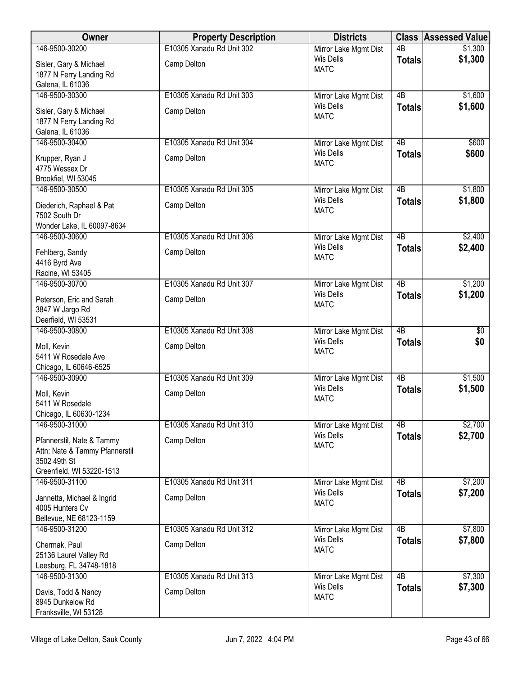| Owner                                                       | <b>Property Description</b> | <b>Districts</b>                          |                 | <b>Class Assessed Value</b> |
|-------------------------------------------------------------|-----------------------------|-------------------------------------------|-----------------|-----------------------------|
| 146-9500-30200                                              | E10305 Xanadu Rd Unit 302   | Mirror Lake Mgmt Dist                     | $\overline{AB}$ | \$1,300                     |
| Sisler, Gary & Michael                                      | Camp Delton                 | Wis Dells<br><b>MATC</b>                  | <b>Totals</b>   | \$1,300                     |
| 1877 N Ferry Landing Rd<br>Galena, IL 61036                 |                             |                                           |                 |                             |
| 146-9500-30300                                              | E10305 Xanadu Rd Unit 303   | Mirror Lake Mgmt Dist                     | $\overline{AB}$ | \$1,600                     |
|                                                             |                             | <b>Wis Dells</b>                          | <b>Totals</b>   | \$1,600                     |
| Sisler, Gary & Michael<br>1877 N Ferry Landing Rd           | Camp Delton                 | <b>MATC</b>                               |                 |                             |
| Galena, IL 61036                                            |                             |                                           |                 |                             |
| 146-9500-30400                                              | E10305 Xanadu Rd Unit 304   | Mirror Lake Mgmt Dist                     | 4B              | \$600                       |
| Krupper, Ryan J                                             | Camp Delton                 | <b>Wis Dells</b><br><b>MATC</b>           | <b>Totals</b>   | \$600                       |
| 4775 Wessex Dr                                              |                             |                                           |                 |                             |
| Brookfiel, WI 53045<br>146-9500-30500                       |                             |                                           | 4B              |                             |
|                                                             | E10305 Xanadu Rd Unit 305   | Mirror Lake Mgmt Dist<br><b>Wis Dells</b> | <b>Totals</b>   | \$1,800<br>\$1,800          |
| Diederich, Raphael & Pat<br>7502 South Dr                   | Camp Delton                 | <b>MATC</b>                               |                 |                             |
| Wonder Lake, IL 60097-8634                                  |                             |                                           |                 |                             |
| 146-9500-30600                                              | E10305 Xanadu Rd Unit 306   | Mirror Lake Mgmt Dist                     | $\overline{AB}$ | \$2,400                     |
| Fehlberg, Sandy                                             | Camp Delton                 | <b>Wis Dells</b>                          | <b>Totals</b>   | \$2,400                     |
| 4416 Byrd Ave                                               |                             | <b>MATC</b>                               |                 |                             |
| Racine, WI 53405                                            |                             |                                           |                 |                             |
| 146-9500-30700                                              | E10305 Xanadu Rd Unit 307   | Mirror Lake Mgmt Dist                     | $\overline{AB}$ | \$1,200                     |
| Peterson, Eric and Sarah                                    | Camp Delton                 | <b>Wis Dells</b><br><b>MATC</b>           | <b>Totals</b>   | \$1,200                     |
| 3847 W Jargo Rd                                             |                             |                                           |                 |                             |
| Deerfield, WI 53531<br>146-9500-30800                       | E10305 Xanadu Rd Unit 308   | Mirror Lake Mgmt Dist                     | $\overline{AB}$ | $\sqrt{$0}$                 |
|                                                             |                             | <b>Wis Dells</b>                          | <b>Totals</b>   | \$0                         |
| Moll, Kevin<br>5411 W Rosedale Ave                          | Camp Delton                 | <b>MATC</b>                               |                 |                             |
| Chicago, IL 60646-6525                                      |                             |                                           |                 |                             |
| 146-9500-30900                                              | E10305 Xanadu Rd Unit 309   | Mirror Lake Mgmt Dist                     | 4B              | \$1,500                     |
| Moll, Kevin                                                 | Camp Delton                 | <b>Wis Dells</b><br><b>MATC</b>           | <b>Totals</b>   | \$1,500                     |
| 5411 W Rosedale                                             |                             |                                           |                 |                             |
| Chicago, IL 60630-1234<br>146-9500-31000                    | E10305 Xanadu Rd Unit 310   | Mirror Lake Mgmt Dist                     | 4B              | \$2,700                     |
|                                                             |                             | <b>Wis Dells</b>                          | <b>Totals</b>   | \$2,700                     |
| Pfannerstil, Nate & Tammy<br>Attn: Nate & Tammy Pfannerstil | Camp Delton                 | <b>MATC</b>                               |                 |                             |
| 3502 49th St                                                |                             |                                           |                 |                             |
| Greenfield, WI 53220-1513                                   |                             |                                           |                 |                             |
| 146-9500-31100                                              | E10305 Xanadu Rd Unit 311   | Mirror Lake Mgmt Dist                     | $\overline{AB}$ | \$7,200                     |
| Jannetta, Michael & Ingrid                                  | Camp Delton                 | <b>Wis Dells</b><br><b>MATC</b>           | <b>Totals</b>   | \$7,200                     |
| 4005 Hunters Cv                                             |                             |                                           |                 |                             |
| Bellevue, NE 68123-1159<br>146-9500-31200                   | E10305 Xanadu Rd Unit 312   | Mirror Lake Mgmt Dist                     | $\overline{AB}$ | \$7,800                     |
|                                                             |                             | Wis Dells                                 | <b>Totals</b>   | \$7,800                     |
| Chermak, Paul<br>25136 Laurel Valley Rd                     | Camp Delton                 | <b>MATC</b>                               |                 |                             |
| Leesburg, FL 34748-1818                                     |                             |                                           |                 |                             |
| 146-9500-31300                                              | E10305 Xanadu Rd Unit 313   | Mirror Lake Mgmt Dist                     | 4B              | \$7,300                     |
| Davis, Todd & Nancy                                         | Camp Delton                 | Wis Dells                                 | <b>Totals</b>   | \$7,300                     |
| 8945 Dunkelow Rd                                            |                             | <b>MATC</b>                               |                 |                             |
| Franksville, WI 53128                                       |                             |                                           |                 |                             |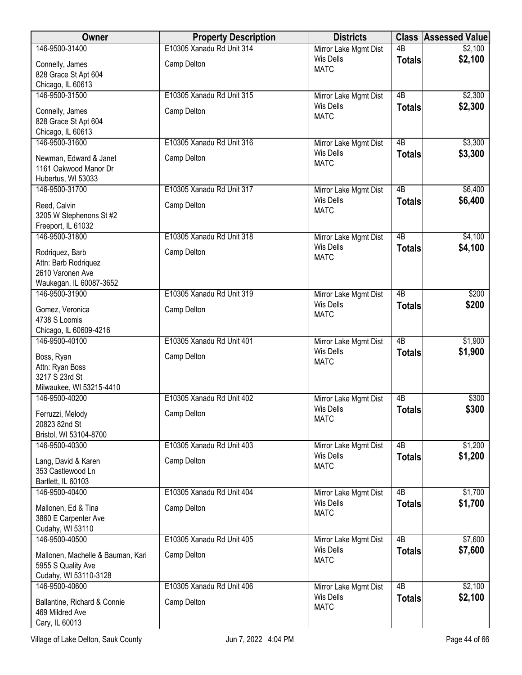| <b>Owner</b>                                    | <b>Property Description</b> | <b>Districts</b>                          | <b>Class</b>    | <b>Assessed Value</b> |
|-------------------------------------------------|-----------------------------|-------------------------------------------|-----------------|-----------------------|
| 146-9500-31400                                  | E10305 Xanadu Rd Unit 314   | Mirror Lake Mgmt Dist                     | $\overline{AB}$ | \$2,100               |
| Connelly, James                                 | Camp Delton                 | <b>Wis Dells</b>                          | <b>Totals</b>   | \$2,100               |
| 828 Grace St Apt 604                            |                             | <b>MATC</b>                               |                 |                       |
| Chicago, IL 60613                               |                             |                                           |                 |                       |
| 146-9500-31500                                  | E10305 Xanadu Rd Unit 315   | Mirror Lake Mgmt Dist                     | $\overline{AB}$ | \$2,300               |
| Connelly, James                                 | Camp Delton                 | Wis Dells                                 | <b>Totals</b>   | \$2,300               |
| 828 Grace St Apt 604                            |                             | <b>MATC</b>                               |                 |                       |
| Chicago, IL 60613                               |                             |                                           |                 |                       |
| 146-9500-31600                                  | E10305 Xanadu Rd Unit 316   | Mirror Lake Mgmt Dist                     | $\overline{AB}$ | \$3,300               |
| Newman, Edward & Janet                          | Camp Delton                 | Wis Dells                                 | <b>Totals</b>   | \$3,300               |
| 1161 Oakwood Manor Dr                           |                             | <b>MATC</b>                               |                 |                       |
| Hubertus, WI 53033                              |                             |                                           |                 |                       |
| 146-9500-31700                                  | E10305 Xanadu Rd Unit 317   | Mirror Lake Mgmt Dist                     | 4B              | \$6,400               |
| Reed, Calvin                                    | Camp Delton                 | <b>Wis Dells</b>                          | <b>Totals</b>   | \$6,400               |
| 3205 W Stephenons St #2                         |                             | <b>MATC</b>                               |                 |                       |
| Freeport, IL 61032                              |                             |                                           |                 |                       |
| 146-9500-31800                                  | E10305 Xanadu Rd Unit 318   | Mirror Lake Mgmt Dist                     | $\overline{AB}$ | \$4,100               |
| Rodriquez, Barb                                 | Camp Delton                 | <b>Wis Dells</b>                          | <b>Totals</b>   | \$4,100               |
| Attn: Barb Rodriquez                            |                             | <b>MATC</b>                               |                 |                       |
| 2610 Varonen Ave                                |                             |                                           |                 |                       |
| Waukegan, IL 60087-3652                         |                             |                                           |                 |                       |
| 146-9500-31900                                  | E10305 Xanadu Rd Unit 319   | Mirror Lake Mgmt Dist                     | $\overline{AB}$ | \$200                 |
| Gomez, Veronica                                 | Camp Delton                 | <b>Wis Dells</b><br><b>MATC</b>           | <b>Totals</b>   | \$200                 |
| 4738 S Loomis                                   |                             |                                           |                 |                       |
| Chicago, IL 60609-4216                          |                             |                                           |                 |                       |
| 146-9500-40100                                  | E10305 Xanadu Rd Unit 401   | Mirror Lake Mgmt Dist<br><b>Wis Dells</b> | $\overline{AB}$ | \$1,900               |
| Boss, Ryan                                      | Camp Delton                 | <b>MATC</b>                               | <b>Totals</b>   | \$1,900               |
| Attn: Ryan Boss                                 |                             |                                           |                 |                       |
| 3217 S 23rd St                                  |                             |                                           |                 |                       |
| Milwaukee, WI 53215-4410<br>146-9500-40200      | E10305 Xanadu Rd Unit 402   |                                           |                 | \$300                 |
|                                                 |                             | Mirror Lake Mgmt Dist<br><b>Wis Dells</b> | 4B              | \$300                 |
| Ferruzzi, Melody                                | Camp Delton                 | <b>MATC</b>                               | <b>Totals</b>   |                       |
| 20823 82nd St                                   |                             |                                           |                 |                       |
| Bristol, WI 53104-8700<br>146-9500-40300        | E10305 Xanadu Rd Unit 403   |                                           | 4B              | \$1,200               |
|                                                 |                             | Mirror Lake Mgmt Dist<br>Wis Dells        | <b>Totals</b>   | \$1,200               |
| Lang, David & Karen                             | Camp Delton                 | <b>MATC</b>                               |                 |                       |
| 353 Castlewood Ln<br>Bartlett, IL 60103         |                             |                                           |                 |                       |
| 146-9500-40400                                  | E10305 Xanadu Rd Unit 404   | Mirror Lake Mgmt Dist                     | $\overline{AB}$ | \$1,700               |
|                                                 |                             | <b>Wis Dells</b>                          | <b>Totals</b>   | \$1,700               |
| Mallonen, Ed & Tina                             | Camp Delton                 | <b>MATC</b>                               |                 |                       |
| 3860 E Carpenter Ave<br>Cudahy, WI 53110        |                             |                                           |                 |                       |
| 146-9500-40500                                  | E10305 Xanadu Rd Unit 405   | Mirror Lake Mgmt Dist                     | 4B              | \$7,600               |
|                                                 |                             | Wis Dells                                 | <b>Totals</b>   | \$7,600               |
| Mallonen, Machelle & Bauman, Kari               | Camp Delton                 | <b>MATC</b>                               |                 |                       |
| 5955 S Quality Ave<br>Cudahy, WI 53110-3128     |                             |                                           |                 |                       |
| 146-9500-40600                                  | E10305 Xanadu Rd Unit 406   | Mirror Lake Mgmt Dist                     | $\overline{AB}$ | \$2,100               |
|                                                 |                             | <b>Wis Dells</b>                          | <b>Totals</b>   | \$2,100               |
| Ballantine, Richard & Connie<br>469 Mildred Ave | Camp Delton                 | <b>MATC</b>                               |                 |                       |
| Cary, IL 60013                                  |                             |                                           |                 |                       |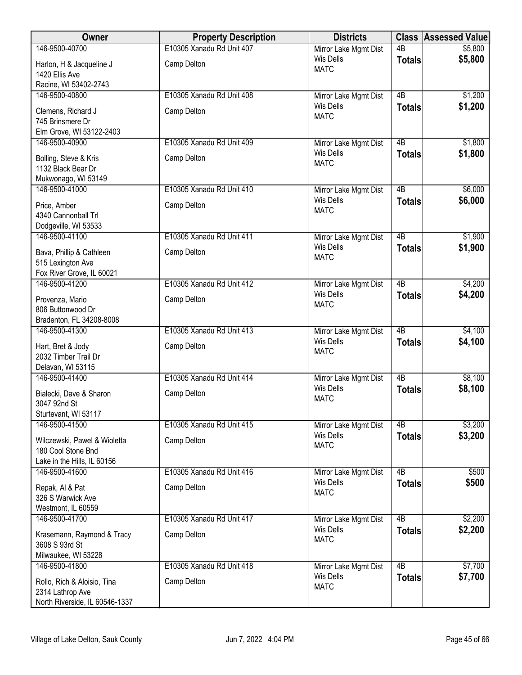| Owner                                                                      | <b>Property Description</b> | <b>Districts</b>                          |                     | <b>Class Assessed Value</b> |
|----------------------------------------------------------------------------|-----------------------------|-------------------------------------------|---------------------|-----------------------------|
| 146-9500-40700                                                             | E10305 Xanadu Rd Unit 407   | Mirror Lake Mgmt Dist                     | $\overline{AB}$     | \$5,800                     |
| Harlon, H & Jacqueline J<br>1420 Ellis Ave                                 | Camp Delton                 | Wis Dells<br><b>MATC</b>                  | <b>Totals</b>       | \$5,800                     |
| Racine, WI 53402-2743                                                      |                             |                                           |                     |                             |
| 146-9500-40800                                                             | E10305 Xanadu Rd Unit 408   | Mirror Lake Mgmt Dist                     | $\overline{AB}$     | \$1,200                     |
| Clemens, Richard J                                                         | Camp Delton                 | Wis Dells<br><b>MATC</b>                  | <b>Totals</b>       | \$1,200                     |
| 745 Brinsmere Dr                                                           |                             |                                           |                     |                             |
| Elm Grove, WI 53122-2403<br>146-9500-40900                                 | E10305 Xanadu Rd Unit 409   | Mirror Lake Mgmt Dist                     | 4B                  | \$1,800                     |
|                                                                            |                             | Wis Dells                                 | <b>Totals</b>       | \$1,800                     |
| Bolling, Steve & Kris<br>1132 Black Bear Dr<br>Mukwonago, WI 53149         | Camp Delton                 | <b>MATC</b>                               |                     |                             |
| 146-9500-41000                                                             | E10305 Xanadu Rd Unit 410   | Mirror Lake Mgmt Dist                     | $\overline{AB}$     | \$6,000                     |
| Price, Amber<br>4340 Cannonball Trl                                        | Camp Delton                 | <b>Wis Dells</b><br><b>MATC</b>           | <b>Totals</b>       | \$6,000                     |
| Dodgeville, WI 53533<br>146-9500-41100                                     | E10305 Xanadu Rd Unit 411   | Mirror Lake Mgmt Dist                     | $\overline{AB}$     | \$1,900                     |
|                                                                            |                             | Wis Dells                                 | <b>Totals</b>       | \$1,900                     |
| Bava, Phillip & Cathleen<br>515 Lexington Ave<br>Fox River Grove, IL 60021 | Camp Delton                 | <b>MATC</b>                               |                     |                             |
| 146-9500-41200                                                             | E10305 Xanadu Rd Unit 412   | Mirror Lake Mgmt Dist                     | $\overline{AB}$     | \$4,200                     |
| Provenza, Mario                                                            | Camp Delton                 | <b>Wis Dells</b>                          | <b>Totals</b>       | \$4,200                     |
| 806 Buttonwood Dr                                                          |                             | <b>MATC</b>                               |                     |                             |
| Bradenton, FL 34208-8008                                                   |                             |                                           |                     |                             |
| 146-9500-41300                                                             | E10305 Xanadu Rd Unit 413   | Mirror Lake Mgmt Dist                     | $\overline{AB}$     | \$4,100                     |
| Hart, Bret & Jody                                                          | Camp Delton                 | <b>Wis Dells</b>                          | <b>Totals</b>       | \$4,100                     |
| 2032 Timber Trail Dr                                                       |                             | <b>MATC</b>                               |                     |                             |
| Delavan, WI 53115                                                          |                             |                                           |                     |                             |
| 146-9500-41400                                                             | E10305 Xanadu Rd Unit 414   | Mirror Lake Mgmt Dist<br>Wis Dells        | 4B                  | \$8,100                     |
| Bialecki, Dave & Sharon                                                    | Camp Delton                 | <b>MATC</b>                               | <b>Totals</b>       | \$8,100                     |
| 3047 92nd St                                                               |                             |                                           |                     |                             |
| Sturtevant, WI 53117                                                       |                             |                                           |                     |                             |
| 146-9500-41500                                                             | E10305 Xanadu Rd Unit 415   | Mirror Lake Mgmt Dist<br><b>Wis Dells</b> | 4B<br><b>Totals</b> | \$3,200<br>\$3,200          |
| Wilczewski, Pawel & Wioletta                                               | Camp Delton                 | <b>MATC</b>                               |                     |                             |
| 180 Cool Stone Bnd<br>Lake in the Hills, IL 60156                          |                             |                                           |                     |                             |
| 146-9500-41600                                                             | E10305 Xanadu Rd Unit 416   | Mirror Lake Mgmt Dist                     | $\overline{AB}$     | \$500                       |
|                                                                            |                             | <b>Wis Dells</b>                          | <b>Totals</b>       | \$500                       |
| Repak, Al & Pat<br>326 S Warwick Ave                                       | Camp Delton                 | <b>MATC</b>                               |                     |                             |
| Westmont, IL 60559                                                         |                             |                                           |                     |                             |
| 146-9500-41700                                                             | E10305 Xanadu Rd Unit 417   | Mirror Lake Mgmt Dist                     | $\overline{AB}$     | \$2,200                     |
| Krasemann, Raymond & Tracy                                                 | Camp Delton                 | <b>Wis Dells</b>                          | <b>Totals</b>       | \$2,200                     |
| 3608 S 93rd St                                                             |                             | <b>MATC</b>                               |                     |                             |
| Milwaukee, WI 53228                                                        |                             |                                           |                     |                             |
| 146-9500-41800                                                             | E10305 Xanadu Rd Unit 418   | Mirror Lake Mgmt Dist                     | 4B                  | \$7,700                     |
| Rollo, Rich & Aloisio, Tina                                                | Camp Delton                 | <b>Wis Dells</b>                          | <b>Totals</b>       | \$7,700                     |
| 2314 Lathrop Ave                                                           |                             | <b>MATC</b>                               |                     |                             |
| North Riverside, IL 60546-1337                                             |                             |                                           |                     |                             |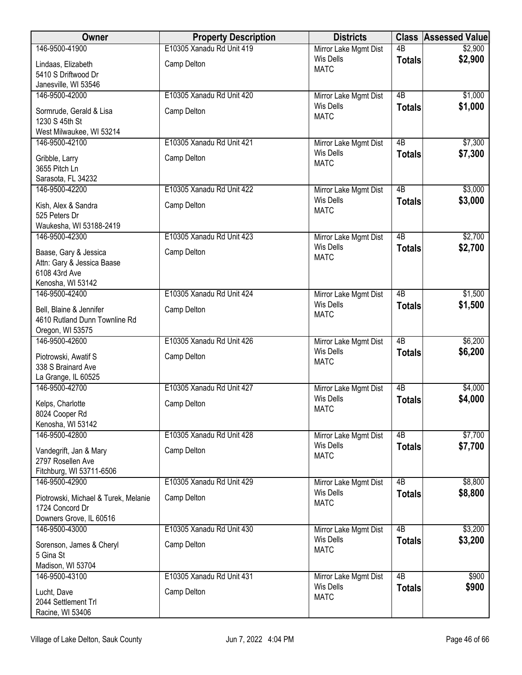| Owner                                      | <b>Property Description</b> | <b>Districts</b>                          |                 | <b>Class Assessed Value</b> |
|--------------------------------------------|-----------------------------|-------------------------------------------|-----------------|-----------------------------|
| 146-9500-41900                             | E10305 Xanadu Rd Unit 419   | Mirror Lake Mgmt Dist                     | $\overline{AB}$ | \$2,900                     |
| Lindaas, Elizabeth                         | Camp Delton                 | <b>Wis Dells</b>                          | <b>Totals</b>   | \$2,900                     |
| 5410 S Driftwood Dr                        |                             | <b>MATC</b>                               |                 |                             |
| Janesville, WI 53546                       |                             |                                           |                 |                             |
| 146-9500-42000                             | E10305 Xanadu Rd Unit 420   | Mirror Lake Mgmt Dist                     | $\overline{AB}$ | \$1,000                     |
| Sormrude, Gerald & Lisa                    | Camp Delton                 | <b>Wis Dells</b><br><b>MATC</b>           | <b>Totals</b>   | \$1,000                     |
| 1230 S 45th St                             |                             |                                           |                 |                             |
| West Milwaukee, WI 53214                   |                             |                                           |                 |                             |
| 146-9500-42100                             | E10305 Xanadu Rd Unit 421   | Mirror Lake Mgmt Dist                     | 4B              | \$7,300                     |
| Gribble, Larry                             | Camp Delton                 | <b>Wis Dells</b><br><b>MATC</b>           | <b>Totals</b>   | \$7,300                     |
| 3655 Pitch Ln                              |                             |                                           |                 |                             |
| Sarasota, FL 34232                         |                             |                                           |                 |                             |
| 146-9500-42200                             | E10305 Xanadu Rd Unit 422   | Mirror Lake Mgmt Dist                     | 4B              | \$3,000                     |
| Kish, Alex & Sandra                        | Camp Delton                 | <b>Wis Dells</b><br><b>MATC</b>           | <b>Totals</b>   | \$3,000                     |
| 525 Peters Dr                              |                             |                                           |                 |                             |
| Waukesha, WI 53188-2419                    |                             |                                           |                 |                             |
| 146-9500-42300                             | E10305 Xanadu Rd Unit 423   | Mirror Lake Mgmt Dist                     | $\overline{AB}$ | \$2,700                     |
| Baase, Gary & Jessica                      | Camp Delton                 | <b>Wis Dells</b><br><b>MATC</b>           | <b>Totals</b>   | \$2,700                     |
| Attn: Gary & Jessica Baase                 |                             |                                           |                 |                             |
| 6108 43rd Ave                              |                             |                                           |                 |                             |
| Kenosha, WI 53142                          |                             |                                           |                 |                             |
| 146-9500-42400                             | E10305 Xanadu Rd Unit 424   | Mirror Lake Mgmt Dist<br><b>Wis Dells</b> | $\overline{AB}$ | \$1,500                     |
| Bell, Blaine & Jennifer                    | Camp Delton                 | <b>MATC</b>                               | <b>Totals</b>   | \$1,500                     |
| 4610 Rutland Dunn Townline Rd              |                             |                                           |                 |                             |
| Oregon, WI 53575                           |                             |                                           |                 |                             |
| 146-9500-42600                             | E10305 Xanadu Rd Unit 426   | Mirror Lake Mgmt Dist<br>Wis Dells        | $\overline{AB}$ | \$6,200                     |
| Piotrowski, Awatif S                       | Camp Delton                 | <b>MATC</b>                               | <b>Totals</b>   | \$6,200                     |
| 338 S Brainard Ave                         |                             |                                           |                 |                             |
| La Grange, IL 60525                        |                             |                                           |                 |                             |
| 146-9500-42700                             | E10305 Xanadu Rd Unit 427   | Mirror Lake Mgmt Dist<br><b>Wis Dells</b> | 4B              | \$4,000<br>\$4,000          |
| Kelps, Charlotte                           | Camp Delton                 | <b>MATC</b>                               | <b>Totals</b>   |                             |
| 8024 Cooper Rd                             |                             |                                           |                 |                             |
| Kenosha, WI 53142                          |                             |                                           |                 |                             |
| 146-9500-42800                             | E10305 Xanadu Rd Unit 428   | Mirror Lake Mgmt Dist<br><b>Wis Dells</b> | 4B              | \$7,700                     |
| Vandegrift, Jan & Mary                     | Camp Delton                 | <b>MATC</b>                               | <b>Totals</b>   | \$7,700                     |
| 2797 Rosellen Ave                          |                             |                                           |                 |                             |
| Fitchburg, WI 53711-6506<br>146-9500-42900 |                             |                                           | $\overline{AB}$ |                             |
|                                            | E10305 Xanadu Rd Unit 429   | Mirror Lake Mgmt Dist<br><b>Wis Dells</b> |                 | \$8,800<br>\$8,800          |
| Piotrowski, Michael & Turek, Melanie       | Camp Delton                 | <b>MATC</b>                               | <b>Totals</b>   |                             |
| 1724 Concord Dr                            |                             |                                           |                 |                             |
| Downers Grove, IL 60516                    |                             |                                           | $\overline{AB}$ |                             |
| 146-9500-43000                             | E10305 Xanadu Rd Unit 430   | Mirror Lake Mgmt Dist<br>Wis Dells        |                 | \$3,200<br>\$3,200          |
| Sorenson, James & Cheryl                   | Camp Delton                 | <b>MATC</b>                               | <b>Totals</b>   |                             |
| 5 Gina St                                  |                             |                                           |                 |                             |
| Madison, WI 53704                          | E10305 Xanadu Rd Unit 431   |                                           | 4B              | \$900                       |
| 146-9500-43100                             |                             | Mirror Lake Mgmt Dist<br><b>Wis Dells</b> |                 | \$900                       |
| Lucht, Dave                                | Camp Delton                 | <b>MATC</b>                               | <b>Totals</b>   |                             |
| 2044 Settlement Trl                        |                             |                                           |                 |                             |
| Racine, WI 53406                           |                             |                                           |                 |                             |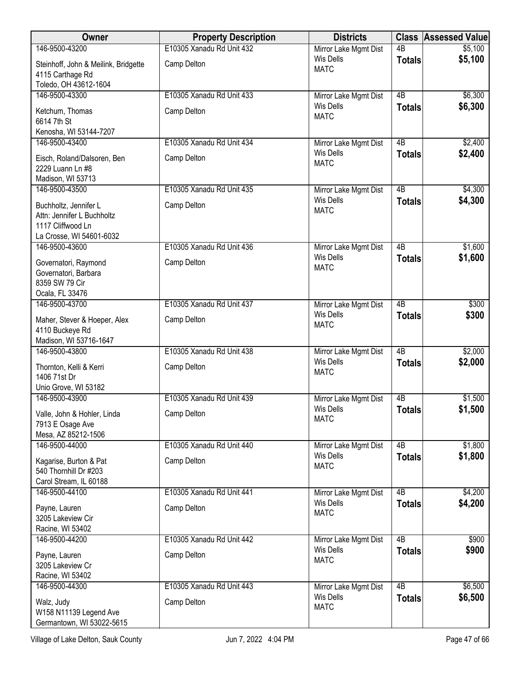| Owner                                           | <b>Property Description</b> | <b>Districts</b>                          | <b>Class</b>    | <b>Assessed Value</b> |
|-------------------------------------------------|-----------------------------|-------------------------------------------|-----------------|-----------------------|
| 146-9500-43200                                  | E10305 Xanadu Rd Unit 432   | Mirror Lake Mgmt Dist                     | 4B              | \$5,100               |
| Steinhoff, John & Meilink, Bridgette            | Camp Delton                 | <b>Wis Dells</b><br><b>MATC</b>           | <b>Totals</b>   | \$5,100               |
| 4115 Carthage Rd<br>Toledo, OH 43612-1604       |                             |                                           |                 |                       |
| 146-9500-43300                                  | E10305 Xanadu Rd Unit 433   | Mirror Lake Mgmt Dist                     | $\overline{AB}$ | \$6,300               |
| Ketchum, Thomas<br>6614 7th St                  | Camp Delton                 | <b>Wis Dells</b><br><b>MATC</b>           | <b>Totals</b>   | \$6,300               |
| Kenosha, WI 53144-7207                          |                             |                                           |                 |                       |
| 146-9500-43400                                  | E10305 Xanadu Rd Unit 434   | Mirror Lake Mgmt Dist                     | 4B              | \$2,400               |
| Eisch, Roland/Dalsoren, Ben<br>2229 Luann Ln #8 | Camp Delton                 | <b>Wis Dells</b><br><b>MATC</b>           | <b>Totals</b>   | \$2,400               |
| Madison, WI 53713<br>146-9500-43500             | E10305 Xanadu Rd Unit 435   | Mirror Lake Mgmt Dist                     | $\overline{AB}$ | \$4,300               |
| Buchholtz, Jennifer L                           | Camp Delton                 | <b>Wis Dells</b><br><b>MATC</b>           | <b>Totals</b>   | \$4,300               |
| Attn: Jennifer L Buchholtz<br>1117 Cliffwood Ln |                             |                                           |                 |                       |
| La Crosse, WI 54601-6032                        |                             |                                           |                 |                       |
| 146-9500-43600                                  | E10305 Xanadu Rd Unit 436   | Mirror Lake Mgmt Dist                     | $\overline{AB}$ | \$1,600               |
| Governatori, Raymond<br>Governatori, Barbara    | Camp Delton                 | <b>Wis Dells</b><br><b>MATC</b>           | <b>Totals</b>   | \$1,600               |
| 8359 SW 79 Cir                                  |                             |                                           |                 |                       |
| Ocala, FL 33476<br>146-9500-43700               | E10305 Xanadu Rd Unit 437   | Mirror Lake Mgmt Dist                     | $\overline{AB}$ | \$300                 |
|                                                 |                             | <b>Wis Dells</b>                          | <b>Totals</b>   | \$300                 |
| Maher, Stever & Hoeper, Alex<br>4110 Buckeye Rd | Camp Delton                 | <b>MATC</b>                               |                 |                       |
| Madison, WI 53716-1647                          |                             |                                           |                 |                       |
| 146-9500-43800                                  | E10305 Xanadu Rd Unit 438   | Mirror Lake Mgmt Dist                     | $\overline{AB}$ | \$2,000               |
| Thornton, Kelli & Kerri<br>1406 71st Dr         | Camp Delton                 | <b>Wis Dells</b><br><b>MATC</b>           | <b>Totals</b>   | \$2,000               |
| Unio Grove, WI 53182                            |                             |                                           |                 |                       |
| 146-9500-43900                                  | E10305 Xanadu Rd Unit 439   | Mirror Lake Mgmt Dist                     | 4B              | \$1,500               |
| Valle, John & Hohler, Linda<br>7913 E Osage Ave | Camp Delton                 | Wis Dells<br><b>MATC</b>                  | <b>Totals</b>   | \$1,500               |
| Mesa, AZ 85212-1506                             |                             |                                           |                 |                       |
| 146-9500-44000                                  | E10305 Xanadu Rd Unit 440   | Mirror Lake Mgmt Dist                     | 4B              | \$1,800               |
| Kagarise, Burton & Pat<br>540 Thornhill Dr #203 | Camp Delton                 | <b>Wis Dells</b><br><b>MATC</b>           | <b>Totals</b>   | \$1,800               |
| Carol Stream, IL 60188                          |                             |                                           |                 |                       |
| 146-9500-44100                                  | E10305 Xanadu Rd Unit 441   | Mirror Lake Mgmt Dist<br><b>Wis Dells</b> | $\overline{AB}$ | \$4,200               |
| Payne, Lauren                                   | Camp Delton                 | <b>MATC</b>                               | <b>Totals</b>   | \$4,200               |
| 3205 Lakeview Cir<br>Racine, WI 53402           |                             |                                           |                 |                       |
| 146-9500-44200                                  | E10305 Xanadu Rd Unit 442   | Mirror Lake Mgmt Dist                     | $\overline{AB}$ | \$900                 |
| Payne, Lauren                                   | Camp Delton                 | <b>Wis Dells</b>                          | <b>Totals</b>   | \$900                 |
| 3205 Lakeview Cr                                |                             | <b>MATC</b>                               |                 |                       |
| Racine, WI 53402                                |                             |                                           |                 |                       |
| 146-9500-44300                                  | E10305 Xanadu Rd Unit 443   | Mirror Lake Mgmt Dist                     | 4B              | \$6,500               |
| Walz, Judy                                      | Camp Delton                 | <b>Wis Dells</b>                          | <b>Totals</b>   | \$6,500               |
| W158 N11139 Legend Ave                          |                             | <b>MATC</b>                               |                 |                       |
| Germantown, WI 53022-5615                       |                             |                                           |                 |                       |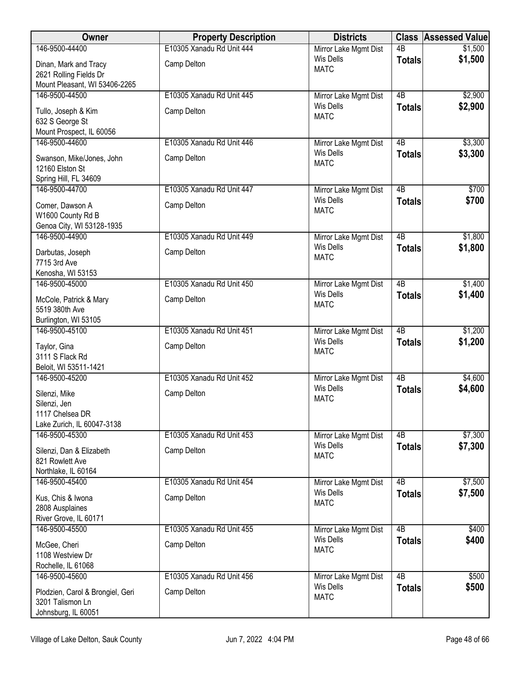| 146-9500-44400<br>4B<br>\$1,500<br>\$1,500<br><b>Wis Dells</b><br><b>Totals</b><br>Camp Delton<br>Dinan, Mark and Tracy<br><b>MATC</b><br>2621 Rolling Fields Dr<br>Mount Pleasant, WI 53406-2265<br>146-9500-44500<br>$\overline{AB}$<br>\$2,900<br>E10305 Xanadu Rd Unit 445<br>Mirror Lake Mgmt Dist<br><b>Wis Dells</b><br>\$2,900<br><b>Totals</b><br>Tullo, Joseph & Kim<br>Camp Delton<br><b>MATC</b><br>632 S George St<br>Mount Prospect, IL 60056<br>146-9500-44600<br>4B<br>\$3,300<br>E10305 Xanadu Rd Unit 446<br>Mirror Lake Mgmt Dist<br><b>Wis Dells</b><br>\$3,300<br><b>Totals</b><br>Camp Delton<br>Swanson, Mike/Jones, John<br><b>MATC</b><br>12160 Elston St<br>Spring Hill, FL 34609<br>146-9500-44700<br>E10305 Xanadu Rd Unit 447<br>4B<br>\$700<br>Mirror Lake Mgmt Dist<br><b>Wis Dells</b><br>\$700<br><b>Totals</b><br>Camp Delton<br>Comer, Dawson A<br><b>MATC</b><br>W1600 County Rd B<br>Genoa City, WI 53128-1935<br>$\overline{AB}$<br>\$1,800<br>146-9500-44900<br>E10305 Xanadu Rd Unit 449<br>Mirror Lake Mgmt Dist<br><b>Wis Dells</b><br>\$1,800<br><b>Totals</b><br>Camp Delton<br>Darbutas, Joseph<br><b>MATC</b><br>7715 3rd Ave<br>Kenosha, WI 53153<br>4B<br>\$1,400<br>146-9500-45000<br>E10305 Xanadu Rd Unit 450<br>Mirror Lake Mgmt Dist<br>\$1,400<br>Wis Dells<br><b>Totals</b><br>Camp Delton<br>McCole, Patrick & Mary<br><b>MATC</b><br>5519 380th Ave<br>Burlington, WI 53105<br>$\overline{AB}$<br>\$1,200<br>146-9500-45100<br>E10305 Xanadu Rd Unit 451<br>Mirror Lake Mgmt Dist<br><b>Wis Dells</b><br>\$1,200<br><b>Totals</b><br>Taylor, Gina<br>Camp Delton<br><b>MATC</b><br>3111 S Flack Rd<br>Beloit, WI 53511-1421<br>4B<br>\$4,600<br>146-9500-45200<br>E10305 Xanadu Rd Unit 452<br>Mirror Lake Mgmt Dist<br><b>Wis Dells</b><br>\$4,600<br><b>Totals</b><br>Camp Delton<br>Silenzi, Mike<br><b>MATC</b><br>Silenzi, Jen<br>1117 Chelsea DR<br>Lake Zurich, IL 60047-3138<br>\$7,300<br>146-9500-45300<br>E10305 Xanadu Rd Unit 453<br>4B<br>Mirror Lake Mgmt Dist<br>\$7,300<br><b>Wis Dells</b><br><b>Totals</b><br>Camp Delton<br>Silenzi, Dan & Elizabeth<br><b>MATC</b><br>821 Rowlett Ave<br>Northlake, IL 60164<br>$\overline{AB}$<br>146-9500-45400<br>E10305 Xanadu Rd Unit 454<br>\$7,500<br>Mirror Lake Mgmt Dist<br><b>Wis Dells</b><br>\$7,500<br><b>Totals</b><br>Camp Delton<br>Kus, Chis & Iwona<br><b>MATC</b><br>2808 Ausplaines<br>River Grove, IL 60171<br>$\overline{AB}$<br>146-9500-45500<br>E10305 Xanadu Rd Unit 455<br>\$400<br>Mirror Lake Mgmt Dist<br>Wis Dells<br>\$400<br><b>Totals</b><br>Camp Delton<br>McGee, Cheri<br><b>MATC</b><br>1108 Westview Dr<br>Rochelle, IL 61068<br>146-9500-45600<br>E10305 Xanadu Rd Unit 456<br>4B<br>\$500<br>Mirror Lake Mgmt Dist<br><b>Wis Dells</b><br>\$500<br><b>Totals</b><br>Camp Delton<br>Plodzien, Carol & Brongiel, Geri<br><b>MATC</b><br>3201 Talismon Ln | Owner | <b>Property Description</b> | <b>Districts</b>      | <b>Class Assessed Value</b> |
|---------------------------------------------------------------------------------------------------------------------------------------------------------------------------------------------------------------------------------------------------------------------------------------------------------------------------------------------------------------------------------------------------------------------------------------------------------------------------------------------------------------------------------------------------------------------------------------------------------------------------------------------------------------------------------------------------------------------------------------------------------------------------------------------------------------------------------------------------------------------------------------------------------------------------------------------------------------------------------------------------------------------------------------------------------------------------------------------------------------------------------------------------------------------------------------------------------------------------------------------------------------------------------------------------------------------------------------------------------------------------------------------------------------------------------------------------------------------------------------------------------------------------------------------------------------------------------------------------------------------------------------------------------------------------------------------------------------------------------------------------------------------------------------------------------------------------------------------------------------------------------------------------------------------------------------------------------------------------------------------------------------------------------------------------------------------------------------------------------------------------------------------------------------------------------------------------------------------------------------------------------------------------------------------------------------------------------------------------------------------------------------------------------------------------------------------------------------------------------------------------------------------------------------------------------------------------------------------------------------------------------------------------------------------------------------------------------------------------------------------------------------------------------------------------------------------------------------------------------------------------------------------------------------|-------|-----------------------------|-----------------------|-----------------------------|
|                                                                                                                                                                                                                                                                                                                                                                                                                                                                                                                                                                                                                                                                                                                                                                                                                                                                                                                                                                                                                                                                                                                                                                                                                                                                                                                                                                                                                                                                                                                                                                                                                                                                                                                                                                                                                                                                                                                                                                                                                                                                                                                                                                                                                                                                                                                                                                                                                                                                                                                                                                                                                                                                                                                                                                                                                                                                                                               |       | E10305 Xanadu Rd Unit 444   | Mirror Lake Mgmt Dist |                             |
|                                                                                                                                                                                                                                                                                                                                                                                                                                                                                                                                                                                                                                                                                                                                                                                                                                                                                                                                                                                                                                                                                                                                                                                                                                                                                                                                                                                                                                                                                                                                                                                                                                                                                                                                                                                                                                                                                                                                                                                                                                                                                                                                                                                                                                                                                                                                                                                                                                                                                                                                                                                                                                                                                                                                                                                                                                                                                                               |       |                             |                       |                             |
|                                                                                                                                                                                                                                                                                                                                                                                                                                                                                                                                                                                                                                                                                                                                                                                                                                                                                                                                                                                                                                                                                                                                                                                                                                                                                                                                                                                                                                                                                                                                                                                                                                                                                                                                                                                                                                                                                                                                                                                                                                                                                                                                                                                                                                                                                                                                                                                                                                                                                                                                                                                                                                                                                                                                                                                                                                                                                                               |       |                             |                       |                             |
|                                                                                                                                                                                                                                                                                                                                                                                                                                                                                                                                                                                                                                                                                                                                                                                                                                                                                                                                                                                                                                                                                                                                                                                                                                                                                                                                                                                                                                                                                                                                                                                                                                                                                                                                                                                                                                                                                                                                                                                                                                                                                                                                                                                                                                                                                                                                                                                                                                                                                                                                                                                                                                                                                                                                                                                                                                                                                                               |       |                             |                       |                             |
|                                                                                                                                                                                                                                                                                                                                                                                                                                                                                                                                                                                                                                                                                                                                                                                                                                                                                                                                                                                                                                                                                                                                                                                                                                                                                                                                                                                                                                                                                                                                                                                                                                                                                                                                                                                                                                                                                                                                                                                                                                                                                                                                                                                                                                                                                                                                                                                                                                                                                                                                                                                                                                                                                                                                                                                                                                                                                                               |       |                             |                       |                             |
|                                                                                                                                                                                                                                                                                                                                                                                                                                                                                                                                                                                                                                                                                                                                                                                                                                                                                                                                                                                                                                                                                                                                                                                                                                                                                                                                                                                                                                                                                                                                                                                                                                                                                                                                                                                                                                                                                                                                                                                                                                                                                                                                                                                                                                                                                                                                                                                                                                                                                                                                                                                                                                                                                                                                                                                                                                                                                                               |       |                             |                       |                             |
|                                                                                                                                                                                                                                                                                                                                                                                                                                                                                                                                                                                                                                                                                                                                                                                                                                                                                                                                                                                                                                                                                                                                                                                                                                                                                                                                                                                                                                                                                                                                                                                                                                                                                                                                                                                                                                                                                                                                                                                                                                                                                                                                                                                                                                                                                                                                                                                                                                                                                                                                                                                                                                                                                                                                                                                                                                                                                                               |       |                             |                       |                             |
|                                                                                                                                                                                                                                                                                                                                                                                                                                                                                                                                                                                                                                                                                                                                                                                                                                                                                                                                                                                                                                                                                                                                                                                                                                                                                                                                                                                                                                                                                                                                                                                                                                                                                                                                                                                                                                                                                                                                                                                                                                                                                                                                                                                                                                                                                                                                                                                                                                                                                                                                                                                                                                                                                                                                                                                                                                                                                                               |       |                             |                       |                             |
|                                                                                                                                                                                                                                                                                                                                                                                                                                                                                                                                                                                                                                                                                                                                                                                                                                                                                                                                                                                                                                                                                                                                                                                                                                                                                                                                                                                                                                                                                                                                                                                                                                                                                                                                                                                                                                                                                                                                                                                                                                                                                                                                                                                                                                                                                                                                                                                                                                                                                                                                                                                                                                                                                                                                                                                                                                                                                                               |       |                             |                       |                             |
|                                                                                                                                                                                                                                                                                                                                                                                                                                                                                                                                                                                                                                                                                                                                                                                                                                                                                                                                                                                                                                                                                                                                                                                                                                                                                                                                                                                                                                                                                                                                                                                                                                                                                                                                                                                                                                                                                                                                                                                                                                                                                                                                                                                                                                                                                                                                                                                                                                                                                                                                                                                                                                                                                                                                                                                                                                                                                                               |       |                             |                       |                             |
|                                                                                                                                                                                                                                                                                                                                                                                                                                                                                                                                                                                                                                                                                                                                                                                                                                                                                                                                                                                                                                                                                                                                                                                                                                                                                                                                                                                                                                                                                                                                                                                                                                                                                                                                                                                                                                                                                                                                                                                                                                                                                                                                                                                                                                                                                                                                                                                                                                                                                                                                                                                                                                                                                                                                                                                                                                                                                                               |       |                             |                       |                             |
|                                                                                                                                                                                                                                                                                                                                                                                                                                                                                                                                                                                                                                                                                                                                                                                                                                                                                                                                                                                                                                                                                                                                                                                                                                                                                                                                                                                                                                                                                                                                                                                                                                                                                                                                                                                                                                                                                                                                                                                                                                                                                                                                                                                                                                                                                                                                                                                                                                                                                                                                                                                                                                                                                                                                                                                                                                                                                                               |       |                             |                       |                             |
|                                                                                                                                                                                                                                                                                                                                                                                                                                                                                                                                                                                                                                                                                                                                                                                                                                                                                                                                                                                                                                                                                                                                                                                                                                                                                                                                                                                                                                                                                                                                                                                                                                                                                                                                                                                                                                                                                                                                                                                                                                                                                                                                                                                                                                                                                                                                                                                                                                                                                                                                                                                                                                                                                                                                                                                                                                                                                                               |       |                             |                       |                             |
|                                                                                                                                                                                                                                                                                                                                                                                                                                                                                                                                                                                                                                                                                                                                                                                                                                                                                                                                                                                                                                                                                                                                                                                                                                                                                                                                                                                                                                                                                                                                                                                                                                                                                                                                                                                                                                                                                                                                                                                                                                                                                                                                                                                                                                                                                                                                                                                                                                                                                                                                                                                                                                                                                                                                                                                                                                                                                                               |       |                             |                       |                             |
|                                                                                                                                                                                                                                                                                                                                                                                                                                                                                                                                                                                                                                                                                                                                                                                                                                                                                                                                                                                                                                                                                                                                                                                                                                                                                                                                                                                                                                                                                                                                                                                                                                                                                                                                                                                                                                                                                                                                                                                                                                                                                                                                                                                                                                                                                                                                                                                                                                                                                                                                                                                                                                                                                                                                                                                                                                                                                                               |       |                             |                       |                             |
|                                                                                                                                                                                                                                                                                                                                                                                                                                                                                                                                                                                                                                                                                                                                                                                                                                                                                                                                                                                                                                                                                                                                                                                                                                                                                                                                                                                                                                                                                                                                                                                                                                                                                                                                                                                                                                                                                                                                                                                                                                                                                                                                                                                                                                                                                                                                                                                                                                                                                                                                                                                                                                                                                                                                                                                                                                                                                                               |       |                             |                       |                             |
|                                                                                                                                                                                                                                                                                                                                                                                                                                                                                                                                                                                                                                                                                                                                                                                                                                                                                                                                                                                                                                                                                                                                                                                                                                                                                                                                                                                                                                                                                                                                                                                                                                                                                                                                                                                                                                                                                                                                                                                                                                                                                                                                                                                                                                                                                                                                                                                                                                                                                                                                                                                                                                                                                                                                                                                                                                                                                                               |       |                             |                       |                             |
|                                                                                                                                                                                                                                                                                                                                                                                                                                                                                                                                                                                                                                                                                                                                                                                                                                                                                                                                                                                                                                                                                                                                                                                                                                                                                                                                                                                                                                                                                                                                                                                                                                                                                                                                                                                                                                                                                                                                                                                                                                                                                                                                                                                                                                                                                                                                                                                                                                                                                                                                                                                                                                                                                                                                                                                                                                                                                                               |       |                             |                       |                             |
|                                                                                                                                                                                                                                                                                                                                                                                                                                                                                                                                                                                                                                                                                                                                                                                                                                                                                                                                                                                                                                                                                                                                                                                                                                                                                                                                                                                                                                                                                                                                                                                                                                                                                                                                                                                                                                                                                                                                                                                                                                                                                                                                                                                                                                                                                                                                                                                                                                                                                                                                                                                                                                                                                                                                                                                                                                                                                                               |       |                             |                       |                             |
|                                                                                                                                                                                                                                                                                                                                                                                                                                                                                                                                                                                                                                                                                                                                                                                                                                                                                                                                                                                                                                                                                                                                                                                                                                                                                                                                                                                                                                                                                                                                                                                                                                                                                                                                                                                                                                                                                                                                                                                                                                                                                                                                                                                                                                                                                                                                                                                                                                                                                                                                                                                                                                                                                                                                                                                                                                                                                                               |       |                             |                       |                             |
|                                                                                                                                                                                                                                                                                                                                                                                                                                                                                                                                                                                                                                                                                                                                                                                                                                                                                                                                                                                                                                                                                                                                                                                                                                                                                                                                                                                                                                                                                                                                                                                                                                                                                                                                                                                                                                                                                                                                                                                                                                                                                                                                                                                                                                                                                                                                                                                                                                                                                                                                                                                                                                                                                                                                                                                                                                                                                                               |       |                             |                       |                             |
|                                                                                                                                                                                                                                                                                                                                                                                                                                                                                                                                                                                                                                                                                                                                                                                                                                                                                                                                                                                                                                                                                                                                                                                                                                                                                                                                                                                                                                                                                                                                                                                                                                                                                                                                                                                                                                                                                                                                                                                                                                                                                                                                                                                                                                                                                                                                                                                                                                                                                                                                                                                                                                                                                                                                                                                                                                                                                                               |       |                             |                       |                             |
|                                                                                                                                                                                                                                                                                                                                                                                                                                                                                                                                                                                                                                                                                                                                                                                                                                                                                                                                                                                                                                                                                                                                                                                                                                                                                                                                                                                                                                                                                                                                                                                                                                                                                                                                                                                                                                                                                                                                                                                                                                                                                                                                                                                                                                                                                                                                                                                                                                                                                                                                                                                                                                                                                                                                                                                                                                                                                                               |       |                             |                       |                             |
|                                                                                                                                                                                                                                                                                                                                                                                                                                                                                                                                                                                                                                                                                                                                                                                                                                                                                                                                                                                                                                                                                                                                                                                                                                                                                                                                                                                                                                                                                                                                                                                                                                                                                                                                                                                                                                                                                                                                                                                                                                                                                                                                                                                                                                                                                                                                                                                                                                                                                                                                                                                                                                                                                                                                                                                                                                                                                                               |       |                             |                       |                             |
|                                                                                                                                                                                                                                                                                                                                                                                                                                                                                                                                                                                                                                                                                                                                                                                                                                                                                                                                                                                                                                                                                                                                                                                                                                                                                                                                                                                                                                                                                                                                                                                                                                                                                                                                                                                                                                                                                                                                                                                                                                                                                                                                                                                                                                                                                                                                                                                                                                                                                                                                                                                                                                                                                                                                                                                                                                                                                                               |       |                             |                       |                             |
|                                                                                                                                                                                                                                                                                                                                                                                                                                                                                                                                                                                                                                                                                                                                                                                                                                                                                                                                                                                                                                                                                                                                                                                                                                                                                                                                                                                                                                                                                                                                                                                                                                                                                                                                                                                                                                                                                                                                                                                                                                                                                                                                                                                                                                                                                                                                                                                                                                                                                                                                                                                                                                                                                                                                                                                                                                                                                                               |       |                             |                       |                             |
|                                                                                                                                                                                                                                                                                                                                                                                                                                                                                                                                                                                                                                                                                                                                                                                                                                                                                                                                                                                                                                                                                                                                                                                                                                                                                                                                                                                                                                                                                                                                                                                                                                                                                                                                                                                                                                                                                                                                                                                                                                                                                                                                                                                                                                                                                                                                                                                                                                                                                                                                                                                                                                                                                                                                                                                                                                                                                                               |       |                             |                       |                             |
|                                                                                                                                                                                                                                                                                                                                                                                                                                                                                                                                                                                                                                                                                                                                                                                                                                                                                                                                                                                                                                                                                                                                                                                                                                                                                                                                                                                                                                                                                                                                                                                                                                                                                                                                                                                                                                                                                                                                                                                                                                                                                                                                                                                                                                                                                                                                                                                                                                                                                                                                                                                                                                                                                                                                                                                                                                                                                                               |       |                             |                       |                             |
|                                                                                                                                                                                                                                                                                                                                                                                                                                                                                                                                                                                                                                                                                                                                                                                                                                                                                                                                                                                                                                                                                                                                                                                                                                                                                                                                                                                                                                                                                                                                                                                                                                                                                                                                                                                                                                                                                                                                                                                                                                                                                                                                                                                                                                                                                                                                                                                                                                                                                                                                                                                                                                                                                                                                                                                                                                                                                                               |       |                             |                       |                             |
|                                                                                                                                                                                                                                                                                                                                                                                                                                                                                                                                                                                                                                                                                                                                                                                                                                                                                                                                                                                                                                                                                                                                                                                                                                                                                                                                                                                                                                                                                                                                                                                                                                                                                                                                                                                                                                                                                                                                                                                                                                                                                                                                                                                                                                                                                                                                                                                                                                                                                                                                                                                                                                                                                                                                                                                                                                                                                                               |       |                             |                       |                             |
|                                                                                                                                                                                                                                                                                                                                                                                                                                                                                                                                                                                                                                                                                                                                                                                                                                                                                                                                                                                                                                                                                                                                                                                                                                                                                                                                                                                                                                                                                                                                                                                                                                                                                                                                                                                                                                                                                                                                                                                                                                                                                                                                                                                                                                                                                                                                                                                                                                                                                                                                                                                                                                                                                                                                                                                                                                                                                                               |       |                             |                       |                             |
|                                                                                                                                                                                                                                                                                                                                                                                                                                                                                                                                                                                                                                                                                                                                                                                                                                                                                                                                                                                                                                                                                                                                                                                                                                                                                                                                                                                                                                                                                                                                                                                                                                                                                                                                                                                                                                                                                                                                                                                                                                                                                                                                                                                                                                                                                                                                                                                                                                                                                                                                                                                                                                                                                                                                                                                                                                                                                                               |       |                             |                       |                             |
|                                                                                                                                                                                                                                                                                                                                                                                                                                                                                                                                                                                                                                                                                                                                                                                                                                                                                                                                                                                                                                                                                                                                                                                                                                                                                                                                                                                                                                                                                                                                                                                                                                                                                                                                                                                                                                                                                                                                                                                                                                                                                                                                                                                                                                                                                                                                                                                                                                                                                                                                                                                                                                                                                                                                                                                                                                                                                                               |       |                             |                       |                             |
|                                                                                                                                                                                                                                                                                                                                                                                                                                                                                                                                                                                                                                                                                                                                                                                                                                                                                                                                                                                                                                                                                                                                                                                                                                                                                                                                                                                                                                                                                                                                                                                                                                                                                                                                                                                                                                                                                                                                                                                                                                                                                                                                                                                                                                                                                                                                                                                                                                                                                                                                                                                                                                                                                                                                                                                                                                                                                                               |       |                             |                       |                             |
|                                                                                                                                                                                                                                                                                                                                                                                                                                                                                                                                                                                                                                                                                                                                                                                                                                                                                                                                                                                                                                                                                                                                                                                                                                                                                                                                                                                                                                                                                                                                                                                                                                                                                                                                                                                                                                                                                                                                                                                                                                                                                                                                                                                                                                                                                                                                                                                                                                                                                                                                                                                                                                                                                                                                                                                                                                                                                                               |       |                             |                       |                             |
|                                                                                                                                                                                                                                                                                                                                                                                                                                                                                                                                                                                                                                                                                                                                                                                                                                                                                                                                                                                                                                                                                                                                                                                                                                                                                                                                                                                                                                                                                                                                                                                                                                                                                                                                                                                                                                                                                                                                                                                                                                                                                                                                                                                                                                                                                                                                                                                                                                                                                                                                                                                                                                                                                                                                                                                                                                                                                                               |       |                             |                       |                             |
|                                                                                                                                                                                                                                                                                                                                                                                                                                                                                                                                                                                                                                                                                                                                                                                                                                                                                                                                                                                                                                                                                                                                                                                                                                                                                                                                                                                                                                                                                                                                                                                                                                                                                                                                                                                                                                                                                                                                                                                                                                                                                                                                                                                                                                                                                                                                                                                                                                                                                                                                                                                                                                                                                                                                                                                                                                                                                                               |       |                             |                       |                             |
|                                                                                                                                                                                                                                                                                                                                                                                                                                                                                                                                                                                                                                                                                                                                                                                                                                                                                                                                                                                                                                                                                                                                                                                                                                                                                                                                                                                                                                                                                                                                                                                                                                                                                                                                                                                                                                                                                                                                                                                                                                                                                                                                                                                                                                                                                                                                                                                                                                                                                                                                                                                                                                                                                                                                                                                                                                                                                                               |       |                             |                       |                             |
|                                                                                                                                                                                                                                                                                                                                                                                                                                                                                                                                                                                                                                                                                                                                                                                                                                                                                                                                                                                                                                                                                                                                                                                                                                                                                                                                                                                                                                                                                                                                                                                                                                                                                                                                                                                                                                                                                                                                                                                                                                                                                                                                                                                                                                                                                                                                                                                                                                                                                                                                                                                                                                                                                                                                                                                                                                                                                                               |       |                             |                       |                             |
|                                                                                                                                                                                                                                                                                                                                                                                                                                                                                                                                                                                                                                                                                                                                                                                                                                                                                                                                                                                                                                                                                                                                                                                                                                                                                                                                                                                                                                                                                                                                                                                                                                                                                                                                                                                                                                                                                                                                                                                                                                                                                                                                                                                                                                                                                                                                                                                                                                                                                                                                                                                                                                                                                                                                                                                                                                                                                                               |       |                             |                       |                             |
|                                                                                                                                                                                                                                                                                                                                                                                                                                                                                                                                                                                                                                                                                                                                                                                                                                                                                                                                                                                                                                                                                                                                                                                                                                                                                                                                                                                                                                                                                                                                                                                                                                                                                                                                                                                                                                                                                                                                                                                                                                                                                                                                                                                                                                                                                                                                                                                                                                                                                                                                                                                                                                                                                                                                                                                                                                                                                                               |       |                             |                       |                             |
|                                                                                                                                                                                                                                                                                                                                                                                                                                                                                                                                                                                                                                                                                                                                                                                                                                                                                                                                                                                                                                                                                                                                                                                                                                                                                                                                                                                                                                                                                                                                                                                                                                                                                                                                                                                                                                                                                                                                                                                                                                                                                                                                                                                                                                                                                                                                                                                                                                                                                                                                                                                                                                                                                                                                                                                                                                                                                                               |       |                             |                       |                             |
|                                                                                                                                                                                                                                                                                                                                                                                                                                                                                                                                                                                                                                                                                                                                                                                                                                                                                                                                                                                                                                                                                                                                                                                                                                                                                                                                                                                                                                                                                                                                                                                                                                                                                                                                                                                                                                                                                                                                                                                                                                                                                                                                                                                                                                                                                                                                                                                                                                                                                                                                                                                                                                                                                                                                                                                                                                                                                                               |       |                             |                       |                             |
|                                                                                                                                                                                                                                                                                                                                                                                                                                                                                                                                                                                                                                                                                                                                                                                                                                                                                                                                                                                                                                                                                                                                                                                                                                                                                                                                                                                                                                                                                                                                                                                                                                                                                                                                                                                                                                                                                                                                                                                                                                                                                                                                                                                                                                                                                                                                                                                                                                                                                                                                                                                                                                                                                                                                                                                                                                                                                                               |       |                             |                       |                             |
|                                                                                                                                                                                                                                                                                                                                                                                                                                                                                                                                                                                                                                                                                                                                                                                                                                                                                                                                                                                                                                                                                                                                                                                                                                                                                                                                                                                                                                                                                                                                                                                                                                                                                                                                                                                                                                                                                                                                                                                                                                                                                                                                                                                                                                                                                                                                                                                                                                                                                                                                                                                                                                                                                                                                                                                                                                                                                                               |       |                             |                       |                             |
|                                                                                                                                                                                                                                                                                                                                                                                                                                                                                                                                                                                                                                                                                                                                                                                                                                                                                                                                                                                                                                                                                                                                                                                                                                                                                                                                                                                                                                                                                                                                                                                                                                                                                                                                                                                                                                                                                                                                                                                                                                                                                                                                                                                                                                                                                                                                                                                                                                                                                                                                                                                                                                                                                                                                                                                                                                                                                                               |       |                             |                       |                             |
|                                                                                                                                                                                                                                                                                                                                                                                                                                                                                                                                                                                                                                                                                                                                                                                                                                                                                                                                                                                                                                                                                                                                                                                                                                                                                                                                                                                                                                                                                                                                                                                                                                                                                                                                                                                                                                                                                                                                                                                                                                                                                                                                                                                                                                                                                                                                                                                                                                                                                                                                                                                                                                                                                                                                                                                                                                                                                                               |       |                             |                       |                             |
| Johnsburg, IL 60051                                                                                                                                                                                                                                                                                                                                                                                                                                                                                                                                                                                                                                                                                                                                                                                                                                                                                                                                                                                                                                                                                                                                                                                                                                                                                                                                                                                                                                                                                                                                                                                                                                                                                                                                                                                                                                                                                                                                                                                                                                                                                                                                                                                                                                                                                                                                                                                                                                                                                                                                                                                                                                                                                                                                                                                                                                                                                           |       |                             |                       |                             |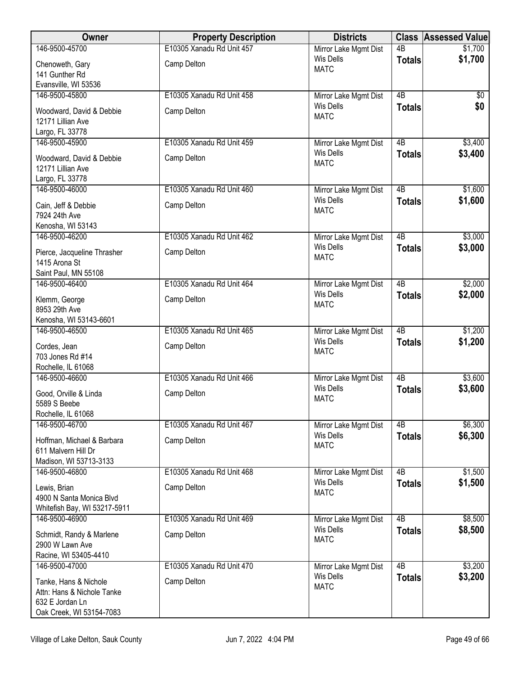| Owner                                                                                              | <b>Property Description</b> | <b>Districts</b>                |                 | <b>Class Assessed Value</b> |
|----------------------------------------------------------------------------------------------------|-----------------------------|---------------------------------|-----------------|-----------------------------|
| 146-9500-45700                                                                                     | E10305 Xanadu Rd Unit 457   | Mirror Lake Mgmt Dist           | $\overline{AB}$ | \$1,700                     |
| Chenoweth, Gary                                                                                    | Camp Delton                 | <b>Wis Dells</b><br><b>MATC</b> | <b>Totals</b>   | \$1,700                     |
| 141 Gunther Rd                                                                                     |                             |                                 |                 |                             |
| Evansville, WI 53536                                                                               |                             |                                 |                 |                             |
| 146-9500-45800                                                                                     | E10305 Xanadu Rd Unit 458   | Mirror Lake Mgmt Dist           | $\overline{AB}$ | $\sqrt{$0}$                 |
| Woodward, David & Debbie<br>12171 Lillian Ave<br>Largo, FL 33778                                   | Camp Delton                 | <b>Wis Dells</b><br><b>MATC</b> | <b>Totals</b>   | \$0                         |
| 146-9500-45900                                                                                     | E10305 Xanadu Rd Unit 459   | Mirror Lake Mgmt Dist           | 4B              | \$3,400                     |
| Woodward, David & Debbie<br>12171 Lillian Ave<br>Largo, FL 33778                                   | Camp Delton                 | <b>Wis Dells</b><br><b>MATC</b> | <b>Totals</b>   | \$3,400                     |
| 146-9500-46000                                                                                     | E10305 Xanadu Rd Unit 460   | Mirror Lake Mgmt Dist           | $\overline{AB}$ | \$1,600                     |
| Cain, Jeff & Debbie<br>7924 24th Ave<br>Kenosha, WI 53143                                          | Camp Delton                 | <b>Wis Dells</b><br><b>MATC</b> | <b>Totals</b>   | \$1,600                     |
| 146-9500-46200                                                                                     | E10305 Xanadu Rd Unit 462   | Mirror Lake Mgmt Dist           | $\overline{AB}$ | \$3,000                     |
| Pierce, Jacqueline Thrasher<br>1415 Arona St<br>Saint Paul, MN 55108                               | Camp Delton                 | <b>Wis Dells</b><br><b>MATC</b> | <b>Totals</b>   | \$3,000                     |
| 146-9500-46400                                                                                     | E10305 Xanadu Rd Unit 464   | Mirror Lake Mgmt Dist           | $\overline{AB}$ | \$2,000                     |
| Klemm, George<br>8953 29th Ave                                                                     | Camp Delton                 | <b>Wis Dells</b><br><b>MATC</b> | <b>Totals</b>   | \$2,000                     |
| Kenosha, WI 53143-6601                                                                             |                             |                                 |                 |                             |
| 146-9500-46500                                                                                     | E10305 Xanadu Rd Unit 465   | Mirror Lake Mgmt Dist           | $\overline{AB}$ | \$1,200                     |
| Cordes, Jean<br>703 Jones Rd #14<br>Rochelle, IL 61068                                             | Camp Delton                 | <b>Wis Dells</b><br><b>MATC</b> | <b>Totals</b>   | \$1,200                     |
| 146-9500-46600                                                                                     | E10305 Xanadu Rd Unit 466   | Mirror Lake Mgmt Dist           | 4B              | \$3,600                     |
| Good, Orville & Linda<br>5589 S Beebe<br>Rochelle, IL 61068                                        | Camp Delton                 | <b>Wis Dells</b><br><b>MATC</b> | <b>Totals</b>   | \$3,600                     |
| 146-9500-46700                                                                                     | E10305 Xanadu Rd Unit 467   | Mirror Lake Mgmt Dist           | 4B              | \$6,300                     |
| Hoffman, Michael & Barbara<br>611 Malvern Hill Dr<br>Madison, WI 53713-3133                        | Camp Delton                 | <b>Wis Dells</b><br><b>MATC</b> | <b>Totals</b>   | \$6,300                     |
| 146-9500-46800                                                                                     | E10305 Xanadu Rd Unit 468   | Mirror Lake Mgmt Dist           | $\overline{AB}$ | \$1,500                     |
| Lewis, Brian<br>4900 N Santa Monica Blvd<br>Whitefish Bay, WI 53217-5911                           | Camp Delton                 | <b>Wis Dells</b><br><b>MATC</b> | <b>Totals</b>   | \$1,500                     |
| 146-9500-46900                                                                                     | E10305 Xanadu Rd Unit 469   | Mirror Lake Mgmt Dist           | $\overline{AB}$ | \$8,500                     |
| Schmidt, Randy & Marlene<br>2900 W Lawn Ave<br>Racine, WI 53405-4410                               | Camp Delton                 | Wis Dells<br><b>MATC</b>        | <b>Totals</b>   | \$8,500                     |
| 146-9500-47000                                                                                     | E10305 Xanadu Rd Unit 470   | Mirror Lake Mgmt Dist           | 4B              | \$3,200                     |
| Tanke, Hans & Nichole<br>Attn: Hans & Nichole Tanke<br>632 E Jordan Ln<br>Oak Creek, WI 53154-7083 | Camp Delton                 | <b>Wis Dells</b><br><b>MATC</b> | <b>Totals</b>   | \$3,200                     |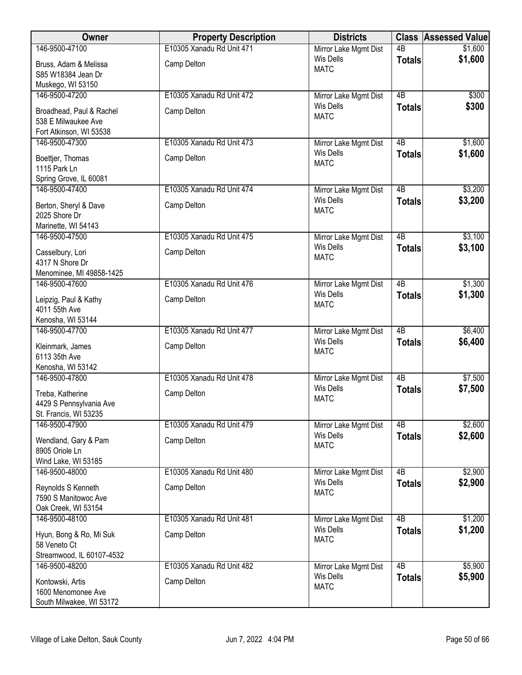| Owner                                       | <b>Property Description</b> | <b>Districts</b>      |                 | <b>Class Assessed Value</b> |
|---------------------------------------------|-----------------------------|-----------------------|-----------------|-----------------------------|
| 146-9500-47100                              | E10305 Xanadu Rd Unit 471   | Mirror Lake Mgmt Dist | $\overline{AB}$ | \$1,600                     |
| Bruss, Adam & Melissa                       | Camp Delton                 | Wis Dells             | <b>Totals</b>   | \$1,600                     |
| S85 W18384 Jean Dr                          |                             | <b>MATC</b>           |                 |                             |
| Muskego, WI 53150                           |                             |                       |                 |                             |
| 146-9500-47200                              | E10305 Xanadu Rd Unit 472   | Mirror Lake Mgmt Dist | $\overline{AB}$ | \$300                       |
| Broadhead, Paul & Rachel                    | Camp Delton                 | Wis Dells             | <b>Totals</b>   | \$300                       |
| 538 E Milwaukee Ave                         |                             | <b>MATC</b>           |                 |                             |
| Fort Atkinson, WI 53538                     |                             |                       |                 |                             |
| 146-9500-47300                              | E10305 Xanadu Rd Unit 473   | Mirror Lake Mgmt Dist | 4B              | \$1,600                     |
| Boettjer, Thomas                            | Camp Delton                 | <b>Wis Dells</b>      | <b>Totals</b>   | \$1,600                     |
| 1115 Park Ln                                |                             | <b>MATC</b>           |                 |                             |
| Spring Grove, IL 60081                      |                             |                       |                 |                             |
| 146-9500-47400                              | E10305 Xanadu Rd Unit 474   | Mirror Lake Mgmt Dist | 4B              | \$3,200                     |
| Berton, Sheryl & Dave                       | Camp Delton                 | <b>Wis Dells</b>      | <b>Totals</b>   | \$3,200                     |
| 2025 Shore Dr                               |                             | <b>MATC</b>           |                 |                             |
| Marinette, WI 54143                         |                             |                       |                 |                             |
| 146-9500-47500                              | E10305 Xanadu Rd Unit 475   | Mirror Lake Mgmt Dist | $\overline{AB}$ | \$3,100                     |
| Casselbury, Lori                            | Camp Delton                 | <b>Wis Dells</b>      | <b>Totals</b>   | \$3,100                     |
| 4317 N Shore Dr                             |                             | <b>MATC</b>           |                 |                             |
| Menominee, MI 49858-1425                    |                             |                       |                 |                             |
| 146-9500-47600                              | E10305 Xanadu Rd Unit 476   | Mirror Lake Mgmt Dist | $\overline{AB}$ | \$1,300                     |
|                                             |                             | <b>Wis Dells</b>      | <b>Totals</b>   | \$1,300                     |
| Leipzig, Paul & Kathy<br>4011 55th Ave      | Camp Delton                 | <b>MATC</b>           |                 |                             |
| Kenosha, WI 53144                           |                             |                       |                 |                             |
| 146-9500-47700                              | E10305 Xanadu Rd Unit 477   | Mirror Lake Mgmt Dist | $\overline{AB}$ | \$6,400                     |
|                                             |                             | <b>Wis Dells</b>      | <b>Totals</b>   | \$6,400                     |
| Kleinmark, James<br>6113 35th Ave           | Camp Delton                 | <b>MATC</b>           |                 |                             |
| Kenosha, WI 53142                           |                             |                       |                 |                             |
| 146-9500-47800                              | E10305 Xanadu Rd Unit 478   | Mirror Lake Mgmt Dist | 4B              | \$7,500                     |
|                                             |                             | <b>Wis Dells</b>      | <b>Totals</b>   | \$7,500                     |
| Treba, Katherine<br>4429 S Pennsylvania Ave | Camp Delton                 | <b>MATC</b>           |                 |                             |
| St. Francis, WI 53235                       |                             |                       |                 |                             |
| 146-9500-47900                              | E10305 Xanadu Rd Unit 479   | Mirror Lake Mgmt Dist | 4B              | \$2,600                     |
|                                             |                             | <b>Wis Dells</b>      | <b>Totals</b>   | \$2,600                     |
| Wendland, Gary & Pam<br>8905 Oriole Ln      | Camp Delton                 | <b>MATC</b>           |                 |                             |
| Wind Lake, WI 53185                         |                             |                       |                 |                             |
| 146-9500-48000                              | E10305 Xanadu Rd Unit 480   | Mirror Lake Mgmt Dist | $\overline{AB}$ | \$2,900                     |
|                                             |                             | Wis Dells             | <b>Totals</b>   | \$2,900                     |
| Reynolds S Kenneth<br>7590 S Manitowoc Ave  | Camp Delton                 | <b>MATC</b>           |                 |                             |
| Oak Creek, WI 53154                         |                             |                       |                 |                             |
| 146-9500-48100                              | E10305 Xanadu Rd Unit 481   | Mirror Lake Mgmt Dist | $\overline{AB}$ | \$1,200                     |
|                                             |                             | Wis Dells             | <b>Totals</b>   | \$1,200                     |
| Hyun, Bong & Ro, Mi Suk                     | Camp Delton                 | <b>MATC</b>           |                 |                             |
| 58 Veneto Ct<br>Streamwood, IL 60107-4532   |                             |                       |                 |                             |
| 146-9500-48200                              | E10305 Xanadu Rd Unit 482   | Mirror Lake Mgmt Dist | 4B              | \$5,900                     |
|                                             |                             | <b>Wis Dells</b>      | <b>Totals</b>   | \$5,900                     |
| Kontowski, Artis                            | Camp Delton                 | <b>MATC</b>           |                 |                             |
| 1600 Menomonee Ave                          |                             |                       |                 |                             |
| South Milwakee, WI 53172                    |                             |                       |                 |                             |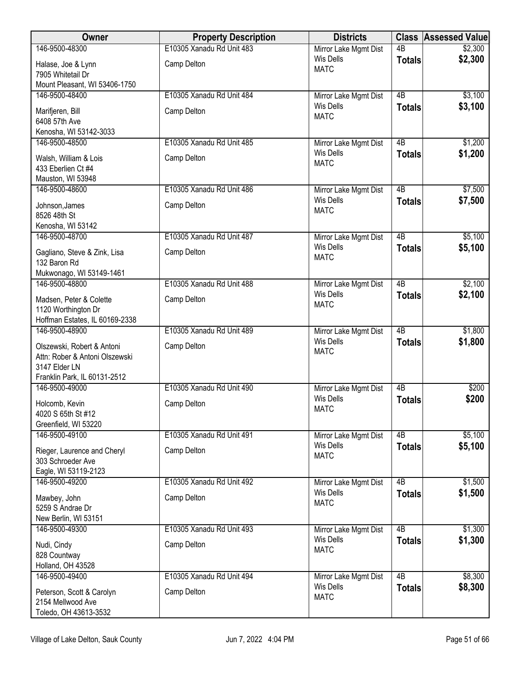| Owner                                            | <b>Property Description</b> | <b>Districts</b>                          |                 | <b>Class Assessed Value</b> |
|--------------------------------------------------|-----------------------------|-------------------------------------------|-----------------|-----------------------------|
| 146-9500-48300                                   | E10305 Xanadu Rd Unit 483   | Mirror Lake Mgmt Dist                     | $\overline{AB}$ | \$2,300                     |
| Halase, Joe & Lynn                               | Camp Delton                 | <b>Wis Dells</b>                          | <b>Totals</b>   | \$2,300                     |
| 7905 Whitetail Dr                                |                             | <b>MATC</b>                               |                 |                             |
| Mount Pleasant, WI 53406-1750                    |                             |                                           |                 |                             |
| 146-9500-48400                                   | E10305 Xanadu Rd Unit 484   | Mirror Lake Mgmt Dist                     | $\overline{AB}$ | \$3,100                     |
| Marifjeren, Bill                                 | Camp Delton                 | <b>Wis Dells</b>                          | <b>Totals</b>   | \$3,100                     |
| 6408 57th Ave                                    |                             | <b>MATC</b>                               |                 |                             |
| Kenosha, WI 53142-3033                           |                             |                                           |                 |                             |
| 146-9500-48500                                   | E10305 Xanadu Rd Unit 485   | Mirror Lake Mgmt Dist                     | 4B              | \$1,200                     |
| Walsh, William & Lois                            | Camp Delton                 | <b>Wis Dells</b><br><b>MATC</b>           | <b>Totals</b>   | \$1,200                     |
| 433 Eberlien Ct #4                               |                             |                                           |                 |                             |
| Mauston, WI 53948                                |                             |                                           |                 |                             |
| 146-9500-48600                                   | E10305 Xanadu Rd Unit 486   | Mirror Lake Mgmt Dist                     | $\overline{AB}$ | \$7,500                     |
| Johnson, James                                   | Camp Delton                 | <b>Wis Dells</b><br><b>MATC</b>           | <b>Totals</b>   | \$7,500                     |
| 8526 48th St                                     |                             |                                           |                 |                             |
| Kenosha, WI 53142                                |                             |                                           |                 |                             |
| 146-9500-48700                                   | E10305 Xanadu Rd Unit 487   | Mirror Lake Mgmt Dist                     | $\overline{AB}$ | \$5,100                     |
| Gagliano, Steve & Zink, Lisa                     | Camp Delton                 | <b>Wis Dells</b><br><b>MATC</b>           | <b>Totals</b>   | \$5,100                     |
| 132 Baron Rd                                     |                             |                                           |                 |                             |
| Mukwonago, WI 53149-1461                         |                             |                                           |                 |                             |
| 146-9500-48800                                   | E10305 Xanadu Rd Unit 488   | Mirror Lake Mgmt Dist                     | $\overline{AB}$ | \$2,100                     |
| Madsen, Peter & Colette                          | Camp Delton                 | <b>Wis Dells</b><br><b>MATC</b>           | <b>Totals</b>   | \$2,100                     |
| 1120 Worthington Dr                              |                             |                                           |                 |                             |
| Hoffman Estates, IL 60169-2338                   |                             |                                           |                 |                             |
| 146-9500-48900                                   | E10305 Xanadu Rd Unit 489   | Mirror Lake Mgmt Dist<br><b>Wis Dells</b> | $\overline{AB}$ | \$1,800                     |
| Olszewski, Robert & Antoni                       | Camp Delton                 | <b>MATC</b>                               | <b>Totals</b>   | \$1,800                     |
| Attn: Rober & Antoni Olszewski                   |                             |                                           |                 |                             |
| 3147 Elder LN                                    |                             |                                           |                 |                             |
| Franklin Park, IL 60131-2512<br>146-9500-49000   | E10305 Xanadu Rd Unit 490   | Mirror Lake Mgmt Dist                     | 4B              | \$200                       |
|                                                  |                             | Wis Dells                                 | <b>Totals</b>   | \$200                       |
| Holcomb, Kevin                                   | Camp Delton                 | <b>MATC</b>                               |                 |                             |
| 4020 S 65th St #12<br>Greenfield, WI 53220       |                             |                                           |                 |                             |
| 146-9500-49100                                   | E10305 Xanadu Rd Unit 491   | Mirror Lake Mgmt Dist                     | 4B              | \$5,100                     |
|                                                  |                             | <b>Wis Dells</b>                          | <b>Totals</b>   | \$5,100                     |
| Rieger, Laurence and Cheryl<br>303 Schroeder Ave | Camp Delton                 | <b>MATC</b>                               |                 |                             |
| Eagle, WI 53119-2123                             |                             |                                           |                 |                             |
| 146-9500-49200                                   | E10305 Xanadu Rd Unit 492   | Mirror Lake Mgmt Dist                     | $\overline{AB}$ | \$1,500                     |
|                                                  |                             | <b>Wis Dells</b>                          | <b>Totals</b>   | \$1,500                     |
| Mawbey, John<br>5259 S Andrae Dr                 | Camp Delton                 | <b>MATC</b>                               |                 |                             |
| New Berlin, WI 53151                             |                             |                                           |                 |                             |
| 146-9500-49300                                   | E10305 Xanadu Rd Unit 493   | Mirror Lake Mgmt Dist                     | $\overline{AB}$ | \$1,300                     |
| Nudi, Cindy                                      | Camp Delton                 | <b>Wis Dells</b>                          | <b>Totals</b>   | \$1,300                     |
| 828 Countway                                     |                             | <b>MATC</b>                               |                 |                             |
| Holland, OH 43528                                |                             |                                           |                 |                             |
| 146-9500-49400                                   | E10305 Xanadu Rd Unit 494   | Mirror Lake Mgmt Dist                     | 4B              | \$8,300                     |
| Peterson, Scott & Carolyn                        | Camp Delton                 | <b>Wis Dells</b>                          | <b>Totals</b>   | \$8,300                     |
| 2154 Mellwood Ave                                |                             | <b>MATC</b>                               |                 |                             |
| Toledo, OH 43613-3532                            |                             |                                           |                 |                             |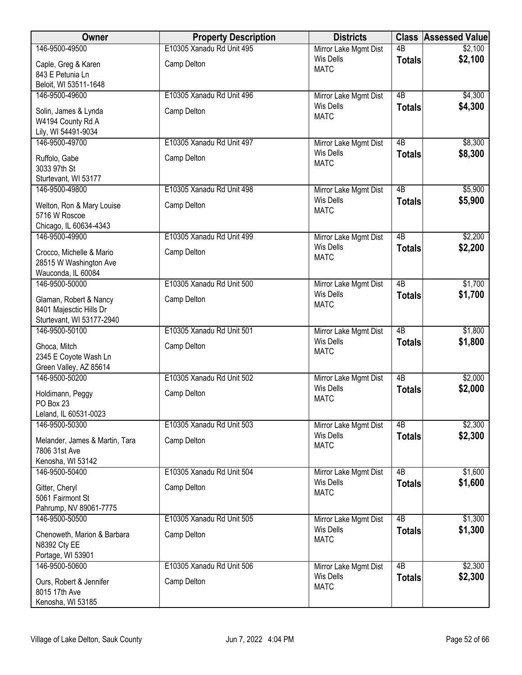| Owner                                                | <b>Property Description</b> | <b>Districts</b>                          |                 | <b>Class Assessed Value</b> |
|------------------------------------------------------|-----------------------------|-------------------------------------------|-----------------|-----------------------------|
| 146-9500-49500                                       | E10305 Xanadu Rd Unit 495   | Mirror Lake Mgmt Dist                     | $\overline{AB}$ | \$2,100                     |
| Caple, Greg & Karen                                  | Camp Delton                 | <b>Wis Dells</b><br><b>MATC</b>           | <b>Totals</b>   | \$2,100                     |
| 843 E Petunia Ln                                     |                             |                                           |                 |                             |
| Beloit, WI 53511-1648                                |                             |                                           |                 |                             |
| 146-9500-49600                                       | E10305 Xanadu Rd Unit 496   | Mirror Lake Mgmt Dist                     | $\overline{AB}$ | \$4,300                     |
| Solin, James & Lynda                                 | Camp Delton                 | <b>Wis Dells</b><br><b>MATC</b>           | <b>Totals</b>   | \$4,300                     |
| W4194 County Rd A                                    |                             |                                           |                 |                             |
| Lily, WI 54491-9034                                  |                             |                                           |                 |                             |
| 146-9500-49700                                       | E10305 Xanadu Rd Unit 497   | Mirror Lake Mgmt Dist<br>Wis Dells        | 4B              | \$8,300                     |
| Ruffolo, Gabe                                        | Camp Delton                 | <b>MATC</b>                               | <b>Totals</b>   | \$8,300                     |
| 3033 97th St                                         |                             |                                           |                 |                             |
| Sturtevant, WI 53177                                 |                             |                                           |                 |                             |
| 146-9500-49800                                       | E10305 Xanadu Rd Unit 498   | Mirror Lake Mgmt Dist<br><b>Wis Dells</b> | 4B              | \$5,900<br>\$5,900          |
| Welton, Ron & Mary Louise                            | Camp Delton                 | <b>MATC</b>                               | <b>Totals</b>   |                             |
| 5716 W Roscoe                                        |                             |                                           |                 |                             |
| Chicago, IL 60634-4343<br>146-9500-49900             | E10305 Xanadu Rd Unit 499   |                                           | $\overline{AB}$ |                             |
|                                                      |                             | Mirror Lake Mgmt Dist<br><b>Wis Dells</b> | <b>Totals</b>   | \$2,200<br>\$2,200          |
| Crocco, Michelle & Mario                             | Camp Delton                 | <b>MATC</b>                               |                 |                             |
| 28515 W Washington Ave                               |                             |                                           |                 |                             |
| Wauconda, IL 60084<br>146-9500-50000                 | E10305 Xanadu Rd Unit 500   | Mirror Lake Mgmt Dist                     | $\overline{AB}$ | \$1,700                     |
|                                                      |                             | <b>Wis Dells</b>                          | <b>Totals</b>   | \$1,700                     |
| Glaman, Robert & Nancy                               | Camp Delton                 | <b>MATC</b>                               |                 |                             |
| 8401 Majesctic Hills Dr<br>Sturtevant, WI 53177-2940 |                             |                                           |                 |                             |
| 146-9500-50100                                       | E10305 Xanadu Rd Unit 501   | Mirror Lake Mgmt Dist                     | $\overline{AB}$ | \$1,800                     |
|                                                      |                             | Wis Dells                                 | <b>Totals</b>   | \$1,800                     |
| Ghoca, Mitch                                         | Camp Delton                 | <b>MATC</b>                               |                 |                             |
| 2345 E Coyote Wash Ln<br>Green Valley, AZ 85614      |                             |                                           |                 |                             |
| 146-9500-50200                                       | E10305 Xanadu Rd Unit 502   | Mirror Lake Mgmt Dist                     | 4B              | \$2,000                     |
|                                                      |                             | <b>Wis Dells</b>                          | <b>Totals</b>   | \$2,000                     |
| Holdimann, Peggy<br>PO Box 23                        | Camp Delton                 | <b>MATC</b>                               |                 |                             |
| Leland, IL 60531-0023                                |                             |                                           |                 |                             |
| 146-9500-50300                                       | E10305 Xanadu Rd Unit 503   | Mirror Lake Mgmt Dist                     | 4B              | \$2,300                     |
|                                                      | Camp Delton                 | <b>Wis Dells</b>                          | <b>Totals</b>   | \$2,300                     |
| Melander, James & Martin, Tara<br>7806 31st Ave      |                             | <b>MATC</b>                               |                 |                             |
| Kenosha, WI 53142                                    |                             |                                           |                 |                             |
| 146-9500-50400                                       | E10305 Xanadu Rd Unit 504   | Mirror Lake Mgmt Dist                     | $\overline{AB}$ | \$1,600                     |
| Gitter, Cheryl                                       | Camp Delton                 | <b>Wis Dells</b>                          | <b>Totals</b>   | \$1,600                     |
| 5061 Fairmont St                                     |                             | <b>MATC</b>                               |                 |                             |
| Pahrump, NV 89061-7775                               |                             |                                           |                 |                             |
| 146-9500-50500                                       | E10305 Xanadu Rd Unit 505   | Mirror Lake Mgmt Dist                     | $\overline{AB}$ | \$1,300                     |
| Chenoweth, Marion & Barbara                          | Camp Delton                 | <b>Wis Dells</b>                          | <b>Totals</b>   | \$1,300                     |
| N8392 Cty EE                                         |                             | <b>MATC</b>                               |                 |                             |
| Portage, WI 53901                                    |                             |                                           |                 |                             |
| 146-9500-50600                                       | E10305 Xanadu Rd Unit 506   | Mirror Lake Mgmt Dist                     | 4B              | \$2,300                     |
| Ours, Robert & Jennifer                              | Camp Delton                 | <b>Wis Dells</b>                          | <b>Totals</b>   | \$2,300                     |
| 8015 17th Ave                                        |                             | <b>MATC</b>                               |                 |                             |
| Kenosha, WI 53185                                    |                             |                                           |                 |                             |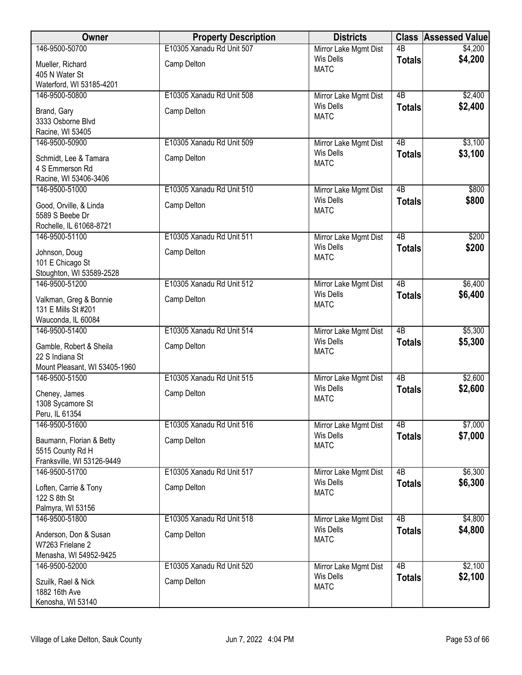| Owner                                         | <b>Property Description</b> | <b>Districts</b>                          |                 | <b>Class Assessed Value</b> |
|-----------------------------------------------|-----------------------------|-------------------------------------------|-----------------|-----------------------------|
| 146-9500-50700                                | E10305 Xanadu Rd Unit 507   | Mirror Lake Mgmt Dist                     | $\overline{AB}$ | \$4,200                     |
| Mueller, Richard                              | Camp Delton                 | <b>Wis Dells</b><br><b>MATC</b>           | <b>Totals</b>   | \$4,200                     |
| 405 N Water St                                |                             |                                           |                 |                             |
| Waterford, WI 53185-4201                      |                             |                                           |                 |                             |
| 146-9500-50800                                | E10305 Xanadu Rd Unit 508   | Mirror Lake Mgmt Dist                     | $\overline{AB}$ | \$2,400                     |
| Brand, Gary                                   | Camp Delton                 | <b>Wis Dells</b><br><b>MATC</b>           | <b>Totals</b>   | \$2,400                     |
| 3333 Osborne Blvd                             |                             |                                           |                 |                             |
| Racine, WI 53405                              |                             |                                           |                 |                             |
| 146-9500-50900                                | E10305 Xanadu Rd Unit 509   | Mirror Lake Mgmt Dist<br>Wis Dells        | $\overline{AB}$ | \$3,100<br>\$3,100          |
| Schmidt, Lee & Tamara                         | Camp Delton                 | <b>MATC</b>                               | <b>Totals</b>   |                             |
| 4 S Emmerson Rd                               |                             |                                           |                 |                             |
| Racine, WI 53406-3406<br>146-9500-51000       | E10305 Xanadu Rd Unit 510   |                                           | $\overline{AB}$ | \$800                       |
|                                               |                             | Mirror Lake Mgmt Dist<br><b>Wis Dells</b> | <b>Totals</b>   | \$800                       |
| Good, Orville, & Linda                        | Camp Delton                 | <b>MATC</b>                               |                 |                             |
| 5589 S Beebe Dr                               |                             |                                           |                 |                             |
| Rochelle, IL 61068-8721<br>146-9500-51100     | E10305 Xanadu Rd Unit 511   | Mirror Lake Mgmt Dist                     | 4B              | \$200                       |
|                                               |                             | Wis Dells                                 | <b>Totals</b>   | \$200                       |
| Johnson, Doug                                 | Camp Delton                 | <b>MATC</b>                               |                 |                             |
| 101 E Chicago St<br>Stoughton, WI 53589-2528  |                             |                                           |                 |                             |
| 146-9500-51200                                | E10305 Xanadu Rd Unit 512   | Mirror Lake Mgmt Dist                     | $\overline{AB}$ | \$6,400                     |
|                                               |                             | <b>Wis Dells</b>                          | <b>Totals</b>   | \$6,400                     |
| Valkman, Greg & Bonnie<br>131 E Mills St #201 | Camp Delton                 | <b>MATC</b>                               |                 |                             |
| Wauconda, IL 60084                            |                             |                                           |                 |                             |
| 146-9500-51400                                | E10305 Xanadu Rd Unit 514   | Mirror Lake Mgmt Dist                     | $\overline{AB}$ | \$5,300                     |
| Gamble, Robert & Sheila                       | Camp Delton                 | <b>Wis Dells</b>                          | <b>Totals</b>   | \$5,300                     |
| 22 S Indiana St                               |                             | <b>MATC</b>                               |                 |                             |
| Mount Pleasant, WI 53405-1960                 |                             |                                           |                 |                             |
| 146-9500-51500                                | E10305 Xanadu Rd Unit 515   | Mirror Lake Mgmt Dist                     | $\overline{AB}$ | \$2,600                     |
| Cheney, James                                 | Camp Delton                 | <b>Wis Dells</b>                          | <b>Totals</b>   | \$2,600                     |
| 1308 Sycamore St                              |                             | <b>MATC</b>                               |                 |                             |
| Peru, IL 61354                                |                             |                                           |                 |                             |
| 146-9500-51600                                | E10305 Xanadu Rd Unit 516   | Mirror Lake Mgmt Dist                     | 4B              | \$7,000                     |
| Baumann, Florian & Betty                      | Camp Delton                 | <b>Wis Dells</b>                          | <b>Totals</b>   | \$7,000                     |
| 5515 County Rd H                              |                             | <b>MATC</b>                               |                 |                             |
| Franksville, WI 53126-9449                    |                             |                                           |                 |                             |
| 146-9500-51700                                | E10305 Xanadu Rd Unit 517   | Mirror Lake Mgmt Dist                     | 4B              | \$6,300                     |
| Loften, Carrie & Tony                         | Camp Delton                 | Wis Dells<br><b>MATC</b>                  | <b>Totals</b>   | \$6,300                     |
| 122 S 8th St                                  |                             |                                           |                 |                             |
| Palmyra, WI 53156                             |                             |                                           |                 |                             |
| 146-9500-51800                                | E10305 Xanadu Rd Unit 518   | Mirror Lake Mgmt Dist<br><b>Wis Dells</b> | $\overline{AB}$ | \$4,800<br>\$4,800          |
| Anderson, Don & Susan                         | Camp Delton                 | <b>MATC</b>                               | <b>Totals</b>   |                             |
| W7263 Frielane 2                              |                             |                                           |                 |                             |
| Menasha, WI 54952-9425<br>146-9500-52000      | E10305 Xanadu Rd Unit 520   |                                           | 4B              | \$2,100                     |
|                                               |                             | Mirror Lake Mgmt Dist<br><b>Wis Dells</b> | <b>Totals</b>   | \$2,100                     |
| Szuilk, Rael & Nick                           | Camp Delton                 | <b>MATC</b>                               |                 |                             |
| 1882 16th Ave                                 |                             |                                           |                 |                             |
| Kenosha, WI 53140                             |                             |                                           |                 |                             |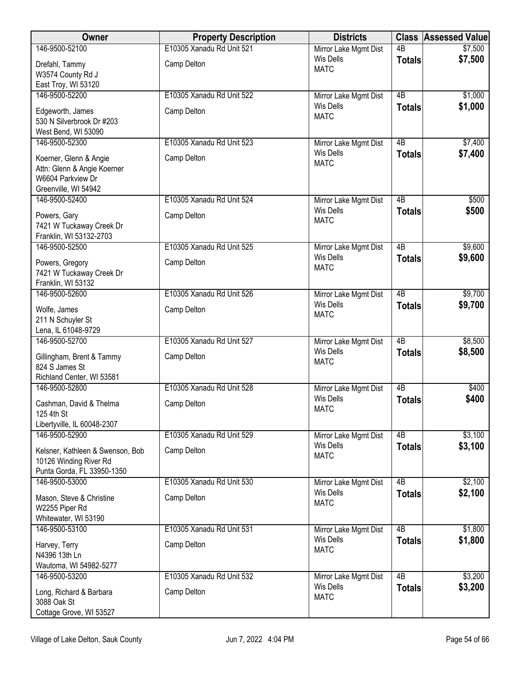| Owner                                                                                              | <b>Property Description</b>              | <b>Districts</b>                                         |                 | <b>Class Assessed Value</b> |
|----------------------------------------------------------------------------------------------------|------------------------------------------|----------------------------------------------------------|-----------------|-----------------------------|
| 146-9500-52100                                                                                     | E10305 Xanadu Rd Unit 521                | Mirror Lake Mgmt Dist                                    | $\overline{AB}$ | \$7,500                     |
| Drefahl, Tammy                                                                                     | Camp Delton                              | <b>Wis Dells</b><br><b>MATC</b>                          | <b>Totals</b>   | \$7,500                     |
| W3574 County Rd J                                                                                  |                                          |                                                          |                 |                             |
| East Troy, WI 53120                                                                                |                                          |                                                          |                 |                             |
| 146-9500-52200                                                                                     | E10305 Xanadu Rd Unit 522                | Mirror Lake Mgmt Dist                                    | 4B              | \$1,000                     |
| Edgeworth, James<br>530 N Silverbrook Dr #203<br>West Bend, WI 53090                               | Camp Delton                              | <b>Wis Dells</b><br><b>MATC</b>                          | <b>Totals</b>   | \$1,000                     |
| 146-9500-52300                                                                                     | E10305 Xanadu Rd Unit 523                | Mirror Lake Mgmt Dist                                    | $\overline{AB}$ | \$7,400                     |
| Koerner, Glenn & Angie<br>Attn: Glenn & Angie Koerner<br>W6604 Parkview Dr<br>Greenville, WI 54942 | Camp Delton                              | <b>Wis Dells</b><br><b>MATC</b>                          | <b>Totals</b>   | \$7,400                     |
| 146-9500-52400                                                                                     | E10305 Xanadu Rd Unit 524                | Mirror Lake Mgmt Dist                                    | 4B              | \$500                       |
| Powers, Gary<br>7421 W Tuckaway Creek Dr<br>Franklin, WI 53132-2703                                | Camp Delton                              | <b>Wis Dells</b><br><b>MATC</b>                          | <b>Totals</b>   | \$500                       |
| 146-9500-52500                                                                                     | E10305 Xanadu Rd Unit 525                | Mirror Lake Mgmt Dist                                    | 4B              | \$9,600                     |
| Powers, Gregory<br>7421 W Tuckaway Creek Dr<br>Franklin, WI 53132                                  | Camp Delton                              | <b>Wis Dells</b><br><b>MATC</b>                          | <b>Totals</b>   | \$9,600                     |
| 146-9500-52600                                                                                     | E10305 Xanadu Rd Unit 526                | Mirror Lake Mgmt Dist                                    | 4B              | \$9,700                     |
| Wolfe, James<br>211 N Schuyler St<br>Lena, IL 61048-9729                                           | Camp Delton                              | <b>Wis Dells</b><br><b>MATC</b>                          | <b>Totals</b>   | \$9,700                     |
| 146-9500-52700                                                                                     | E10305 Xanadu Rd Unit 527                | Mirror Lake Mgmt Dist                                    | $\overline{AB}$ | \$8,500                     |
| Gillingham, Brent & Tammy<br>824 S James St<br>Richland Center, WI 53581                           | Camp Delton                              | <b>Wis Dells</b><br><b>MATC</b>                          | <b>Totals</b>   | \$8,500                     |
| 146-9500-52800                                                                                     | E10305 Xanadu Rd Unit 528                | Mirror Lake Mgmt Dist                                    | 4B              | \$400                       |
| Cashman, David & Thelma<br>125 4th St<br>Libertyville, IL 60048-2307                               | Camp Delton                              | <b>Wis Dells</b><br><b>MATC</b>                          | <b>Totals</b>   | \$400                       |
| 146-9500-52900                                                                                     | E10305 Xanadu Rd Unit 529                | Mirror Lake Mgmt Dist                                    | 4B              | \$3,100                     |
| Kelsner, Kathleen & Swenson, Bob<br>10126 Winding River Rd<br>Punta Gorda, FL 33950-1350           | Camp Delton                              | <b>Wis Dells</b><br><b>MATC</b>                          | <b>Totals</b>   | \$3,100                     |
| 146-9500-53000                                                                                     | E10305 Xanadu Rd Unit 530                | Mirror Lake Mgmt Dist                                    | 4B              | \$2,100                     |
| Mason, Steve & Christine<br>W2255 Piper Rd                                                         | Camp Delton                              | <b>Wis Dells</b><br><b>MATC</b>                          | <b>Totals</b>   | \$2,100                     |
| Whitewater, WI 53190                                                                               |                                          |                                                          | 4B              |                             |
| 146-9500-53100<br>Harvey, Terry<br>N4396 13th Ln<br>Wautoma, WI 54982-5277                         | E10305 Xanadu Rd Unit 531<br>Camp Delton | Mirror Lake Mgmt Dist<br><b>Wis Dells</b><br><b>MATC</b> | <b>Totals</b>   | \$1,800<br>\$1,800          |
| 146-9500-53200                                                                                     | E10305 Xanadu Rd Unit 532                | Mirror Lake Mgmt Dist                                    | 4B              | \$3,200                     |
| Long, Richard & Barbara<br>3088 Oak St<br>Cottage Grove, WI 53527                                  | Camp Delton                              | <b>Wis Dells</b><br><b>MATC</b>                          | <b>Totals</b>   | \$3,200                     |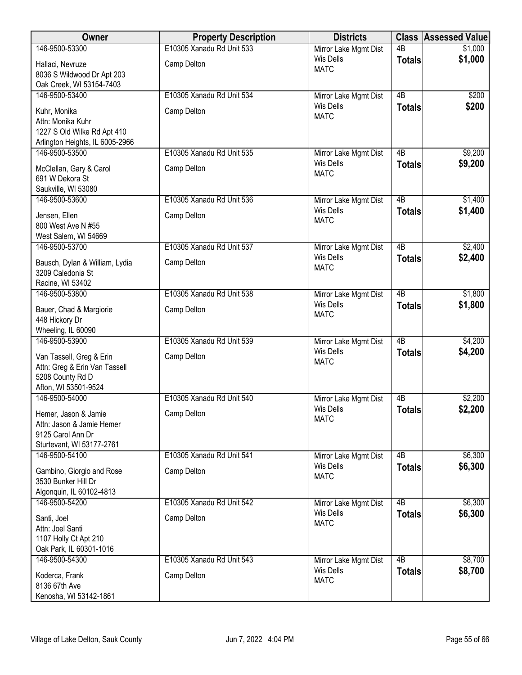| Owner                                             | <b>Property Description</b> | <b>Districts</b>                          |                 | <b>Class Assessed Value</b> |
|---------------------------------------------------|-----------------------------|-------------------------------------------|-----------------|-----------------------------|
| 146-9500-53300                                    | E10305 Xanadu Rd Unit 533   | Mirror Lake Mgmt Dist                     | $\overline{AB}$ | \$1,000                     |
| Hallaci, Nevruze                                  | Camp Delton                 | <b>Wis Dells</b>                          | <b>Totals</b>   | \$1,000                     |
| 8036 S Wildwood Dr Apt 203                        |                             | <b>MATC</b>                               |                 |                             |
| Oak Creek, WI 53154-7403                          |                             |                                           |                 |                             |
| 146-9500-53400                                    | E10305 Xanadu Rd Unit 534   | Mirror Lake Mgmt Dist                     | $\overline{AB}$ | \$200                       |
| Kuhr, Monika                                      | Camp Delton                 | <b>Wis Dells</b><br><b>MATC</b>           | <b>Totals</b>   | \$200                       |
| Attn: Monika Kuhr                                 |                             |                                           |                 |                             |
| 1227 S Old Wilke Rd Apt 410                       |                             |                                           |                 |                             |
| Arlington Heights, IL 6005-2966<br>146-9500-53500 | E10305 Xanadu Rd Unit 535   |                                           | 4B              |                             |
|                                                   |                             | Mirror Lake Mgmt Dist<br><b>Wis Dells</b> | <b>Totals</b>   | \$9,200<br>\$9,200          |
| McClellan, Gary & Carol                           | Camp Delton                 | <b>MATC</b>                               |                 |                             |
| 691 W Dekora St                                   |                             |                                           |                 |                             |
| Saukville, WI 53080<br>146-9500-53600             | E10305 Xanadu Rd Unit 536   | Mirror Lake Mgmt Dist                     | 4B              | \$1,400                     |
|                                                   |                             | <b>Wis Dells</b>                          | <b>Totals</b>   | \$1,400                     |
| Jensen, Ellen<br>800 West Ave N #55               | Camp Delton                 | <b>MATC</b>                               |                 |                             |
| West Salem, WI 54669                              |                             |                                           |                 |                             |
| 146-9500-53700                                    | E10305 Xanadu Rd Unit 537   | Mirror Lake Mgmt Dist                     | $\overline{AB}$ | \$2,400                     |
| Bausch, Dylan & William, Lydia                    | Camp Delton                 | <b>Wis Dells</b>                          | <b>Totals</b>   | \$2,400                     |
| 3209 Caledonia St                                 |                             | <b>MATC</b>                               |                 |                             |
| Racine, WI 53402                                  |                             |                                           |                 |                             |
| 146-9500-53800                                    | E10305 Xanadu Rd Unit 538   | Mirror Lake Mgmt Dist                     | $\overline{AB}$ | \$1,800                     |
| Bauer, Chad & Margiorie                           | Camp Delton                 | <b>Wis Dells</b>                          | <b>Totals</b>   | \$1,800                     |
| 448 Hickory Dr                                    |                             | <b>MATC</b>                               |                 |                             |
| Wheeling, IL 60090                                |                             |                                           |                 |                             |
| 146-9500-53900                                    | E10305 Xanadu Rd Unit 539   | Mirror Lake Mgmt Dist                     | $\overline{AB}$ | \$4,200                     |
| Van Tassell, Greg & Erin                          | Camp Delton                 | <b>Wis Dells</b><br><b>MATC</b>           | <b>Totals</b>   | \$4,200                     |
| Attn: Greg & Erin Van Tassell                     |                             |                                           |                 |                             |
| 5208 County Rd D                                  |                             |                                           |                 |                             |
| Afton, WI 53501-9524<br>146-9500-54000            |                             |                                           | 4B              |                             |
|                                                   | E10305 Xanadu Rd Unit 540   | Mirror Lake Mgmt Dist<br>Wis Dells        | <b>Totals</b>   | \$2,200<br>\$2,200          |
| Hemer, Jason & Jamie                              | Camp Delton                 | <b>MATC</b>                               |                 |                             |
| Attn: Jason & Jamie Hemer<br>9125 Carol Ann Dr    |                             |                                           |                 |                             |
| Sturtevant, WI 53177-2761                         |                             |                                           |                 |                             |
| 146-9500-54100                                    | E10305 Xanadu Rd Unit 541   | Mirror Lake Mgmt Dist                     | 4B              | \$6,300                     |
| Gambino, Giorgio and Rose                         | Camp Delton                 | <b>Wis Dells</b>                          | <b>Totals</b>   | \$6,300                     |
| 3530 Bunker Hill Dr                               |                             | <b>MATC</b>                               |                 |                             |
| Algonquin, IL 60102-4813                          |                             |                                           |                 |                             |
| 146-9500-54200                                    | E10305 Xanadu Rd Unit 542   | Mirror Lake Mgmt Dist                     | $\overline{AB}$ | \$6,300                     |
| Santi, Joel                                       | Camp Delton                 | <b>Wis Dells</b>                          | <b>Totals</b>   | \$6,300                     |
| Attn: Joel Santi                                  |                             | <b>MATC</b>                               |                 |                             |
| 1107 Holly Ct Apt 210                             |                             |                                           |                 |                             |
| Oak Park, IL 60301-1016                           |                             |                                           |                 |                             |
| 146-9500-54300                                    | E10305 Xanadu Rd Unit 543   | Mirror Lake Mgmt Dist                     | $\overline{AB}$ | \$8,700                     |
| Koderca, Frank                                    | Camp Delton                 | Wis Dells<br><b>MATC</b>                  | <b>Totals</b>   | \$8,700                     |
| 8136 67th Ave                                     |                             |                                           |                 |                             |
| Kenosha, WI 53142-1861                            |                             |                                           |                 |                             |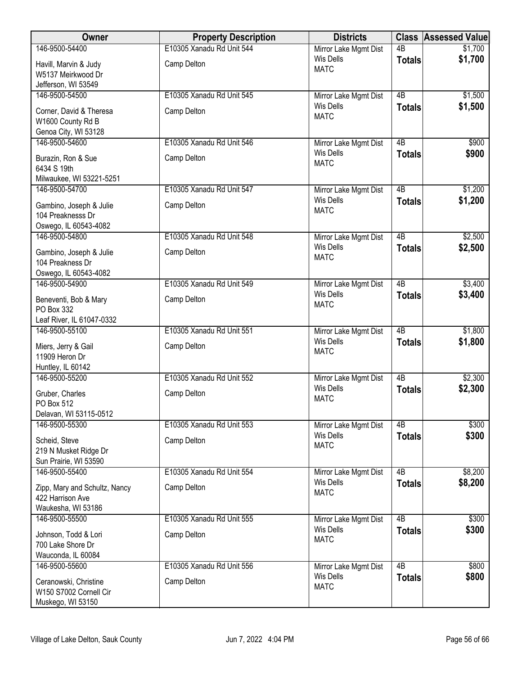| Owner                         | <b>Property Description</b> | <b>Districts</b>         |                 | <b>Class Assessed Value</b> |
|-------------------------------|-----------------------------|--------------------------|-----------------|-----------------------------|
| 146-9500-54400                | E10305 Xanadu Rd Unit 544   | Mirror Lake Mgmt Dist    | $\overline{AB}$ | \$1,700                     |
| Havill, Marvin & Judy         | Camp Delton                 | Wis Dells<br><b>MATC</b> | <b>Totals</b>   | \$1,700                     |
| W5137 Meirkwood Dr            |                             |                          |                 |                             |
| Jefferson, WI 53549           |                             |                          |                 |                             |
| 146-9500-54500                | E10305 Xanadu Rd Unit 545   | Mirror Lake Mgmt Dist    | $\overline{AB}$ | \$1,500                     |
| Corner, David & Theresa       | Camp Delton                 | <b>Wis Dells</b>         | <b>Totals</b>   | \$1,500                     |
| W1600 County Rd B             |                             | <b>MATC</b>              |                 |                             |
| Genoa City, WI 53128          |                             |                          |                 |                             |
| 146-9500-54600                | E10305 Xanadu Rd Unit 546   | Mirror Lake Mgmt Dist    | 4B              | \$900                       |
| Burazin, Ron & Sue            | Camp Delton                 | <b>Wis Dells</b>         | <b>Totals</b>   | \$900                       |
| 6434 S 19th                   |                             | <b>MATC</b>              |                 |                             |
| Milwaukee, WI 53221-5251      |                             |                          |                 |                             |
| 146-9500-54700                | E10305 Xanadu Rd Unit 547   | Mirror Lake Mgmt Dist    | $\overline{AB}$ | \$1,200                     |
| Gambino, Joseph & Julie       | Camp Delton                 | Wis Dells                | <b>Totals</b>   | \$1,200                     |
| 104 Preaknesss Dr             |                             | <b>MATC</b>              |                 |                             |
| Oswego, IL 60543-4082         |                             |                          |                 |                             |
| 146-9500-54800                | E10305 Xanadu Rd Unit 548   | Mirror Lake Mgmt Dist    | $\overline{AB}$ | \$2,500                     |
| Gambino, Joseph & Julie       | Camp Delton                 | <b>Wis Dells</b>         | <b>Totals</b>   | \$2,500                     |
| 104 Preakness Dr              |                             | <b>MATC</b>              |                 |                             |
| Oswego, IL 60543-4082         |                             |                          |                 |                             |
| 146-9500-54900                | E10305 Xanadu Rd Unit 549   | Mirror Lake Mgmt Dist    | $\overline{AB}$ | \$3,400                     |
| Beneventi, Bob & Mary         | Camp Delton                 | <b>Wis Dells</b>         | <b>Totals</b>   | \$3,400                     |
| PO Box 332                    |                             | <b>MATC</b>              |                 |                             |
| Leaf River, IL 61047-0332     |                             |                          |                 |                             |
| 146-9500-55100                | E10305 Xanadu Rd Unit 551   | Mirror Lake Mgmt Dist    | $\overline{AB}$ | \$1,800                     |
| Miers, Jerry & Gail           | Camp Delton                 | Wis Dells                | <b>Totals</b>   | \$1,800                     |
| 11909 Heron Dr                |                             | <b>MATC</b>              |                 |                             |
| Huntley, IL 60142             |                             |                          |                 |                             |
| 146-9500-55200                | E10305 Xanadu Rd Unit 552   | Mirror Lake Mgmt Dist    | 4B              | \$2,300                     |
| Gruber, Charles               | Camp Delton                 | Wis Dells                | <b>Totals</b>   | \$2,300                     |
| PO Box 512                    |                             | <b>MATC</b>              |                 |                             |
| Delavan, WI 53115-0512        |                             |                          |                 |                             |
| 146-9500-55300                | E10305 Xanadu Rd Unit 553   | Mirror Lake Mgmt Dist    | 4B              | \$300                       |
| Scheid, Steve                 | Camp Delton                 | <b>Wis Dells</b>         | <b>Totals</b>   | \$300                       |
| 219 N Musket Ridge Dr         |                             | <b>MATC</b>              |                 |                             |
| Sun Prairie, WI 53590         |                             |                          |                 |                             |
| 146-9500-55400                | E10305 Xanadu Rd Unit 554   | Mirror Lake Mgmt Dist    | $\overline{AB}$ | \$8,200                     |
| Zipp, Mary and Schultz, Nancy | Camp Delton                 | <b>Wis Dells</b>         | <b>Totals</b>   | \$8,200                     |
| 422 Harrison Ave              |                             | <b>MATC</b>              |                 |                             |
| Waukesha, WI 53186            |                             |                          |                 |                             |
| 146-9500-55500                | E10305 Xanadu Rd Unit 555   | Mirror Lake Mgmt Dist    | $\overline{AB}$ | \$300                       |
| Johnson, Todd & Lori          | Camp Delton                 | Wis Dells                | <b>Totals</b>   | \$300                       |
| 700 Lake Shore Dr             |                             | <b>MATC</b>              |                 |                             |
| Wauconda, IL 60084            |                             |                          |                 |                             |
| 146-9500-55600                | E10305 Xanadu Rd Unit 556   | Mirror Lake Mgmt Dist    | 4B              | \$800                       |
| Ceranowski, Christine         | Camp Delton                 | <b>Wis Dells</b>         | <b>Totals</b>   | \$800                       |
| W150 S7002 Cornell Cir        |                             | <b>MATC</b>              |                 |                             |
| Muskego, WI 53150             |                             |                          |                 |                             |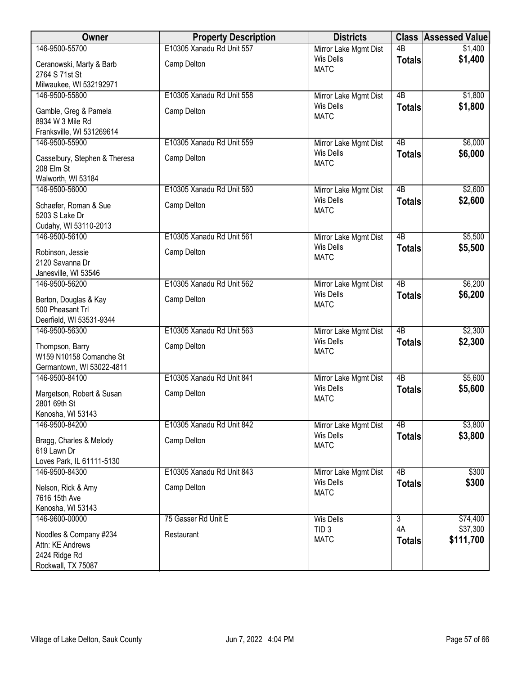| Owner                                                               | <b>Property Description</b> | <b>Districts</b>                          |                      | <b>Class Assessed Value</b> |
|---------------------------------------------------------------------|-----------------------------|-------------------------------------------|----------------------|-----------------------------|
| 146-9500-55700                                                      | E10305 Xanadu Rd Unit 557   | Mirror Lake Mgmt Dist                     | $\overline{AB}$      | \$1,400                     |
| Ceranowski, Marty & Barb<br>2764 S 71st St                          | Camp Delton                 | Wis Dells<br><b>MATC</b>                  | <b>Totals</b>        | \$1,400                     |
| Milwaukee, WI 532192971                                             |                             |                                           |                      |                             |
| 146-9500-55800                                                      | E10305 Xanadu Rd Unit 558   | Mirror Lake Mgmt Dist                     | $\overline{AB}$      | \$1,800                     |
| Gamble, Greg & Pamela<br>8934 W 3 Mile Rd                           | Camp Delton                 | <b>Wis Dells</b><br><b>MATC</b>           | <b>Totals</b>        | \$1,800                     |
| Franksville, WI 531269614<br>146-9500-55900                         | E10305 Xanadu Rd Unit 559   | Mirror Lake Mgmt Dist                     | 4B                   | \$6,000                     |
|                                                                     |                             | <b>Wis Dells</b>                          | <b>Totals</b>        | \$6,000                     |
| Casselbury, Stephen & Theresa<br>208 Elm St                         | Camp Delton                 | <b>MATC</b>                               |                      |                             |
| Walworth, WI 53184<br>146-9500-56000                                | E10305 Xanadu Rd Unit 560   | Mirror Lake Mgmt Dist                     | 4B                   | \$2,600                     |
|                                                                     |                             | <b>Wis Dells</b>                          | <b>Totals</b>        | \$2,600                     |
| Schaefer, Roman & Sue<br>5203 S Lake Dr<br>Cudahy, WI 53110-2013    | Camp Delton                 | <b>MATC</b>                               |                      |                             |
| 146-9500-56100                                                      | E10305 Xanadu Rd Unit 561   | Mirror Lake Mgmt Dist                     | $\overline{AB}$      | \$5,500                     |
| Robinson, Jessie<br>2120 Savanna Dr                                 | Camp Delton                 | <b>Wis Dells</b><br><b>MATC</b>           | <b>Totals</b>        | \$5,500                     |
| Janesville, WI 53546                                                |                             |                                           |                      |                             |
| 146-9500-56200                                                      | E10305 Xanadu Rd Unit 562   | Mirror Lake Mgmt Dist<br><b>Wis Dells</b> | $\overline{AB}$      | \$6,200                     |
| Berton, Douglas & Kay                                               | Camp Delton                 | <b>MATC</b>                               | <b>Totals</b>        | \$6,200                     |
| 500 Pheasant Trl                                                    |                             |                                           |                      |                             |
| Deerfield, WI 53531-9344<br>146-9500-56300                          | E10305 Xanadu Rd Unit 563   | Mirror Lake Mgmt Dist                     | $\overline{AB}$      | \$2,300                     |
|                                                                     |                             | <b>Wis Dells</b>                          | <b>Totals</b>        | \$2,300                     |
| Thompson, Barry<br>W159 N10158 Comanche St                          | Camp Delton                 | <b>MATC</b>                               |                      |                             |
| Germantown, WI 53022-4811                                           |                             |                                           |                      |                             |
| 146-9500-84100                                                      | E10305 Xanadu Rd Unit 841   | Mirror Lake Mgmt Dist                     | 4B                   | \$5,600                     |
| Margetson, Robert & Susan                                           | Camp Delton                 | <b>Wis Dells</b>                          | <b>Totals</b>        | \$5,600                     |
| 2801 69th St                                                        |                             | <b>MATC</b>                               |                      |                             |
| Kenosha, WI 53143                                                   |                             |                                           |                      |                             |
| 146-9500-84200                                                      | E10305 Xanadu Rd Unit 842   | Mirror Lake Mgmt Dist                     | 4 <sub>B</sub>       | \$3,800                     |
| Bragg, Charles & Melody<br>619 Lawn Dr<br>Loves Park, IL 61111-5130 | Camp Delton                 | <b>Wis Dells</b><br><b>MATC</b>           | <b>Totals</b>        | \$3,800                     |
| 146-9500-84300                                                      | E10305 Xanadu Rd Unit 843   | Mirror Lake Mgmt Dist                     | $\overline{AB}$      | \$300                       |
| Nelson, Rick & Amy                                                  | Camp Delton                 | <b>Wis Dells</b>                          | <b>Totals</b>        | \$300                       |
| 7616 15th Ave                                                       |                             | <b>MATC</b>                               |                      |                             |
| Kenosha, WI 53143                                                   |                             |                                           |                      |                             |
| 146-9600-00000                                                      | 75 Gasser Rd Unit E         | <b>Wis Dells</b>                          | $\overline{3}$<br>4A | \$74,400<br>\$37,300        |
| Noodles & Company #234                                              | Restaurant                  | TID <sub>3</sub><br><b>MATC</b>           | <b>Totals</b>        | \$111,700                   |
| Attn: KE Andrews                                                    |                             |                                           |                      |                             |
| 2424 Ridge Rd<br>Rockwall, TX 75087                                 |                             |                                           |                      |                             |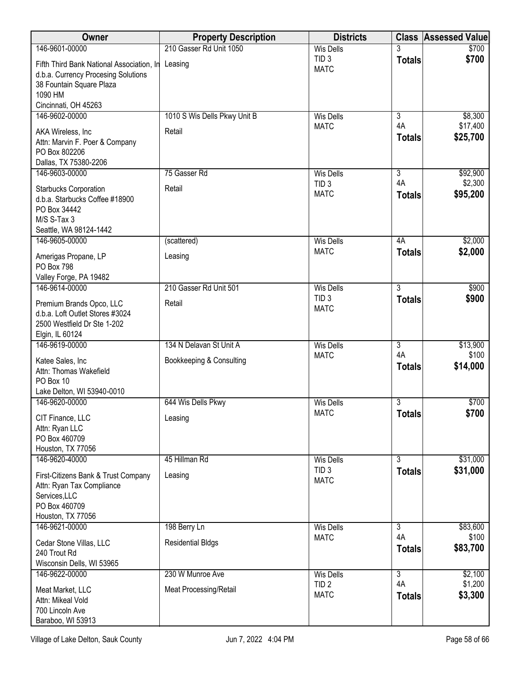| Owner                                                          | <b>Property Description</b>  | <b>Districts</b>                |                           | <b>Class Assessed Value</b> |
|----------------------------------------------------------------|------------------------------|---------------------------------|---------------------------|-----------------------------|
| 146-9601-00000                                                 | 210 Gasser Rd Unit 1050      | <b>Wis Dells</b>                |                           | \$700                       |
| Fifth Third Bank National Association, In                      | Leasing                      | TID <sub>3</sub><br><b>MATC</b> | <b>Totals</b>             | \$700                       |
| d.b.a. Currency Procesing Solutions                            |                              |                                 |                           |                             |
| 38 Fountain Square Plaza<br>1090 HM                            |                              |                                 |                           |                             |
| Cincinnati, OH 45263                                           |                              |                                 |                           |                             |
| 146-9602-00000                                                 | 1010 S Wis Dells Pkwy Unit B | <b>Wis Dells</b>                | $\overline{3}$            | \$8,300                     |
| AKA Wireless, Inc.                                             | Retail                       | <b>MATC</b>                     | 4A                        | \$17,400                    |
| Attn: Marvin F. Poer & Company                                 |                              |                                 | <b>Totals</b>             | \$25,700                    |
| PO Box 802206                                                  |                              |                                 |                           |                             |
| Dallas, TX 75380-2206<br>146-9603-00000                        | 75 Gasser Rd                 | <b>Wis Dells</b>                | $\overline{\overline{3}}$ | \$92,900                    |
|                                                                |                              | TID <sub>3</sub>                | 4A                        | \$2,300                     |
| <b>Starbucks Corporation</b><br>d.b.a. Starbucks Coffee #18900 | Retail                       | <b>MATC</b>                     | <b>Totals</b>             | \$95,200                    |
| PO Box 34442                                                   |                              |                                 |                           |                             |
| M/S S-Tax 3                                                    |                              |                                 |                           |                             |
| Seattle, WA 98124-1442<br>146-9605-00000                       | (scattered)                  | <b>Wis Dells</b>                | 4A                        | \$2,000                     |
|                                                                |                              | <b>MATC</b>                     | <b>Totals</b>             | \$2,000                     |
| Amerigas Propane, LP<br><b>PO Box 798</b>                      | Leasing                      |                                 |                           |                             |
| Valley Forge, PA 19482                                         |                              |                                 |                           |                             |
| 146-9614-00000                                                 | 210 Gasser Rd Unit 501       | <b>Wis Dells</b>                | $\overline{3}$            | \$900                       |
| Premium Brands Opco, LLC                                       | Retail                       | TID <sub>3</sub>                | <b>Totals</b>             | \$900                       |
| d.b.a. Loft Outlet Stores #3024                                |                              | <b>MATC</b>                     |                           |                             |
| 2500 Westfield Dr Ste 1-202                                    |                              |                                 |                           |                             |
| Elgin, IL 60124<br>146-9619-00000                              | 134 N Delavan St Unit A      | <b>Wis Dells</b>                | $\overline{3}$            | \$13,900                    |
| Katee Sales, Inc                                               | Bookkeeping & Consulting     | <b>MATC</b>                     | 4A                        | \$100                       |
| Attn: Thomas Wakefield                                         |                              |                                 | <b>Totals</b>             | \$14,000                    |
| PO Box 10                                                      |                              |                                 |                           |                             |
| Lake Delton, WI 53940-0010                                     |                              |                                 |                           |                             |
| 146-9620-00000                                                 | 644 Wis Dells Pkwy           | <b>Wis Dells</b><br><b>MATC</b> | 3<br><b>Totals</b>        | \$700<br>\$700              |
| CIT Finance, LLC                                               | Leasing                      |                                 |                           |                             |
| Attn: Ryan LLC<br>PO Box 460709                                |                              |                                 |                           |                             |
| Houston, TX 77056                                              |                              |                                 |                           |                             |
| 146-9620-40000                                                 | 45 Hillman Rd                | <b>Wis Dells</b>                | $\overline{3}$            | \$31,000                    |
| First-Citizens Bank & Trust Company                            | Leasing                      | TID <sub>3</sub><br><b>MATC</b> | <b>Totals</b>             | \$31,000                    |
| Attn: Ryan Tax Compliance                                      |                              |                                 |                           |                             |
| Services, LLC<br>PO Box 460709                                 |                              |                                 |                           |                             |
| Houston, TX 77056                                              |                              |                                 |                           |                             |
| 146-9621-00000                                                 | 198 Berry Ln                 | <b>Wis Dells</b>                | 3                         | \$83,600                    |
| Cedar Stone Villas, LLC                                        | <b>Residential Bldgs</b>     | <b>MATC</b>                     | 4A                        | \$100<br>\$83,700           |
| 240 Trout Rd                                                   |                              |                                 | <b>Totals</b>             |                             |
| Wisconsin Dells, WI 53965<br>146-9622-00000                    | 230 W Munroe Ave             | <b>Wis Dells</b>                | $\overline{3}$            | \$2,100                     |
|                                                                |                              | TID <sub>2</sub>                | 4A                        | \$1,200                     |
| Meat Market, LLC<br>Attn: Mikeal Vold                          | Meat Processing/Retail       | <b>MATC</b>                     | <b>Totals</b>             | \$3,300                     |
| 700 Lincoln Ave                                                |                              |                                 |                           |                             |
| Baraboo, WI 53913                                              |                              |                                 |                           |                             |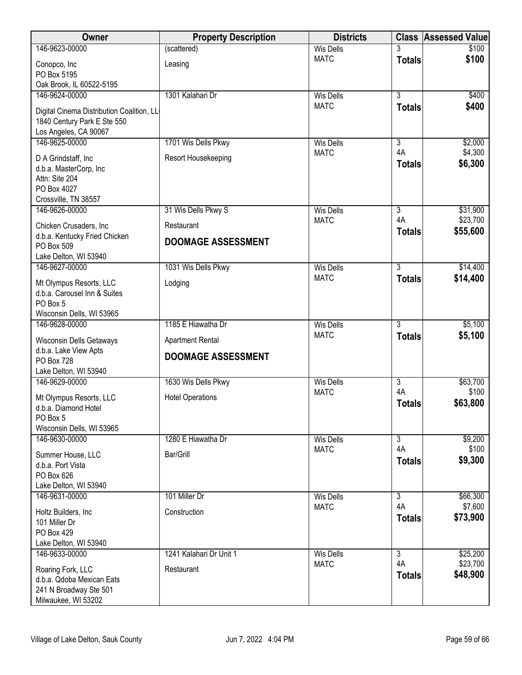| Owner                                               | <b>Property Description</b> | <b>Districts</b>                | <b>Class</b>         | <b>Assessed Value</b> |
|-----------------------------------------------------|-----------------------------|---------------------------------|----------------------|-----------------------|
| 146-9623-00000                                      | (scattered)                 | <b>Wis Dells</b>                |                      | \$100                 |
| Conopco, Inc                                        | Leasing                     | <b>MATC</b>                     | <b>Totals</b>        | \$100                 |
| PO Box 5195                                         |                             |                                 |                      |                       |
| Oak Brook, IL 60522-5195                            |                             |                                 |                      |                       |
| 146-9624-00000                                      | 1301 Kalahari Dr            | <b>Wis Dells</b>                | $\overline{3}$       | \$400                 |
| Digital Cinema Distribution Coalition, LL           |                             | <b>MATC</b>                     | <b>Totals</b>        | \$400                 |
| 1840 Century Park E Ste 550                         |                             |                                 |                      |                       |
| Los Angeles, CA 90067                               |                             |                                 |                      |                       |
| 146-9625-00000                                      | 1701 Wis Dells Pkwy         | <b>Wis Dells</b>                | $\overline{3}$       | \$2,000               |
| D A Grindstaff, Inc                                 | Resort Housekeeping         | <b>MATC</b>                     | 4A                   | \$4,300               |
| d.b.a. MasterCorp, Inc                              |                             |                                 | <b>Totals</b>        | \$6,300               |
| Attn: Site 204                                      |                             |                                 |                      |                       |
| PO Box 4027                                         |                             |                                 |                      |                       |
| Crossville, TN 38557                                |                             |                                 |                      |                       |
| 146-9626-00000                                      | 31 Wis Dells Pkwy S         | <b>Wis Dells</b>                | $\overline{3}$<br>4A | \$31,900<br>\$23,700  |
| Chicken Crusaders, Inc                              | Restaurant                  | <b>MATC</b>                     | <b>Totals</b>        | \$55,600              |
| d.b.a. Kentucky Fried Chicken                       | <b>DOOMAGE ASSESSMENT</b>   |                                 |                      |                       |
| PO Box 509                                          |                             |                                 |                      |                       |
| Lake Delton, WI 53940                               |                             |                                 |                      |                       |
| 146-9627-00000                                      | 1031 Wis Dells Pkwy         | <b>Wis Dells</b><br><b>MATC</b> | $\overline{3}$       | \$14,400              |
| Mt Olympus Resorts, LLC                             | Lodging                     |                                 | <b>Totals</b>        | \$14,400              |
| d.b.a. Carousel Inn & Suites                        |                             |                                 |                      |                       |
| PO Box 5                                            |                             |                                 |                      |                       |
| Wisconsin Dells, WI 53965                           |                             |                                 |                      |                       |
| 146-9628-00000                                      | 1185 E Hiawatha Dr          | <b>Wis Dells</b><br><b>MATC</b> | $\overline{3}$       | \$5,100               |
| <b>Wisconsin Dells Getaways</b>                     | <b>Apartment Rental</b>     |                                 | <b>Totals</b>        | \$5,100               |
| d.b.a. Lake View Apts                               | <b>DOOMAGE ASSESSMENT</b>   |                                 |                      |                       |
| PO Box 728                                          |                             |                                 |                      |                       |
| Lake Delton, WI 53940<br>146-9629-00000             | 1630 Wis Dells Pkwy         | <b>Wis Dells</b>                | $\overline{3}$       | \$63,700              |
|                                                     |                             | <b>MATC</b>                     | 4A                   | \$100                 |
| Mt Olympus Resorts, LLC                             | <b>Hotel Operations</b>     |                                 | <b>Totals</b>        | \$63,800              |
| d.b.a. Diamond Hotel                                |                             |                                 |                      |                       |
| PO Box 5                                            |                             |                                 |                      |                       |
| Wisconsin Dells, WI 53965<br>146-9630-00000         | 1280 E Hiawatha Dr          | <b>Wis Dells</b>                | $\overline{3}$       | \$9,200               |
|                                                     |                             | <b>MATC</b>                     | 4A                   | \$100                 |
| Summer House, LLC                                   | Bar/Grill                   |                                 | <b>Totals</b>        | \$9,300               |
| d.b.a. Port Vista                                   |                             |                                 |                      |                       |
| PO Box 626<br>Lake Delton, WI 53940                 |                             |                                 |                      |                       |
| 146-9631-00000                                      | 101 Miller Dr               | <b>Wis Dells</b>                | $\overline{3}$       | \$66,300              |
|                                                     |                             | <b>MATC</b>                     | 4A                   | \$7,600               |
| Holtz Builders, Inc                                 | Construction                |                                 | <b>Totals</b>        | \$73,900              |
| 101 Miller Dr<br>PO Box 429                         |                             |                                 |                      |                       |
| Lake Delton, WI 53940                               |                             |                                 |                      |                       |
| 146-9633-00000                                      | 1241 Kalahari Dr Unit 1     | <b>Wis Dells</b>                | $\overline{3}$       | \$25,200              |
|                                                     |                             | <b>MATC</b>                     | 4A                   | \$23,700              |
| Roaring Fork, LLC                                   | Restaurant                  |                                 | <b>Totals</b>        | \$48,900              |
| d.b.a. Qdoba Mexican Eats<br>241 N Broadway Ste 501 |                             |                                 |                      |                       |
| Milwaukee, WI 53202                                 |                             |                                 |                      |                       |
|                                                     |                             |                                 |                      |                       |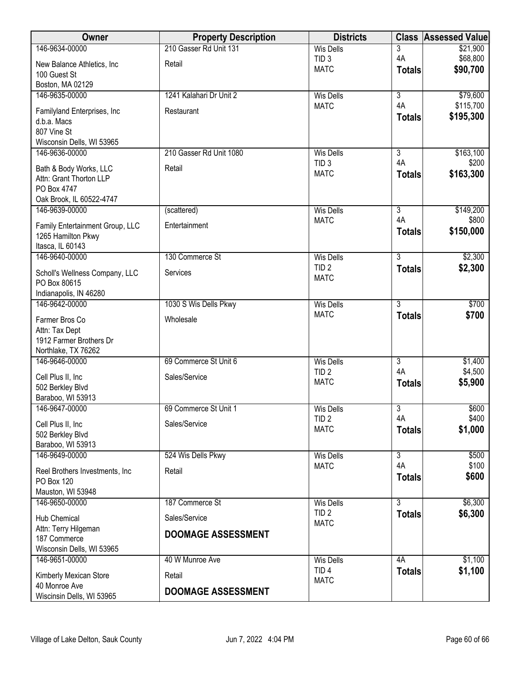| <b>Owner</b>                          | <b>Property Description</b> | <b>Districts</b>                | <b>Class</b>         | <b>Assessed Value</b> |
|---------------------------------------|-----------------------------|---------------------------------|----------------------|-----------------------|
| 146-9634-00000                        | 210 Gasser Rd Unit 131      | <b>Wis Dells</b>                | 3                    | \$21,900              |
| New Balance Athletics, Inc.           | Retail                      | TID <sub>3</sub>                | 4A                   | \$68,800              |
| 100 Guest St                          |                             | <b>MATC</b>                     | <b>Totals</b>        | \$90,700              |
| Boston, MA 02129                      |                             |                                 |                      |                       |
| 146-9635-00000                        | 1241 Kalahari Dr Unit 2     | <b>Wis Dells</b>                | $\overline{3}$       | \$79,600              |
|                                       |                             | <b>MATC</b>                     | 4A                   | \$115,700             |
| Familyland Enterprises, Inc           | Restaurant                  |                                 | <b>Totals</b>        | \$195,300             |
| d.b.a. Macs<br>807 Vine St            |                             |                                 |                      |                       |
| Wisconsin Dells, WI 53965             |                             |                                 |                      |                       |
| 146-9636-00000                        | 210 Gasser Rd Unit 1080     | <b>Wis Dells</b>                | $\overline{3}$       | \$163,100             |
|                                       |                             | TID <sub>3</sub>                | 4A                   | \$200                 |
| Bath & Body Works, LLC                | Retail                      | <b>MATC</b>                     | <b>Totals</b>        | \$163,300             |
| Attn: Grant Thorton LLP               |                             |                                 |                      |                       |
| PO Box 4747                           |                             |                                 |                      |                       |
| Oak Brook, IL 60522-4747              |                             |                                 | $\overline{3}$       |                       |
| 146-9639-00000                        | (scattered)                 | <b>Wis Dells</b><br><b>MATC</b> | 4A                   | \$149,200<br>\$800    |
| Family Entertainment Group, LLC       | Entertainment               |                                 | <b>Totals</b>        | \$150,000             |
| 1265 Hamilton Pkwy                    |                             |                                 |                      |                       |
| Itasca, IL 60143                      |                             |                                 |                      |                       |
| 146-9640-00000                        | 130 Commerce St             | <b>Wis Dells</b>                | $\overline{3}$       | \$2,300               |
| Scholl's Wellness Company, LLC        | Services                    | TID <sub>2</sub>                | <b>Totals</b>        | \$2,300               |
| PO Box 80615                          |                             | <b>MATC</b>                     |                      |                       |
| Indianapolis, IN 46280                |                             |                                 |                      |                       |
| 146-9642-00000                        | 1030 S Wis Dells Pkwy       | <b>Wis Dells</b>                | $\overline{3}$       | \$700                 |
| Farmer Bros Co                        | Wholesale                   | <b>MATC</b>                     | <b>Totals</b>        | \$700                 |
| Attn: Tax Dept                        |                             |                                 |                      |                       |
| 1912 Farmer Brothers Dr               |                             |                                 |                      |                       |
| Northlake, TX 76262                   |                             |                                 |                      |                       |
| 146-9646-00000                        | 69 Commerce St Unit 6       | <b>Wis Dells</b>                | $\overline{3}$       | \$1,400               |
|                                       |                             | TID <sub>2</sub>                | 4A                   | \$4,500               |
| Cell Plus II, Inc                     | Sales/Service               | <b>MATC</b>                     | <b>Totals</b>        | \$5,900               |
| 502 Berkley Blvd<br>Baraboo, WI 53913 |                             |                                 |                      |                       |
| 146-9647-00000                        | 69 Commerce St Unit 1       | <b>Wis Dells</b>                | $\overline{3}$       | \$600                 |
|                                       |                             | TID <sub>2</sub>                | 4A                   | \$400                 |
| Cell Plus II, Inc                     | Sales/Service               | <b>MATC</b>                     | <b>Totals</b>        | \$1,000               |
| 502 Berkley Blvd                      |                             |                                 |                      |                       |
| Baraboo, WI 53913                     |                             |                                 |                      |                       |
| 146-9649-00000                        | 524 Wis Dells Pkwy          | <b>Wis Dells</b>                | $\overline{3}$<br>4A | \$500<br>\$100        |
| Reel Brothers Investments, Inc        | Retail                      | <b>MATC</b>                     |                      | \$600                 |
| PO Box 120                            |                             |                                 | <b>Totals</b>        |                       |
| Mauston, WI 53948                     |                             |                                 |                      |                       |
| 146-9650-00000                        | 187 Commerce St             | <b>Wis Dells</b>                | $\overline{3}$       | \$6,300               |
| Hub Chemical                          | Sales/Service               | TID <sub>2</sub>                | <b>Totals</b>        | \$6,300               |
| Attn: Terry Hilgeman                  |                             | <b>MATC</b>                     |                      |                       |
| 187 Commerce                          | <b>DOOMAGE ASSESSMENT</b>   |                                 |                      |                       |
| Wisconsin Dells, WI 53965             |                             |                                 |                      |                       |
| 146-9651-00000                        | 40 W Munroe Ave             | <b>Wis Dells</b>                | 4A                   | \$1,100               |
| Kimberly Mexican Store                | Retail                      | TID <sub>4</sub>                | <b>Totals</b>        | \$1,100               |
| 40 Monroe Ave                         |                             | <b>MATC</b>                     |                      |                       |
| Wiscinsin Dells, WI 53965             | <b>DOOMAGE ASSESSMENT</b>   |                                 |                      |                       |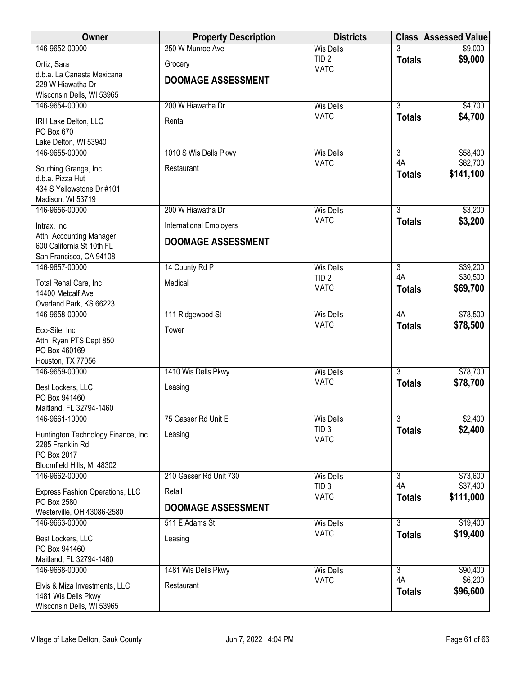| Owner                                                 | <b>Property Description</b>    | <b>Districts</b>                |                                 | <b>Class Assessed Value</b> |
|-------------------------------------------------------|--------------------------------|---------------------------------|---------------------------------|-----------------------------|
| 146-9652-00000                                        | 250 W Munroe Ave               | <b>Wis Dells</b>                |                                 | \$9,000                     |
| Ortiz, Sara                                           | Grocery                        | TID <sub>2</sub><br><b>MATC</b> | <b>Totals</b>                   | \$9,000                     |
| d.b.a. La Canasta Mexicana                            | <b>DOOMAGE ASSESSMENT</b>      |                                 |                                 |                             |
| 229 W Hiawatha Dr                                     |                                |                                 |                                 |                             |
| Wisconsin Dells, WI 53965<br>146-9654-00000           | 200 W Hiawatha Dr              | <b>Wis Dells</b>                | $\overline{3}$                  | \$4,700                     |
|                                                       |                                | <b>MATC</b>                     | <b>Totals</b>                   | \$4,700                     |
| IRH Lake Delton, LLC<br>PO Box 670                    | Rental                         |                                 |                                 |                             |
| Lake Delton, WI 53940                                 |                                |                                 |                                 |                             |
| 146-9655-00000                                        | 1010 S Wis Dells Pkwy          | <b>Wis Dells</b>                | $\overline{\overline{3}}$       | \$58,400                    |
| Southing Grange, Inc                                  | Restaurant                     | <b>MATC</b>                     | 4A                              | \$82,700                    |
| d.b.a. Pizza Hut                                      |                                |                                 | <b>Totals</b>                   | \$141,100                   |
| 434 S Yellowstone Dr #101                             |                                |                                 |                                 |                             |
| Madison, WI 53719                                     |                                |                                 |                                 |                             |
| 146-9656-00000                                        | 200 W Hiawatha Dr              | <b>Wis Dells</b><br><b>MATC</b> | $\overline{3}$<br><b>Totals</b> | \$3,200<br>\$3,200          |
| Intrax, Inc                                           | <b>International Employers</b> |                                 |                                 |                             |
| Attn: Accounting Manager<br>600 California St 10th FL | <b>DOOMAGE ASSESSMENT</b>      |                                 |                                 |                             |
| San Francisco, CA 94108                               |                                |                                 |                                 |                             |
| 146-9657-00000                                        | 14 County Rd P                 | <b>Wis Dells</b>                | $\overline{3}$                  | \$39,200                    |
| Total Renal Care, Inc                                 | Medical                        | TID <sub>2</sub>                | 4A                              | \$30,500                    |
| 14400 Metcalf Ave                                     |                                | <b>MATC</b>                     | <b>Totals</b>                   | \$69,700                    |
| Overland Park, KS 66223                               |                                |                                 |                                 |                             |
| 146-9658-00000                                        | 111 Ridgewood St               | <b>Wis Dells</b>                | 4A                              | \$78,500                    |
| Eco-Site, Inc                                         | Tower                          | <b>MATC</b>                     | <b>Totals</b>                   | \$78,500                    |
| Attn: Ryan PTS Dept 850                               |                                |                                 |                                 |                             |
| PO Box 460169<br>Houston, TX 77056                    |                                |                                 |                                 |                             |
| 146-9659-00000                                        | 1410 Wis Dells Pkwy            | <b>Wis Dells</b>                | $\overline{3}$                  | \$78,700                    |
| Best Lockers, LLC                                     | Leasing                        | <b>MATC</b>                     | <b>Totals</b>                   | \$78,700                    |
| PO Box 941460                                         |                                |                                 |                                 |                             |
| Maitland, FL 32794-1460                               |                                |                                 |                                 |                             |
| 146-9661-10000                                        | 75 Gasser Rd Unit E            | Wis Dells                       | $\overline{\overline{3}}$       | \$2,400                     |
| Huntington Technology Finance, Inc.                   | Leasing                        | TID <sub>3</sub><br><b>MATC</b> | <b>Totals</b>                   | \$2,400                     |
| 2285 Franklin Rd                                      |                                |                                 |                                 |                             |
| PO Box 2017<br>Bloomfield Hills, MI 48302             |                                |                                 |                                 |                             |
| 146-9662-00000                                        | 210 Gasser Rd Unit 730         | <b>Wis Dells</b>                | $\overline{3}$                  | \$73,600                    |
|                                                       |                                | TID <sub>3</sub>                | 4A                              | \$37,400                    |
| Express Fashion Operations, LLC<br>PO Box 2580        | Retail                         | <b>MATC</b>                     | <b>Totals</b>                   | \$111,000                   |
| Westerville, OH 43086-2580                            | <b>DOOMAGE ASSESSMENT</b>      |                                 |                                 |                             |
| 146-9663-00000                                        | 511 E Adams St                 | <b>Wis Dells</b>                | $\overline{3}$                  | \$19,400                    |
| Best Lockers, LLC                                     | Leasing                        | <b>MATC</b>                     | <b>Totals</b>                   | \$19,400                    |
| PO Box 941460                                         |                                |                                 |                                 |                             |
| Maitland, FL 32794-1460                               |                                |                                 |                                 |                             |
| 146-9668-00000                                        | 1481 Wis Dells Pkwy            | <b>Wis Dells</b><br><b>MATC</b> | $\overline{3}$<br>4A            | \$90,400<br>\$6,200         |
| Elvis & Miza Investments, LLC                         | Restaurant                     |                                 | <b>Totals</b>                   | \$96,600                    |
| 1481 Wis Dells Pkwy<br>Wisconsin Dells, WI 53965      |                                |                                 |                                 |                             |
|                                                       |                                |                                 |                                 |                             |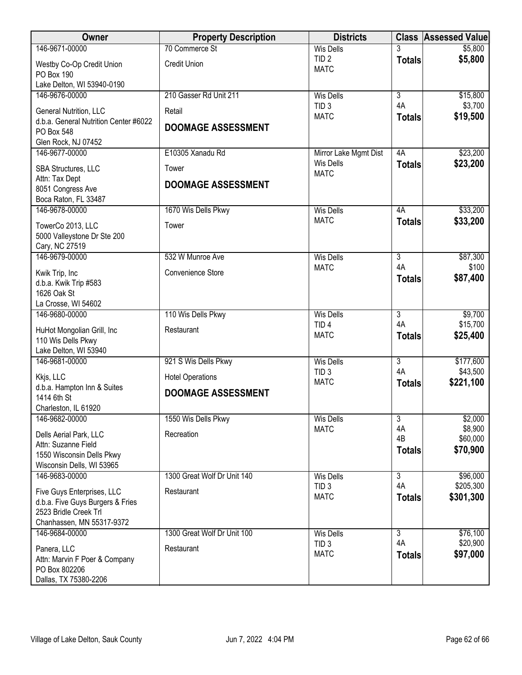| Owner                                                           | <b>Property Description</b> | <b>Districts</b>                     |                      | <b>Class Assessed Value</b> |
|-----------------------------------------------------------------|-----------------------------|--------------------------------------|----------------------|-----------------------------|
| 146-9671-00000                                                  | 70 Commerce St              | <b>Wis Dells</b>                     |                      | \$5,800                     |
| Westby Co-Op Credit Union<br><b>PO Box 190</b>                  | <b>Credit Union</b>         | TID <sub>2</sub><br><b>MATC</b>      | <b>Totals</b>        | \$5,800                     |
| Lake Delton, WI 53940-0190                                      |                             |                                      |                      |                             |
| 146-9676-00000                                                  | 210 Gasser Rd Unit 211      | <b>Wis Dells</b>                     | $\overline{3}$       | \$15,800                    |
| General Nutrition, LLC<br>d.b.a. General Nutrition Center #6022 | Retail                      | TID <sub>3</sub><br><b>MATC</b>      | 4A<br><b>Totals</b>  | \$3,700<br>\$19,500         |
| PO Box 548                                                      | <b>DOOMAGE ASSESSMENT</b>   |                                      |                      |                             |
| Glen Rock, NJ 07452                                             |                             |                                      |                      |                             |
| 146-9677-00000                                                  | E10305 Xanadu Rd            | Mirror Lake Mgmt Dist                | 4A                   | \$23,200                    |
| SBA Structures, LLC                                             | Tower                       | <b>Wis Dells</b><br><b>MATC</b>      | <b>Totals</b>        | \$23,200                    |
| Attn: Tax Dept<br>8051 Congress Ave                             | <b>DOOMAGE ASSESSMENT</b>   |                                      |                      |                             |
| Boca Raton, FL 33487                                            |                             |                                      |                      |                             |
| 146-9678-00000                                                  | 1670 Wis Dells Pkwy         | <b>Wis Dells</b>                     | 4A                   | \$33,200                    |
| TowerCo 2013, LLC                                               | Tower                       | <b>MATC</b>                          | <b>Totals</b>        | \$33,200                    |
| 5000 Valleystone Dr Ste 200                                     |                             |                                      |                      |                             |
| Cary, NC 27519                                                  |                             |                                      |                      |                             |
| 146-9679-00000                                                  | 532 W Munroe Ave            | <b>Wis Dells</b>                     | $\overline{3}$       | \$87,300                    |
| Kwik Trip, Inc                                                  | Convenience Store           | <b>MATC</b>                          | 4A                   | \$100                       |
| d.b.a. Kwik Trip #583                                           |                             |                                      | <b>Totals</b>        | \$87,400                    |
| 1626 Oak St                                                     |                             |                                      |                      |                             |
| La Crosse, WI 54602                                             |                             |                                      |                      |                             |
| 146-9680-00000                                                  | 110 Wis Dells Pkwy          | <b>Wis Dells</b>                     | $\overline{3}$<br>4A | \$9,700                     |
| HuHot Mongolian Grill, Inc                                      | Restaurant                  | TID <sub>4</sub><br><b>MATC</b>      |                      | \$15,700<br>\$25,400        |
| 110 Wis Dells Pkwy                                              |                             |                                      | <b>Totals</b>        |                             |
| Lake Delton, WI 53940                                           |                             |                                      | $\overline{3}$       |                             |
| 146-9681-00000                                                  | 921 S Wis Dells Pkwy        | <b>Wis Dells</b><br>TID <sub>3</sub> | 4A                   | \$177,600<br>\$43,500       |
| Kkjs, LLC                                                       | <b>Hotel Operations</b>     | <b>MATC</b>                          | <b>Totals</b>        | \$221,100                   |
| d.b.a. Hampton Inn & Suites<br>1414 6th St                      | <b>DOOMAGE ASSESSMENT</b>   |                                      |                      |                             |
| Charleston, IL 61920                                            |                             |                                      |                      |                             |
| 146-9682-00000                                                  | 1550 Wis Dells Pkwy         | Wis Dells                            | $\overline{3}$       | \$2,000                     |
| Dells Aerial Park, LLC                                          | Recreation                  | <b>MATC</b>                          | 4A                   | \$8,900                     |
| Attn: Suzanne Field                                             |                             |                                      | 4B                   | \$60,000                    |
| 1550 Wisconsin Dells Pkwy                                       |                             |                                      | <b>Totals</b>        | \$70,900                    |
| Wisconsin Dells, WI 53965                                       |                             |                                      |                      |                             |
| 146-9683-00000                                                  | 1300 Great Wolf Dr Unit 140 | <b>Wis Dells</b>                     | $\overline{3}$       | \$96,000                    |
| Five Guys Enterprises, LLC                                      | Restaurant                  | TID <sub>3</sub>                     | 4A                   | \$205,300                   |
| d.b.a. Five Guys Burgers & Fries                                |                             | <b>MATC</b>                          | <b>Totals</b>        | \$301,300                   |
| 2523 Bridle Creek Trl                                           |                             |                                      |                      |                             |
| Chanhassen, MN 55317-9372                                       |                             |                                      |                      |                             |
| 146-9684-00000                                                  | 1300 Great Wolf Dr Unit 100 | <b>Wis Dells</b><br>TID <sub>3</sub> | $\overline{3}$<br>4A | \$76,100<br>\$20,900        |
| Panera, LLC                                                     | Restaurant                  | <b>MATC</b>                          | <b>Totals</b>        | \$97,000                    |
| Attn: Marvin F Poer & Company                                   |                             |                                      |                      |                             |
| PO Box 802206<br>Dallas, TX 75380-2206                          |                             |                                      |                      |                             |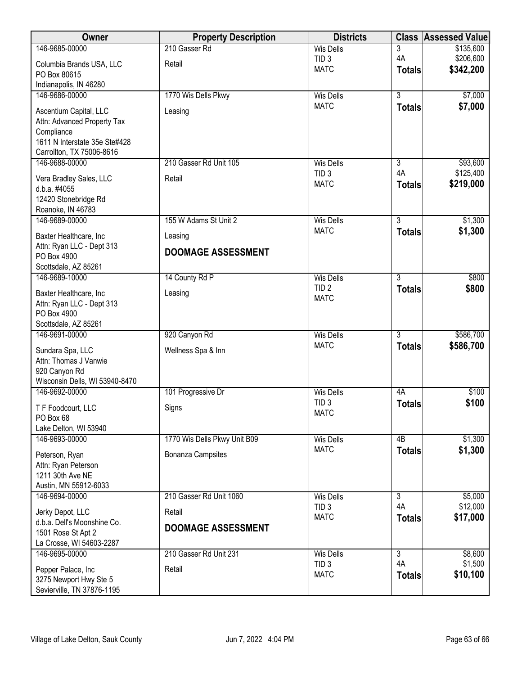| Owner                                               | <b>Property Description</b>  | <b>Districts</b>                     | <b>Class</b>   | <b>Assessed Value</b> |
|-----------------------------------------------------|------------------------------|--------------------------------------|----------------|-----------------------|
| 146-9685-00000                                      | 210 Gasser Rd                | <b>Wis Dells</b>                     | 3              | \$135,600             |
| Columbia Brands USA, LLC                            | Retail                       | TID <sub>3</sub>                     | 4A             | \$206,600             |
| PO Box 80615                                        |                              | <b>MATC</b>                          | <b>Totals</b>  | \$342,200             |
| Indianapolis, IN 46280                              |                              |                                      |                |                       |
| 146-9686-00000                                      | 1770 Wis Dells Pkwy          | <b>Wis Dells</b>                     | $\overline{3}$ | \$7,000               |
| Ascentium Capital, LLC                              | Leasing                      | <b>MATC</b>                          | <b>Totals</b>  | \$7,000               |
| Attn: Advanced Property Tax                         |                              |                                      |                |                       |
| Compliance                                          |                              |                                      |                |                       |
| 1611 N Interstate 35e Ste#428                       |                              |                                      |                |                       |
| Carrollton, TX 75006-8616<br>146-9688-00000         | 210 Gasser Rd Unit 105       | <b>Wis Dells</b>                     | 3              | \$93,600              |
|                                                     |                              | TID <sub>3</sub>                     | 4A             | \$125,400             |
| Vera Bradley Sales, LLC                             | Retail                       | <b>MATC</b>                          | <b>Totals</b>  | \$219,000             |
| d.b.a. #4055                                        |                              |                                      |                |                       |
| 12420 Stonebridge Rd<br>Roanoke, IN 46783           |                              |                                      |                |                       |
| 146-9689-00000                                      | 155 W Adams St Unit 2        | <b>Wis Dells</b>                     | $\overline{3}$ | \$1,300               |
|                                                     |                              | <b>MATC</b>                          | <b>Totals</b>  | \$1,300               |
| Baxter Healthcare, Inc<br>Attn: Ryan LLC - Dept 313 | Leasing                      |                                      |                |                       |
| PO Box 4900                                         | <b>DOOMAGE ASSESSMENT</b>    |                                      |                |                       |
| Scottsdale, AZ 85261                                |                              |                                      |                |                       |
| 146-9689-10000                                      | 14 County Rd P               | <b>Wis Dells</b>                     | $\overline{3}$ | \$800                 |
| Baxter Healthcare, Inc                              | Leasing                      | TID <sub>2</sub>                     | <b>Totals</b>  | \$800                 |
| Attn: Ryan LLC - Dept 313                           |                              | <b>MATC</b>                          |                |                       |
| PO Box 4900                                         |                              |                                      |                |                       |
| Scottsdale, AZ 85261                                |                              |                                      |                |                       |
| 146-9691-00000                                      | 920 Canyon Rd                | <b>Wis Dells</b>                     | $\overline{3}$ | \$586,700             |
| Sundara Spa, LLC                                    | Wellness Spa & Inn           | <b>MATC</b>                          | <b>Totals</b>  | \$586,700             |
| Attn: Thomas J Vanwie                               |                              |                                      |                |                       |
| 920 Canyon Rd                                       |                              |                                      |                |                       |
| Wisconsin Dells, WI 53940-8470                      |                              |                                      |                |                       |
| 146-9692-00000                                      | 101 Progressive Dr           | <b>Wis Dells</b><br>TID <sub>3</sub> | 4A             | \$100<br>\$100        |
| T F Foodcourt, LLC                                  | Signs                        | <b>MATC</b>                          | <b>Totals</b>  |                       |
| PO Box 68                                           |                              |                                      |                |                       |
| Lake Delton, WI 53940<br>146-9693-00000             | 1770 Wis Dells Pkwy Unit B09 | <b>Wis Dells</b>                     | 4B             | \$1,300               |
|                                                     |                              | <b>MATC</b>                          | <b>Totals</b>  | \$1,300               |
| Peterson, Ryan                                      | <b>Bonanza Campsites</b>     |                                      |                |                       |
| Attn: Ryan Peterson<br>1211 30th Ave NE             |                              |                                      |                |                       |
| Austin, MN 55912-6033                               |                              |                                      |                |                       |
| 146-9694-00000                                      | 210 Gasser Rd Unit 1060      | <b>Wis Dells</b>                     | 3              | \$5,000               |
|                                                     | Retail                       | TID <sub>3</sub>                     | 4A             | \$12,000              |
| Jerky Depot, LLC<br>d.b.a. Dell's Moonshine Co.     |                              | <b>MATC</b>                          | <b>Totals</b>  | \$17,000              |
| 1501 Rose St Apt 2                                  | <b>DOOMAGE ASSESSMENT</b>    |                                      |                |                       |
| La Crosse, WI 54603-2287                            |                              |                                      |                |                       |
| 146-9695-00000                                      | 210 Gasser Rd Unit 231       | <b>Wis Dells</b>                     | $\overline{3}$ | \$8,600               |
| Pepper Palace, Inc.                                 | Retail                       | TID <sub>3</sub>                     | 4A             | \$1,500               |
| 3275 Newport Hwy Ste 5                              |                              | <b>MATC</b>                          | <b>Totals</b>  | \$10,100              |
| Sevierville, TN 37876-1195                          |                              |                                      |                |                       |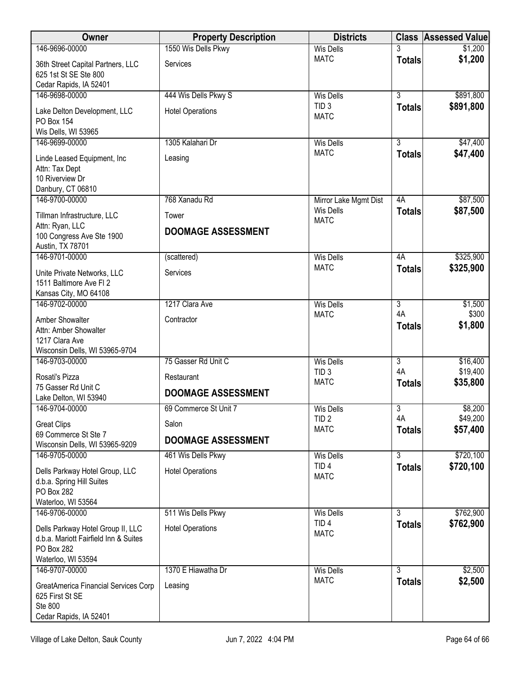| Owner                                                                                                          | <b>Property Description</b> | <b>Districts</b>                |                     | <b>Class Assessed Value</b> |
|----------------------------------------------------------------------------------------------------------------|-----------------------------|---------------------------------|---------------------|-----------------------------|
| 146-9696-00000                                                                                                 | 1550 Wis Dells Pkwy         | <b>Wis Dells</b>                |                     | \$1,200                     |
| 36th Street Capital Partners, LLC<br>625 1st St SE Ste 800<br>Cedar Rapids, IA 52401                           | Services                    | <b>MATC</b>                     | <b>Totals</b>       | \$1,200                     |
| 146-9698-00000                                                                                                 | 444 Wis Dells Pkwy S        | <b>Wis Dells</b>                | $\overline{3}$      | \$891,800                   |
| Lake Delton Development, LLC<br>PO Box 154<br>Wis Dells, WI 53965                                              | <b>Hotel Operations</b>     | TID <sub>3</sub><br><b>MATC</b> | <b>Totals</b>       | \$891,800                   |
| 146-9699-00000                                                                                                 | 1305 Kalahari Dr            | <b>Wis Dells</b>                | 3                   | \$47,400                    |
| Linde Leased Equipment, Inc.<br>Attn: Tax Dept<br>10 Riverview Dr<br>Danbury, CT 06810                         | Leasing                     | <b>MATC</b>                     | <b>Totals</b>       | \$47,400                    |
| 146-9700-00000                                                                                                 | 768 Xanadu Rd               | Mirror Lake Mgmt Dist           | 4A                  | \$87,500                    |
| Tillman Infrastructure, LLC                                                                                    | Tower                       | <b>Wis Dells</b>                | <b>Totals</b>       | \$87,500                    |
| Attn: Ryan, LLC<br>100 Congress Ave Ste 1900<br>Austin, TX 78701                                               | <b>DOOMAGE ASSESSMENT</b>   | <b>MATC</b>                     |                     |                             |
| 146-9701-00000                                                                                                 | (scattered)                 | <b>Wis Dells</b>                | 4A                  | \$325,900                   |
| Unite Private Networks, LLC<br>1511 Baltimore Ave FI 2<br>Kansas City, MO 64108                                | Services                    | <b>MATC</b>                     | <b>Totals</b>       | \$325,900                   |
| 146-9702-00000                                                                                                 | 1217 Clara Ave              | <b>Wis Dells</b>                | $\overline{3}$      | \$1,500                     |
| Amber Showalter<br>Attn: Amber Showalter<br>1217 Clara Ave<br>Wisconsin Dells, WI 53965-9704                   | Contractor                  | <b>MATC</b>                     | 4A<br><b>Totals</b> | \$300<br>\$1,800            |
| 146-9703-00000                                                                                                 | 75 Gasser Rd Unit C         | <b>Wis Dells</b>                | $\overline{3}$      | \$16,400                    |
| Rosati's Pizza<br>75 Gasser Rd Unit C                                                                          | Restaurant                  | TID <sub>3</sub><br><b>MATC</b> | 4A<br><b>Totals</b> | \$19,400<br>\$35,800        |
| Lake Delton, WI 53940                                                                                          | <b>DOOMAGE ASSESSMENT</b>   |                                 |                     |                             |
| 146-9704-00000                                                                                                 | 69 Commerce St Unit 7       | <b>Wis Dells</b>                | $\overline{3}$      | \$8,200                     |
| <b>Great Clips</b>                                                                                             | Salon                       | TID <sub>2</sub><br><b>MATC</b> | 4A                  | \$49,200                    |
| 69 Commerce St Ste 7                                                                                           | <b>DOOMAGE ASSESSMENT</b>   |                                 | <b>Totals</b>       | \$57,400                    |
| Wisconsin Dells, WI 53965-9209<br>146-9705-00000                                                               | 461 Wis Dells Pkwy          | <b>Wis Dells</b>                | 3                   | \$720,100                   |
| Dells Parkway Hotel Group, LLC<br>d.b.a. Spring Hill Suites<br>PO Box 282<br>Waterloo, WI 53564                | <b>Hotel Operations</b>     | TID <sub>4</sub><br><b>MATC</b> | <b>Totals</b>       | \$720,100                   |
| 146-9706-00000                                                                                                 | 511 Wis Dells Pkwy          | <b>Wis Dells</b>                | 3                   | \$762,900                   |
| Dells Parkway Hotel Group II, LLC<br>d.b.a. Mariott Fairfield Inn & Suites<br>PO Box 282<br>Waterloo, WI 53594 | <b>Hotel Operations</b>     | TID <sub>4</sub><br><b>MATC</b> | <b>Totals</b>       | \$762,900                   |
| 146-9707-00000                                                                                                 | 1370 E Hiawatha Dr          | <b>Wis Dells</b>                | $\overline{3}$      | \$2,500                     |
| GreatAmerica Financial Services Corp<br>625 First St SE<br>Ste 800<br>Cedar Rapids, IA 52401                   | Leasing                     | <b>MATC</b>                     | <b>Totals</b>       | \$2,500                     |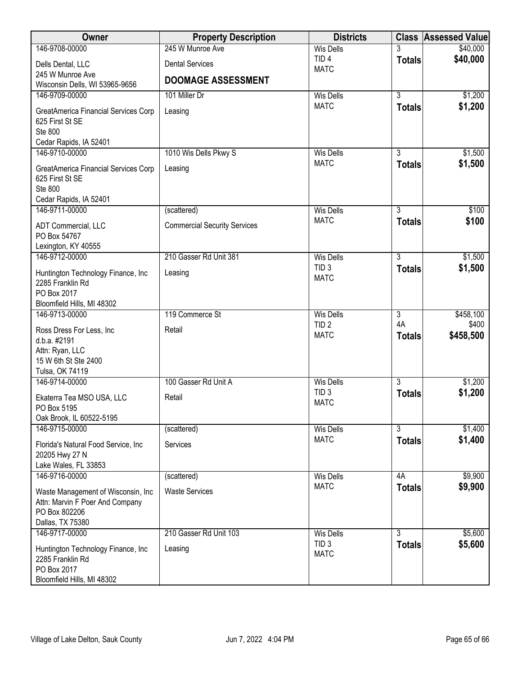| Owner                                                                                                                    | <b>Property Description</b>         | <b>Districts</b>                                    |                                       | <b>Class Assessed Value</b>     |
|--------------------------------------------------------------------------------------------------------------------------|-------------------------------------|-----------------------------------------------------|---------------------------------------|---------------------------------|
| 146-9708-00000                                                                                                           | 245 W Munroe Ave                    | <b>Wis Dells</b>                                    | 3                                     | \$40,000                        |
| Dells Dental, LLC<br>245 W Munroe Ave                                                                                    | <b>Dental Services</b>              | TID <sub>4</sub><br><b>MATC</b>                     | <b>Totals</b>                         | \$40,000                        |
| Wisconsin Dells, WI 53965-9656                                                                                           | <b>DOOMAGE ASSESSMENT</b>           |                                                     |                                       |                                 |
| 146-9709-00000                                                                                                           | 101 Miller Dr                       | <b>Wis Dells</b>                                    | $\overline{3}$                        | \$1,200                         |
| GreatAmerica Financial Services Corp<br>625 First St SE<br>Ste 800                                                       | Leasing                             | <b>MATC</b>                                         | <b>Totals</b>                         | \$1,200                         |
| Cedar Rapids, IA 52401                                                                                                   |                                     |                                                     |                                       |                                 |
| 146-9710-00000                                                                                                           | 1010 Wis Dells Pkwy S               | <b>Wis Dells</b>                                    | $\overline{3}$                        | \$1,500                         |
| GreatAmerica Financial Services Corp<br>625 First St SE<br>Ste 800<br>Cedar Rapids, IA 52401                             | Leasing                             | <b>MATC</b>                                         | <b>Totals</b>                         | \$1,500                         |
| 146-9711-00000                                                                                                           | (scattered)                         | <b>Wis Dells</b>                                    | 3                                     | \$100                           |
| ADT Commercial, LLC<br>PO Box 54767<br>Lexington, KY 40555                                                               | <b>Commercial Security Services</b> | <b>MATC</b>                                         | <b>Totals</b>                         | \$100                           |
| 146-9712-00000                                                                                                           | 210 Gasser Rd Unit 381              | <b>Wis Dells</b>                                    | $\overline{3}$                        | \$1,500                         |
| Huntington Technology Finance, Inc<br>2285 Franklin Rd<br>PO Box 2017                                                    | Leasing                             | TID <sub>3</sub><br><b>MATC</b>                     | <b>Totals</b>                         | \$1,500                         |
| Bloomfield Hills, MI 48302                                                                                               |                                     |                                                     |                                       |                                 |
| 146-9713-00000<br>Ross Dress For Less, Inc<br>d.b.a. #2191<br>Attn: Ryan, LLC<br>15 W 6th St Ste 2400<br>Tulsa, OK 74119 | 119 Commerce St<br>Retail           | <b>Wis Dells</b><br>TID <sub>2</sub><br><b>MATC</b> | $\overline{3}$<br>4A<br><b>Totals</b> | \$458,100<br>\$400<br>\$458,500 |
| 146-9714-00000                                                                                                           | 100 Gasser Rd Unit A                | <b>Wis Dells</b>                                    | $\overline{3}$                        | \$1,200                         |
| Ekaterra Tea MSO USA, LLC<br>PO Box 5195<br>Oak Brook, IL 60522-5195                                                     | Retail                              | TID <sub>3</sub><br><b>MATC</b>                     | <b>Totals</b>                         | \$1,200                         |
| 146-9715-00000                                                                                                           | (scattered)                         | Wis Dells                                           | $\overline{3}$                        | \$1,400                         |
| Florida's Natural Food Service, Inc.<br>20205 Hwy 27 N<br>Lake Wales, FL 33853                                           | Services                            | <b>MATC</b>                                         | <b>Totals</b>                         | \$1,400                         |
| 146-9716-00000                                                                                                           | (scattered)                         | <b>Wis Dells</b>                                    | 4A                                    | \$9,900                         |
| Waste Management of Wisconsin, Inc.<br>Attn: Marvin F Poer And Company<br>PO Box 802206<br>Dallas, TX 75380              | <b>Waste Services</b>               | <b>MATC</b>                                         | <b>Totals</b>                         | \$9,900                         |
| 146-9717-00000                                                                                                           | 210 Gasser Rd Unit 103              | <b>Wis Dells</b>                                    | 3                                     | \$5,600                         |
| Huntington Technology Finance, Inc<br>2285 Franklin Rd<br>PO Box 2017<br>Bloomfield Hills, MI 48302                      | Leasing                             | TID <sub>3</sub><br><b>MATC</b>                     | <b>Totals</b>                         | \$5,600                         |